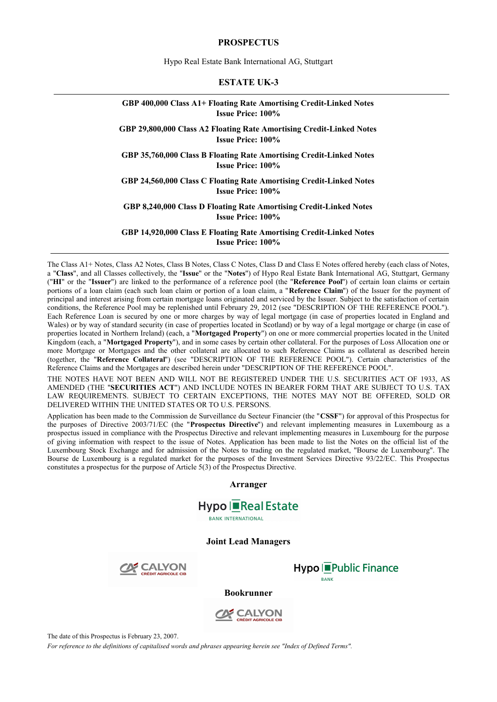#### **PROSPECTUS**

Hypo Real Estate Bank International AG, Stuttgart

#### **ESTATE UK-3**

#### **GBP 400,000 Class A1+ Floating Rate Amortising Credit-Linked Notes Issue Price: 100%**

#### **GBP 29,800,000 Class A2 Floating Rate Amortising Credit-Linked Notes Issue Price: 100%**

**GBP 35,760,000 Class B Floating Rate Amortising Credit-Linked Notes Issue Price: 100%** 

**GBP 24,560,000 Class C Floating Rate Amortising Credit-Linked Notes Issue Price: 100%** 

**GBP 8,240,000 Class D Floating Rate Amortising Credit-Linked Notes Issue Price: 100%** 

**GBP 14,920,000 Class E Floating Rate Amortising Credit-Linked Notes Issue Price: 100%** 

The Class A1+ Notes, Class A2 Notes, Class B Notes, Class C Notes, Class D and Class E Notes offered hereby (each class of Notes, a "**Class**", and all Classes collectively, the "**Issue**" or the "**Notes**") of Hypo Real Estate Bank International AG, Stuttgart, Germany ("**HI**" or the "**Issuer**") are linked to the performance of a reference pool (the "**Reference Pool**") of certain loan claims or certain portions of a loan claim (each such loan claim or portion of a loan claim, a "**Reference Claim**") of the Issuer for the payment of principal and interest arising from certain mortgage loans originated and serviced by the Issuer. Subject to the satisfaction of certain conditions, the Reference Pool may be replenished until February 29, 2012 (see "DESCRIPTION OF THE REFERENCE POOL"). Each Reference Loan is secured by one or more charges by way of legal mortgage (in case of properties located in England and Wales) or by way of standard security (in case of properties located in Scotland) or by way of a legal mortgage or charge (in case of properties located in Northern Ireland) (each, a "**Mortgaged Property**") on one or more commercial properties located in the United Kingdom (each, a "**Mortgaged Property**"), and in some cases by certain other collateral. For the purposes of Loss Allocation one or more Mortgage or Mortgages and the other collateral are allocated to such Reference Claims as collateral as described herein (together, the "**Reference Collateral**") (see "DESCRIPTION OF THE REFERENCE POOL"). Certain characteristics of the Reference Claims and the Mortgages are described herein under "DESCRIPTION OF THE REFERENCE POOL".

THE NOTES HAVE NOT BEEN AND WILL NOT BE REGISTERED UNDER THE U.S. SECURITIES ACT OF 1933, AS AMENDED (THE "**SECURITIES ACT**") AND INCLUDE NOTES IN BEARER FORM THAT ARE SUBJECT TO U.S. TAX LAW REQUIREMENTS. SUBJECT TO CERTAIN EXCEPTIONS, THE NOTES MAY NOT BE OFFERED, SOLD OR DELIVERED WITHIN THE UNITED STATES OR TO U.S. PERSONS.

Application has been made to the Commission de Surveillance du Secteur Financier (the "**CSSF**") for approval of this Prospectus for the purposes of Directive 2003/71/EC (the "**Prospectus Directive**") and relevant implementing measures in Luxembourg as a prospectus issued in compliance with the Prospectus Directive and relevant implementing measures in Luxembourg for the purpose of giving information with respect to the issue of Notes. Application has been made to list the Notes on the official list of the Luxembourg Stock Exchange and for admission of the Notes to trading on the regulated market, "Bourse de Luxembourg". The Bourse de Luxembourg is a regulated market for the purposes of the Investment Services Directive 93/22/EC. This Prospectus constitutes a prospectus for the purpose of Article 5(3) of the Prospectus Directive.

**Arranger** 



**BANK INTERNATIONAL** 

**Joint Lead Managers** 





#### **Bookrunner**



The date of this Prospectus is February 23, 2007.

*For reference to the definitions of capitalised words and phrases appearing herein see "Index of Defined Terms".*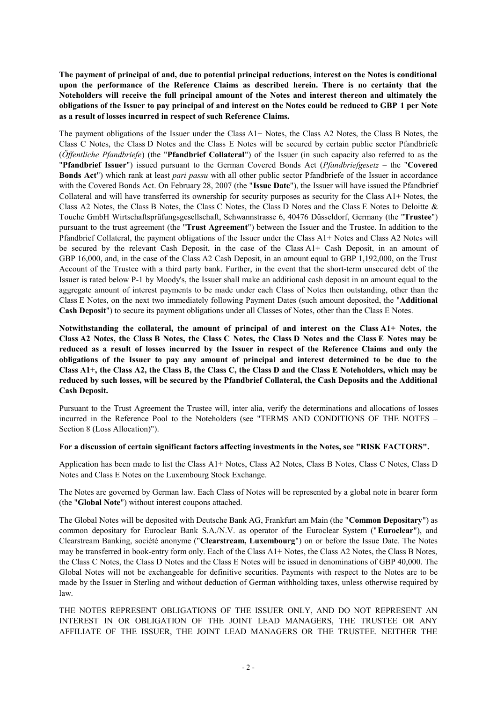The payment of principal of and, due to potential principal reductions, interest on the Notes is conditional **upon the performance of the Reference Claims as described herein. There is no certainty that the Noteholders will receive the full principal amount of the Notes and interest thereon and ultimately the**  obligations of the Issuer to pay principal of and interest on the Notes could be reduced to GBP 1 per Note **as a result of losses incurred in respect of such Reference Claims.** 

The payment obligations of the Issuer under the Class A1+ Notes, the Class A2 Notes, the Class B Notes, the Class C Notes, the Class D Notes and the Class E Notes will be secured by certain public sector Pfandbriefe (*Öffentliche Pfandbriefe*) (the "**Pfandbrief Collateral**") of the Issuer (in such capacity also referred to as the "**Pfandbrief Issuer**") issued pursuant to the German Covered Bonds Act (*Pfandbriefgesetz* – the "**Covered Bonds Act**") which rank at least *pari passu* with all other public sector Pfandbriefe of the Issuer in accordance with the Covered Bonds Act. On February 28, 2007 (the "**Issue Date**"), the Issuer will have issued the Pfandbrief Collateral and will have transferred its ownership for security purposes as security for the Class A1+ Notes, the Class A2 Notes, the Class B Notes, the Class C Notes, the Class D Notes and the Class E Notes to Deloitte & Touche GmbH Wirtschaftsprüfungsgesellschaft, Schwannstrasse 6, 40476 Düsseldorf, Germany (the "**Trustee**") pursuant to the trust agreement (the "**Trust Agreement**") between the Issuer and the Trustee. In addition to the Pfandbrief Collateral, the payment obligations of the Issuer under the Class A1+ Notes and Class A2 Notes will be secured by the relevant Cash Deposit, in the case of the Class A1+ Cash Deposit, in an amount of GBP 16,000, and, in the case of the Class A2 Cash Deposit, in an amount equal to GBP 1,192,000, on the Trust Account of the Trustee with a third party bank. Further, in the event that the short-term unsecured debt of the Issuer is rated below P-1 by Moody's, the Issuer shall make an additional cash deposit in an amount equal to the aggregate amount of interest payments to be made under each Class of Notes then outstanding, other than the Class E Notes, on the next two immediately following Payment Dates (such amount deposited, the "**Additional Cash Deposit**") to secure its payment obligations under all Classes of Notes, other than the Class E Notes.

**Notwithstanding the collateral, the amount of principal of and interest on the Class A1+ Notes, the Class A2 Notes, the Class B Notes, the Class C Notes, the Class D Notes and the Class E Notes may be**  reduced as a result of losses incurred by the Issuer in respect of the Reference Claims and only the **obligations of the Issuer to pay any amount of principal and interest determined to be due to the**  Class A1+, the Class A2, the Class B, the Class C, the Class D and the Class E Noteholders, which may be reduced by such losses, will be secured by the Pfandbrief Collateral, the Cash Deposits and the Additional **Cash Deposit.** 

Pursuant to the Trust Agreement the Trustee will, inter alia, verify the determinations and allocations of losses incurred in the Reference Pool to the Noteholders (see "TERMS AND CONDITIONS OF THE NOTES – Section 8 (Loss Allocation)").

### **For a discussion of certain significant factors affecting investments in the Notes, see "RISK FACTORS".**

Application has been made to list the Class A1+ Notes, Class A2 Notes, Class B Notes, Class C Notes, Class D Notes and Class E Notes on the Luxembourg Stock Exchange.

The Notes are governed by German law. Each Class of Notes will be represented by a global note in bearer form (the "**Global Note**") without interest coupons attached.

The Global Notes will be deposited with Deutsche Bank AG, Frankfurt am Main (the "**Common Depositary**") as common depositary for Euroclear Bank S.A./N.V. as operator of the Euroclear System ("**Euroclear**"), and Clearstream Banking, société anonyme ("**Clearstream, Luxembourg**") on or before the Issue Date. The Notes may be transferred in book-entry form only. Each of the Class A1+ Notes, the Class A2 Notes, the Class B Notes, the Class C Notes, the Class D Notes and the Class E Notes will be issued in denominations of GBP 40,000. The Global Notes will not be exchangeable for definitive securities. Payments with respect to the Notes are to be made by the Issuer in Sterling and without deduction of German withholding taxes, unless otherwise required by law.

THE NOTES REPRESENT OBLIGATIONS OF THE ISSUER ONLY, AND DO NOT REPRESENT AN INTEREST IN OR OBLIGATION OF THE JOINT LEAD MANAGERS, THE TRUSTEE OR ANY AFFILIATE OF THE ISSUER, THE JOINT LEAD MANAGERS OR THE TRUSTEE. NEITHER THE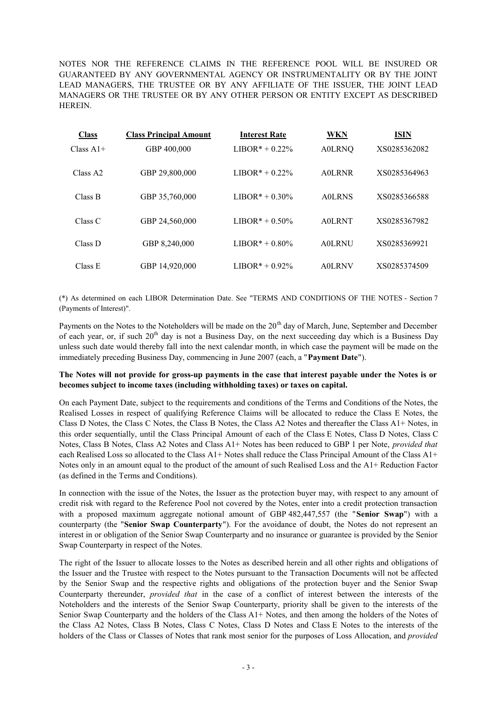NOTES NOR THE REFERENCE CLAIMS IN THE REFERENCE POOL WILL BE INSURED OR GUARANTEED BY ANY GOVERNMENTAL AGENCY OR INSTRUMENTALITY OR BY THE JOINT LEAD MANAGERS, THE TRUSTEE OR BY ANY AFFILIATE OF THE ISSUER, THE JOINT LEAD MANAGERS OR THE TRUSTEE OR BY ANY OTHER PERSON OR ENTITY EXCEPT AS DESCRIBED **HEREIN** 

| <b>Class</b>         | <b>Class Principal Amount</b> | <b>Interest Rate</b> | WKN           | <b>ISIN</b>  |
|----------------------|-------------------------------|----------------------|---------------|--------------|
| Class $A1+$          | GBP 400,000                   | $LIBOR* + 0.22%$     | <b>A0LRNQ</b> | XS0285362082 |
| Class A <sub>2</sub> | GBP 29,800,000                | $LIBOR* + 0.22%$     | A0LRNR        | XS0285364963 |
| Class B              | GBP 35,760,000                | $LIBOR* + 0.30\%$    | <b>A0LRNS</b> | XS0285366588 |
| Class C              | GBP 24,560,000                | $LIBOR* + 0.50\%$    | <b>A0LRNT</b> | XS0285367982 |
| Class D              | GBP 8,240,000                 | $LIBOR* + 0.80\%$    | <b>A0LRNU</b> | XS0285369921 |
| Class E              | GBP 14.920.000                | LIBOR $* + 0.92\%$   | A0LRNV        | XS0285374509 |

(\*) As determined on each LIBOR Determination Date. See "TERMS AND CONDITIONS OF THE NOTES - Section 7 (Payments of Interest)".

Payments on the Notes to the Noteholders will be made on the 20<sup>th</sup> day of March, June, September and December of each year, or, if such  $20<sup>th</sup>$  day is not a Business Day, on the next succeeding day which is a Business Day unless such date would thereby fall into the next calendar month, in which case the payment will be made on the immediately preceding Business Day, commencing in June 2007 (each, a "**Payment Date**").

## The Notes will not provide for gross-up payments in the case that interest payable under the Notes is or **becomes subject to income taxes (including withholding taxes) or taxes on capital.**

On each Payment Date, subject to the requirements and conditions of the Terms and Conditions of the Notes, the Realised Losses in respect of qualifying Reference Claims will be allocated to reduce the Class E Notes, the Class D Notes, the Class C Notes, the Class B Notes, the Class A2 Notes and thereafter the Class A1+ Notes, in this order sequentially, until the Class Principal Amount of each of the Class E Notes, Class D Notes, Class C Notes, Class B Notes, Class A2 Notes and Class A1+ Notes has been reduced to GBP 1 per Note, *provided that*  each Realised Loss so allocated to the Class A1+ Notes shall reduce the Class Principal Amount of the Class A1+ Notes only in an amount equal to the product of the amount of such Realised Loss and the A1+ Reduction Factor (as defined in the Terms and Conditions).

In connection with the issue of the Notes, the Issuer as the protection buyer may, with respect to any amount of credit risk with regard to the Reference Pool not covered by the Notes, enter into a credit protection transaction with a proposed maximum aggregate notional amount of GBP 482,447,557 (the "**Senior Swap**") with a counterparty (the "**Senior Swap Counterparty**"). For the avoidance of doubt, the Notes do not represent an interest in or obligation of the Senior Swap Counterparty and no insurance or guarantee is provided by the Senior Swap Counterparty in respect of the Notes.

The right of the Issuer to allocate losses to the Notes as described herein and all other rights and obligations of the Issuer and the Trustee with respect to the Notes pursuant to the Transaction Documents will not be affected by the Senior Swap and the respective rights and obligations of the protection buyer and the Senior Swap Counterparty thereunder, *provided that* in the case of a conflict of interest between the interests of the Noteholders and the interests of the Senior Swap Counterparty, priority shall be given to the interests of the Senior Swap Counterparty and the holders of the Class A1+ Notes, and then among the holders of the Notes of the Class A2 Notes, Class B Notes, Class C Notes, Class D Notes and Class E Notes to the interests of the holders of the Class or Classes of Notes that rank most senior for the purposes of Loss Allocation, and *provided*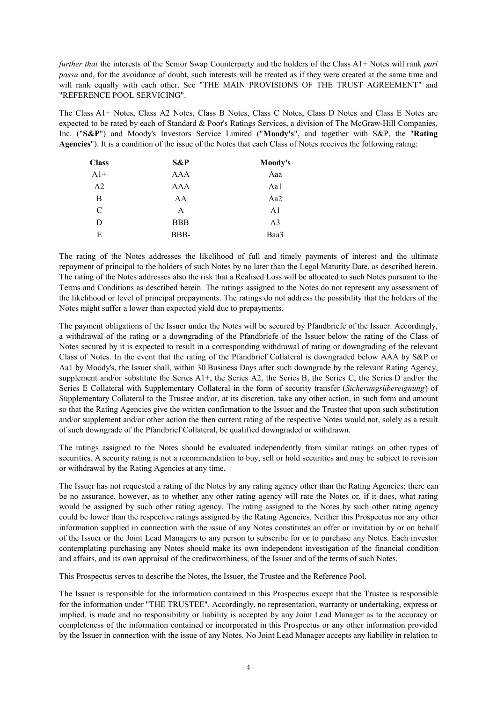*further that* the interests of the Senior Swap Counterparty and the holders of the Class A1+ Notes will rank *pari passu* and, for the avoidance of doubt, such interests will be treated as if they were created at the same time and will rank equally with each other. See "THE MAIN PROVISIONS OF THE TRUST AGREEMENT" and "REFERENCE POOL SERVICING".

The Class A1+ Notes, Class A2 Notes, Class B Notes, Class C Notes, Class D Notes and Class E Notes are expected to be rated by each of Standard & Poor's Ratings Services, a division of The McGraw-Hill Companies, Inc. ("**S&P**") and Moody's Investors Service Limited ("**Moody's**", and together with S&P, the "**Rating Agencies**"). It is a condition of the issue of the Notes that each Class of Notes receives the following rating:

| <b>Class</b>   | S&P        | Moody's |
|----------------|------------|---------|
| $A1+$          | AAA        | Aaa     |
| A <sub>2</sub> | AAA        | Aal     |
| B              | AA         | Aa2     |
| C              | A          | A1      |
| D              | <b>BBB</b> | A3      |
| E              | BBB-       | Baa3    |

The rating of the Notes addresses the likelihood of full and timely payments of interest and the ultimate repayment of principal to the holders of such Notes by no later than the Legal Maturity Date, as described herein. The rating of the Notes addresses also the risk that a Realised Loss will be allocated to such Notes pursuant to the Terms and Conditions as described herein. The ratings assigned to the Notes do not represent any assessment of the likelihood or level of principal prepayments. The ratings do not address the possibility that the holders of the Notes might suffer a lower than expected yield due to prepayments.

The payment obligations of the Issuer under the Notes will be secured by Pfandbriefe of the Issuer. Accordingly, a withdrawal of the rating or a downgrading of the Pfandbriefe of the Issuer below the rating of the Class of Notes secured by it is expected to result in a corresponding withdrawal of rating or downgrading of the relevant Class of Notes. In the event that the rating of the Pfandbrief Collateral is downgraded below AAA by S&P or Aa1 by Moody's, the Issuer shall, within 30 Business Days after such downgrade by the relevant Rating Agency, supplement and/or substitute the Series A1+, the Series A2, the Series B, the Series C, the Series D and/or the Series E Collateral with Supplementary Collateral in the form of security transfer (*Sicherungsübereignung*) of Supplementary Collateral to the Trustee and/or, at its discretion, take any other action, in such form and amount so that the Rating Agencies give the written confirmation to the Issuer and the Trustee that upon such substitution and/or supplement and/or other action the then current rating of the respective Notes would not, solely as a result of such downgrade of the Pfandbrief Collateral, be qualified downgraded or withdrawn.

The ratings assigned to the Notes should be evaluated independently from similar ratings on other types of securities. A security rating is not a recommendation to buy, sell or hold securities and may be subject to revision or withdrawal by the Rating Agencies at any time.

The Issuer has not requested a rating of the Notes by any rating agency other than the Rating Agencies; there can be no assurance, however, as to whether any other rating agency will rate the Notes or, if it does, what rating would be assigned by such other rating agency. The rating assigned to the Notes by such other rating agency could be lower than the respective ratings assigned by the Rating Agencies. Neither this Prospectus nor any other information supplied in connection with the issue of any Notes constitutes an offer or invitation by or on behalf of the Issuer or the Joint Lead Managers to any person to subscribe for or to purchase any Notes. Each investor contemplating purchasing any Notes should make its own independent investigation of the financial condition and affairs, and its own appraisal of the creditworthiness, of the Issuer and of the terms of such Notes.

This Prospectus serves to describe the Notes, the Issuer, the Trustee and the Reference Pool.

The Issuer is responsible for the information contained in this Prospectus except that the Trustee is responsible for the information under "THE TRUSTEE". Accordingly, no representation, warranty or undertaking, express or implied, is made and no responsibility or liability is accepted by any Joint Lead Manager as to the accuracy or completeness of the information contained or incorporated in this Prospectus or any other information provided by the Issuer in connection with the issue of any Notes. No Joint Lead Manager accepts any liability in relation to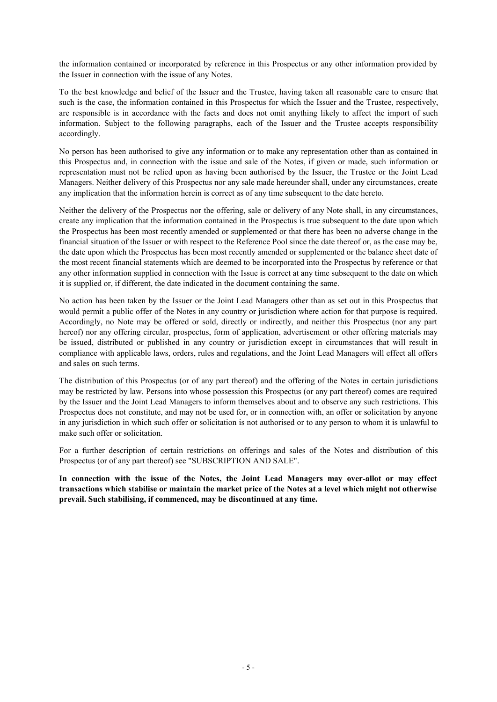the information contained or incorporated by reference in this Prospectus or any other information provided by the Issuer in connection with the issue of any Notes.

To the best knowledge and belief of the Issuer and the Trustee, having taken all reasonable care to ensure that such is the case, the information contained in this Prospectus for which the Issuer and the Trustee, respectively, are responsible is in accordance with the facts and does not omit anything likely to affect the import of such information. Subject to the following paragraphs, each of the Issuer and the Trustee accepts responsibility accordingly.

No person has been authorised to give any information or to make any representation other than as contained in this Prospectus and, in connection with the issue and sale of the Notes, if given or made, such information or representation must not be relied upon as having been authorised by the Issuer, the Trustee or the Joint Lead Managers. Neither delivery of this Prospectus nor any sale made hereunder shall, under any circumstances, create any implication that the information herein is correct as of any time subsequent to the date hereto.

Neither the delivery of the Prospectus nor the offering, sale or delivery of any Note shall, in any circumstances, create any implication that the information contained in the Prospectus is true subsequent to the date upon which the Prospectus has been most recently amended or supplemented or that there has been no adverse change in the financial situation of the Issuer or with respect to the Reference Pool since the date thereof or, as the case may be, the date upon which the Prospectus has been most recently amended or supplemented or the balance sheet date of the most recent financial statements which are deemed to be incorporated into the Prospectus by reference or that any other information supplied in connection with the Issue is correct at any time subsequent to the date on which it is supplied or, if different, the date indicated in the document containing the same.

No action has been taken by the Issuer or the Joint Lead Managers other than as set out in this Prospectus that would permit a public offer of the Notes in any country or jurisdiction where action for that purpose is required. Accordingly, no Note may be offered or sold, directly or indirectly, and neither this Prospectus (nor any part hereof) nor any offering circular, prospectus, form of application, advertisement or other offering materials may be issued, distributed or published in any country or jurisdiction except in circumstances that will result in compliance with applicable laws, orders, rules and regulations, and the Joint Lead Managers will effect all offers and sales on such terms.

The distribution of this Prospectus (or of any part thereof) and the offering of the Notes in certain jurisdictions may be restricted by law. Persons into whose possession this Prospectus (or any part thereof) comes are required by the Issuer and the Joint Lead Managers to inform themselves about and to observe any such restrictions. This Prospectus does not constitute, and may not be used for, or in connection with, an offer or solicitation by anyone in any jurisdiction in which such offer or solicitation is not authorised or to any person to whom it is unlawful to make such offer or solicitation.

For a further description of certain restrictions on offerings and sales of the Notes and distribution of this Prospectus (or of any part thereof) see "SUBSCRIPTION AND SALE".

**In connection with the issue of the Notes, the Joint Lead Managers may over-allot or may effect transactions which stabilise or maintain the market price of the Notes at a level which might not otherwise prevail. Such stabilising, if commenced, may be discontinued at any time.**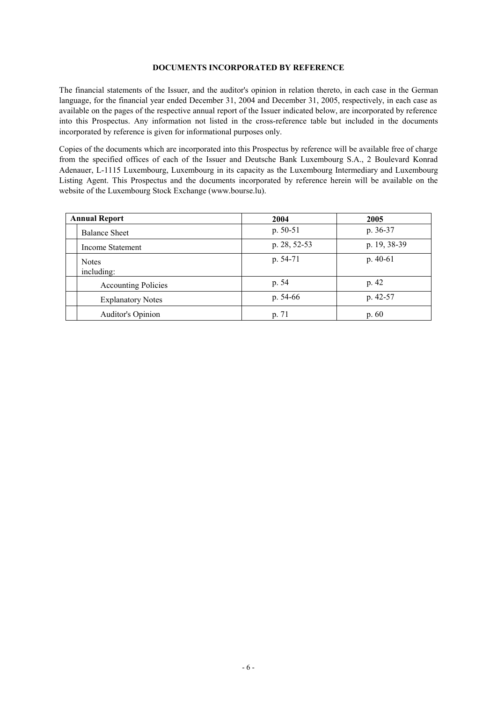#### **DOCUMENTS INCORPORATED BY REFERENCE**

The financial statements of the Issuer, and the auditor's opinion in relation thereto, in each case in the German language, for the financial year ended December 31, 2004 and December 31, 2005, respectively, in each case as available on the pages of the respective annual report of the Issuer indicated below, are incorporated by reference into this Prospectus. Any information not listed in the cross-reference table but included in the documents incorporated by reference is given for informational purposes only.

Copies of the documents which are incorporated into this Prospectus by reference will be available free of charge from the specified offices of each of the Issuer and Deutsche Bank Luxembourg S.A., 2 Boulevard Konrad Adenauer, L-1115 Luxembourg, Luxembourg in its capacity as the Luxembourg Intermediary and Luxembourg Listing Agent. This Prospectus and the documents incorporated by reference herein will be available on the website of the Luxembourg Stock Exchange (www.bourse.lu).

| <b>Annual Report</b>       | 2004         | 2005         |
|----------------------------|--------------|--------------|
| <b>Balance Sheet</b>       | $p. 50-51$   | p. 36-37     |
| Income Statement           | p. 28, 52-53 | p. 19, 38-39 |
| <b>Notes</b><br>including: | $p. 54-71$   | $p.40-61$    |
| <b>Accounting Policies</b> | p. 54        | p. 42        |
| <b>Explanatory Notes</b>   | p. $54-66$   | p. $42-57$   |
| Auditor's Opinion          | p. 71        | p.60         |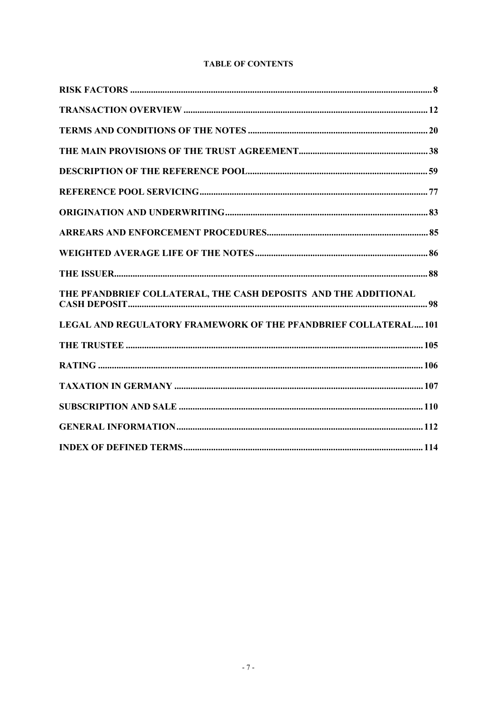# **TABLE OF CONTENTS**

| THE PFANDBRIEF COLLATERAL, THE CASH DEPOSITS AND THE ADDITIONAL |
|-----------------------------------------------------------------|
| LEGAL AND REGULATORY FRAMEWORK OF THE PFANDBRIEF COLLATERAL101  |
|                                                                 |
|                                                                 |
|                                                                 |
|                                                                 |
|                                                                 |
|                                                                 |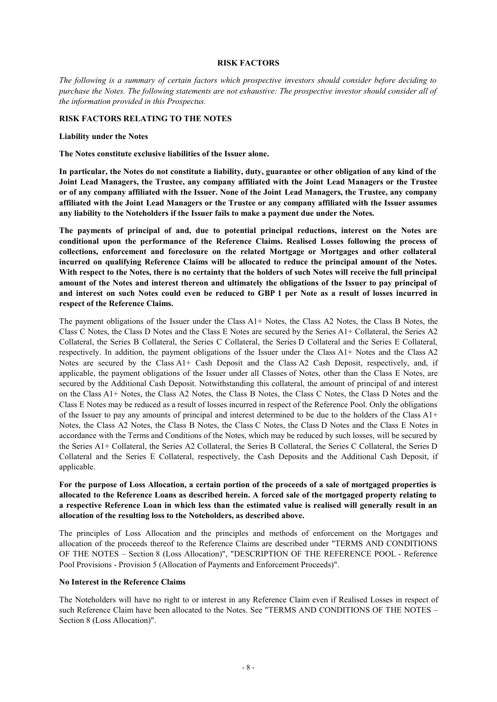#### **RISK FACTORS**

*The following is a summary of certain factors which prospective investors should consider before deciding to*  purchase the Notes. The following statements are not exhaustive: The prospective investor should consider all of *the information provided in this Prospectus.* 

### **RISK FACTORS RELATING TO THE NOTES**

#### **Liability under the Notes**

**The Notes constitute exclusive liabilities of the Issuer alone.** 

In particular, the Notes do not constitute a liability, duty, guarantee or other obligation of any kind of the **Joint Lead Managers, the Trustee, any company affiliated with the Joint Lead Managers or the Trustee or of any company affiliated with the Issuer. None of the Joint Lead Managers, the Trustee, any company affiliated with the Joint Lead Managers or the Trustee or any company affiliated with the Issuer assumes any liability to the Noteholders if the Issuer fails to make a payment due under the Notes.** 

**The payments of principal of and, due to potential principal reductions, interest on the Notes are conditional upon the performance of the Reference Claims. Realised Losses following the process of collections, enforcement and foreclosure on the related Mortgage or Mortgages and other collateral incurred on qualifying Reference Claims will be allocated to reduce the principal amount of the Notes. With respect to the Notes, there is no certainty that the holders of such Notes will receive the full principal**  amount of the Notes and interest thereon and ultimately the obligations of the Issuer to pay principal of and interest on such Notes could even be reduced to GBP 1 per Note as a result of losses incurred in **respect of the Reference Claims.** 

The payment obligations of the Issuer under the Class A1+ Notes, the Class A2 Notes, the Class B Notes, the Class C Notes, the Class D Notes and the Class E Notes are secured by the Series A1+ Collateral, the Series A2 Collateral, the Series B Collateral, the Series C Collateral, the Series D Collateral and the Series E Collateral, respectively. In addition, the payment obligations of the Issuer under the Class A1+ Notes and the Class A2 Notes are secured by the Class A1+ Cash Deposit and the Class A2 Cash Deposit, respectively, and, if applicable, the payment obligations of the Issuer under all Classes of Notes, other than the Class E Notes, are secured by the Additional Cash Deposit. Notwithstanding this collateral, the amount of principal of and interest on the Class A1+ Notes, the Class A2 Notes, the Class B Notes, the Class C Notes, the Class D Notes and the Class E Notes may be reduced as a result of losses incurred in respect of the Reference Pool. Only the obligations of the Issuer to pay any amounts of principal and interest determined to be due to the holders of the Class A1+ Notes, the Class A2 Notes, the Class B Notes, the Class C Notes, the Class D Notes and the Class E Notes in accordance with the Terms and Conditions of the Notes, which may be reduced by such losses, will be secured by the Series A1+ Collateral, the Series A2 Collateral, the Series B Collateral, the Series C Collateral, the Series D Collateral and the Series E Collateral, respectively, the Cash Deposits and the Additional Cash Deposit, if applicable.

For the purpose of Loss Allocation, a certain portion of the proceeds of a sale of mortgaged properties is allocated to the Reference Loans as described herein. A forced sale of the mortgaged property relating to a respective Reference Loan in which less than the estimated value is realised will generally result in an **allocation of the resulting loss to the Noteholders, as described above.** 

The principles of Loss Allocation and the principles and methods of enforcement on the Mortgages and allocation of the proceeds thereof to the Reference Claims are described under "TERMS AND CONDITIONS OF THE NOTES – Section 8 (Loss Allocation)", "DESCRIPTION OF THE REFERENCE POOL - Reference Pool Provisions - Provision 5 (Allocation of Payments and Enforcement Proceeds)".

### **No Interest in the Reference Claims**

The Noteholders will have no right to or interest in any Reference Claim even if Realised Losses in respect of such Reference Claim have been allocated to the Notes. See "TERMS AND CONDITIONS OF THE NOTES – Section 8 (Loss Allocation)".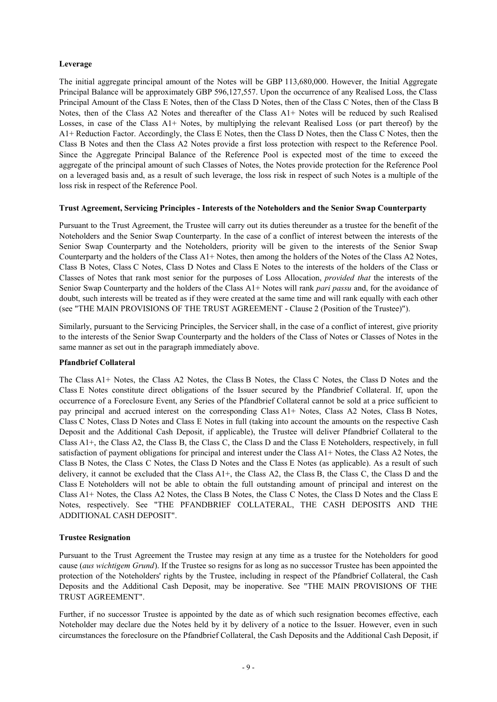## **Leverage**

The initial aggregate principal amount of the Notes will be GBP 113,680,000. However, the Initial Aggregate Principal Balance will be approximately GBP 596,127,557. Upon the occurrence of any Realised Loss, the Class Principal Amount of the Class E Notes, then of the Class D Notes, then of the Class C Notes, then of the Class B Notes, then of the Class A2 Notes and thereafter of the Class A1+ Notes will be reduced by such Realised Losses, in case of the Class A1+ Notes, by multiplying the relevant Realised Loss (or part thereof) by the A1+ Reduction Factor. Accordingly, the Class E Notes, then the Class D Notes, then the Class C Notes, then the Class B Notes and then the Class A2 Notes provide a first loss protection with respect to the Reference Pool. Since the Aggregate Principal Balance of the Reference Pool is expected most of the time to exceed the aggregate of the principal amount of such Classes of Notes, the Notes provide protection for the Reference Pool on a leveraged basis and, as a result of such leverage, the loss risk in respect of such Notes is a multiple of the loss risk in respect of the Reference Pool.

### **Trust Agreement, Servicing Principles - Interests of the Noteholders and the Senior Swap Counterparty**

Pursuant to the Trust Agreement, the Trustee will carry out its duties thereunder as a trustee for the benefit of the Noteholders and the Senior Swap Counterparty. In the case of a conflict of interest between the interests of the Senior Swap Counterparty and the Noteholders, priority will be given to the interests of the Senior Swap Counterparty and the holders of the Class A1+ Notes, then among the holders of the Notes of the Class A2 Notes, Class B Notes, Class C Notes, Class D Notes and Class E Notes to the interests of the holders of the Class or Classes of Notes that rank most senior for the purposes of Loss Allocation, *provided that* the interests of the Senior Swap Counterparty and the holders of the Class A1+ Notes will rank *pari passu* and, for the avoidance of doubt, such interests will be treated as if they were created at the same time and will rank equally with each other (see "THE MAIN PROVISIONS OF THE TRUST AGREEMENT - Clause 2 (Position of the Trustee)").

Similarly, pursuant to the Servicing Principles, the Servicer shall, in the case of a conflict of interest, give priority to the interests of the Senior Swap Counterparty and the holders of the Class of Notes or Classes of Notes in the same manner as set out in the paragraph immediately above.

### **Pfandbrief Collateral**

The Class A1+ Notes, the Class A2 Notes, the Class B Notes, the Class C Notes, the Class D Notes and the Class E Notes constitute direct obligations of the Issuer secured by the Pfandbrief Collateral. If, upon the occurrence of a Foreclosure Event, any Series of the Pfandbrief Collateral cannot be sold at a price sufficient to pay principal and accrued interest on the corresponding Class A1+ Notes, Class A2 Notes, Class B Notes, Class C Notes, Class D Notes and Class E Notes in full (taking into account the amounts on the respective Cash Deposit and the Additional Cash Deposit, if applicable), the Trustee will deliver Pfandbrief Collateral to the Class A1+, the Class A2, the Class B, the Class C, the Class D and the Class E Noteholders, respectively, in full satisfaction of payment obligations for principal and interest under the Class A1+ Notes, the Class A2 Notes, the Class B Notes, the Class C Notes, the Class D Notes and the Class E Notes (as applicable). As a result of such delivery, it cannot be excluded that the Class A1+, the Class A2, the Class B, the Class C, the Class D and the Class E Noteholders will not be able to obtain the full outstanding amount of principal and interest on the Class A1+ Notes, the Class A2 Notes, the Class B Notes, the Class C Notes, the Class D Notes and the Class E Notes, respectively. See "THE PFANDBRIEF COLLATERAL, THE CASH DEPOSITS AND THE ADDITIONAL CASH DEPOSIT".

### **Trustee Resignation**

Pursuant to the Trust Agreement the Trustee may resign at any time as a trustee for the Noteholders for good cause (*aus wichtigem Grund*). If the Trustee so resigns for as long as no successor Trustee has been appointed the protection of the Noteholders' rights by the Trustee, including in respect of the Pfandbrief Collateral, the Cash Deposits and the Additional Cash Deposit, may be inoperative. See "THE MAIN PROVISIONS OF THE TRUST AGREEMENT".

Further, if no successor Trustee is appointed by the date as of which such resignation becomes effective, each Noteholder may declare due the Notes held by it by delivery of a notice to the Issuer. However, even in such circumstances the foreclosure on the Pfandbrief Collateral, the Cash Deposits and the Additional Cash Deposit, if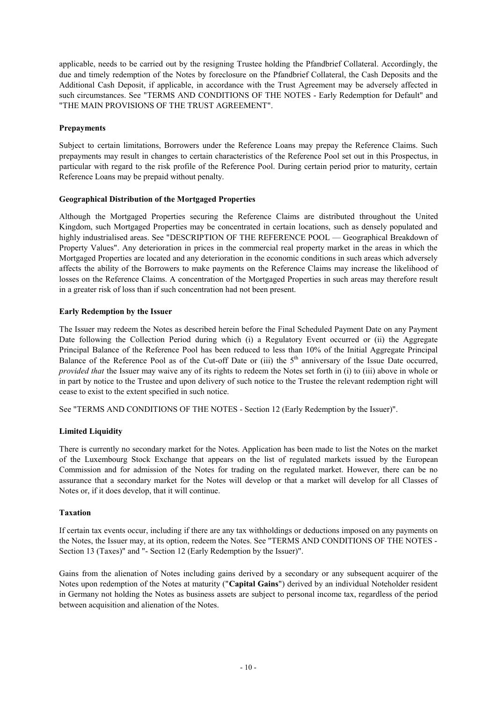applicable, needs to be carried out by the resigning Trustee holding the Pfandbrief Collateral. Accordingly, the due and timely redemption of the Notes by foreclosure on the Pfandbrief Collateral, the Cash Deposits and the Additional Cash Deposit, if applicable, in accordance with the Trust Agreement may be adversely affected in such circumstances. See "TERMS AND CONDITIONS OF THE NOTES - Early Redemption for Default" and "THE MAIN PROVISIONS OF THE TRUST AGREEMENT".

## **Prepayments**

Subject to certain limitations, Borrowers under the Reference Loans may prepay the Reference Claims. Such prepayments may result in changes to certain characteristics of the Reference Pool set out in this Prospectus, in particular with regard to the risk profile of the Reference Pool. During certain period prior to maturity, certain Reference Loans may be prepaid without penalty.

## **Geographical Distribution of the Mortgaged Properties**

Although the Mortgaged Properties securing the Reference Claims are distributed throughout the United Kingdom, such Mortgaged Properties may be concentrated in certain locations, such as densely populated and highly industrialised areas. See "DESCRIPTION OF THE REFERENCE POOL — Geographical Breakdown of Property Values". Any deterioration in prices in the commercial real property market in the areas in which the Mortgaged Properties are located and any deterioration in the economic conditions in such areas which adversely affects the ability of the Borrowers to make payments on the Reference Claims may increase the likelihood of losses on the Reference Claims. A concentration of the Mortgaged Properties in such areas may therefore result in a greater risk of loss than if such concentration had not been present.

## **Early Redemption by the Issuer**

The Issuer may redeem the Notes as described herein before the Final Scheduled Payment Date on any Payment Date following the Collection Period during which (i) a Regulatory Event occurred or (ii) the Aggregate Principal Balance of the Reference Pool has been reduced to less than 10% of the Initial Aggregate Principal Balance of the Reference Pool as of the Cut-off Date or (iii) the  $5<sup>th</sup>$  anniversary of the Issue Date occurred, *provided that* the Issuer may waive any of its rights to redeem the Notes set forth in (i) to (iii) above in whole or in part by notice to the Trustee and upon delivery of such notice to the Trustee the relevant redemption right will cease to exist to the extent specified in such notice.

See "TERMS AND CONDITIONS OF THE NOTES - Section 12 (Early Redemption by the Issuer)".

# **Limited Liquidity**

There is currently no secondary market for the Notes. Application has been made to list the Notes on the market of the Luxembourg Stock Exchange that appears on the list of regulated markets issued by the European Commission and for admission of the Notes for trading on the regulated market. However, there can be no assurance that a secondary market for the Notes will develop or that a market will develop for all Classes of Notes or, if it does develop, that it will continue.

### **Taxation**

If certain tax events occur, including if there are any tax withholdings or deductions imposed on any payments on the Notes, the Issuer may, at its option, redeem the Notes. See "TERMS AND CONDITIONS OF THE NOTES - Section 13 (Taxes)" and "- Section 12 (Early Redemption by the Issuer)".

Gains from the alienation of Notes including gains derived by a secondary or any subsequent acquirer of the Notes upon redemption of the Notes at maturity ("**Capital Gains**") derived by an individual Noteholder resident in Germany not holding the Notes as business assets are subject to personal income tax, regardless of the period between acquisition and alienation of the Notes.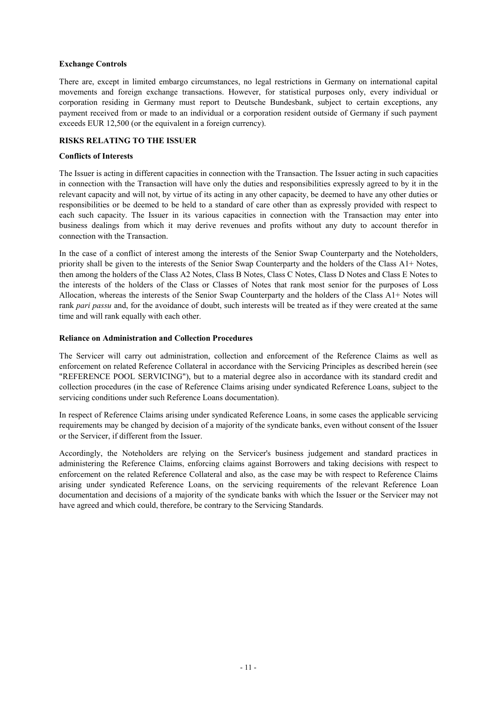## **Exchange Controls**

There are, except in limited embargo circumstances, no legal restrictions in Germany on international capital movements and foreign exchange transactions. However, for statistical purposes only, every individual or corporation residing in Germany must report to Deutsche Bundesbank, subject to certain exceptions, any payment received from or made to an individual or a corporation resident outside of Germany if such payment exceeds EUR 12,500 (or the equivalent in a foreign currency).

## **RISKS RELATING TO THE ISSUER**

### **Conflicts of Interests**

The Issuer is acting in different capacities in connection with the Transaction. The Issuer acting in such capacities in connection with the Transaction will have only the duties and responsibilities expressly agreed to by it in the relevant capacity and will not, by virtue of its acting in any other capacity, be deemed to have any other duties or responsibilities or be deemed to be held to a standard of care other than as expressly provided with respect to each such capacity. The Issuer in its various capacities in connection with the Transaction may enter into business dealings from which it may derive revenues and profits without any duty to account therefor in connection with the Transaction.

In the case of a conflict of interest among the interests of the Senior Swap Counterparty and the Noteholders, priority shall be given to the interests of the Senior Swap Counterparty and the holders of the Class A1+ Notes, then among the holders of the Class A2 Notes, Class B Notes, Class C Notes, Class D Notes and Class E Notes to the interests of the holders of the Class or Classes of Notes that rank most senior for the purposes of Loss Allocation, whereas the interests of the Senior Swap Counterparty and the holders of the Class A1+ Notes will rank *pari passu* and, for the avoidance of doubt, such interests will be treated as if they were created at the same time and will rank equally with each other.

### **Reliance on Administration and Collection Procedures**

The Servicer will carry out administration, collection and enforcement of the Reference Claims as well as enforcement on related Reference Collateral in accordance with the Servicing Principles as described herein (see "REFERENCE POOL SERVICING"), but to a material degree also in accordance with its standard credit and collection procedures (in the case of Reference Claims arising under syndicated Reference Loans, subject to the servicing conditions under such Reference Loans documentation).

In respect of Reference Claims arising under syndicated Reference Loans, in some cases the applicable servicing requirements may be changed by decision of a majority of the syndicate banks, even without consent of the Issuer or the Servicer, if different from the Issuer.

Accordingly, the Noteholders are relying on the Servicer's business judgement and standard practices in administering the Reference Claims, enforcing claims against Borrowers and taking decisions with respect to enforcement on the related Reference Collateral and also, as the case may be with respect to Reference Claims arising under syndicated Reference Loans, on the servicing requirements of the relevant Reference Loan documentation and decisions of a majority of the syndicate banks with which the Issuer or the Servicer may not have agreed and which could, therefore, be contrary to the Servicing Standards.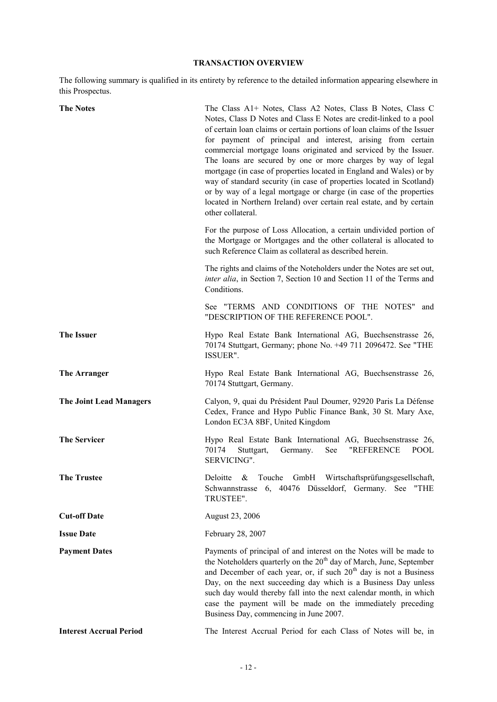# **TRANSACTION OVERVIEW**

The following summary is qualified in its entirety by reference to the detailed information appearing elsewhere in this Prospectus.

| <b>The Notes</b>               | The Class A1+ Notes, Class A2 Notes, Class B Notes, Class C<br>Notes, Class D Notes and Class E Notes are credit-linked to a pool<br>of certain loan claims or certain portions of loan claims of the Issuer<br>for payment of principal and interest, arising from certain<br>commercial mortgage loans originated and serviced by the Issuer.<br>The loans are secured by one or more charges by way of legal<br>mortgage (in case of properties located in England and Wales) or by<br>way of standard security (in case of properties located in Scotland)<br>or by way of a legal mortgage or charge (in case of the properties<br>located in Northern Ireland) over certain real estate, and by certain<br>other collateral. |
|--------------------------------|------------------------------------------------------------------------------------------------------------------------------------------------------------------------------------------------------------------------------------------------------------------------------------------------------------------------------------------------------------------------------------------------------------------------------------------------------------------------------------------------------------------------------------------------------------------------------------------------------------------------------------------------------------------------------------------------------------------------------------|
|                                | For the purpose of Loss Allocation, a certain undivided portion of<br>the Mortgage or Mortgages and the other collateral is allocated to<br>such Reference Claim as collateral as described herein.                                                                                                                                                                                                                                                                                                                                                                                                                                                                                                                                |
|                                | The rights and claims of the Noteholders under the Notes are set out,<br>inter alia, in Section 7, Section 10 and Section 11 of the Terms and<br>Conditions.                                                                                                                                                                                                                                                                                                                                                                                                                                                                                                                                                                       |
|                                | See "TERMS AND CONDITIONS OF THE NOTES"<br>and<br>"DESCRIPTION OF THE REFERENCE POOL".                                                                                                                                                                                                                                                                                                                                                                                                                                                                                                                                                                                                                                             |
| <b>The Issuer</b>              | Hypo Real Estate Bank International AG, Buechsenstrasse 26,<br>70174 Stuttgart, Germany; phone No. +49 711 2096472. See "THE<br>ISSUER".                                                                                                                                                                                                                                                                                                                                                                                                                                                                                                                                                                                           |
| The Arranger                   | Hypo Real Estate Bank International AG, Buechsenstrasse 26,<br>70174 Stuttgart, Germany.                                                                                                                                                                                                                                                                                                                                                                                                                                                                                                                                                                                                                                           |
| <b>The Joint Lead Managers</b> | Calyon, 9, quai du Président Paul Doumer, 92920 Paris La Défense<br>Cedex, France and Hypo Public Finance Bank, 30 St. Mary Axe,<br>London EC3A 8BF, United Kingdom                                                                                                                                                                                                                                                                                                                                                                                                                                                                                                                                                                |
| <b>The Servicer</b>            | Hypo Real Estate Bank International AG, Buechsenstrasse 26,<br>70174<br>Germany.<br>See<br>"REFERENCE<br>Stuttgart,<br><b>POOL</b><br>SERVICING".                                                                                                                                                                                                                                                                                                                                                                                                                                                                                                                                                                                  |
| The Trustee                    | GmbH Wirtschaftsprüfungsgesellschaft,<br>Deloitte<br>$\&$<br>Touche<br>6, 40476 Düsseldorf, Germany. See<br>Schwannstrasse<br>"THE<br>TRUSTEE".                                                                                                                                                                                                                                                                                                                                                                                                                                                                                                                                                                                    |
| <b>Cut-off Date</b>            | August 23, 2006                                                                                                                                                                                                                                                                                                                                                                                                                                                                                                                                                                                                                                                                                                                    |
| <b>Issue Date</b>              | February 28, 2007                                                                                                                                                                                                                                                                                                                                                                                                                                                                                                                                                                                                                                                                                                                  |
| <b>Payment Dates</b>           | Payments of principal of and interest on the Notes will be made to<br>the Noteholders quarterly on the 20 <sup>th</sup> day of March, June, September<br>and December of each year, or, if such 20 <sup>th</sup> day is not a Business<br>Day, on the next succeeding day which is a Business Day unless<br>such day would thereby fall into the next calendar month, in which<br>case the payment will be made on the immediately preceding<br>Business Day, commencing in June 2007.                                                                                                                                                                                                                                             |
| <b>Interest Accrual Period</b> | The Interest Accrual Period for each Class of Notes will be, in                                                                                                                                                                                                                                                                                                                                                                                                                                                                                                                                                                                                                                                                    |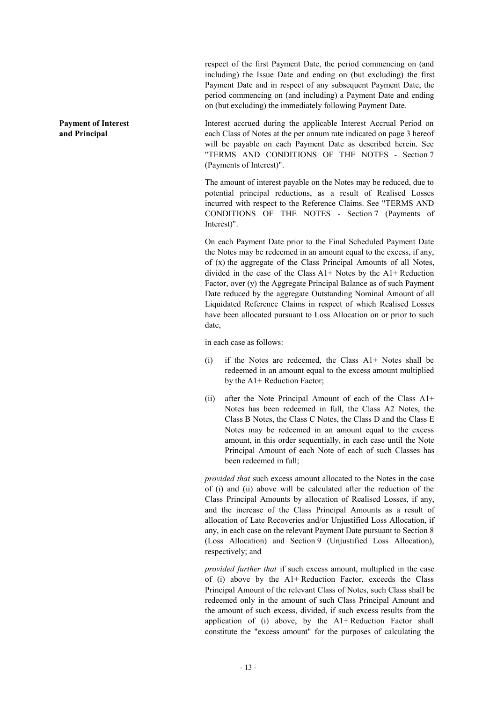respect of the first Payment Date, the period commencing on (and including) the Issue Date and ending on (but excluding) the first Payment Date and in respect of any subsequent Payment Date, the period commencing on (and including) a Payment Date and ending on (but excluding) the immediately following Payment Date.

Interest accrued during the applicable Interest Accrual Period on each Class of Notes at the per annum rate indicated on page 3 hereof will be payable on each Payment Date as described herein. See "TERMS AND CONDITIONS OF THE NOTES - Section 7 (Payments of Interest)".

The amount of interest payable on the Notes may be reduced, due to potential principal reductions, as a result of Realised Losses incurred with respect to the Reference Claims. See "TERMS AND CONDITIONS OF THE NOTES - Section 7 (Payments of Interest)".

On each Payment Date prior to the Final Scheduled Payment Date the Notes may be redeemed in an amount equal to the excess, if any, of (x) the aggregate of the Class Principal Amounts of all Notes, divided in the case of the Class A1+ Notes by the A1+ Reduction Factor, over (y) the Aggregate Principal Balance as of such Payment Date reduced by the aggregate Outstanding Nominal Amount of all Liquidated Reference Claims in respect of which Realised Losses have been allocated pursuant to Loss Allocation on or prior to such date,

in each case as follows:

- (i) if the Notes are redeemed, the Class A1+ Notes shall be redeemed in an amount equal to the excess amount multiplied by the A1+ Reduction Factor;
- (ii) after the Note Principal Amount of each of the Class A1+ Notes has been redeemed in full, the Class A2 Notes, the Class B Notes, the Class C Notes, the Class D and the Class E Notes may be redeemed in an amount equal to the excess amount, in this order sequentially, in each case until the Note Principal Amount of each Note of each of such Classes has been redeemed in full;

*provided that* such excess amount allocated to the Notes in the case of (i) and (ii) above will be calculated after the reduction of the Class Principal Amounts by allocation of Realised Losses, if any, and the increase of the Class Principal Amounts as a result of allocation of Late Recoveries and/or Unjustified Loss Allocation, if any, in each case on the relevant Payment Date pursuant to Section 8 (Loss Allocation) and Section 9 (Unjustified Loss Allocation), respectively; and

*provided further that* if such excess amount, multiplied in the case of (i) above by the A1+ Reduction Factor, exceeds the Class Principal Amount of the relevant Class of Notes, such Class shall be redeemed only in the amount of such Class Principal Amount and the amount of such excess, divided, if such excess results from the application of (i) above, by the A1+ Reduction Factor shall constitute the "excess amount" for the purposes of calculating the

**Payment of Interest and Principal**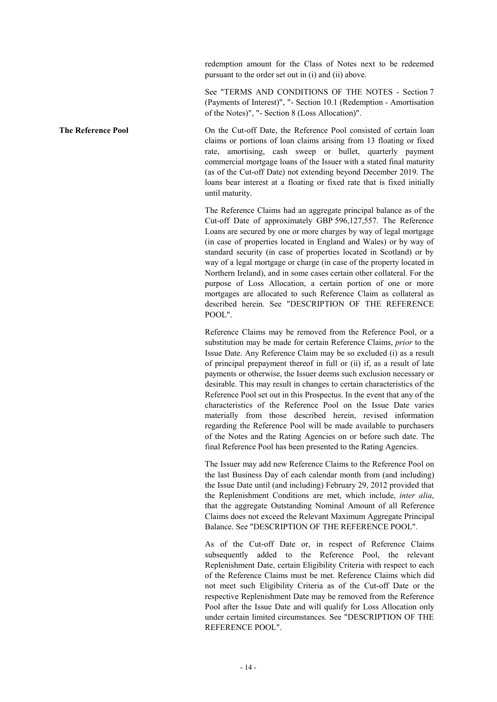redemption amount for the Class of Notes next to be redeemed pursuant to the order set out in (i) and (ii) above.

See "TERMS AND CONDITIONS OF THE NOTES - Section 7 (Payments of Interest)", "- Section 10.1 (Redemption - Amortisation of the Notes)", "- Section 8 (Loss Allocation)".

**The Reference Pool On the Cut-off Date, the Reference Pool consisted of certain loan** claims or portions of loan claims arising from 13 floating or fixed rate, amortising, cash sweep or bullet, quarterly payment commercial mortgage loans of the Issuer with a stated final maturity (as of the Cut-off Date) not extending beyond December 2019. The loans bear interest at a floating or fixed rate that is fixed initially until maturity.

> The Reference Claims had an aggregate principal balance as of the Cut-off Date of approximately GBP 596,127,557. The Reference Loans are secured by one or more charges by way of legal mortgage (in case of properties located in England and Wales) or by way of standard security (in case of properties located in Scotland) or by way of a legal mortgage or charge (in case of the property located in Northern Ireland), and in some cases certain other collateral. For the purpose of Loss Allocation, a certain portion of one or more mortgages are allocated to such Reference Claim as collateral as described herein. See "DESCRIPTION OF THE REFERENCE POOL".

> Reference Claims may be removed from the Reference Pool, or a substitution may be made for certain Reference Claims, *prior* to the Issue Date. Any Reference Claim may be so excluded (i) as a result of principal prepayment thereof in full or (ii) if, as a result of late payments or otherwise, the Issuer deems such exclusion necessary or desirable. This may result in changes to certain characteristics of the Reference Pool set out in this Prospectus. In the event that any of the characteristics of the Reference Pool on the Issue Date varies materially from those described herein, revised information regarding the Reference Pool will be made available to purchasers of the Notes and the Rating Agencies on or before such date. The final Reference Pool has been presented to the Rating Agencies.

> The Issuer may add new Reference Claims to the Reference Pool on the last Business Day of each calendar month from (and including) the Issue Date until (and including) February 29, 2012 provided that the Replenishment Conditions are met, which include, *inter alia*, that the aggregate Outstanding Nominal Amount of all Reference Claims does not exceed the Relevant Maximum Aggregate Principal Balance. See "DESCRIPTION OF THE REFERENCE POOL".

> As of the Cut-off Date or, in respect of Reference Claims subsequently added to the Reference Pool, the relevant Replenishment Date, certain Eligibility Criteria with respect to each of the Reference Claims must be met. Reference Claims which did not meet such Eligibility Criteria as of the Cut-off Date or the respective Replenishment Date may be removed from the Reference Pool after the Issue Date and will qualify for Loss Allocation only under certain limited circumstances. See "DESCRIPTION OF THE REFERENCE POOL".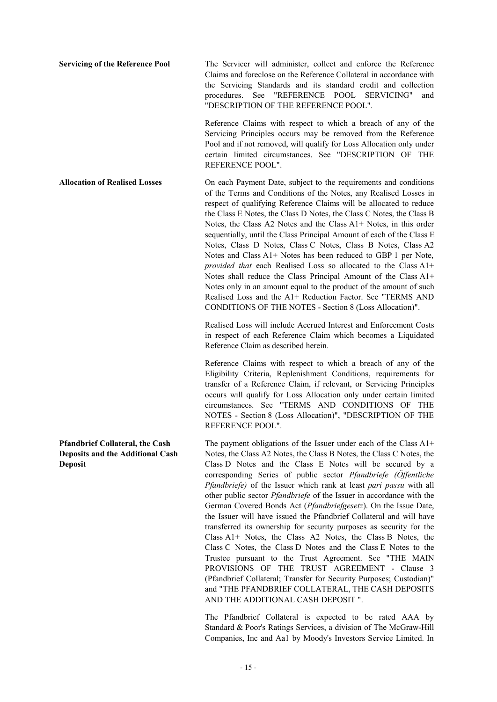**Servicing of the Reference Pool** The Servicer will administer, collect and enforce the Reference Claims and foreclose on the Reference Collateral in accordance with the Servicing Standards and its standard credit and collection procedures. See "REFERENCE POOL SERVICING" and "DESCRIPTION OF THE REFERENCE POOL".

> Reference Claims with respect to which a breach of any of the Servicing Principles occurs may be removed from the Reference Pool and if not removed, will qualify for Loss Allocation only under certain limited circumstances. See "DESCRIPTION OF THE REFERENCE POOL".

**Allocation of Realised Losses** On each Payment Date, subject to the requirements and conditions of the Terms and Conditions of the Notes, any Realised Losses in respect of qualifying Reference Claims will be allocated to reduce the Class E Notes, the Class D Notes, the Class C Notes, the Class B Notes, the Class A2 Notes and the Class A1+ Notes, in this order sequentially, until the Class Principal Amount of each of the Class E Notes, Class D Notes, Class C Notes, Class B Notes, Class A2 Notes and Class A1+ Notes has been reduced to GBP 1 per Note, *provided that* each Realised Loss so allocated to the Class A1+ Notes shall reduce the Class Principal Amount of the Class A1+ Notes only in an amount equal to the product of the amount of such Realised Loss and the A1+ Reduction Factor. See "TERMS AND CONDITIONS OF THE NOTES - Section 8 (Loss Allocation)".

> Realised Loss will include Accrued Interest and Enforcement Costs in respect of each Reference Claim which becomes a Liquidated Reference Claim as described herein.

> Reference Claims with respect to which a breach of any of the Eligibility Criteria, Replenishment Conditions, requirements for transfer of a Reference Claim, if relevant, or Servicing Principles occurs will qualify for Loss Allocation only under certain limited circumstances. See "TERMS AND CONDITIONS OF THE NOTES - Section 8 (Loss Allocation)", "DESCRIPTION OF THE REFERENCE POOL".

> The payment obligations of the Issuer under each of the Class A1+ Notes, the Class A2 Notes, the Class B Notes, the Class C Notes, the Class D Notes and the Class E Notes will be secured by a corresponding Series of public sector *Pfandbriefe (Öffentliche Pfandbriefe)* of the Issuer which rank at least *pari passu* with all other public sector *Pfandbriefe* of the Issuer in accordance with the German Covered Bonds Act (*Pfandbriefgesetz*). On the Issue Date, the Issuer will have issued the Pfandbrief Collateral and will have transferred its ownership for security purposes as security for the Class A1+ Notes, the Class A2 Notes, the Class B Notes, the Class C Notes, the Class D Notes and the Class E Notes to the Trustee pursuant to the Trust Agreement. See "THE MAIN PROVISIONS OF THE TRUST AGREEMENT - Clause 3 (Pfandbrief Collateral; Transfer for Security Purposes; Custodian)" and "THE PFANDBRIEF COLLATERAL, THE CASH DEPOSITS AND THE ADDITIONAL CASH DEPOSIT ".

> The Pfandbrief Collateral is expected to be rated AAA by Standard & Poor's Ratings Services, a division of The McGraw-Hill Companies, Inc and Aa1 by Moody's Investors Service Limited. In

**Pfandbrief Collateral, the Cash Deposits and the Additional Cash Deposit**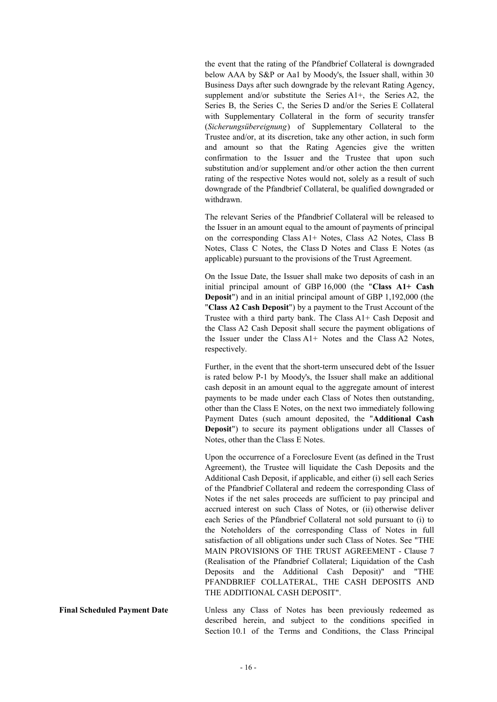the event that the rating of the Pfandbrief Collateral is downgraded below AAA by S&P or Aa1 by Moody's, the Issuer shall, within 30 Business Days after such downgrade by the relevant Rating Agency, supplement and/or substitute the Series A1+, the Series A2, the Series B, the Series C, the Series D and/or the Series E Collateral with Supplementary Collateral in the form of security transfer (*Sicherungsübereignung*) of Supplementary Collateral to the Trustee and/or, at its discretion, take any other action, in such form and amount so that the Rating Agencies give the written confirmation to the Issuer and the Trustee that upon such substitution and/or supplement and/or other action the then current rating of the respective Notes would not, solely as a result of such downgrade of the Pfandbrief Collateral, be qualified downgraded or withdrawn.

The relevant Series of the Pfandbrief Collateral will be released to the Issuer in an amount equal to the amount of payments of principal on the corresponding Class A1+ Notes, Class A2 Notes, Class B Notes, Class C Notes, the Class D Notes and Class E Notes (as applicable) pursuant to the provisions of the Trust Agreement.

On the Issue Date, the Issuer shall make two deposits of cash in an initial principal amount of GBP 16,000 (the "**Class A1+ Cash Deposit**") and in an initial principal amount of GBP 1,192,000 (the "**Class A2 Cash Deposit**") by a payment to the Trust Account of the Trustee with a third party bank. The Class A1+ Cash Deposit and the Class A2 Cash Deposit shall secure the payment obligations of the Issuer under the Class A1+ Notes and the Class A2 Notes, respectively.

Further, in the event that the short-term unsecured debt of the Issuer is rated below P-1 by Moody's, the Issuer shall make an additional cash deposit in an amount equal to the aggregate amount of interest payments to be made under each Class of Notes then outstanding, other than the Class E Notes, on the next two immediately following Payment Dates (such amount deposited, the "**Additional Cash Deposit**") to secure its payment obligations under all Classes of Notes, other than the Class E Notes.

Upon the occurrence of a Foreclosure Event (as defined in the Trust Agreement), the Trustee will liquidate the Cash Deposits and the Additional Cash Deposit, if applicable, and either (i) sell each Series of the Pfandbrief Collateral and redeem the corresponding Class of Notes if the net sales proceeds are sufficient to pay principal and accrued interest on such Class of Notes, or (ii) otherwise deliver each Series of the Pfandbrief Collateral not sold pursuant to (i) to the Noteholders of the corresponding Class of Notes in full satisfaction of all obligations under such Class of Notes. See "THE MAIN PROVISIONS OF THE TRUST AGREEMENT - Clause 7 (Realisation of the Pfandbrief Collateral; Liquidation of the Cash Deposits and the Additional Cash Deposit)" and "THE PFANDBRIEF COLLATERAL, THE CASH DEPOSITS AND THE ADDITIONAL CASH DEPOSIT".

**Final Scheduled Payment Date Unless any Class of Notes has been previously redeemed as** described herein, and subject to the conditions specified in Section 10.1 of the Terms and Conditions, the Class Principal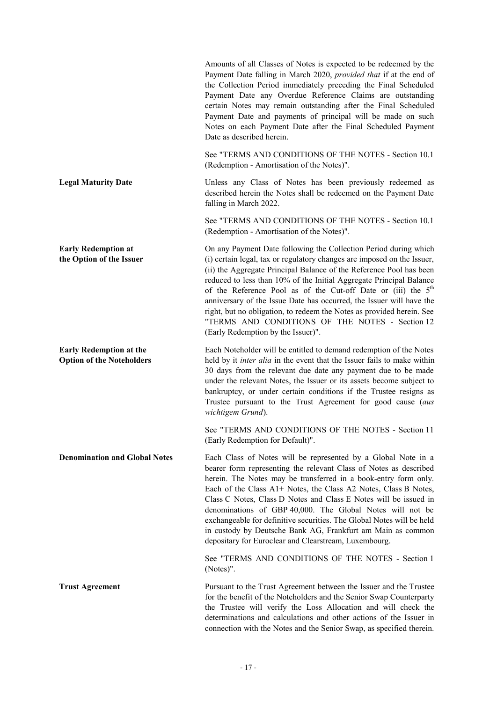|                                                                    | Amounts of all Classes of Notes is expected to be redeemed by the<br>Payment Date falling in March 2020, provided that if at the end of<br>the Collection Period immediately preceding the Final Scheduled<br>Payment Date any Overdue Reference Claims are outstanding<br>certain Notes may remain outstanding after the Final Scheduled<br>Payment Date and payments of principal will be made on such<br>Notes on each Payment Date after the Final Scheduled Payment<br>Date as described herein.                                                                                                            |
|--------------------------------------------------------------------|------------------------------------------------------------------------------------------------------------------------------------------------------------------------------------------------------------------------------------------------------------------------------------------------------------------------------------------------------------------------------------------------------------------------------------------------------------------------------------------------------------------------------------------------------------------------------------------------------------------|
|                                                                    | See "TERMS AND CONDITIONS OF THE NOTES - Section 10.1<br>(Redemption - Amortisation of the Notes)".                                                                                                                                                                                                                                                                                                                                                                                                                                                                                                              |
| <b>Legal Maturity Date</b>                                         | Unless any Class of Notes has been previously redeemed as<br>described herein the Notes shall be redeemed on the Payment Date<br>falling in March 2022.                                                                                                                                                                                                                                                                                                                                                                                                                                                          |
|                                                                    | See "TERMS AND CONDITIONS OF THE NOTES - Section 10.1<br>(Redemption - Amortisation of the Notes)".                                                                                                                                                                                                                                                                                                                                                                                                                                                                                                              |
| <b>Early Redemption at</b><br>the Option of the Issuer             | On any Payment Date following the Collection Period during which<br>(i) certain legal, tax or regulatory changes are imposed on the Issuer,<br>(ii) the Aggregate Principal Balance of the Reference Pool has been<br>reduced to less than 10% of the Initial Aggregate Principal Balance<br>of the Reference Pool as of the Cut-off Date or (iii) the 5 <sup>th</sup><br>anniversary of the Issue Date has occurred, the Issuer will have the<br>right, but no obligation, to redeem the Notes as provided herein. See<br>"TERMS AND CONDITIONS OF THE NOTES - Section 12<br>(Early Redemption by the Issuer)". |
| <b>Early Redemption at the</b><br><b>Option of the Noteholders</b> | Each Noteholder will be entitled to demand redemption of the Notes<br>held by it inter alia in the event that the Issuer fails to make within<br>30 days from the relevant due date any payment due to be made<br>under the relevant Notes, the Issuer or its assets become subject to<br>bankruptcy, or under certain conditions if the Trustee resigns as<br>Trustee pursuant to the Trust Agreement for good cause (aus<br>wichtigem Grund).                                                                                                                                                                  |
|                                                                    | See "TERMS AND CONDITIONS OF THE NOTES - Section 11<br>(Early Redemption for Default)".                                                                                                                                                                                                                                                                                                                                                                                                                                                                                                                          |
| <b>Denomination and Global Notes</b>                               | Each Class of Notes will be represented by a Global Note in a<br>bearer form representing the relevant Class of Notes as described<br>herein. The Notes may be transferred in a book-entry form only.<br>Each of the Class A1+ Notes, the Class A2 Notes, Class B Notes,<br>Class C Notes, Class D Notes and Class E Notes will be issued in<br>denominations of GBP 40,000. The Global Notes will not be<br>exchangeable for definitive securities. The Global Notes will be held<br>in custody by Deutsche Bank AG, Frankfurt am Main as common<br>depositary for Euroclear and Clearstream, Luxembourg.       |
|                                                                    | See "TERMS AND CONDITIONS OF THE NOTES - Section 1<br>(Notes)".                                                                                                                                                                                                                                                                                                                                                                                                                                                                                                                                                  |
| <b>Trust Agreement</b>                                             | Pursuant to the Trust Agreement between the Issuer and the Trustee<br>for the benefit of the Noteholders and the Senior Swap Counterparty<br>the Trustee will verify the Loss Allocation and will check the<br>determinations and calculations and other actions of the Issuer in<br>connection with the Notes and the Senior Swap, as specified therein.                                                                                                                                                                                                                                                        |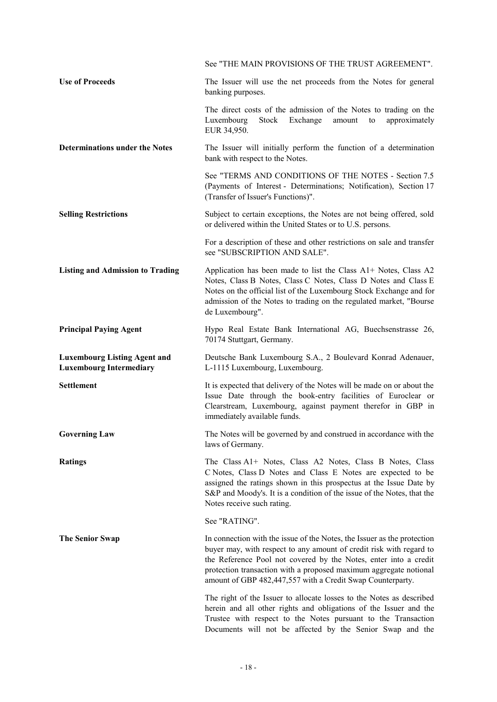|                                                                       | See "THE MAIN PROVISIONS OF THE TRUST AGREEMENT".                                                                                                                                                                                                                                                                                                     |
|-----------------------------------------------------------------------|-------------------------------------------------------------------------------------------------------------------------------------------------------------------------------------------------------------------------------------------------------------------------------------------------------------------------------------------------------|
| <b>Use of Proceeds</b>                                                | The Issuer will use the net proceeds from the Notes for general<br>banking purposes.                                                                                                                                                                                                                                                                  |
|                                                                       | The direct costs of the admission of the Notes to trading on the<br>Exchange<br>Luxembourg<br>Stock<br>amount<br>approximately<br>to<br>EUR 34,950.                                                                                                                                                                                                   |
| <b>Determinations under the Notes</b>                                 | The Issuer will initially perform the function of a determination<br>bank with respect to the Notes.                                                                                                                                                                                                                                                  |
|                                                                       | See "TERMS AND CONDITIONS OF THE NOTES - Section 7.5<br>(Payments of Interest - Determinations; Notification), Section 17<br>(Transfer of Issuer's Functions)".                                                                                                                                                                                       |
| <b>Selling Restrictions</b>                                           | Subject to certain exceptions, the Notes are not being offered, sold<br>or delivered within the United States or to U.S. persons.                                                                                                                                                                                                                     |
|                                                                       | For a description of these and other restrictions on sale and transfer<br>see "SUBSCRIPTION AND SALE".                                                                                                                                                                                                                                                |
| <b>Listing and Admission to Trading</b>                               | Application has been made to list the Class A1+ Notes, Class A2<br>Notes, Class B Notes, Class C Notes, Class D Notes and Class E<br>Notes on the official list of the Luxembourg Stock Exchange and for<br>admission of the Notes to trading on the regulated market, "Bourse<br>de Luxembourg".                                                     |
| <b>Principal Paying Agent</b>                                         | Hypo Real Estate Bank International AG, Buechsenstrasse 26,<br>70174 Stuttgart, Germany.                                                                                                                                                                                                                                                              |
| <b>Luxembourg Listing Agent and</b><br><b>Luxembourg Intermediary</b> | Deutsche Bank Luxembourg S.A., 2 Boulevard Konrad Adenauer,<br>L-1115 Luxembourg, Luxembourg.                                                                                                                                                                                                                                                         |
| <b>Settlement</b>                                                     | It is expected that delivery of the Notes will be made on or about the<br>Issue Date through the book-entry facilities of Euroclear or<br>Clearstream, Luxembourg, against payment therefor in GBP in<br>immediately available funds.                                                                                                                 |
| <b>Governing Law</b>                                                  | The Notes will be governed by and construed in accordance with the<br>laws of Germany.                                                                                                                                                                                                                                                                |
| <b>Ratings</b>                                                        | The Class A1+ Notes, Class A2 Notes, Class B Notes, Class<br>C Notes, Class D Notes and Class E Notes are expected to be<br>assigned the ratings shown in this prospectus at the Issue Date by<br>S&P and Moody's. It is a condition of the issue of the Notes, that the<br>Notes receive such rating.                                                |
|                                                                       | See "RATING".                                                                                                                                                                                                                                                                                                                                         |
| <b>The Senior Swap</b>                                                | In connection with the issue of the Notes, the Issuer as the protection<br>buyer may, with respect to any amount of credit risk with regard to<br>the Reference Pool not covered by the Notes, enter into a credit<br>protection transaction with a proposed maximum aggregate notional<br>amount of GBP 482,447,557 with a Credit Swap Counterparty. |
|                                                                       | The right of the Issuer to allocate losses to the Notes as described<br>herein and all other rights and obligations of the Issuer and the<br>Trustee with respect to the Notes pursuant to the Transaction<br>Documents will not be affected by the Senior Swap and the                                                                               |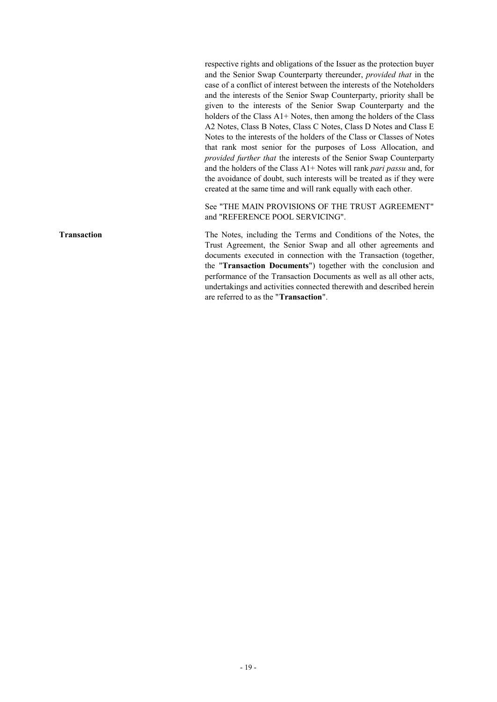respective rights and obligations of the Issuer as the protection buyer and the Senior Swap Counterparty thereunder, *provided that* in the case of a conflict of interest between the interests of the Noteholders and the interests of the Senior Swap Counterparty, priority shall be given to the interests of the Senior Swap Counterparty and the holders of the Class A1+ Notes, then among the holders of the Class A2 Notes, Class B Notes, Class C Notes, Class D Notes and Class E Notes to the interests of the holders of the Class or Classes of Notes that rank most senior for the purposes of Loss Allocation, and *provided further that* the interests of the Senior Swap Counterparty and the holders of the Class A1+ Notes will rank *pari passu* and, for the avoidance of doubt, such interests will be treated as if they were created at the same time and will rank equally with each other.

See "THE MAIN PROVISIONS OF THE TRUST AGREEMENT" and "REFERENCE POOL SERVICING".

**Transaction** The Notes, including the Terms and Conditions of the Notes, the Trust Agreement, the Senior Swap and all other agreements and documents executed in connection with the Transaction (together, the "**Transaction Documents**") together with the conclusion and performance of the Transaction Documents as well as all other acts, undertakings and activities connected therewith and described herein are referred to as the "**Transaction**".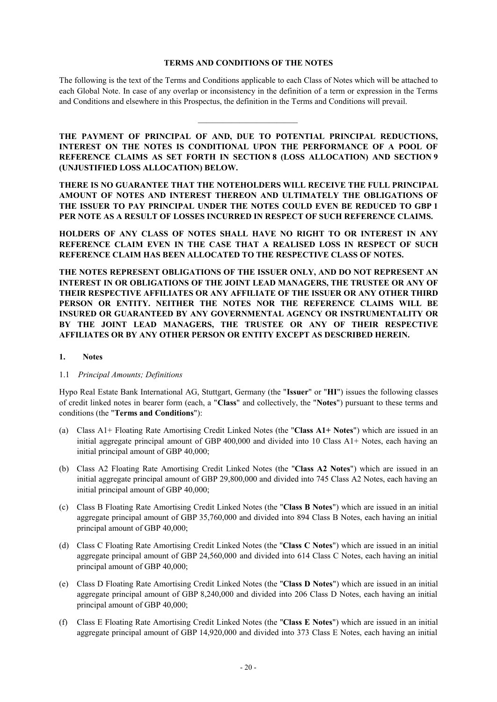#### **TERMS AND CONDITIONS OF THE NOTES**

The following is the text of the Terms and Conditions applicable to each Class of Notes which will be attached to each Global Note. In case of any overlap or inconsistency in the definition of a term or expression in the Terms and Conditions and elsewhere in this Prospectus, the definition in the Terms and Conditions will prevail.

 $\mathcal{L}_\text{max}$ 

**THE PAYMENT OF PRINCIPAL OF AND, DUE TO POTENTIAL PRINCIPAL REDUCTIONS, INTEREST ON THE NOTES IS CONDITIONAL UPON THE PERFORMANCE OF A POOL OF REFERENCE CLAIMS AS SET FORTH IN SECTION 8 (LOSS ALLOCATION) AND SECTION 9 (UNJUSTIFIED LOSS ALLOCATION) BELOW.**

**THERE IS NO GUARANTEE THAT THE NOTEHOLDERS WILL RECEIVE THE FULL PRINCIPAL AMOUNT OF NOTES AND INTEREST THEREON AND ULTIMATELY THE OBLIGATIONS OF THE ISSUER TO PAY PRINCIPAL UNDER THE NOTES COULD EVEN BE REDUCED TO GBP 1 PER NOTE AS A RESULT OF LOSSES INCURRED IN RESPECT OF SUCH REFERENCE CLAIMS.** 

**HOLDERS OF ANY CLASS OF NOTES SHALL HAVE NO RIGHT TO OR INTEREST IN ANY REFERENCE CLAIM EVEN IN THE CASE THAT A REALISED LOSS IN RESPECT OF SUCH REFERENCE CLAIM HAS BEEN ALLOCATED TO THE RESPECTIVE CLASS OF NOTES.** 

**THE NOTES REPRESENT OBLIGATIONS OF THE ISSUER ONLY, AND DO NOT REPRESENT AN INTEREST IN OR OBLIGATIONS OF THE JOINT LEAD MANAGERS, THE TRUSTEE OR ANY OF THEIR RESPECTIVE AFFILIATES OR ANY AFFILIATE OF THE ISSUER OR ANY OTHER THIRD PERSON OR ENTITY. NEITHER THE NOTES NOR THE REFERENCE CLAIMS WILL BE INSURED OR GUARANTEED BY ANY GOVERNMENTAL AGENCY OR INSTRUMENTALITY OR BY THE JOINT LEAD MANAGERS, THE TRUSTEE OR ANY OF THEIR RESPECTIVE AFFILIATES OR BY ANY OTHER PERSON OR ENTITY EXCEPT AS DESCRIBED HEREIN.** 

## **1. Notes**

## 1.1 *Principal Amounts; Definitions*

Hypo Real Estate Bank International AG, Stuttgart, Germany (the "**Issuer**" or "**HI**") issues the following classes of credit linked notes in bearer form (each, a "**Class**" and collectively, the "**Notes**") pursuant to these terms and conditions (the "**Terms and Conditions**"):

- (a) Class A1+ Floating Rate Amortising Credit Linked Notes (the "**Class A1+ Notes**") which are issued in an initial aggregate principal amount of GBP 400,000 and divided into 10 Class A1+ Notes, each having an initial principal amount of GBP 40,000;
- (b) Class A2 Floating Rate Amortising Credit Linked Notes (the "**Class A2 Notes**") which are issued in an initial aggregate principal amount of GBP 29,800,000 and divided into 745 Class A2 Notes, each having an initial principal amount of GBP 40,000;
- (c) Class B Floating Rate Amortising Credit Linked Notes (the "**Class B Notes**") which are issued in an initial aggregate principal amount of GBP 35,760,000 and divided into 894 Class B Notes, each having an initial principal amount of GBP 40,000;
- (d) Class C Floating Rate Amortising Credit Linked Notes (the "**Class C Notes**") which are issued in an initial aggregate principal amount of GBP 24,560,000 and divided into 614 Class C Notes, each having an initial principal amount of GBP 40,000;
- (e) Class D Floating Rate Amortising Credit Linked Notes (the "**Class D Notes**") which are issued in an initial aggregate principal amount of GBP 8,240,000 and divided into 206 Class D Notes, each having an initial principal amount of GBP 40,000;
- (f) Class E Floating Rate Amortising Credit Linked Notes (the "**Class E Notes**") which are issued in an initial aggregate principal amount of GBP 14,920,000 and divided into 373 Class E Notes, each having an initial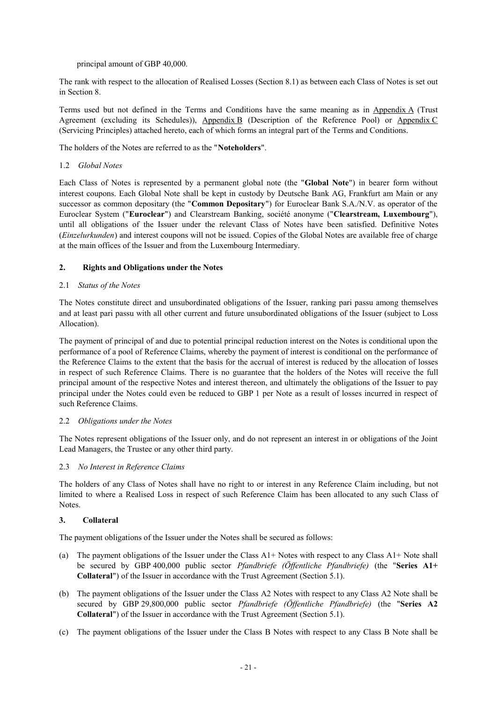principal amount of GBP 40,000.

The rank with respect to the allocation of Realised Losses (Section 8.1) as between each Class of Notes is set out in Section 8.

Terms used but not defined in the Terms and Conditions have the same meaning as in Appendix A (Trust Agreement (excluding its Schedules)), Appendix B (Description of the Reference Pool) or Appendix C (Servicing Principles) attached hereto, each of which forms an integral part of the Terms and Conditions.

The holders of the Notes are referred to as the "**Noteholders**".

## 1.2 *Global Notes*

Each Class of Notes is represented by a permanent global note (the "**Global Note**") in bearer form without interest coupons. Each Global Note shall be kept in custody by Deutsche Bank AG, Frankfurt am Main or any successor as common depositary (the "**Common Depositary**") for Euroclear Bank S.A./N.V. as operator of the Euroclear System ("**Euroclear**") and Clearstream Banking, société anonyme ("**Clearstream, Luxembourg**"), until all obligations of the Issuer under the relevant Class of Notes have been satisfied. Definitive Notes (*Einzelurkunden*) and interest coupons will not be issued. Copies of the Global Notes are available free of charge at the main offices of the Issuer and from the Luxembourg Intermediary.

## **2. Rights and Obligations under the Notes**

## 2.1 *Status of the Notes*

The Notes constitute direct and unsubordinated obligations of the Issuer, ranking pari passu among themselves and at least pari passu with all other current and future unsubordinated obligations of the Issuer (subject to Loss Allocation).

The payment of principal of and due to potential principal reduction interest on the Notes is conditional upon the performance of a pool of Reference Claims, whereby the payment of interest is conditional on the performance of the Reference Claims to the extent that the basis for the accrual of interest is reduced by the allocation of losses in respect of such Reference Claims. There is no guarantee that the holders of the Notes will receive the full principal amount of the respective Notes and interest thereon, and ultimately the obligations of the Issuer to pay principal under the Notes could even be reduced to GBP 1 per Note as a result of losses incurred in respect of such Reference Claims.

### 2.2 *Obligations under the Notes*

The Notes represent obligations of the Issuer only, and do not represent an interest in or obligations of the Joint Lead Managers, the Trustee or any other third party.

# 2.3 *No Interest in Reference Claims*

The holders of any Class of Notes shall have no right to or interest in any Reference Claim including, but not limited to where a Realised Loss in respect of such Reference Claim has been allocated to any such Class of Notes.

# **3. Collateral**

The payment obligations of the Issuer under the Notes shall be secured as follows:

- (a) The payment obligations of the Issuer under the Class A1+ Notes with respect to any Class A1+ Note shall be secured by GBP 400,000 public sector *Pfandbriefe (Öffentliche Pfandbriefe)* (the "**Series A1+ Collateral**") of the Issuer in accordance with the Trust Agreement (Section 5.1).
- (b) The payment obligations of the Issuer under the Class A2 Notes with respect to any Class A2 Note shall be secured by GBP 29,800,000 public sector *Pfandbriefe (Öffentliche Pfandbriefe)* (the "**Series A2 Collateral**") of the Issuer in accordance with the Trust Agreement (Section 5.1).
- (c) The payment obligations of the Issuer under the Class B Notes with respect to any Class B Note shall be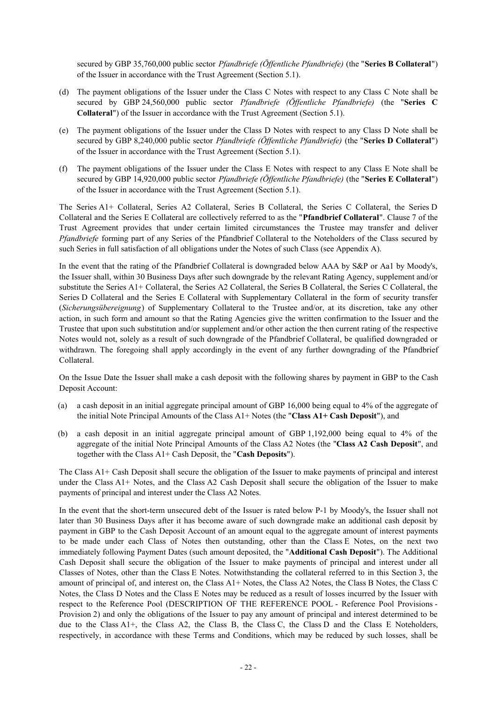secured by GBP 35,760,000 public sector *Pfandbriefe (Öffentliche Pfandbriefe)* (the "**Series B Collateral**") of the Issuer in accordance with the Trust Agreement (Section 5.1).

- (d) The payment obligations of the Issuer under the Class C Notes with respect to any Class C Note shall be secured by GBP 24,560,000 public sector *Pfandbriefe (Öffentliche Pfandbriefe)* (the "**Series C Collateral**") of the Issuer in accordance with the Trust Agreement (Section 5.1).
- (e) The payment obligations of the Issuer under the Class D Notes with respect to any Class D Note shall be secured by GBP 8,240,000 public sector *Pfandbriefe (Öffentliche Pfandbriefe)* (the "**Series D Collateral**") of the Issuer in accordance with the Trust Agreement (Section 5.1).
- (f) The payment obligations of the Issuer under the Class E Notes with respect to any Class E Note shall be secured by GBP 14,920,000 public sector *Pfandbriefe (Öffentliche Pfandbriefe)* (the "**Series E Collateral**") of the Issuer in accordance with the Trust Agreement (Section 5.1).

The Series A1+ Collateral, Series A2 Collateral, Series B Collateral, the Series C Collateral, the Series D Collateral and the Series E Collateral are collectively referred to as the "**Pfandbrief Collateral**". Clause 7 of the Trust Agreement provides that under certain limited circumstances the Trustee may transfer and deliver *Pfandbriefe* forming part of any Series of the Pfandbrief Collateral to the Noteholders of the Class secured by such Series in full satisfaction of all obligations under the Notes of such Class (see Appendix A).

In the event that the rating of the Pfandbrief Collateral is downgraded below AAA by S&P or Aa1 by Moody's, the Issuer shall, within 30 Business Days after such downgrade by the relevant Rating Agency, supplement and/or substitute the Series A1+ Collateral, the Series A2 Collateral, the Series B Collateral, the Series C Collateral, the Series D Collateral and the Series E Collateral with Supplementary Collateral in the form of security transfer (*Sicherungsübereignung*) of Supplementary Collateral to the Trustee and/or, at its discretion, take any other action, in such form and amount so that the Rating Agencies give the written confirmation to the Issuer and the Trustee that upon such substitution and/or supplement and/or other action the then current rating of the respective Notes would not, solely as a result of such downgrade of the Pfandbrief Collateral, be qualified downgraded or withdrawn. The foregoing shall apply accordingly in the event of any further downgrading of the Pfandbrief Collateral.

On the Issue Date the Issuer shall make a cash deposit with the following shares by payment in GBP to the Cash Deposit Account:

- (a) a cash deposit in an initial aggregate principal amount of GBP 16,000 being equal to 4% of the aggregate of the initial Note Principal Amounts of the Class A1+ Notes (the "**Class A1+ Cash Deposit**"), and
- (b) a cash deposit in an initial aggregate principal amount of GBP 1,192,000 being equal to 4% of the aggregate of the initial Note Principal Amounts of the Class A2 Notes (the "**Class A2 Cash Deposit**", and together with the Class A1+ Cash Deposit, the "**Cash Deposits**").

The Class A1+ Cash Deposit shall secure the obligation of the Issuer to make payments of principal and interest under the Class A1+ Notes, and the Class A2 Cash Deposit shall secure the obligation of the Issuer to make payments of principal and interest under the Class A2 Notes.

In the event that the short-term unsecured debt of the Issuer is rated below P-1 by Moody's, the Issuer shall not later than 30 Business Days after it has become aware of such downgrade make an additional cash deposit by payment in GBP to the Cash Deposit Account of an amount equal to the aggregate amount of interest payments to be made under each Class of Notes then outstanding, other than the Class E Notes, on the next two immediately following Payment Dates (such amount deposited, the "**Additional Cash Deposit**"). The Additional Cash Deposit shall secure the obligation of the Issuer to make payments of principal and interest under all Classes of Notes, other than the Class E Notes. Notwithstanding the collateral referred to in this Section 3, the amount of principal of, and interest on, the Class A1+ Notes, the Class A2 Notes, the Class B Notes, the Class C Notes, the Class D Notes and the Class E Notes may be reduced as a result of losses incurred by the Issuer with respect to the Reference Pool (DESCRIPTION OF THE REFERENCE POOL - Reference Pool Provisions - Provision 2) and only the obligations of the Issuer to pay any amount of principal and interest determined to be due to the Class A1+, the Class A2, the Class B, the Class C, the Class D and the Class E Noteholders, respectively, in accordance with these Terms and Conditions, which may be reduced by such losses, shall be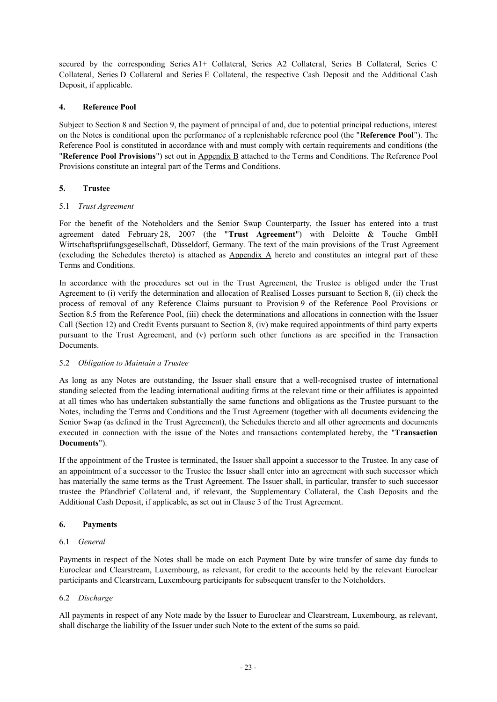secured by the corresponding Series A1+ Collateral, Series A2 Collateral, Series B Collateral, Series C Collateral, Series D Collateral and Series E Collateral, the respective Cash Deposit and the Additional Cash Deposit, if applicable.

## **4. Reference Pool**

Subject to Section 8 and Section 9, the payment of principal of and, due to potential principal reductions, interest on the Notes is conditional upon the performance of a replenishable reference pool (the "**Reference Pool**"). The Reference Pool is constituted in accordance with and must comply with certain requirements and conditions (the "**Reference Pool Provisions**") set out in Appendix B attached to the Terms and Conditions. The Reference Pool Provisions constitute an integral part of the Terms and Conditions.

## **5. Trustee**

## 5.1 *Trust Agreement*

For the benefit of the Noteholders and the Senior Swap Counterparty, the Issuer has entered into a trust agreement dated February 28, 2007 (the "**Trust Agreement**") with Deloitte & Touche GmbH Wirtschaftsprüfungsgesellschaft, Düsseldorf, Germany. The text of the main provisions of the Trust Agreement (excluding the Schedules thereto) is attached as Appendix A hereto and constitutes an integral part of these Terms and Conditions.

In accordance with the procedures set out in the Trust Agreement, the Trustee is obliged under the Trust Agreement to (i) verify the determination and allocation of Realised Losses pursuant to Section 8, (ii) check the process of removal of any Reference Claims pursuant to Provision 9 of the Reference Pool Provisions or Section 8.5 from the Reference Pool, (iii) check the determinations and allocations in connection with the Issuer Call (Section 12) and Credit Events pursuant to Section 8, (iv) make required appointments of third party experts pursuant to the Trust Agreement, and (v) perform such other functions as are specified in the Transaction Documents.

### 5.2 *Obligation to Maintain a Trustee*

As long as any Notes are outstanding, the Issuer shall ensure that a well-recognised trustee of international standing selected from the leading international auditing firms at the relevant time or their affiliates is appointed at all times who has undertaken substantially the same functions and obligations as the Trustee pursuant to the Notes, including the Terms and Conditions and the Trust Agreement (together with all documents evidencing the Senior Swap (as defined in the Trust Agreement), the Schedules thereto and all other agreements and documents executed in connection with the issue of the Notes and transactions contemplated hereby, the "**Transaction Documents**").

If the appointment of the Trustee is terminated, the Issuer shall appoint a successor to the Trustee. In any case of an appointment of a successor to the Trustee the Issuer shall enter into an agreement with such successor which has materially the same terms as the Trust Agreement. The Issuer shall, in particular, transfer to such successor trustee the Pfandbrief Collateral and, if relevant, the Supplementary Collateral, the Cash Deposits and the Additional Cash Deposit, if applicable, as set out in Clause 3 of the Trust Agreement.

# **6. Payments**

### 6.1 *General*

Payments in respect of the Notes shall be made on each Payment Date by wire transfer of same day funds to Euroclear and Clearstream, Luxembourg, as relevant, for credit to the accounts held by the relevant Euroclear participants and Clearstream, Luxembourg participants for subsequent transfer to the Noteholders.

### 6.2 *Discharge*

All payments in respect of any Note made by the Issuer to Euroclear and Clearstream, Luxembourg, as relevant, shall discharge the liability of the Issuer under such Note to the extent of the sums so paid.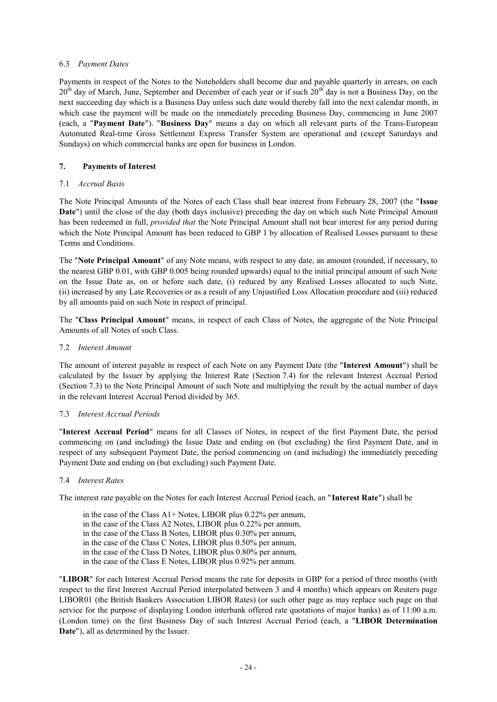## 6.3 *Payment Dates*

Payments in respect of the Notes to the Noteholders shall become due and payable quarterly in arrears, on each 20<sup>th</sup> day of March, June, September and December of each year or if such 20<sup>th</sup> day is not a Business Day, on the next succeeding day which is a Business Day unless such date would thereby fall into the next calendar month, in which case the payment will be made on the immediately preceding Business Day, commencing in June 2007 (each, a "**Payment Date**"). "**Business Day**" means a day on which all relevant parts of the Trans-European Automated Real-time Gross Settlement Express Transfer System are operational and (except Saturdays and Sundays) on which commercial banks are open for business in London.

## **7. Payments of Interest**

## 7.1 *Accrual Basis*

The Note Principal Amounts of the Notes of each Class shall bear interest from February 28, 2007 (the "**Issue Date**") until the close of the day (both days inclusive) preceding the day on which such Note Principal Amount has been redeemed in full, *provided that* the Note Principal Amount shall not bear interest for any period during which the Note Principal Amount has been reduced to GBP 1 by allocation of Realised Losses pursuant to these Terms and Conditions.

The "**Note Principal Amount**" of any Note means, with respect to any date, an amount (rounded, if necessary, to the nearest GBP 0.01, with GBP 0.005 being rounded upwards) equal to the initial principal amount of such Note on the Issue Date as, on or before such date, (i) reduced by any Realised Losses allocated to such Note, (ii) increased by any Late Recoveries or as a result of any Unjustified Loss Allocation procedure and (iii) reduced by all amounts paid on such Note in respect of principal.

The "**Class Principal Amount**" means, in respect of each Class of Notes, the aggregate of the Note Principal Amounts of all Notes of such Class.

## 7.2 *Interest Amount*

The amount of interest payable in respect of each Note on any Payment Date (the "**Interest Amount**") shall be calculated by the Issuer by applying the Interest Rate (Section 7.4) for the relevant Interest Accrual Period (Section 7.3) to the Note Principal Amount of such Note and multiplying the result by the actual number of days in the relevant Interest Accrual Period divided by 365.

### 7.3 *Interest Accrual Periods*

"**Interest Accrual Period**" means for all Classes of Notes, in respect of the first Payment Date, the period commencing on (and including) the Issue Date and ending on (but excluding) the first Payment Date, and in respect of any subsequent Payment Date, the period commencing on (and including) the immediately preceding Payment Date and ending on (but excluding) such Payment Date.

### 7.4 *Interest Rates*

The interest rate payable on the Notes for each Interest Accrual Period (each, an "**Interest Rate**") shall be

in the case of the Class A1+ Notes, LIBOR plus 0.22% per annum, in the case of the Class A2 Notes, LIBOR plus 0.22% per annum, in the case of the Class B Notes, LIBOR plus 0.30% per annum, in the case of the Class C Notes, LIBOR plus 0.50% per annum, in the case of the Class D Notes, LIBOR plus 0.80% per annum, in the case of the Class E Notes, LIBOR plus 0.92% per annum.

"**LIBOR**" for each Interest Accrual Period means the rate for deposits in GBP for a period of three months (with respect to the first Interest Accrual Period interpolated between 3 and 4 months) which appears on Reuters page LIBOR01 (the British Bankers Association LIBOR Rates) (or such other page as may replace such page on that service for the purpose of displaying London interbank offered rate quotations of major banks) as of 11:00 a.m. (London time) on the first Business Day of such Interest Accrual Period (each, a "**LIBOR Determination Date**"), all as determined by the Issuer.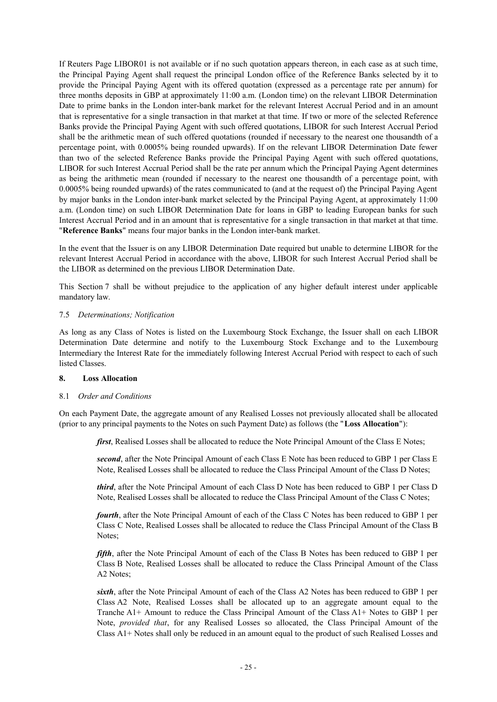If Reuters Page LIBOR01 is not available or if no such quotation appears thereon, in each case as at such time, the Principal Paying Agent shall request the principal London office of the Reference Banks selected by it to provide the Principal Paying Agent with its offered quotation (expressed as a percentage rate per annum) for three months deposits in GBP at approximately 11:00 a.m. (London time) on the relevant LIBOR Determination Date to prime banks in the London inter-bank market for the relevant Interest Accrual Period and in an amount that is representative for a single transaction in that market at that time. If two or more of the selected Reference Banks provide the Principal Paying Agent with such offered quotations, LIBOR for such Interest Accrual Period shall be the arithmetic mean of such offered quotations (rounded if necessary to the nearest one thousandth of a percentage point, with 0.0005% being rounded upwards). If on the relevant LIBOR Determination Date fewer than two of the selected Reference Banks provide the Principal Paying Agent with such offered quotations, LIBOR for such Interest Accrual Period shall be the rate per annum which the Principal Paying Agent determines as being the arithmetic mean (rounded if necessary to the nearest one thousandth of a percentage point, with 0.0005% being rounded upwards) of the rates communicated to (and at the request of) the Principal Paying Agent by major banks in the London inter-bank market selected by the Principal Paying Agent, at approximately 11:00 a.m. (London time) on such LIBOR Determination Date for loans in GBP to leading European banks for such Interest Accrual Period and in an amount that is representative for a single transaction in that market at that time. "**Reference Banks**" means four major banks in the London inter-bank market.

In the event that the Issuer is on any LIBOR Determination Date required but unable to determine LIBOR for the relevant Interest Accrual Period in accordance with the above, LIBOR for such Interest Accrual Period shall be the LIBOR as determined on the previous LIBOR Determination Date.

This Section 7 shall be without prejudice to the application of any higher default interest under applicable mandatory law.

### 7.5 *Determinations; Notification*

As long as any Class of Notes is listed on the Luxembourg Stock Exchange, the Issuer shall on each LIBOR Determination Date determine and notify to the Luxembourg Stock Exchange and to the Luxembourg Intermediary the Interest Rate for the immediately following Interest Accrual Period with respect to each of such listed Classes.

### **8. Loss Allocation**

# 8.1 *Order and Conditions*

On each Payment Date, the aggregate amount of any Realised Losses not previously allocated shall be allocated (prior to any principal payments to the Notes on such Payment Date) as follows (the "**Loss Allocation**"):

*first*, Realised Losses shall be allocated to reduce the Note Principal Amount of the Class E Notes;

*second*, after the Note Principal Amount of each Class E Note has been reduced to GBP 1 per Class E Note, Realised Losses shall be allocated to reduce the Class Principal Amount of the Class D Notes;

*third*, after the Note Principal Amount of each Class D Note has been reduced to GBP 1 per Class D Note, Realised Losses shall be allocated to reduce the Class Principal Amount of the Class C Notes;

*fourth*, after the Note Principal Amount of each of the Class C Notes has been reduced to GBP 1 per Class C Note, Realised Losses shall be allocated to reduce the Class Principal Amount of the Class B Notes;

*fifth*, after the Note Principal Amount of each of the Class B Notes has been reduced to GBP 1 per Class B Note, Realised Losses shall be allocated to reduce the Class Principal Amount of the Class A2 Notes;

*sixth*, after the Note Principal Amount of each of the Class A2 Notes has been reduced to GBP 1 per Class A2 Note, Realised Losses shall be allocated up to an aggregate amount equal to the Tranche A1+ Amount to reduce the Class Principal Amount of the Class A1+ Notes to GBP 1 per Note, *provided that*, for any Realised Losses so allocated, the Class Principal Amount of the Class A1+ Notes shall only be reduced in an amount equal to the product of such Realised Losses and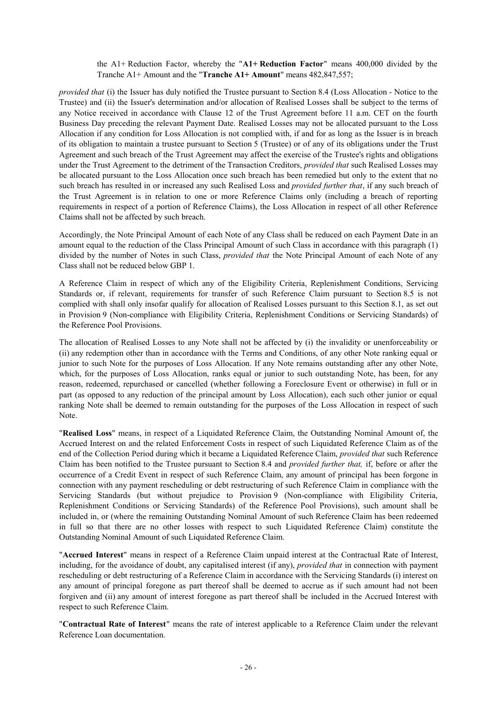the A1+ Reduction Factor, whereby the "**A1+ Reduction Factor**" means 400,000 divided by the Tranche A1+ Amount and the "**Tranche A1+ Amount**" means 482,847,557;

*provided that* (i) the Issuer has duly notified the Trustee pursuant to Section 8.4 (Loss Allocation - Notice to the Trustee) and (ii) the Issuer's determination and/or allocation of Realised Losses shall be subject to the terms of any Notice received in accordance with Clause 12 of the Trust Agreement before 11 a.m. CET on the fourth Business Day preceding the relevant Payment Date. Realised Losses may not be allocated pursuant to the Loss Allocation if any condition for Loss Allocation is not complied with, if and for as long as the Issuer is in breach of its obligation to maintain a trustee pursuant to Section 5 (Trustee) or of any of its obligations under the Trust Agreement and such breach of the Trust Agreement may affect the exercise of the Trustee's rights and obligations under the Trust Agreement to the detriment of the Transaction Creditors, *provided that* such Realised Losses may be allocated pursuant to the Loss Allocation once such breach has been remedied but only to the extent that no such breach has resulted in or increased any such Realised Loss and *provided further that*, if any such breach of the Trust Agreement is in relation to one or more Reference Claims only (including a breach of reporting requirements in respect of a portion of Reference Claims), the Loss Allocation in respect of all other Reference Claims shall not be affected by such breach.

Accordingly, the Note Principal Amount of each Note of any Class shall be reduced on each Payment Date in an amount equal to the reduction of the Class Principal Amount of such Class in accordance with this paragraph (1) divided by the number of Notes in such Class, *provided that* the Note Principal Amount of each Note of any Class shall not be reduced below GBP 1.

A Reference Claim in respect of which any of the Eligibility Criteria, Replenishment Conditions, Servicing Standards or, if relevant, requirements for transfer of such Reference Claim pursuant to Section 8.5 is not complied with shall only insofar qualify for allocation of Realised Losses pursuant to this Section 8.1, as set out in Provision 9 (Non-compliance with Eligibility Criteria, Replenishment Conditions or Servicing Standards) of the Reference Pool Provisions.

The allocation of Realised Losses to any Note shall not be affected by (i) the invalidity or unenforceability or (ii) any redemption other than in accordance with the Terms and Conditions, of any other Note ranking equal or junior to such Note for the purposes of Loss Allocation. If any Note remains outstanding after any other Note, which, for the purposes of Loss Allocation, ranks equal or junior to such outstanding Note, has been, for any reason, redeemed, repurchased or cancelled (whether following a Foreclosure Event or otherwise) in full or in part (as opposed to any reduction of the principal amount by Loss Allocation), each such other junior or equal ranking Note shall be deemed to remain outstanding for the purposes of the Loss Allocation in respect of such Note.

"**Realised Loss**" means, in respect of a Liquidated Reference Claim, the Outstanding Nominal Amount of, the Accrued Interest on and the related Enforcement Costs in respect of such Liquidated Reference Claim as of the end of the Collection Period during which it became a Liquidated Reference Claim, *provided that* such Reference Claim has been notified to the Trustee pursuant to Section 8.4 and *provided further that,* if, before or after the occurrence of a Credit Event in respect of such Reference Claim, any amount of principal has been forgone in connection with any payment rescheduling or debt restructuring of such Reference Claim in compliance with the Servicing Standards (but without prejudice to Provision 9 (Non-compliance with Eligibility Criteria, Replenishment Conditions or Servicing Standards) of the Reference Pool Provisions), such amount shall be included in, or (where the remaining Outstanding Nominal Amount of such Reference Claim has been redeemed in full so that there are no other losses with respect to such Liquidated Reference Claim) constitute the Outstanding Nominal Amount of such Liquidated Reference Claim.

"**Accrued Interest**" means in respect of a Reference Claim unpaid interest at the Contractual Rate of Interest, including, for the avoidance of doubt, any capitalised interest (if any), *provided that* in connection with payment rescheduling or debt restructuring of a Reference Claim in accordance with the Servicing Standards (i) interest on any amount of principal foregone as part thereof shall be deemed to accrue as if such amount had not been forgiven and (ii) any amount of interest foregone as part thereof shall be included in the Accrued Interest with respect to such Reference Claim.

"**Contractual Rate of Interest**" means the rate of interest applicable to a Reference Claim under the relevant Reference Loan documentation.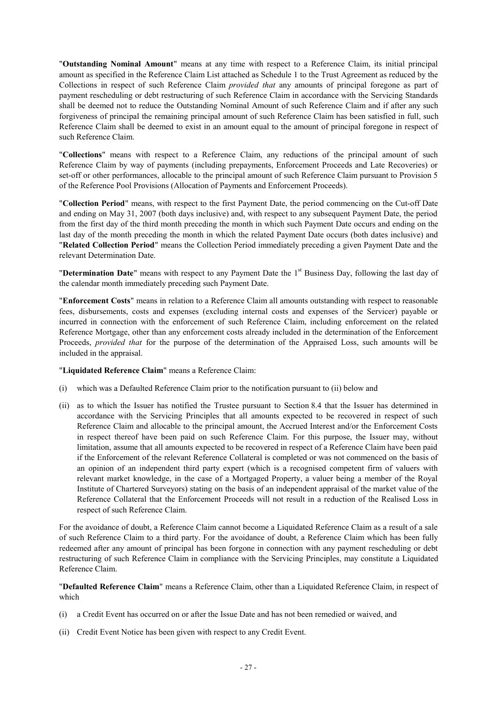"**Outstanding Nominal Amount**" means at any time with respect to a Reference Claim, its initial principal amount as specified in the Reference Claim List attached as Schedule 1 to the Trust Agreement as reduced by the Collections in respect of such Reference Claim *provided that* any amounts of principal foregone as part of payment rescheduling or debt restructuring of such Reference Claim in accordance with the Servicing Standards shall be deemed not to reduce the Outstanding Nominal Amount of such Reference Claim and if after any such forgiveness of principal the remaining principal amount of such Reference Claim has been satisfied in full, such Reference Claim shall be deemed to exist in an amount equal to the amount of principal foregone in respect of such Reference Claim.

"**Collections**" means with respect to a Reference Claim, any reductions of the principal amount of such Reference Claim by way of payments (including prepayments, Enforcement Proceeds and Late Recoveries) or set-off or other performances, allocable to the principal amount of such Reference Claim pursuant to Provision 5 of the Reference Pool Provisions (Allocation of Payments and Enforcement Proceeds).

"**Collection Period**" means, with respect to the first Payment Date, the period commencing on the Cut-off Date and ending on May 31, 2007 (both days inclusive) and, with respect to any subsequent Payment Date, the period from the first day of the third month preceding the month in which such Payment Date occurs and ending on the last day of the month preceding the month in which the related Payment Date occurs (both dates inclusive) and "**Related Collection Period**" means the Collection Period immediately preceding a given Payment Date and the relevant Determination Date.

**"Determination Date**" means with respect to any Payment Date the 1<sup>st</sup> Business Day, following the last day of the calendar month immediately preceding such Payment Date.

"**Enforcement Costs**" means in relation to a Reference Claim all amounts outstanding with respect to reasonable fees, disbursements, costs and expenses (excluding internal costs and expenses of the Servicer) payable or incurred in connection with the enforcement of such Reference Claim, including enforcement on the related Reference Mortgage, other than any enforcement costs already included in the determination of the Enforcement Proceeds, *provided that* for the purpose of the determination of the Appraised Loss, such amounts will be included in the appraisal.

"**Liquidated Reference Claim**" means a Reference Claim:

- (i) which was a Defaulted Reference Claim prior to the notification pursuant to (ii) below and
- (ii) as to which the Issuer has notified the Trustee pursuant to Section 8.4 that the Issuer has determined in accordance with the Servicing Principles that all amounts expected to be recovered in respect of such Reference Claim and allocable to the principal amount, the Accrued Interest and/or the Enforcement Costs in respect thereof have been paid on such Reference Claim. For this purpose, the Issuer may, without limitation, assume that all amounts expected to be recovered in respect of a Reference Claim have been paid if the Enforcement of the relevant Reference Collateral is completed or was not commenced on the basis of an opinion of an independent third party expert (which is a recognised competent firm of valuers with relevant market knowledge, in the case of a Mortgaged Property, a valuer being a member of the Royal Institute of Chartered Surveyors) stating on the basis of an independent appraisal of the market value of the Reference Collateral that the Enforcement Proceeds will not result in a reduction of the Realised Loss in respect of such Reference Claim.

For the avoidance of doubt, a Reference Claim cannot become a Liquidated Reference Claim as a result of a sale of such Reference Claim to a third party. For the avoidance of doubt, a Reference Claim which has been fully redeemed after any amount of principal has been forgone in connection with any payment rescheduling or debt restructuring of such Reference Claim in compliance with the Servicing Principles, may constitute a Liquidated Reference Claim.

"**Defaulted Reference Claim**" means a Reference Claim, other than a Liquidated Reference Claim, in respect of which

- (i) a Credit Event has occurred on or after the Issue Date and has not been remedied or waived, and
- (ii) Credit Event Notice has been given with respect to any Credit Event.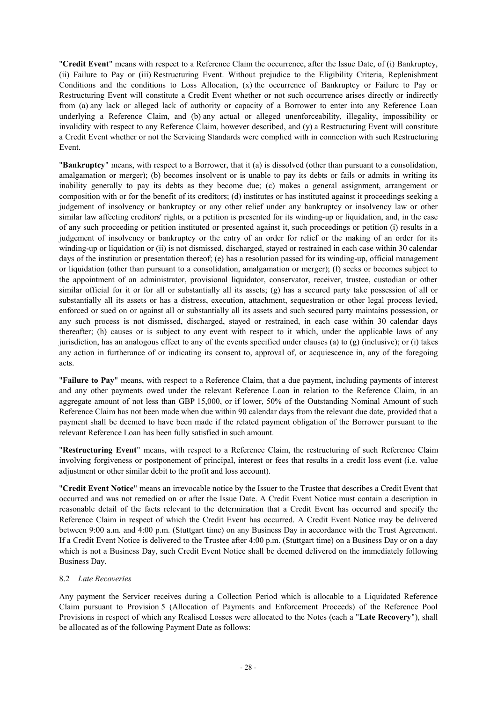"**Credit Event**" means with respect to a Reference Claim the occurrence, after the Issue Date, of (i) Bankruptcy, (ii) Failure to Pay or (iii) Restructuring Event. Without prejudice to the Eligibility Criteria, Replenishment Conditions and the conditions to Loss Allocation, (x) the occurrence of Bankruptcy or Failure to Pay or Restructuring Event will constitute a Credit Event whether or not such occurrence arises directly or indirectly from (a) any lack or alleged lack of authority or capacity of a Borrower to enter into any Reference Loan underlying a Reference Claim, and (b) any actual or alleged unenforceability, illegality, impossibility or invalidity with respect to any Reference Claim, however described, and (y) a Restructuring Event will constitute a Credit Event whether or not the Servicing Standards were complied with in connection with such Restructuring Event.

"**Bankruptcy**" means, with respect to a Borrower, that it (a) is dissolved (other than pursuant to a consolidation, amalgamation or merger); (b) becomes insolvent or is unable to pay its debts or fails or admits in writing its inability generally to pay its debts as they become due; (c) makes a general assignment, arrangement or composition with or for the benefit of its creditors; (d) institutes or has instituted against it proceedings seeking a judgement of insolvency or bankruptcy or any other relief under any bankruptcy or insolvency law or other similar law affecting creditors' rights, or a petition is presented for its winding-up or liquidation, and, in the case of any such proceeding or petition instituted or presented against it, such proceedings or petition (i) results in a judgement of insolvency or bankruptcy or the entry of an order for relief or the making of an order for its winding-up or liquidation or (ii) is not dismissed, discharged, stayed or restrained in each case within 30 calendar days of the institution or presentation thereof; (e) has a resolution passed for its winding-up, official management or liquidation (other than pursuant to a consolidation, amalgamation or merger); (f) seeks or becomes subject to the appointment of an administrator, provisional liquidator, conservator, receiver, trustee, custodian or other similar official for it or for all or substantially all its assets; (g) has a secured party take possession of all or substantially all its assets or has a distress, execution, attachment, sequestration or other legal process levied, enforced or sued on or against all or substantially all its assets and such secured party maintains possession, or any such process is not dismissed, discharged, stayed or restrained, in each case within 30 calendar days thereafter; (h) causes or is subject to any event with respect to it which, under the applicable laws of any jurisdiction, has an analogous effect to any of the events specified under clauses (a) to (g) (inclusive); or (i) takes any action in furtherance of or indicating its consent to, approval of, or acquiescence in, any of the foregoing acts.

"**Failure to Pay**" means, with respect to a Reference Claim, that a due payment, including payments of interest and any other payments owed under the relevant Reference Loan in relation to the Reference Claim, in an aggregate amount of not less than GBP 15,000, or if lower, 50% of the Outstanding Nominal Amount of such Reference Claim has not been made when due within 90 calendar days from the relevant due date, provided that a payment shall be deemed to have been made if the related payment obligation of the Borrower pursuant to the relevant Reference Loan has been fully satisfied in such amount.

"**Restructuring Event**" means, with respect to a Reference Claim, the restructuring of such Reference Claim involving forgiveness or postponement of principal, interest or fees that results in a credit loss event (i.e. value adjustment or other similar debit to the profit and loss account).

"**Credit Event Notice**" means an irrevocable notice by the Issuer to the Trustee that describes a Credit Event that occurred and was not remedied on or after the Issue Date. A Credit Event Notice must contain a description in reasonable detail of the facts relevant to the determination that a Credit Event has occurred and specify the Reference Claim in respect of which the Credit Event has occurred. A Credit Event Notice may be delivered between 9:00 a.m. and 4:00 p.m. (Stuttgart time) on any Business Day in accordance with the Trust Agreement. If a Credit Event Notice is delivered to the Trustee after 4:00 p.m. (Stuttgart time) on a Business Day or on a day which is not a Business Day, such Credit Event Notice shall be deemed delivered on the immediately following Business Day.

# 8.2 *Late Recoveries*

Any payment the Servicer receives during a Collection Period which is allocable to a Liquidated Reference Claim pursuant to Provision 5 (Allocation of Payments and Enforcement Proceeds) of the Reference Pool Provisions in respect of which any Realised Losses were allocated to the Notes (each a "**Late Recovery**"), shall be allocated as of the following Payment Date as follows: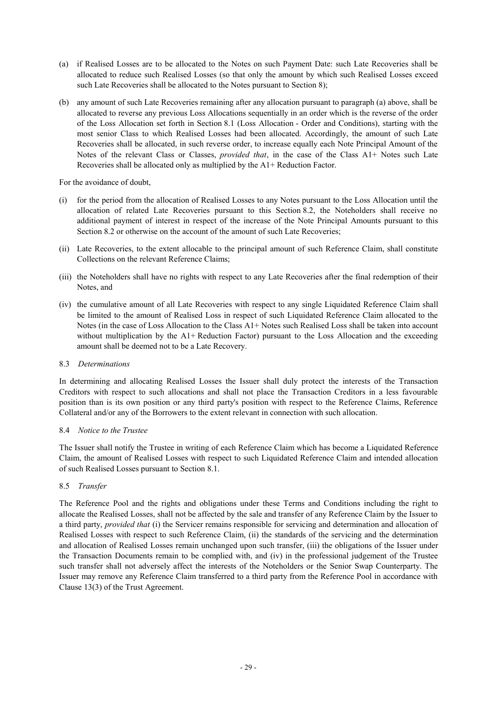- (a) if Realised Losses are to be allocated to the Notes on such Payment Date: such Late Recoveries shall be allocated to reduce such Realised Losses (so that only the amount by which such Realised Losses exceed such Late Recoveries shall be allocated to the Notes pursuant to Section 8);
- (b) any amount of such Late Recoveries remaining after any allocation pursuant to paragraph (a) above, shall be allocated to reverse any previous Loss Allocations sequentially in an order which is the reverse of the order of the Loss Allocation set forth in Section 8.1 (Loss Allocation - Order and Conditions), starting with the most senior Class to which Realised Losses had been allocated. Accordingly, the amount of such Late Recoveries shall be allocated, in such reverse order, to increase equally each Note Principal Amount of the Notes of the relevant Class or Classes, *provided that*, in the case of the Class A1+ Notes such Late Recoveries shall be allocated only as multiplied by the A1+ Reduction Factor.

For the avoidance of doubt,

- (i) for the period from the allocation of Realised Losses to any Notes pursuant to the Loss Allocation until the allocation of related Late Recoveries pursuant to this Section 8.2, the Noteholders shall receive no additional payment of interest in respect of the increase of the Note Principal Amounts pursuant to this Section 8.2 or otherwise on the account of the amount of such Late Recoveries;
- (ii) Late Recoveries, to the extent allocable to the principal amount of such Reference Claim, shall constitute Collections on the relevant Reference Claims;
- (iii) the Noteholders shall have no rights with respect to any Late Recoveries after the final redemption of their Notes, and
- (iv) the cumulative amount of all Late Recoveries with respect to any single Liquidated Reference Claim shall be limited to the amount of Realised Loss in respect of such Liquidated Reference Claim allocated to the Notes (in the case of Loss Allocation to the Class A1+ Notes such Realised Loss shall be taken into account without multiplication by the A1+ Reduction Factor) pursuant to the Loss Allocation and the exceeding amount shall be deemed not to be a Late Recovery.

### 8.3 *Determinations*

In determining and allocating Realised Losses the Issuer shall duly protect the interests of the Transaction Creditors with respect to such allocations and shall not place the Transaction Creditors in a less favourable position than is its own position or any third party's position with respect to the Reference Claims, Reference Collateral and/or any of the Borrowers to the extent relevant in connection with such allocation.

# 8.4 *Notice to the Trustee*

The Issuer shall notify the Trustee in writing of each Reference Claim which has become a Liquidated Reference Claim, the amount of Realised Losses with respect to such Liquidated Reference Claim and intended allocation of such Realised Losses pursuant to Section 8.1.

# 8.5 *Transfer*

The Reference Pool and the rights and obligations under these Terms and Conditions including the right to allocate the Realised Losses, shall not be affected by the sale and transfer of any Reference Claim by the Issuer to a third party, *provided that* (i) the Servicer remains responsible for servicing and determination and allocation of Realised Losses with respect to such Reference Claim, (ii) the standards of the servicing and the determination and allocation of Realised Losses remain unchanged upon such transfer, (iii) the obligations of the Issuer under the Transaction Documents remain to be complied with, and (iv) in the professional judgement of the Trustee such transfer shall not adversely affect the interests of the Noteholders or the Senior Swap Counterparty. The Issuer may remove any Reference Claim transferred to a third party from the Reference Pool in accordance with Clause 13(3) of the Trust Agreement.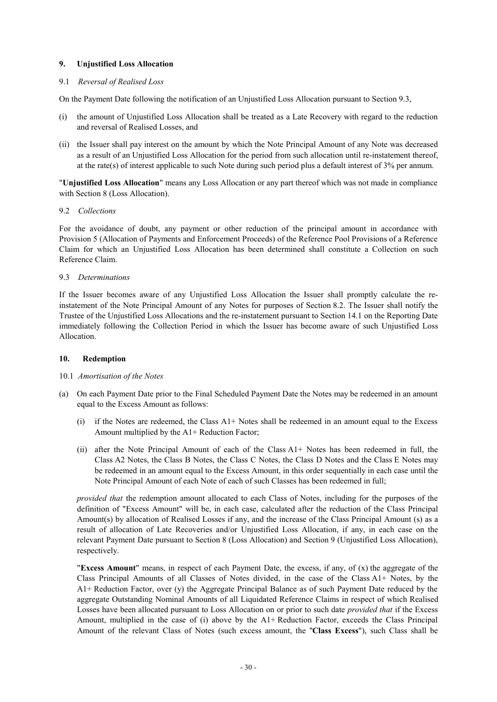## **9. Unjustified Loss Allocation**

## 9.1 *Reversal of Realised Loss*

On the Payment Date following the notification of an Unjustified Loss Allocation pursuant to Section 9.3,

- (i) the amount of Unjustified Loss Allocation shall be treated as a Late Recovery with regard to the reduction and reversal of Realised Losses, and
- (ii) the Issuer shall pay interest on the amount by which the Note Principal Amount of any Note was decreased as a result of an Unjustified Loss Allocation for the period from such allocation until re-instatement thereof, at the rate(s) of interest applicable to such Note during such period plus a default interest of 3% per annum.

"**Unjustified Loss Allocation**" means any Loss Allocation or any part thereof which was not made in compliance with Section 8 (Loss Allocation).

### 9.2 *Collections*

For the avoidance of doubt, any payment or other reduction of the principal amount in accordance with Provision 5 (Allocation of Payments and Enforcement Proceeds) of the Reference Pool Provisions of a Reference Claim for which an Unjustified Loss Allocation has been determined shall constitute a Collection on such Reference Claim.

### 9.3 *Determinations*

If the Issuer becomes aware of any Unjustified Loss Allocation the Issuer shall promptly calculate the reinstatement of the Note Principal Amount of any Notes for purposes of Section 8.2. The Issuer shall notify the Trustee of the Unjustified Loss Allocations and the re-instatement pursuant to Section 14.1 on the Reporting Date immediately following the Collection Period in which the Issuer has become aware of such Unjustified Loss Allocation.

# **10. Redemption**

### 10.1 *Amortisation of the Notes*

- (a) On each Payment Date prior to the Final Scheduled Payment Date the Notes may be redeemed in an amount equal to the Excess Amount as follows:
	- (i) if the Notes are redeemed, the Class A1+ Notes shall be redeemed in an amount equal to the Excess Amount multiplied by the A1+ Reduction Factor;
	- (ii) after the Note Principal Amount of each of the Class A1+ Notes has been redeemed in full, the Class A2 Notes, the Class B Notes, the Class C Notes, the Class D Notes and the Class E Notes may be redeemed in an amount equal to the Excess Amount, in this order sequentially in each case until the Note Principal Amount of each Note of each of such Classes has been redeemed in full;

*provided that* the redemption amount allocated to each Class of Notes, including for the purposes of the definition of "Excess Amount" will be, in each case, calculated after the reduction of the Class Principal Amount(s) by allocation of Realised Losses if any, and the increase of the Class Principal Amount (s) as a result of allocation of Late Recoveries and/or Unjustified Loss Allocation, if any, in each case on the relevant Payment Date pursuant to Section 8 (Loss Allocation) and Section 9 (Unjustified Loss Allocation), respectively.

"**Excess Amount**" means, in respect of each Payment Date, the excess, if any, of (x) the aggregate of the Class Principal Amounts of all Classes of Notes divided, in the case of the Class A1+ Notes, by the A1+ Reduction Factor, over (y) the Aggregate Principal Balance as of such Payment Date reduced by the aggregate Outstanding Nominal Amounts of all Liquidated Reference Claims in respect of which Realised Losses have been allocated pursuant to Loss Allocation on or prior to such date *provided that* if the Excess Amount, multiplied in the case of (i) above by the A1+ Reduction Factor, exceeds the Class Principal Amount of the relevant Class of Notes (such excess amount, the "**Class Excess**"), such Class shall be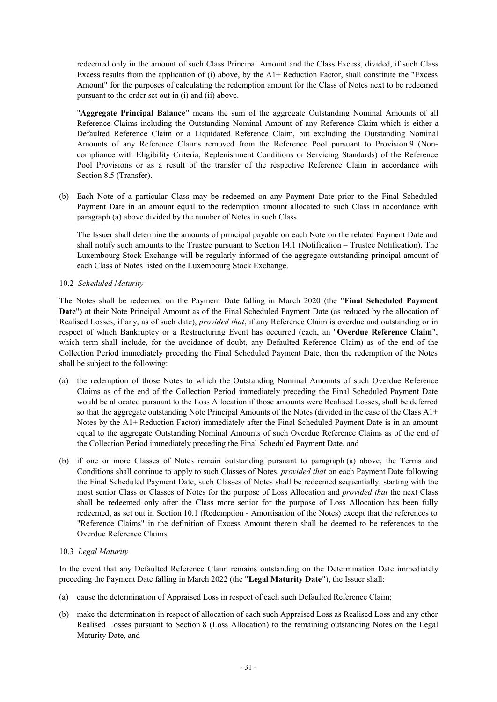redeemed only in the amount of such Class Principal Amount and the Class Excess, divided, if such Class Excess results from the application of (i) above, by the A1+ Reduction Factor, shall constitute the "Excess Amount" for the purposes of calculating the redemption amount for the Class of Notes next to be redeemed pursuant to the order set out in (i) and (ii) above.

"**Aggregate Principal Balance**" means the sum of the aggregate Outstanding Nominal Amounts of all Reference Claims including the Outstanding Nominal Amount of any Reference Claim which is either a Defaulted Reference Claim or a Liquidated Reference Claim, but excluding the Outstanding Nominal Amounts of any Reference Claims removed from the Reference Pool pursuant to Provision 9 (Noncompliance with Eligibility Criteria, Replenishment Conditions or Servicing Standards) of the Reference Pool Provisions or as a result of the transfer of the respective Reference Claim in accordance with Section 8.5 (Transfer).

(b) Each Note of a particular Class may be redeemed on any Payment Date prior to the Final Scheduled Payment Date in an amount equal to the redemption amount allocated to such Class in accordance with paragraph (a) above divided by the number of Notes in such Class.

The Issuer shall determine the amounts of principal payable on each Note on the related Payment Date and shall notify such amounts to the Trustee pursuant to Section 14.1 (Notification – Trustee Notification). The Luxembourg Stock Exchange will be regularly informed of the aggregate outstanding principal amount of each Class of Notes listed on the Luxembourg Stock Exchange.

10.2 *Scheduled Maturity*

The Notes shall be redeemed on the Payment Date falling in March 2020 (the "**Final Scheduled Payment Date**") at their Note Principal Amount as of the Final Scheduled Payment Date (as reduced by the allocation of Realised Losses, if any, as of such date), *provided that*, if any Reference Claim is overdue and outstanding or in respect of which Bankruptcy or a Restructuring Event has occurred (each, an "**Overdue Reference Claim**", which term shall include, for the avoidance of doubt, any Defaulted Reference Claim) as of the end of the Collection Period immediately preceding the Final Scheduled Payment Date, then the redemption of the Notes shall be subject to the following:

- (a) the redemption of those Notes to which the Outstanding Nominal Amounts of such Overdue Reference Claims as of the end of the Collection Period immediately preceding the Final Scheduled Payment Date would be allocated pursuant to the Loss Allocation if those amounts were Realised Losses, shall be deferred so that the aggregate outstanding Note Principal Amounts of the Notes (divided in the case of the Class A1+ Notes by the A1+ Reduction Factor) immediately after the Final Scheduled Payment Date is in an amount equal to the aggregate Outstanding Nominal Amounts of such Overdue Reference Claims as of the end of the Collection Period immediately preceding the Final Scheduled Payment Date, and
- (b) if one or more Classes of Notes remain outstanding pursuant to paragraph (a) above, the Terms and Conditions shall continue to apply to such Classes of Notes, *provided that* on each Payment Date following the Final Scheduled Payment Date, such Classes of Notes shall be redeemed sequentially, starting with the most senior Class or Classes of Notes for the purpose of Loss Allocation and *provided that* the next Class shall be redeemed only after the Class more senior for the purpose of Loss Allocation has been fully redeemed, as set out in Section 10.1 (Redemption - Amortisation of the Notes) except that the references to "Reference Claims" in the definition of Excess Amount therein shall be deemed to be references to the Overdue Reference Claims.

### 10.3 *Legal Maturity*

In the event that any Defaulted Reference Claim remains outstanding on the Determination Date immediately preceding the Payment Date falling in March 2022 (the "**Legal Maturity Date**"), the Issuer shall:

- (a) cause the determination of Appraised Loss in respect of each such Defaulted Reference Claim;
- (b) make the determination in respect of allocation of each such Appraised Loss as Realised Loss and any other Realised Losses pursuant to Section 8 (Loss Allocation) to the remaining outstanding Notes on the Legal Maturity Date, and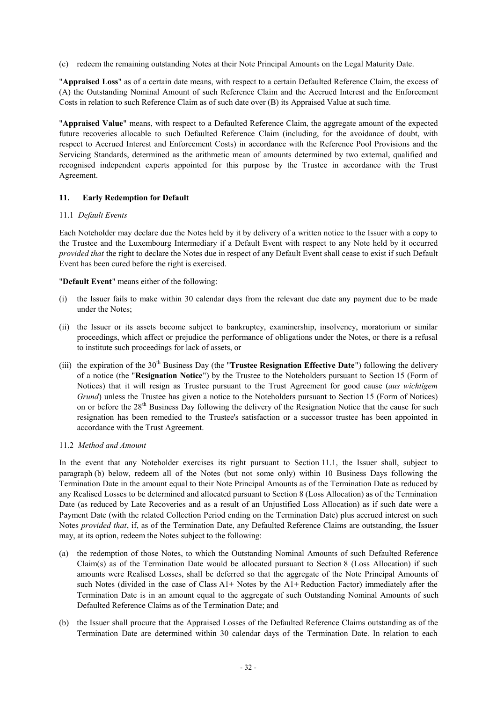(c) redeem the remaining outstanding Notes at their Note Principal Amounts on the Legal Maturity Date.

"**Appraised Loss**" as of a certain date means, with respect to a certain Defaulted Reference Claim, the excess of (A) the Outstanding Nominal Amount of such Reference Claim and the Accrued Interest and the Enforcement Costs in relation to such Reference Claim as of such date over (B) its Appraised Value at such time.

"**Appraised Value**" means, with respect to a Defaulted Reference Claim, the aggregate amount of the expected future recoveries allocable to such Defaulted Reference Claim (including, for the avoidance of doubt, with respect to Accrued Interest and Enforcement Costs) in accordance with the Reference Pool Provisions and the Servicing Standards, determined as the arithmetic mean of amounts determined by two external, qualified and recognised independent experts appointed for this purpose by the Trustee in accordance with the Trust Agreement.

## **11. Early Redemption for Default**

### 11.1 *Default Events*

Each Noteholder may declare due the Notes held by it by delivery of a written notice to the Issuer with a copy to the Trustee and the Luxembourg Intermediary if a Default Event with respect to any Note held by it occurred *provided that* the right to declare the Notes due in respect of any Default Event shall cease to exist if such Default Event has been cured before the right is exercised.

"**Default Event**" means either of the following:

- (i) the Issuer fails to make within 30 calendar days from the relevant due date any payment due to be made under the Notes;
- (ii) the Issuer or its assets become subject to bankruptcy, examinership, insolvency, moratorium or similar proceedings, which affect or prejudice the performance of obligations under the Notes, or there is a refusal to institute such proceedings for lack of assets, or
- (iii) the expiration of the 30th Business Day (the "**Trustee Resignation Effective Date**") following the delivery of a notice (the "**Resignation Notice**") by the Trustee to the Noteholders pursuant to Section 15 (Form of Notices) that it will resign as Trustee pursuant to the Trust Agreement for good cause (*aus wichtigem Grund*) unless the Trustee has given a notice to the Noteholders pursuant to Section 15 (Form of Notices) on or before the  $28<sup>th</sup>$  Business Day following the delivery of the Resignation Notice that the cause for such resignation has been remedied to the Trustee's satisfaction or a successor trustee has been appointed in accordance with the Trust Agreement.

### 11.2 *Method and Amount*

In the event that any Noteholder exercises its right pursuant to Section 11.1, the Issuer shall, subject to paragraph (b) below, redeem all of the Notes (but not some only) within 10 Business Days following the Termination Date in the amount equal to their Note Principal Amounts as of the Termination Date as reduced by any Realised Losses to be determined and allocated pursuant to Section 8 (Loss Allocation) as of the Termination Date (as reduced by Late Recoveries and as a result of an Unjustified Loss Allocation) as if such date were a Payment Date (with the related Collection Period ending on the Termination Date) plus accrued interest on such Notes *provided that*, if, as of the Termination Date, any Defaulted Reference Claims are outstanding, the Issuer may, at its option, redeem the Notes subject to the following:

- (a) the redemption of those Notes, to which the Outstanding Nominal Amounts of such Defaulted Reference Claim(s) as of the Termination Date would be allocated pursuant to Section 8 (Loss Allocation) if such amounts were Realised Losses, shall be deferred so that the aggregate of the Note Principal Amounts of such Notes (divided in the case of Class A1+ Notes by the A1+ Reduction Factor) immediately after the Termination Date is in an amount equal to the aggregate of such Outstanding Nominal Amounts of such Defaulted Reference Claims as of the Termination Date; and
- (b) the Issuer shall procure that the Appraised Losses of the Defaulted Reference Claims outstanding as of the Termination Date are determined within 30 calendar days of the Termination Date. In relation to each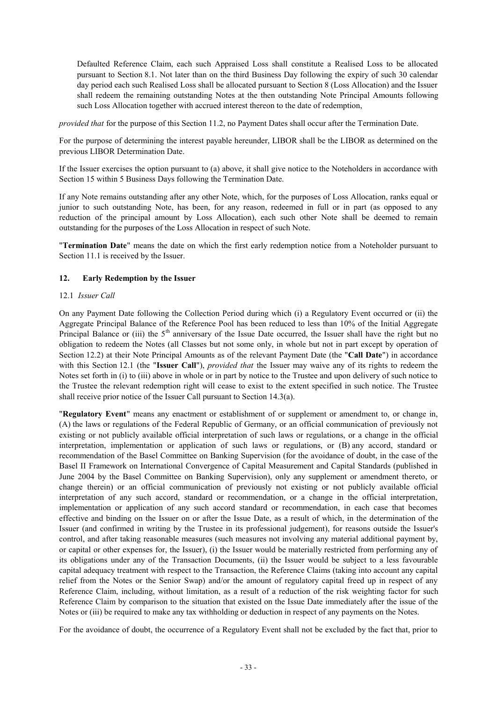Defaulted Reference Claim, each such Appraised Loss shall constitute a Realised Loss to be allocated pursuant to Section 8.1. Not later than on the third Business Day following the expiry of such 30 calendar day period each such Realised Loss shall be allocated pursuant to Section 8 (Loss Allocation) and the Issuer shall redeem the remaining outstanding Notes at the then outstanding Note Principal Amounts following such Loss Allocation together with accrued interest thereon to the date of redemption,

*provided that* for the purpose of this Section 11.2, no Payment Dates shall occur after the Termination Date.

For the purpose of determining the interest payable hereunder, LIBOR shall be the LIBOR as determined on the previous LIBOR Determination Date.

If the Issuer exercises the option pursuant to (a) above, it shall give notice to the Noteholders in accordance with Section 15 within 5 Business Days following the Termination Date.

If any Note remains outstanding after any other Note, which, for the purposes of Loss Allocation, ranks equal or junior to such outstanding Note, has been, for any reason, redeemed in full or in part (as opposed to any reduction of the principal amount by Loss Allocation), each such other Note shall be deemed to remain outstanding for the purposes of the Loss Allocation in respect of such Note.

"**Termination Date**" means the date on which the first early redemption notice from a Noteholder pursuant to Section 11.1 is received by the Issuer.

## **12. Early Redemption by the Issuer**

### 12.1 *Issuer Call*

On any Payment Date following the Collection Period during which (i) a Regulatory Event occurred or (ii) the Aggregate Principal Balance of the Reference Pool has been reduced to less than 10% of the Initial Aggregate Principal Balance or (iii) the  $5<sup>th</sup>$  anniversary of the Issue Date occurred, the Issuer shall have the right but no obligation to redeem the Notes (all Classes but not some only, in whole but not in part except by operation of Section 12.2) at their Note Principal Amounts as of the relevant Payment Date (the "**Call Date**") in accordance with this Section 12.1 (the "**Issuer Call**"), *provided that* the Issuer may waive any of its rights to redeem the Notes set forth in (i) to (iii) above in whole or in part by notice to the Trustee and upon delivery of such notice to the Trustee the relevant redemption right will cease to exist to the extent specified in such notice. The Trustee shall receive prior notice of the Issuer Call pursuant to Section 14.3(a).

"**Regulatory Event**" means any enactment or establishment of or supplement or amendment to, or change in, (A) the laws or regulations of the Federal Republic of Germany, or an official communication of previously not existing or not publicly available official interpretation of such laws or regulations, or a change in the official interpretation, implementation or application of such laws or regulations, or (B) any accord, standard or recommendation of the Basel Committee on Banking Supervision (for the avoidance of doubt, in the case of the Basel II Framework on International Convergence of Capital Measurement and Capital Standards (published in June 2004 by the Basel Committee on Banking Supervision), only any supplement or amendment thereto, or change therein) or an official communication of previously not existing or not publicly available official interpretation of any such accord, standard or recommendation, or a change in the official interpretation, implementation or application of any such accord standard or recommendation, in each case that becomes effective and binding on the Issuer on or after the Issue Date, as a result of which, in the determination of the Issuer (and confirmed in writing by the Trustee in its professional judgement), for reasons outside the Issuer's control, and after taking reasonable measures (such measures not involving any material additional payment by, or capital or other expenses for, the Issuer), (i) the Issuer would be materially restricted from performing any of its obligations under any of the Transaction Documents, (ii) the Issuer would be subject to a less favourable capital adequacy treatment with respect to the Transaction, the Reference Claims (taking into account any capital relief from the Notes or the Senior Swap) and/or the amount of regulatory capital freed up in respect of any Reference Claim, including, without limitation, as a result of a reduction of the risk weighting factor for such Reference Claim by comparison to the situation that existed on the Issue Date immediately after the issue of the Notes or (iii) be required to make any tax withholding or deduction in respect of any payments on the Notes.

For the avoidance of doubt, the occurrence of a Regulatory Event shall not be excluded by the fact that, prior to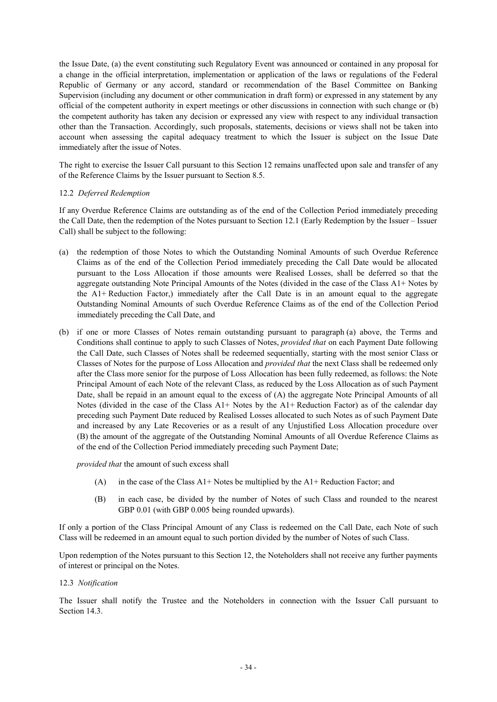the Issue Date, (a) the event constituting such Regulatory Event was announced or contained in any proposal for a change in the official interpretation, implementation or application of the laws or regulations of the Federal Republic of Germany or any accord, standard or recommendation of the Basel Committee on Banking Supervision (including any document or other communication in draft form) or expressed in any statement by any official of the competent authority in expert meetings or other discussions in connection with such change or (b) the competent authority has taken any decision or expressed any view with respect to any individual transaction other than the Transaction. Accordingly, such proposals, statements, decisions or views shall not be taken into account when assessing the capital adequacy treatment to which the Issuer is subject on the Issue Date immediately after the issue of Notes.

The right to exercise the Issuer Call pursuant to this Section 12 remains unaffected upon sale and transfer of any of the Reference Claims by the Issuer pursuant to Section 8.5.

## 12.2 *Deferred Redemption*

If any Overdue Reference Claims are outstanding as of the end of the Collection Period immediately preceding the Call Date, then the redemption of the Notes pursuant to Section 12.1 (Early Redemption by the Issuer – Issuer Call) shall be subject to the following:

- (a) the redemption of those Notes to which the Outstanding Nominal Amounts of such Overdue Reference Claims as of the end of the Collection Period immediately preceding the Call Date would be allocated pursuant to the Loss Allocation if those amounts were Realised Losses, shall be deferred so that the aggregate outstanding Note Principal Amounts of the Notes (divided in the case of the Class A1+ Notes by the A1+ Reduction Factor,) immediately after the Call Date is in an amount equal to the aggregate Outstanding Nominal Amounts of such Overdue Reference Claims as of the end of the Collection Period immediately preceding the Call Date, and
- (b) if one or more Classes of Notes remain outstanding pursuant to paragraph (a) above, the Terms and Conditions shall continue to apply to such Classes of Notes, *provided that* on each Payment Date following the Call Date, such Classes of Notes shall be redeemed sequentially, starting with the most senior Class or Classes of Notes for the purpose of Loss Allocation and *provided that* the next Class shall be redeemed only after the Class more senior for the purpose of Loss Allocation has been fully redeemed, as follows: the Note Principal Amount of each Note of the relevant Class, as reduced by the Loss Allocation as of such Payment Date, shall be repaid in an amount equal to the excess of (A) the aggregate Note Principal Amounts of all Notes (divided in the case of the Class A1+ Notes by the A1+ Reduction Factor) as of the calendar day preceding such Payment Date reduced by Realised Losses allocated to such Notes as of such Payment Date and increased by any Late Recoveries or as a result of any Unjustified Loss Allocation procedure over (B) the amount of the aggregate of the Outstanding Nominal Amounts of all Overdue Reference Claims as of the end of the Collection Period immediately preceding such Payment Date;

*provided that* the amount of such excess shall

- (A) in the case of the Class  $A1+$  Notes be multiplied by the  $A1+$  Reduction Factor; and
- (B) in each case, be divided by the number of Notes of such Class and rounded to the nearest GBP 0.01 (with GBP 0.005 being rounded upwards).

If only a portion of the Class Principal Amount of any Class is redeemed on the Call Date, each Note of such Class will be redeemed in an amount equal to such portion divided by the number of Notes of such Class.

Upon redemption of the Notes pursuant to this Section 12, the Noteholders shall not receive any further payments of interest or principal on the Notes.

## 12.3 *Notification*

The Issuer shall notify the Trustee and the Noteholders in connection with the Issuer Call pursuant to Section 14.3.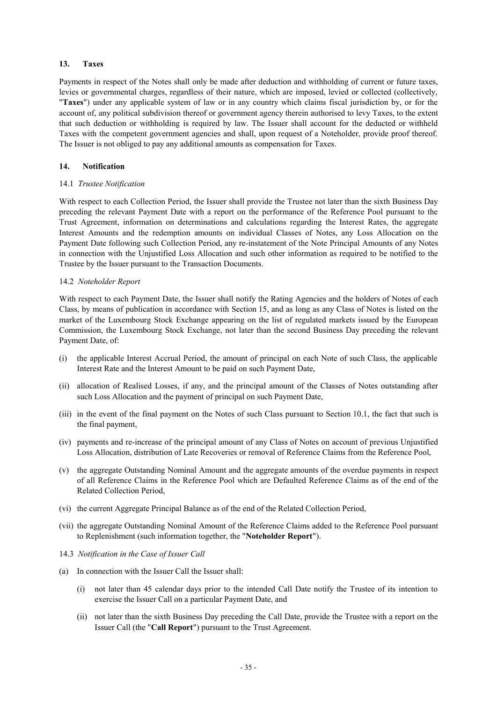## **13. Taxes**

Payments in respect of the Notes shall only be made after deduction and withholding of current or future taxes, levies or governmental charges, regardless of their nature, which are imposed, levied or collected (collectively, "**Taxes**") under any applicable system of law or in any country which claims fiscal jurisdiction by, or for the account of, any political subdivision thereof or government agency therein authorised to levy Taxes, to the extent that such deduction or withholding is required by law. The Issuer shall account for the deducted or withheld Taxes with the competent government agencies and shall, upon request of a Noteholder, provide proof thereof. The Issuer is not obliged to pay any additional amounts as compensation for Taxes.

## **14. Notification**

### 14.1 *Trustee Notification*

With respect to each Collection Period, the Issuer shall provide the Trustee not later than the sixth Business Day preceding the relevant Payment Date with a report on the performance of the Reference Pool pursuant to the Trust Agreement, information on determinations and calculations regarding the Interest Rates, the aggregate Interest Amounts and the redemption amounts on individual Classes of Notes, any Loss Allocation on the Payment Date following such Collection Period, any re-instatement of the Note Principal Amounts of any Notes in connection with the Unjustified Loss Allocation and such other information as required to be notified to the Trustee by the Issuer pursuant to the Transaction Documents.

## 14.2 *Noteholder Report*

With respect to each Payment Date, the Issuer shall notify the Rating Agencies and the holders of Notes of each Class, by means of publication in accordance with Section 15, and as long as any Class of Notes is listed on the market of the Luxembourg Stock Exchange appearing on the list of regulated markets issued by the European Commission, the Luxembourg Stock Exchange, not later than the second Business Day preceding the relevant Payment Date, of:

- (i) the applicable Interest Accrual Period, the amount of principal on each Note of such Class, the applicable Interest Rate and the Interest Amount to be paid on such Payment Date,
- (ii) allocation of Realised Losses, if any, and the principal amount of the Classes of Notes outstanding after such Loss Allocation and the payment of principal on such Payment Date,
- (iii) in the event of the final payment on the Notes of such Class pursuant to Section 10.1, the fact that such is the final payment,
- (iv) payments and re-increase of the principal amount of any Class of Notes on account of previous Unjustified Loss Allocation, distribution of Late Recoveries or removal of Reference Claims from the Reference Pool,
- (v) the aggregate Outstanding Nominal Amount and the aggregate amounts of the overdue payments in respect of all Reference Claims in the Reference Pool which are Defaulted Reference Claims as of the end of the Related Collection Period,
- (vi) the current Aggregate Principal Balance as of the end of the Related Collection Period,
- (vii) the aggregate Outstanding Nominal Amount of the Reference Claims added to the Reference Pool pursuant to Replenishment (such information together, the "**Noteholder Report**").
- 14.3 *Notification in the Case of Issuer Call*
- (a) In connection with the Issuer Call the Issuer shall:
	- (i) not later than 45 calendar days prior to the intended Call Date notify the Trustee of its intention to exercise the Issuer Call on a particular Payment Date, and
	- (ii) not later than the sixth Business Day preceding the Call Date, provide the Trustee with a report on the Issuer Call (the "**Call Report**") pursuant to the Trust Agreement.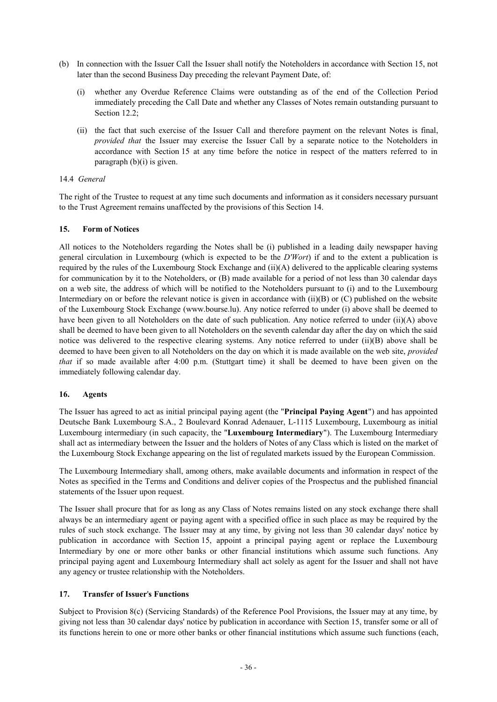- (b) In connection with the Issuer Call the Issuer shall notify the Noteholders in accordance with Section 15, not later than the second Business Day preceding the relevant Payment Date, of:
	- (i) whether any Overdue Reference Claims were outstanding as of the end of the Collection Period immediately preceding the Call Date and whether any Classes of Notes remain outstanding pursuant to Section 12.2;
	- (ii) the fact that such exercise of the Issuer Call and therefore payment on the relevant Notes is final, *provided that* the Issuer may exercise the Issuer Call by a separate notice to the Noteholders in accordance with Section 15 at any time before the notice in respect of the matters referred to in paragraph (b)(i) is given.

## 14.4 *General*

The right of the Trustee to request at any time such documents and information as it considers necessary pursuant to the Trust Agreement remains unaffected by the provisions of this Section 14.

## **15. Form of Notices**

All notices to the Noteholders regarding the Notes shall be (i) published in a leading daily newspaper having general circulation in Luxembourg (which is expected to be the *D'Wort*) if and to the extent a publication is required by the rules of the Luxembourg Stock Exchange and (ii)(A) delivered to the applicable clearing systems for communication by it to the Noteholders, or (B) made available for a period of not less than 30 calendar days on a web site, the address of which will be notified to the Noteholders pursuant to (i) and to the Luxembourg Intermediary on or before the relevant notice is given in accordance with  $(ii)(B)$  or  $(C)$  published on the website of the Luxembourg Stock Exchange (www.bourse.lu). Any notice referred to under (i) above shall be deemed to have been given to all Noteholders on the date of such publication. Any notice referred to under (ii)(A) above shall be deemed to have been given to all Noteholders on the seventh calendar day after the day on which the said notice was delivered to the respective clearing systems. Any notice referred to under (ii)(B) above shall be deemed to have been given to all Noteholders on the day on which it is made available on the web site, *provided that* if so made available after 4:00 p.m. (Stuttgart time) it shall be deemed to have been given on the immediately following calendar day.

# **16. Agents**

The Issuer has agreed to act as initial principal paying agent (the "**Principal Paying Agent**") and has appointed Deutsche Bank Luxembourg S.A., 2 Boulevard Konrad Adenauer, L-1115 Luxembourg, Luxembourg as initial Luxembourg intermediary (in such capacity, the "**Luxembourg Intermediary**"). The Luxembourg Intermediary shall act as intermediary between the Issuer and the holders of Notes of any Class which is listed on the market of the Luxembourg Stock Exchange appearing on the list of regulated markets issued by the European Commission.

The Luxembourg Intermediary shall, among others, make available documents and information in respect of the Notes as specified in the Terms and Conditions and deliver copies of the Prospectus and the published financial statements of the Issuer upon request.

The Issuer shall procure that for as long as any Class of Notes remains listed on any stock exchange there shall always be an intermediary agent or paying agent with a specified office in such place as may be required by the rules of such stock exchange. The Issuer may at any time, by giving not less than 30 calendar days' notice by publication in accordance with Section 15, appoint a principal paying agent or replace the Luxembourg Intermediary by one or more other banks or other financial institutions which assume such functions. Any principal paying agent and Luxembourg Intermediary shall act solely as agent for the Issuer and shall not have any agency or trustee relationship with the Noteholders.

# **17. Transfer of Issuer**'**s Functions**

Subject to Provision 8(c) (Servicing Standards) of the Reference Pool Provisions, the Issuer may at any time, by giving not less than 30 calendar days' notice by publication in accordance with Section 15, transfer some or all of its functions herein to one or more other banks or other financial institutions which assume such functions (each,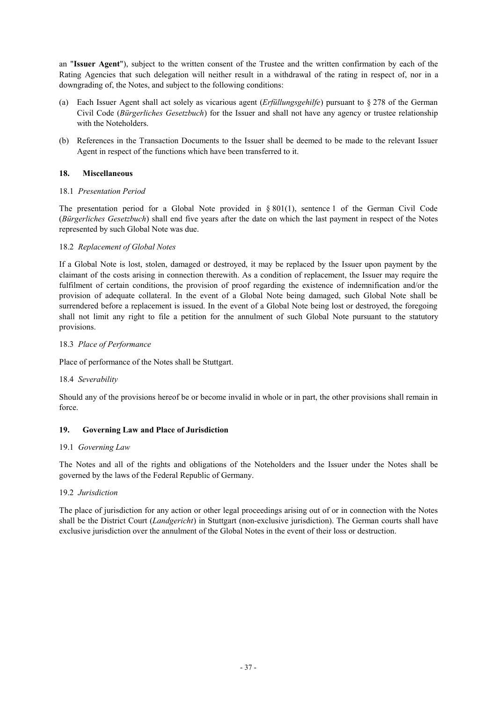an "**Issuer Agent**"), subject to the written consent of the Trustee and the written confirmation by each of the Rating Agencies that such delegation will neither result in a withdrawal of the rating in respect of, nor in a downgrading of, the Notes, and subject to the following conditions:

- (a) Each Issuer Agent shall act solely as vicarious agent (*Erfüllungsgehilfe*) pursuant to § 278 of the German Civil Code (*Bürgerliches Gesetzbuch*) for the Issuer and shall not have any agency or trustee relationship with the Noteholders.
- (b) References in the Transaction Documents to the Issuer shall be deemed to be made to the relevant Issuer Agent in respect of the functions which have been transferred to it.

## **18. Miscellaneous**

## 18.1 *Presentation Period*

The presentation period for a Global Note provided in § 801(1), sentence 1 of the German Civil Code (*Bürgerliches Gesetzbuch*) shall end five years after the date on which the last payment in respect of the Notes represented by such Global Note was due.

## 18.2 *Replacement of Global Notes*

If a Global Note is lost, stolen, damaged or destroyed, it may be replaced by the Issuer upon payment by the claimant of the costs arising in connection therewith. As a condition of replacement, the Issuer may require the fulfilment of certain conditions, the provision of proof regarding the existence of indemnification and/or the provision of adequate collateral. In the event of a Global Note being damaged, such Global Note shall be surrendered before a replacement is issued. In the event of a Global Note being lost or destroyed, the foregoing shall not limit any right to file a petition for the annulment of such Global Note pursuant to the statutory provisions.

## 18.3 *Place of Performance*

Place of performance of the Notes shall be Stuttgart.

### 18.4 *Severability*

Should any of the provisions hereof be or become invalid in whole or in part, the other provisions shall remain in force.

### **19. Governing Law and Place of Jurisdiction**

### 19.1 *Governing Law*

The Notes and all of the rights and obligations of the Noteholders and the Issuer under the Notes shall be governed by the laws of the Federal Republic of Germany.

### 19.2 *Jurisdiction*

The place of jurisdiction for any action or other legal proceedings arising out of or in connection with the Notes shall be the District Court (*Landgericht*) in Stuttgart (non-exclusive jurisdiction). The German courts shall have exclusive jurisdiction over the annulment of the Global Notes in the event of their loss or destruction.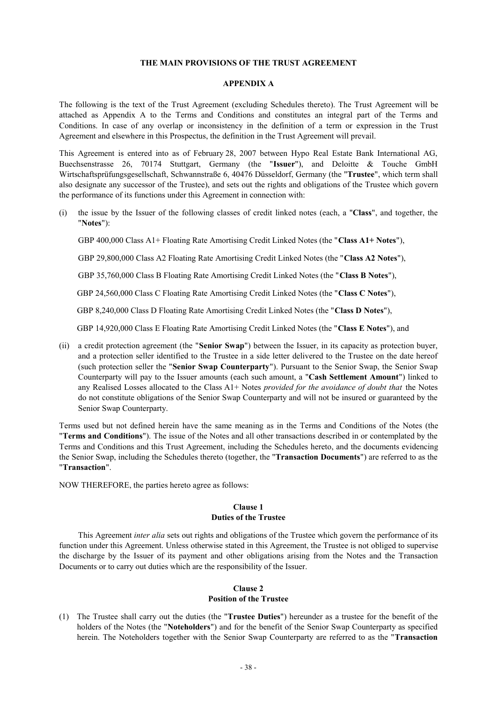#### **THE MAIN PROVISIONS OF THE TRUST AGREEMENT**

#### **APPENDIX A**

The following is the text of the Trust Agreement (excluding Schedules thereto). The Trust Agreement will be attached as Appendix A to the Terms and Conditions and constitutes an integral part of the Terms and Conditions. In case of any overlap or inconsistency in the definition of a term or expression in the Trust Agreement and elsewhere in this Prospectus, the definition in the Trust Agreement will prevail.

This Agreement is entered into as of February 28, 2007 between Hypo Real Estate Bank International AG, Buechsenstrasse 26, 70174 Stuttgart, Germany (the "**Issuer**"), and Deloitte & Touche GmbH Wirtschaftsprüfungsgesellschaft, Schwannstraße 6, 40476 Düsseldorf, Germany (the "**Trustee**", which term shall also designate any successor of the Trustee), and sets out the rights and obligations of the Trustee which govern the performance of its functions under this Agreement in connection with:

(i) the issue by the Issuer of the following classes of credit linked notes (each, a "**Class**", and together, the "**Notes**"):

GBP 400,000 Class A1+ Floating Rate Amortising Credit Linked Notes (the "**Class A1+ Notes**"),

GBP 29,800,000 Class A2 Floating Rate Amortising Credit Linked Notes (the "**Class A2 Notes**"),

GBP 35,760,000 Class B Floating Rate Amortising Credit Linked Notes (the "**Class B Notes**"),

GBP 24,560,000 Class C Floating Rate Amortising Credit Linked Notes (the "**Class C Notes**"),

GBP 8,240,000 Class D Floating Rate Amortising Credit Linked Notes (the "**Class D Notes**"),

GBP 14,920,000 Class E Floating Rate Amortising Credit Linked Notes (the "**Class E Notes**"), and

(ii) a credit protection agreement (the "**Senior Swap**") between the Issuer, in its capacity as protection buyer, and a protection seller identified to the Trustee in a side letter delivered to the Trustee on the date hereof (such protection seller the "**Senior Swap Counterparty**"). Pursuant to the Senior Swap, the Senior Swap Counterparty will pay to the Issuer amounts (each such amount, a "**Cash Settlement Amount**") linked to any Realised Losses allocated to the Class A1+ Notes *provided for the avoidance of doubt that* the Notes do not constitute obligations of the Senior Swap Counterparty and will not be insured or guaranteed by the Senior Swap Counterparty.

Terms used but not defined herein have the same meaning as in the Terms and Conditions of the Notes (the "**Terms and Conditions**"). The issue of the Notes and all other transactions described in or contemplated by the Terms and Conditions and this Trust Agreement, including the Schedules hereto, and the documents evidencing the Senior Swap, including the Schedules thereto (together, the "**Transaction Documents**") are referred to as the "**Transaction**".

NOW THEREFORE, the parties hereto agree as follows:

### **Clause 1 Duties of the Trustee**

This Agreement *inter alia* sets out rights and obligations of the Trustee which govern the performance of its function under this Agreement. Unless otherwise stated in this Agreement, the Trustee is not obliged to supervise the discharge by the Issuer of its payment and other obligations arising from the Notes and the Transaction Documents or to carry out duties which are the responsibility of the Issuer.

## **Clause 2**

# **Position of the Trustee**

(1) The Trustee shall carry out the duties (the "**Trustee Duties**") hereunder as a trustee for the benefit of the holders of the Notes (the "**Noteholders**") and for the benefit of the Senior Swap Counterparty as specified herein. The Noteholders together with the Senior Swap Counterparty are referred to as the "**Transaction**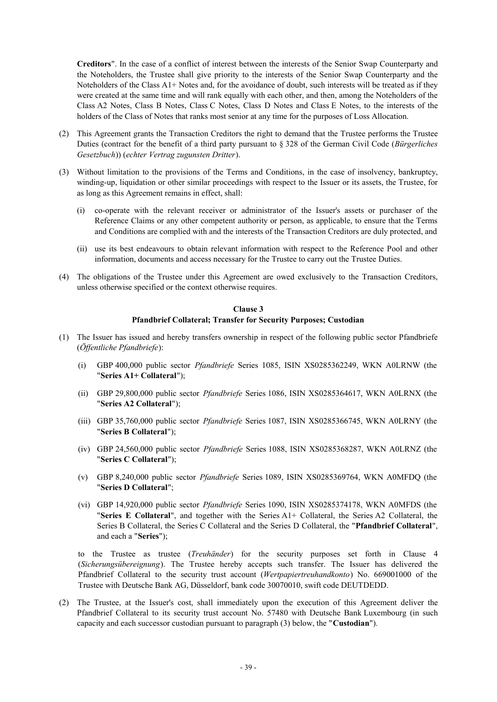**Creditors**". In the case of a conflict of interest between the interests of the Senior Swap Counterparty and the Noteholders, the Trustee shall give priority to the interests of the Senior Swap Counterparty and the Noteholders of the Class A1+ Notes and, for the avoidance of doubt, such interests will be treated as if they were created at the same time and will rank equally with each other, and then, among the Noteholders of the Class A2 Notes, Class B Notes, Class C Notes, Class D Notes and Class E Notes, to the interests of the holders of the Class of Notes that ranks most senior at any time for the purposes of Loss Allocation.

- (2) This Agreement grants the Transaction Creditors the right to demand that the Trustee performs the Trustee Duties (contract for the benefit of a third party pursuant to § 328 of the German Civil Code (*Bürgerliches Gesetzbuch*)) (*echter Vertrag zugunsten Dritter*).
- (3) Without limitation to the provisions of the Terms and Conditions, in the case of insolvency, bankruptcy, winding-up, liquidation or other similar proceedings with respect to the Issuer or its assets, the Trustee, for as long as this Agreement remains in effect, shall:
	- (i) co-operate with the relevant receiver or administrator of the Issuer's assets or purchaser of the Reference Claims or any other competent authority or person, as applicable, to ensure that the Terms and Conditions are complied with and the interests of the Transaction Creditors are duly protected, and
	- (ii) use its best endeavours to obtain relevant information with respect to the Reference Pool and other information, documents and access necessary for the Trustee to carry out the Trustee Duties.
- (4) The obligations of the Trustee under this Agreement are owed exclusively to the Transaction Creditors, unless otherwise specified or the context otherwise requires.

### **Clause 3 Pfandbrief Collateral; Transfer for Security Purposes; Custodian**

- (1) The Issuer has issued and hereby transfers ownership in respect of the following public sector Pfandbriefe (*Öffentliche Pfandbriefe*):
	- (i) GBP 400,000 public sector *Pfandbriefe* Series 1085, ISIN XS0285362249, WKN A0LRNW (the "**Series A1+ Collateral**");
	- (ii) GBP 29,800,000 public sector *Pfandbriefe* Series 1086, ISIN XS0285364617, WKN A0LRNX (the "**Series A2 Collateral**");
	- (iii) GBP 35,760,000 public sector *Pfandbriefe* Series 1087, ISIN XS0285366745, WKN A0LRNY (the "**Series B Collateral**");
	- (iv) GBP 24,560,000 public sector *Pfandbriefe* Series 1088, ISIN XS0285368287, WKN A0LRNZ (the "**Series C Collateral**");
	- (v) GBP 8,240,000 public sector *Pfandbriefe* Series 1089, ISIN XS0285369764, WKN A0MFDQ (the "**Series D Collateral**";
	- (vi) GBP 14,920,000 public sector *Pfandbriefe* Series 1090, ISIN XS0285374178, WKN A0MFDS (the "**Series E Collateral**", and together with the Series A1+ Collateral, the Series A2 Collateral, the Series B Collateral, the Series C Collateral and the Series D Collateral, the "**Pfandbrief Collateral**", and each a "**Series**");

to the Trustee as trustee (*Treuhänder*) for the security purposes set forth in Clause 4 (*Sicherungsübereignung*). The Trustee hereby accepts such transfer. The Issuer has delivered the Pfandbrief Collateral to the security trust account (*Wertpapiertreuhandkonto*) No. 669001000 of the Trustee with Deutsche Bank AG, Düsseldorf, bank code 30070010, swift code DEUTDEDD.

(2) The Trustee, at the Issuer's cost, shall immediately upon the execution of this Agreement deliver the Pfandbrief Collateral to its security trust account No. 57480 with Deutsche Bank Luxembourg (in such capacity and each successor custodian pursuant to paragraph (3) below, the "**Custodian**").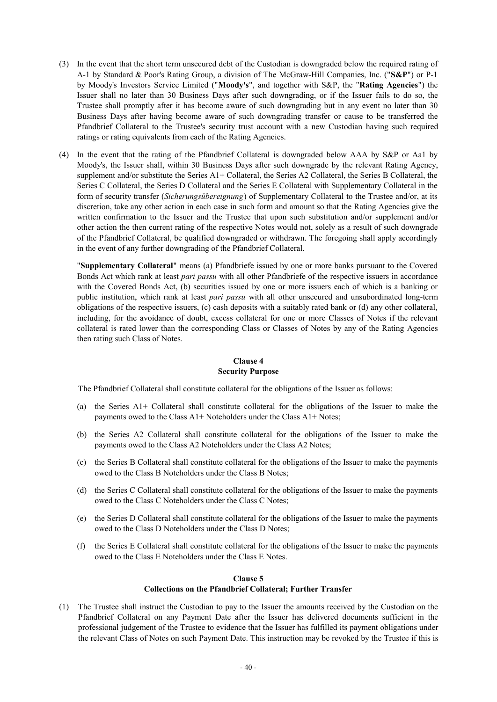- (3) In the event that the short term unsecured debt of the Custodian is downgraded below the required rating of A-1 by Standard & Poor's Rating Group, a division of The McGraw-Hill Companies, Inc. ("**S&P**") or P-1 by Moody's Investors Service Limited ("**Moody's**", and together with S&P, the "**Rating Agencies**") the Issuer shall no later than 30 Business Days after such downgrading, or if the Issuer fails to do so, the Trustee shall promptly after it has become aware of such downgrading but in any event no later than 30 Business Days after having become aware of such downgrading transfer or cause to be transferred the Pfandbrief Collateral to the Trustee's security trust account with a new Custodian having such required ratings or rating equivalents from each of the Rating Agencies.
- (4) In the event that the rating of the Pfandbrief Collateral is downgraded below AAA by S&P or Aa1 by Moody's, the Issuer shall, within 30 Business Days after such downgrade by the relevant Rating Agency, supplement and/or substitute the Series A1+ Collateral, the Series A2 Collateral, the Series B Collateral, the Series C Collateral, the Series D Collateral and the Series E Collateral with Supplementary Collateral in the form of security transfer (*Sicherungsübereignung*) of Supplementary Collateral to the Trustee and/or, at its discretion, take any other action in each case in such form and amount so that the Rating Agencies give the written confirmation to the Issuer and the Trustee that upon such substitution and/or supplement and/or other action the then current rating of the respective Notes would not, solely as a result of such downgrade of the Pfandbrief Collateral, be qualified downgraded or withdrawn. The foregoing shall apply accordingly in the event of any further downgrading of the Pfandbrief Collateral.

 "**Supplementary Collateral**" means (a) Pfandbriefe issued by one or more banks pursuant to the Covered Bonds Act which rank at least *pari passu* with all other Pfandbriefe of the respective issuers in accordance with the Covered Bonds Act, (b) securities issued by one or more issuers each of which is a banking or public institution, which rank at least *pari passu* with all other unsecured and unsubordinated long-term obligations of the respective issuers, (c) cash deposits with a suitably rated bank or (d) any other collateral, including, for the avoidance of doubt, excess collateral for one or more Classes of Notes if the relevant collateral is rated lower than the corresponding Class or Classes of Notes by any of the Rating Agencies then rating such Class of Notes.

## **Clause 4 Security Purpose**

The Pfandbrief Collateral shall constitute collateral for the obligations of the Issuer as follows:

- (a) the Series A1+ Collateral shall constitute collateral for the obligations of the Issuer to make the payments owed to the Class A1+ Noteholders under the Class A1+ Notes;
- (b) the Series A2 Collateral shall constitute collateral for the obligations of the Issuer to make the payments owed to the Class A2 Noteholders under the Class A2 Notes;
- (c) the Series B Collateral shall constitute collateral for the obligations of the Issuer to make the payments owed to the Class B Noteholders under the Class B Notes;
- (d) the Series C Collateral shall constitute collateral for the obligations of the Issuer to make the payments owed to the Class C Noteholders under the Class C Notes;
- (e) the Series D Collateral shall constitute collateral for the obligations of the Issuer to make the payments owed to the Class D Noteholders under the Class D Notes;
- (f) the Series E Collateral shall constitute collateral for the obligations of the Issuer to make the payments owed to the Class E Noteholders under the Class E Notes.

#### **Clause 5**

### **Collections on the Pfandbrief Collateral; Further Transfer**

(1) The Trustee shall instruct the Custodian to pay to the Issuer the amounts received by the Custodian on the Pfandbrief Collateral on any Payment Date after the Issuer has delivered documents sufficient in the professional judgement of the Trustee to evidence that the Issuer has fulfilled its payment obligations under the relevant Class of Notes on such Payment Date. This instruction may be revoked by the Trustee if this is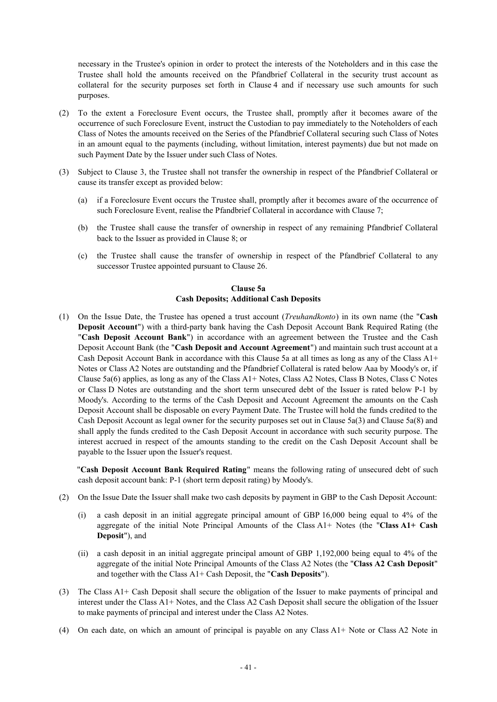necessary in the Trustee's opinion in order to protect the interests of the Noteholders and in this case the Trustee shall hold the amounts received on the Pfandbrief Collateral in the security trust account as collateral for the security purposes set forth in Clause 4 and if necessary use such amounts for such purposes.

- (2) To the extent a Foreclosure Event occurs, the Trustee shall, promptly after it becomes aware of the occurrence of such Foreclosure Event, instruct the Custodian to pay immediately to the Noteholders of each Class of Notes the amounts received on the Series of the Pfandbrief Collateral securing such Class of Notes in an amount equal to the payments (including, without limitation, interest payments) due but not made on such Payment Date by the Issuer under such Class of Notes.
- (3) Subject to Clause 3, the Trustee shall not transfer the ownership in respect of the Pfandbrief Collateral or cause its transfer except as provided below:
	- (a) if a Foreclosure Event occurs the Trustee shall, promptly after it becomes aware of the occurrence of such Foreclosure Event, realise the Pfandbrief Collateral in accordance with Clause 7;
	- (b) the Trustee shall cause the transfer of ownership in respect of any remaining Pfandbrief Collateral back to the Issuer as provided in Clause 8; or
	- (c) the Trustee shall cause the transfer of ownership in respect of the Pfandbrief Collateral to any successor Trustee appointed pursuant to Clause 26.

## **Clause 5a Cash Deposits; Additional Cash Deposits**

(1) On the Issue Date, the Trustee has opened a trust account (*Treuhandkonto*) in its own name (the "**Cash Deposit Account**") with a third-party bank having the Cash Deposit Account Bank Required Rating (the "**Cash Deposit Account Bank**") in accordance with an agreement between the Trustee and the Cash Deposit Account Bank (the "**Cash Deposit and Account Agreement**") and maintain such trust account at a Cash Deposit Account Bank in accordance with this Clause 5a at all times as long as any of the Class A1+ Notes or Class A2 Notes are outstanding and the Pfandbrief Collateral is rated below Aaa by Moody's or, if Clause 5a(6) applies, as long as any of the Class A1+ Notes, Class A2 Notes, Class B Notes, Class C Notes or Class D Notes are outstanding and the short term unsecured debt of the Issuer is rated below P-1 by Moody's. According to the terms of the Cash Deposit and Account Agreement the amounts on the Cash Deposit Account shall be disposable on every Payment Date. The Trustee will hold the funds credited to the Cash Deposit Account as legal owner for the security purposes set out in Clause 5a(3) and Clause 5a(8) and shall apply the funds credited to the Cash Deposit Account in accordance with such security purpose. The interest accrued in respect of the amounts standing to the credit on the Cash Deposit Account shall be payable to the Issuer upon the Issuer's request.

"**Cash Deposit Account Bank Required Rating**" means the following rating of unsecured debt of such cash deposit account bank: P-1 (short term deposit rating) by Moody's.

- (2) On the Issue Date the Issuer shall make two cash deposits by payment in GBP to the Cash Deposit Account:
	- (i) a cash deposit in an initial aggregate principal amount of GBP 16,000 being equal to 4% of the aggregate of the initial Note Principal Amounts of the Class A1+ Notes (the "**Class A1+ Cash Deposit**"), and
	- (ii) a cash deposit in an initial aggregate principal amount of GBP 1,192,000 being equal to 4% of the aggregate of the initial Note Principal Amounts of the Class A2 Notes (the "**Class A2 Cash Deposit**" and together with the Class A1+ Cash Deposit, the "**Cash Deposits**").
- (3) The Class A1+ Cash Deposit shall secure the obligation of the Issuer to make payments of principal and interest under the Class A1+ Notes, and the Class A2 Cash Deposit shall secure the obligation of the Issuer to make payments of principal and interest under the Class A2 Notes.
- (4) On each date, on which an amount of principal is payable on any Class A1+ Note or Class A2 Note in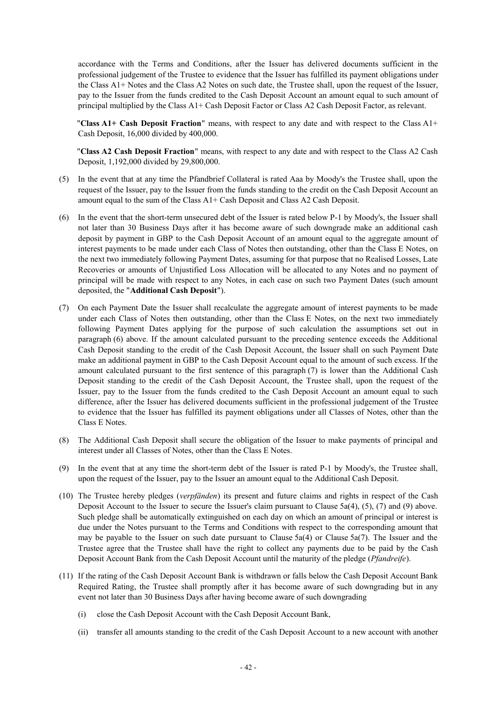accordance with the Terms and Conditions, after the Issuer has delivered documents sufficient in the professional judgement of the Trustee to evidence that the Issuer has fulfilled its payment obligations under the Class A1+ Notes and the Class A2 Notes on such date, the Trustee shall, upon the request of the Issuer, pay to the Issuer from the funds credited to the Cash Deposit Account an amount equal to such amount of principal multiplied by the Class A1+ Cash Deposit Factor or Class A2 Cash Deposit Factor, as relevant.

"**Class A1+ Cash Deposit Fraction**" means, with respect to any date and with respect to the Class A1+ Cash Deposit, 16,000 divided by 400,000.

"**Class A2 Cash Deposit Fraction**" means, with respect to any date and with respect to the Class A2 Cash Deposit, 1,192,000 divided by 29,800,000.

- (5) In the event that at any time the Pfandbrief Collateral is rated Aaa by Moody's the Trustee shall, upon the request of the Issuer, pay to the Issuer from the funds standing to the credit on the Cash Deposit Account an amount equal to the sum of the Class A1+ Cash Deposit and Class A2 Cash Deposit.
- (6) In the event that the short-term unsecured debt of the Issuer is rated below P-1 by Moody's, the Issuer shall not later than 30 Business Days after it has become aware of such downgrade make an additional cash deposit by payment in GBP to the Cash Deposit Account of an amount equal to the aggregate amount of interest payments to be made under each Class of Notes then outstanding, other than the Class E Notes, on the next two immediately following Payment Dates, assuming for that purpose that no Realised Losses, Late Recoveries or amounts of Unjustified Loss Allocation will be allocated to any Notes and no payment of principal will be made with respect to any Notes, in each case on such two Payment Dates (such amount deposited, the "**Additional Cash Deposit**").
- (7) On each Payment Date the Issuer shall recalculate the aggregate amount of interest payments to be made under each Class of Notes then outstanding, other than the Class E Notes, on the next two immediately following Payment Dates applying for the purpose of such calculation the assumptions set out in paragraph (6) above. If the amount calculated pursuant to the preceding sentence exceeds the Additional Cash Deposit standing to the credit of the Cash Deposit Account, the Issuer shall on such Payment Date make an additional payment in GBP to the Cash Deposit Account equal to the amount of such excess. If the amount calculated pursuant to the first sentence of this paragraph (7) is lower than the Additional Cash Deposit standing to the credit of the Cash Deposit Account, the Trustee shall, upon the request of the Issuer, pay to the Issuer from the funds credited to the Cash Deposit Account an amount equal to such difference, after the Issuer has delivered documents sufficient in the professional judgement of the Trustee to evidence that the Issuer has fulfilled its payment obligations under all Classes of Notes, other than the Class E Notes.
- (8) The Additional Cash Deposit shall secure the obligation of the Issuer to make payments of principal and interest under all Classes of Notes, other than the Class E Notes.
- (9) In the event that at any time the short-term debt of the Issuer is rated P-1 by Moody's, the Trustee shall, upon the request of the Issuer, pay to the Issuer an amount equal to the Additional Cash Deposit.
- (10) The Trustee hereby pledges (*verpfänden*) its present and future claims and rights in respect of the Cash Deposit Account to the Issuer to secure the Issuer's claim pursuant to Clause  $5a(4)$ ,  $(5)$ ,  $(7)$  and  $(9)$  above. Such pledge shall be automatically extinguished on each day on which an amount of principal or interest is due under the Notes pursuant to the Terms and Conditions with respect to the corresponding amount that may be payable to the Issuer on such date pursuant to Clause  $5a(4)$  or Clause  $5a(7)$ . The Issuer and the Trustee agree that the Trustee shall have the right to collect any payments due to be paid by the Cash Deposit Account Bank from the Cash Deposit Account until the maturity of the pledge (*Pfandreife*).
- (11) If the rating of the Cash Deposit Account Bank is withdrawn or falls below the Cash Deposit Account Bank Required Rating, the Trustee shall promptly after it has become aware of such downgrading but in any event not later than 30 Business Days after having become aware of such downgrading
	- (i) close the Cash Deposit Account with the Cash Deposit Account Bank,
	- (ii) transfer all amounts standing to the credit of the Cash Deposit Account to a new account with another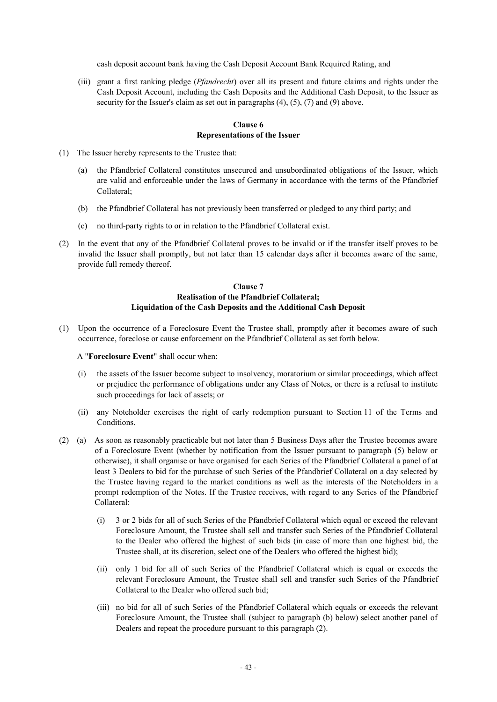cash deposit account bank having the Cash Deposit Account Bank Required Rating, and

(iii) grant a first ranking pledge (*Pfandrecht*) over all its present and future claims and rights under the Cash Deposit Account, including the Cash Deposits and the Additional Cash Deposit, to the Issuer as security for the Issuer's claim as set out in paragraphs  $(4)$ ,  $(5)$ ,  $(7)$  and  $(9)$  above.

## **Clause 6 Representations of the Issuer**

- (1) The Issuer hereby represents to the Trustee that:
	- (a) the Pfandbrief Collateral constitutes unsecured and unsubordinated obligations of the Issuer, which are valid and enforceable under the laws of Germany in accordance with the terms of the Pfandbrief Collateral;
	- (b) the Pfandbrief Collateral has not previously been transferred or pledged to any third party; and
	- (c) no third-party rights to or in relation to the Pfandbrief Collateral exist.
- (2) In the event that any of the Pfandbrief Collateral proves to be invalid or if the transfer itself proves to be invalid the Issuer shall promptly, but not later than 15 calendar days after it becomes aware of the same, provide full remedy thereof.

## **Clause 7 Realisation of the Pfandbrief Collateral; Liquidation of the Cash Deposits and the Additional Cash Deposit**

(1) Upon the occurrence of a Foreclosure Event the Trustee shall, promptly after it becomes aware of such occurrence, foreclose or cause enforcement on the Pfandbrief Collateral as set forth below.

### A "**Foreclosure Event**" shall occur when:

- (i) the assets of the Issuer become subject to insolvency, moratorium or similar proceedings, which affect or prejudice the performance of obligations under any Class of Notes, or there is a refusal to institute such proceedings for lack of assets; or
- (ii) any Noteholder exercises the right of early redemption pursuant to Section 11 of the Terms and Conditions.
- (2) (a) As soon as reasonably practicable but not later than 5 Business Days after the Trustee becomes aware of a Foreclosure Event (whether by notification from the Issuer pursuant to paragraph (5) below or otherwise), it shall organise or have organised for each Series of the Pfandbrief Collateral a panel of at least 3 Dealers to bid for the purchase of such Series of the Pfandbrief Collateral on a day selected by the Trustee having regard to the market conditions as well as the interests of the Noteholders in a prompt redemption of the Notes. If the Trustee receives, with regard to any Series of the Pfandbrief Collateral:
	- (i) 3 or 2 bids for all of such Series of the Pfandbrief Collateral which equal or exceed the relevant Foreclosure Amount, the Trustee shall sell and transfer such Series of the Pfandbrief Collateral to the Dealer who offered the highest of such bids (in case of more than one highest bid, the Trustee shall, at its discretion, select one of the Dealers who offered the highest bid);
	- (ii) only 1 bid for all of such Series of the Pfandbrief Collateral which is equal or exceeds the relevant Foreclosure Amount, the Trustee shall sell and transfer such Series of the Pfandbrief Collateral to the Dealer who offered such bid;
	- (iii) no bid for all of such Series of the Pfandbrief Collateral which equals or exceeds the relevant Foreclosure Amount, the Trustee shall (subject to paragraph (b) below) select another panel of Dealers and repeat the procedure pursuant to this paragraph (2).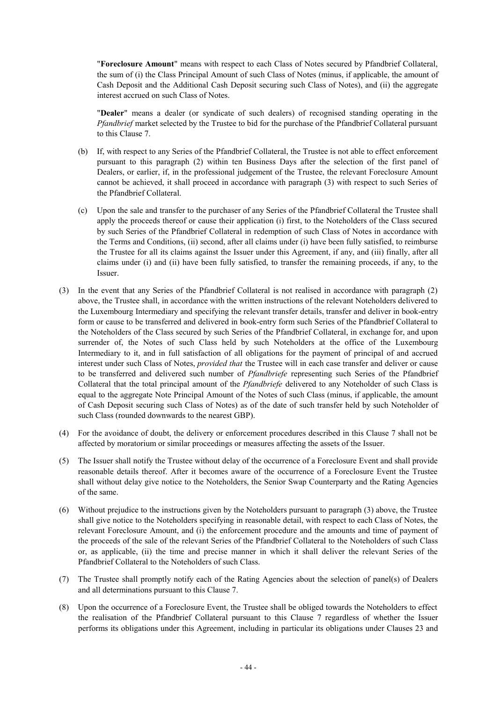"**Foreclosure Amount**" means with respect to each Class of Notes secured by Pfandbrief Collateral, the sum of (i) the Class Principal Amount of such Class of Notes (minus, if applicable, the amount of Cash Deposit and the Additional Cash Deposit securing such Class of Notes), and (ii) the aggregate interest accrued on such Class of Notes.

"**Dealer**" means a dealer (or syndicate of such dealers) of recognised standing operating in the *Pfandbrief* market selected by the Trustee to bid for the purchase of the Pfandbrief Collateral pursuant to this Clause 7.

- (b) If, with respect to any Series of the Pfandbrief Collateral, the Trustee is not able to effect enforcement pursuant to this paragraph (2) within ten Business Days after the selection of the first panel of Dealers, or earlier, if, in the professional judgement of the Trustee, the relevant Foreclosure Amount cannot be achieved, it shall proceed in accordance with paragraph (3) with respect to such Series of the Pfandbrief Collateral.
- (c) Upon the sale and transfer to the purchaser of any Series of the Pfandbrief Collateral the Trustee shall apply the proceeds thereof or cause their application (i) first, to the Noteholders of the Class secured by such Series of the Pfandbrief Collateral in redemption of such Class of Notes in accordance with the Terms and Conditions, (ii) second, after all claims under (i) have been fully satisfied, to reimburse the Trustee for all its claims against the Issuer under this Agreement, if any, and (iii) finally, after all claims under (i) and (ii) have been fully satisfied, to transfer the remaining proceeds, if any, to the Issuer.
- (3) In the event that any Series of the Pfandbrief Collateral is not realised in accordance with paragraph (2) above, the Trustee shall, in accordance with the written instructions of the relevant Noteholders delivered to the Luxembourg Intermediary and specifying the relevant transfer details, transfer and deliver in book-entry form or cause to be transferred and delivered in book-entry form such Series of the Pfandbrief Collateral to the Noteholders of the Class secured by such Series of the Pfandbrief Collateral, in exchange for, and upon surrender of, the Notes of such Class held by such Noteholders at the office of the Luxembourg Intermediary to it, and in full satisfaction of all obligations for the payment of principal of and accrued interest under such Class of Notes, *provided that* the Trustee will in each case transfer and deliver or cause to be transferred and delivered such number of *Pfandbriefe* representing such Series of the Pfandbrief Collateral that the total principal amount of the *Pfandbriefe* delivered to any Noteholder of such Class is equal to the aggregate Note Principal Amount of the Notes of such Class (minus, if applicable, the amount of Cash Deposit securing such Class of Notes) as of the date of such transfer held by such Noteholder of such Class (rounded downwards to the nearest GBP).
- (4) For the avoidance of doubt, the delivery or enforcement procedures described in this Clause 7 shall not be affected by moratorium or similar proceedings or measures affecting the assets of the Issuer.
- (5) The Issuer shall notify the Trustee without delay of the occurrence of a Foreclosure Event and shall provide reasonable details thereof. After it becomes aware of the occurrence of a Foreclosure Event the Trustee shall without delay give notice to the Noteholders, the Senior Swap Counterparty and the Rating Agencies of the same.
- (6) Without prejudice to the instructions given by the Noteholders pursuant to paragraph (3) above, the Trustee shall give notice to the Noteholders specifying in reasonable detail, with respect to each Class of Notes, the relevant Foreclosure Amount, and (i) the enforcement procedure and the amounts and time of payment of the proceeds of the sale of the relevant Series of the Pfandbrief Collateral to the Noteholders of such Class or, as applicable, (ii) the time and precise manner in which it shall deliver the relevant Series of the Pfandbrief Collateral to the Noteholders of such Class.
- (7) The Trustee shall promptly notify each of the Rating Agencies about the selection of panel(s) of Dealers and all determinations pursuant to this Clause 7.
- (8) Upon the occurrence of a Foreclosure Event, the Trustee shall be obliged towards the Noteholders to effect the realisation of the Pfandbrief Collateral pursuant to this Clause 7 regardless of whether the Issuer performs its obligations under this Agreement, including in particular its obligations under Clauses 23 and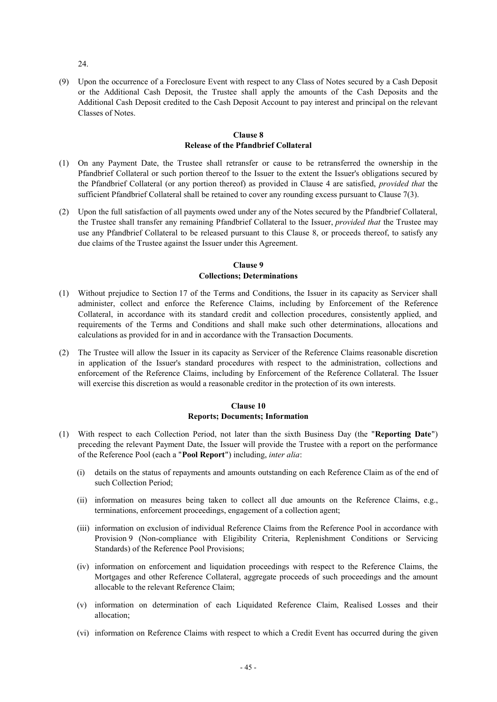24.

(9) Upon the occurrence of a Foreclosure Event with respect to any Class of Notes secured by a Cash Deposit or the Additional Cash Deposit, the Trustee shall apply the amounts of the Cash Deposits and the Additional Cash Deposit credited to the Cash Deposit Account to pay interest and principal on the relevant Classes of Notes.

### **Clause 8 Release of the Pfandbrief Collateral**

- (1) On any Payment Date, the Trustee shall retransfer or cause to be retransferred the ownership in the Pfandbrief Collateral or such portion thereof to the Issuer to the extent the Issuer's obligations secured by the Pfandbrief Collateral (or any portion thereof) as provided in Clause 4 are satisfied, *provided that* the sufficient Pfandbrief Collateral shall be retained to cover any rounding excess pursuant to Clause 7(3).
- (2) Upon the full satisfaction of all payments owed under any of the Notes secured by the Pfandbrief Collateral, the Trustee shall transfer any remaining Pfandbrief Collateral to the Issuer, *provided that* the Trustee may use any Pfandbrief Collateral to be released pursuant to this Clause 8, or proceeds thereof, to satisfy any due claims of the Trustee against the Issuer under this Agreement.

# **Clause 9 Collections; Determinations**

- (1) Without prejudice to Section 17 of the Terms and Conditions, the Issuer in its capacity as Servicer shall administer, collect and enforce the Reference Claims, including by Enforcement of the Reference Collateral, in accordance with its standard credit and collection procedures, consistently applied, and requirements of the Terms and Conditions and shall make such other determinations, allocations and calculations as provided for in and in accordance with the Transaction Documents.
- (2) The Trustee will allow the Issuer in its capacity as Servicer of the Reference Claims reasonable discretion in application of the Issuer's standard procedures with respect to the administration, collections and enforcement of the Reference Claims, including by Enforcement of the Reference Collateral. The Issuer will exercise this discretion as would a reasonable creditor in the protection of its own interests.

# **Clause 10 Reports; Documents; Information**

- (1) With respect to each Collection Period, not later than the sixth Business Day (the "**Reporting Date**") preceding the relevant Payment Date, the Issuer will provide the Trustee with a report on the performance of the Reference Pool (each a "**Pool Report**") including, *inter alia*:
	- (i) details on the status of repayments and amounts outstanding on each Reference Claim as of the end of such Collection Period;
	- (ii) information on measures being taken to collect all due amounts on the Reference Claims, e.g., terminations, enforcement proceedings, engagement of a collection agent;
	- (iii) information on exclusion of individual Reference Claims from the Reference Pool in accordance with Provision 9 (Non-compliance with Eligibility Criteria, Replenishment Conditions or Servicing Standards) of the Reference Pool Provisions;
	- (iv) information on enforcement and liquidation proceedings with respect to the Reference Claims, the Mortgages and other Reference Collateral, aggregate proceeds of such proceedings and the amount allocable to the relevant Reference Claim;
	- (v) information on determination of each Liquidated Reference Claim, Realised Losses and their allocation;
	- (vi) information on Reference Claims with respect to which a Credit Event has occurred during the given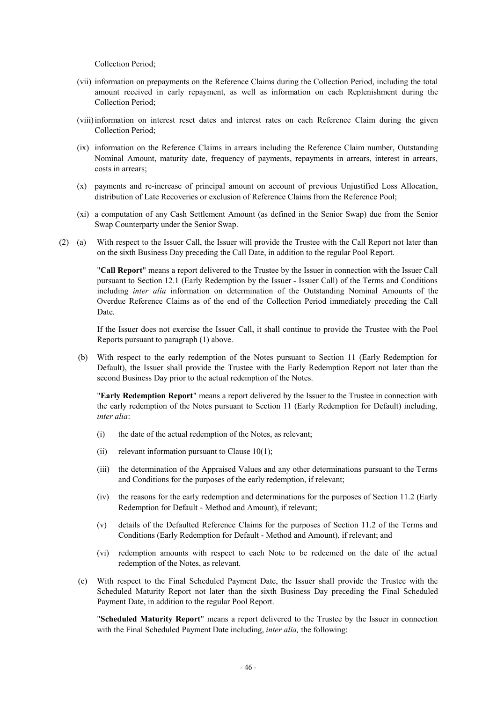Collection Period;

- (vii) information on prepayments on the Reference Claims during the Collection Period, including the total amount received in early repayment, as well as information on each Replenishment during the Collection Period;
- (viii)information on interest reset dates and interest rates on each Reference Claim during the given Collection Period;
- (ix) information on the Reference Claims in arrears including the Reference Claim number, Outstanding Nominal Amount, maturity date, frequency of payments, repayments in arrears, interest in arrears, costs in arrears;
- (x) payments and re-increase of principal amount on account of previous Unjustified Loss Allocation, distribution of Late Recoveries or exclusion of Reference Claims from the Reference Pool;
- (xi) a computation of any Cash Settlement Amount (as defined in the Senior Swap) due from the Senior Swap Counterparty under the Senior Swap.
- (2) (a) With respect to the Issuer Call, the Issuer will provide the Trustee with the Call Report not later than on the sixth Business Day preceding the Call Date, in addition to the regular Pool Report.

"**Call Report**" means a report delivered to the Trustee by the Issuer in connection with the Issuer Call pursuant to Section 12.1 (Early Redemption by the Issuer - Issuer Call) of the Terms and Conditions including *inter alia* information on determination of the Outstanding Nominal Amounts of the Overdue Reference Claims as of the end of the Collection Period immediately preceding the Call Date.

If the Issuer does not exercise the Issuer Call, it shall continue to provide the Trustee with the Pool Reports pursuant to paragraph (1) above.

(b) With respect to the early redemption of the Notes pursuant to Section 11 (Early Redemption for Default), the Issuer shall provide the Trustee with the Early Redemption Report not later than the second Business Day prior to the actual redemption of the Notes.

"**Early Redemption Report**" means a report delivered by the Issuer to the Trustee in connection with the early redemption of the Notes pursuant to Section 11 (Early Redemption for Default) including, *inter alia*:

- (i) the date of the actual redemption of the Notes, as relevant;
- (ii) relevant information pursuant to Clause  $10(1)$ ;
- (iii) the determination of the Appraised Values and any other determinations pursuant to the Terms and Conditions for the purposes of the early redemption, if relevant;
- (iv) the reasons for the early redemption and determinations for the purposes of Section 11.2 (Early Redemption for Default - Method and Amount), if relevant;
- (v) details of the Defaulted Reference Claims for the purposes of Section 11.2 of the Terms and Conditions (Early Redemption for Default - Method and Amount), if relevant; and
- (vi) redemption amounts with respect to each Note to be redeemed on the date of the actual redemption of the Notes, as relevant.
- (c) With respect to the Final Scheduled Payment Date, the Issuer shall provide the Trustee with the Scheduled Maturity Report not later than the sixth Business Day preceding the Final Scheduled Payment Date, in addition to the regular Pool Report.

"**Scheduled Maturity Report**" means a report delivered to the Trustee by the Issuer in connection with the Final Scheduled Payment Date including, *inter alia,* the following: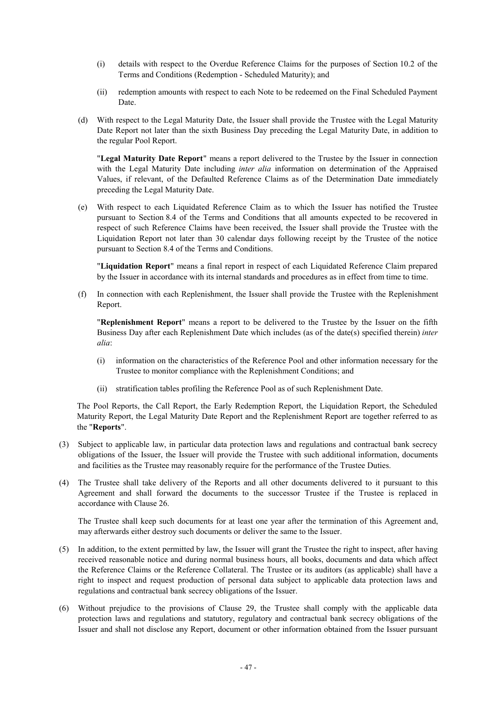- (i) details with respect to the Overdue Reference Claims for the purposes of Section 10.2 of the Terms and Conditions (Redemption - Scheduled Maturity); and
- (ii) redemption amounts with respect to each Note to be redeemed on the Final Scheduled Payment Date.
- (d) With respect to the Legal Maturity Date, the Issuer shall provide the Trustee with the Legal Maturity Date Report not later than the sixth Business Day preceding the Legal Maturity Date, in addition to the regular Pool Report.

"**Legal Maturity Date Report**" means a report delivered to the Trustee by the Issuer in connection with the Legal Maturity Date including *inter alia* information on determination of the Appraised Values, if relevant, of the Defaulted Reference Claims as of the Determination Date immediately preceding the Legal Maturity Date.

(e) With respect to each Liquidated Reference Claim as to which the Issuer has notified the Trustee pursuant to Section 8.4 of the Terms and Conditions that all amounts expected to be recovered in respect of such Reference Claims have been received, the Issuer shall provide the Trustee with the Liquidation Report not later than 30 calendar days following receipt by the Trustee of the notice pursuant to Section 8.4 of the Terms and Conditions.

"**Liquidation Report**" means a final report in respect of each Liquidated Reference Claim prepared by the Issuer in accordance with its internal standards and procedures as in effect from time to time.

(f) In connection with each Replenishment, the Issuer shall provide the Trustee with the Replenishment Report.

"**Replenishment Report**" means a report to be delivered to the Trustee by the Issuer on the fifth Business Day after each Replenishment Date which includes (as of the date(s) specified therein) *inter alia*:

- (i) information on the characteristics of the Reference Pool and other information necessary for the Trustee to monitor compliance with the Replenishment Conditions; and
- (ii) stratification tables profiling the Reference Pool as of such Replenishment Date.

The Pool Reports, the Call Report, the Early Redemption Report, the Liquidation Report, the Scheduled Maturity Report, the Legal Maturity Date Report and the Replenishment Report are together referred to as the "**Reports**".

- (3) Subject to applicable law, in particular data protection laws and regulations and contractual bank secrecy obligations of the Issuer, the Issuer will provide the Trustee with such additional information, documents and facilities as the Trustee may reasonably require for the performance of the Trustee Duties.
- (4) The Trustee shall take delivery of the Reports and all other documents delivered to it pursuant to this Agreement and shall forward the documents to the successor Trustee if the Trustee is replaced in accordance with Clause 26.

The Trustee shall keep such documents for at least one year after the termination of this Agreement and, may afterwards either destroy such documents or deliver the same to the Issuer.

- (5) In addition, to the extent permitted by law, the Issuer will grant the Trustee the right to inspect, after having received reasonable notice and during normal business hours, all books, documents and data which affect the Reference Claims or the Reference Collateral. The Trustee or its auditors (as applicable) shall have a right to inspect and request production of personal data subject to applicable data protection laws and regulations and contractual bank secrecy obligations of the Issuer.
- (6) Without prejudice to the provisions of Clause 29, the Trustee shall comply with the applicable data protection laws and regulations and statutory, regulatory and contractual bank secrecy obligations of the Issuer and shall not disclose any Report, document or other information obtained from the Issuer pursuant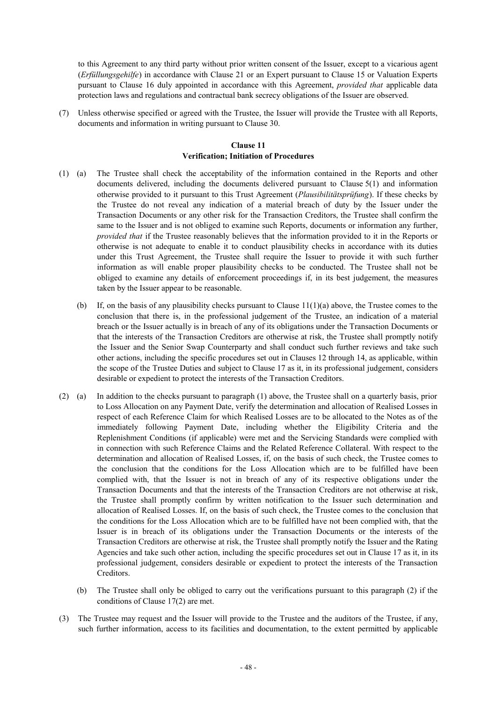to this Agreement to any third party without prior written consent of the Issuer, except to a vicarious agent (*Erfüllungsgehilfe*) in accordance with Clause 21 or an Expert pursuant to Clause 15 or Valuation Experts pursuant to Clause 16 duly appointed in accordance with this Agreement, *provided that* applicable data protection laws and regulations and contractual bank secrecy obligations of the Issuer are observed.

(7) Unless otherwise specified or agreed with the Trustee, the Issuer will provide the Trustee with all Reports, documents and information in writing pursuant to Clause 30.

## **Clause 11 Verification; Initiation of Procedures**

- (1) (a) The Trustee shall check the acceptability of the information contained in the Reports and other documents delivered, including the documents delivered pursuant to Clause 5(1) and information otherwise provided to it pursuant to this Trust Agreement (*Plausibilitätsprüfung*). If these checks by the Trustee do not reveal any indication of a material breach of duty by the Issuer under the Transaction Documents or any other risk for the Transaction Creditors, the Trustee shall confirm the same to the Issuer and is not obliged to examine such Reports, documents or information any further, *provided that* if the Trustee reasonably believes that the information provided to it in the Reports or otherwise is not adequate to enable it to conduct plausibility checks in accordance with its duties under this Trust Agreement, the Trustee shall require the Issuer to provide it with such further information as will enable proper plausibility checks to be conducted. The Trustee shall not be obliged to examine any details of enforcement proceedings if, in its best judgement, the measures taken by the Issuer appear to be reasonable.
	- (b) If, on the basis of any plausibility checks pursuant to Clause  $11(1)(a)$  above, the Trustee comes to the conclusion that there is, in the professional judgement of the Trustee, an indication of a material breach or the Issuer actually is in breach of any of its obligations under the Transaction Documents or that the interests of the Transaction Creditors are otherwise at risk, the Trustee shall promptly notify the Issuer and the Senior Swap Counterparty and shall conduct such further reviews and take such other actions, including the specific procedures set out in Clauses 12 through 14, as applicable, within the scope of the Trustee Duties and subject to Clause 17 as it, in its professional judgement, considers desirable or expedient to protect the interests of the Transaction Creditors.
- (2) (a) In addition to the checks pursuant to paragraph (1) above, the Trustee shall on a quarterly basis, prior to Loss Allocation on any Payment Date, verify the determination and allocation of Realised Losses in respect of each Reference Claim for which Realised Losses are to be allocated to the Notes as of the immediately following Payment Date, including whether the Eligibility Criteria and the Replenishment Conditions (if applicable) were met and the Servicing Standards were complied with in connection with such Reference Claims and the Related Reference Collateral. With respect to the determination and allocation of Realised Losses, if, on the basis of such check, the Trustee comes to the conclusion that the conditions for the Loss Allocation which are to be fulfilled have been complied with, that the Issuer is not in breach of any of its respective obligations under the Transaction Documents and that the interests of the Transaction Creditors are not otherwise at risk, the Trustee shall promptly confirm by written notification to the Issuer such determination and allocation of Realised Losses. If, on the basis of such check, the Trustee comes to the conclusion that the conditions for the Loss Allocation which are to be fulfilled have not been complied with, that the Issuer is in breach of its obligations under the Transaction Documents or the interests of the Transaction Creditors are otherwise at risk, the Trustee shall promptly notify the Issuer and the Rating Agencies and take such other action, including the specific procedures set out in Clause 17 as it, in its professional judgement, considers desirable or expedient to protect the interests of the Transaction Creditors.
	- (b) The Trustee shall only be obliged to carry out the verifications pursuant to this paragraph (2) if the conditions of Clause 17(2) are met.
- (3) The Trustee may request and the Issuer will provide to the Trustee and the auditors of the Trustee, if any, such further information, access to its facilities and documentation, to the extent permitted by applicable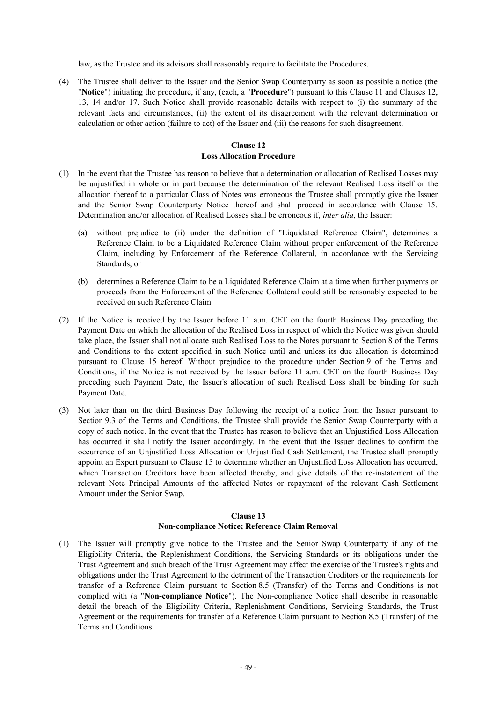law, as the Trustee and its advisors shall reasonably require to facilitate the Procedures.

(4) The Trustee shall deliver to the Issuer and the Senior Swap Counterparty as soon as possible a notice (the "**Notice**") initiating the procedure, if any, (each, a "**Procedure**") pursuant to this Clause 11 and Clauses 12, 13, 14 and/or 17. Such Notice shall provide reasonable details with respect to (i) the summary of the relevant facts and circumstances, (ii) the extent of its disagreement with the relevant determination or calculation or other action (failure to act) of the Issuer and (iii) the reasons for such disagreement.

## **Clause 12 Loss Allocation Procedure**

- (1) In the event that the Trustee has reason to believe that a determination or allocation of Realised Losses may be unjustified in whole or in part because the determination of the relevant Realised Loss itself or the allocation thereof to a particular Class of Notes was erroneous the Trustee shall promptly give the Issuer and the Senior Swap Counterparty Notice thereof and shall proceed in accordance with Clause 15. Determination and/or allocation of Realised Losses shall be erroneous if, *inter alia*, the Issuer:
	- (a) without prejudice to (ii) under the definition of "Liquidated Reference Claim", determines a Reference Claim to be a Liquidated Reference Claim without proper enforcement of the Reference Claim, including by Enforcement of the Reference Collateral, in accordance with the Servicing Standards, or
	- (b) determines a Reference Claim to be a Liquidated Reference Claim at a time when further payments or proceeds from the Enforcement of the Reference Collateral could still be reasonably expected to be received on such Reference Claim.
- (2) If the Notice is received by the Issuer before 11 a.m. CET on the fourth Business Day preceding the Payment Date on which the allocation of the Realised Loss in respect of which the Notice was given should take place, the Issuer shall not allocate such Realised Loss to the Notes pursuant to Section 8 of the Terms and Conditions to the extent specified in such Notice until and unless its due allocation is determined pursuant to Clause 15 hereof. Without prejudice to the procedure under Section 9 of the Terms and Conditions, if the Notice is not received by the Issuer before 11 a.m. CET on the fourth Business Day preceding such Payment Date, the Issuer's allocation of such Realised Loss shall be binding for such Payment Date.
- (3) Not later than on the third Business Day following the receipt of a notice from the Issuer pursuant to Section 9.3 of the Terms and Conditions, the Trustee shall provide the Senior Swap Counterparty with a copy of such notice. In the event that the Trustee has reason to believe that an Unjustified Loss Allocation has occurred it shall notify the Issuer accordingly. In the event that the Issuer declines to confirm the occurrence of an Unjustified Loss Allocation or Unjustified Cash Settlement, the Trustee shall promptly appoint an Expert pursuant to Clause 15 to determine whether an Unjustified Loss Allocation has occurred, which Transaction Creditors have been affected thereby, and give details of the re-instatement of the relevant Note Principal Amounts of the affected Notes or repayment of the relevant Cash Settlement Amount under the Senior Swap.

### **Clause 13**

### **Non-compliance Notice; Reference Claim Removal**

(1) The Issuer will promptly give notice to the Trustee and the Senior Swap Counterparty if any of the Eligibility Criteria, the Replenishment Conditions, the Servicing Standards or its obligations under the Trust Agreement and such breach of the Trust Agreement may affect the exercise of the Trustee's rights and obligations under the Trust Agreement to the detriment of the Transaction Creditors or the requirements for transfer of a Reference Claim pursuant to Section 8.5 (Transfer) of the Terms and Conditions is not complied with (a "**Non-compliance Notice**"). The Non-compliance Notice shall describe in reasonable detail the breach of the Eligibility Criteria, Replenishment Conditions, Servicing Standards, the Trust Agreement or the requirements for transfer of a Reference Claim pursuant to Section 8.5 (Transfer) of the Terms and Conditions.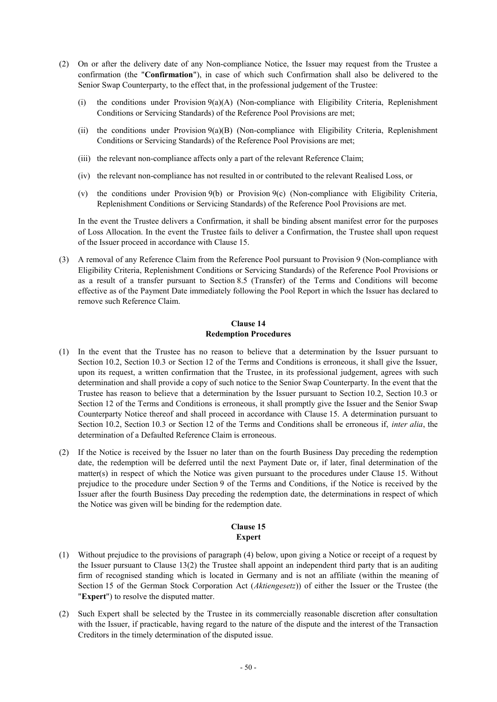- (2) On or after the delivery date of any Non-compliance Notice, the Issuer may request from the Trustee a confirmation (the "**Confirmation**"), in case of which such Confirmation shall also be delivered to the Senior Swap Counterparty, to the effect that, in the professional judgement of the Trustee:
	- (i) the conditions under Provision  $9(a)(A)$  (Non-compliance with Eligibility Criteria, Replenishment Conditions or Servicing Standards) of the Reference Pool Provisions are met;
	- (ii) the conditions under Provision 9(a)(B) (Non-compliance with Eligibility Criteria, Replenishment Conditions or Servicing Standards) of the Reference Pool Provisions are met;
	- (iii) the relevant non-compliance affects only a part of the relevant Reference Claim;
	- (iv) the relevant non-compliance has not resulted in or contributed to the relevant Realised Loss, or
	- (v) the conditions under Provision 9(b) or Provision 9(c) (Non-compliance with Eligibility Criteria, Replenishment Conditions or Servicing Standards) of the Reference Pool Provisions are met.

In the event the Trustee delivers a Confirmation, it shall be binding absent manifest error for the purposes of Loss Allocation. In the event the Trustee fails to deliver a Confirmation, the Trustee shall upon request of the Issuer proceed in accordance with Clause 15.

(3) A removal of any Reference Claim from the Reference Pool pursuant to Provision 9 (Non-compliance with Eligibility Criteria, Replenishment Conditions or Servicing Standards) of the Reference Pool Provisions or as a result of a transfer pursuant to Section 8.5 (Transfer) of the Terms and Conditions will become effective as of the Payment Date immediately following the Pool Report in which the Issuer has declared to remove such Reference Claim.

### **Clause 14 Redemption Procedures**

- (1) In the event that the Trustee has no reason to believe that a determination by the Issuer pursuant to Section 10.2, Section 10.3 or Section 12 of the Terms and Conditions is erroneous, it shall give the Issuer, upon its request, a written confirmation that the Trustee, in its professional judgement, agrees with such determination and shall provide a copy of such notice to the Senior Swap Counterparty. In the event that the Trustee has reason to believe that a determination by the Issuer pursuant to Section 10.2, Section 10.3 or Section 12 of the Terms and Conditions is erroneous, it shall promptly give the Issuer and the Senior Swap Counterparty Notice thereof and shall proceed in accordance with Clause 15. A determination pursuant to Section 10.2, Section 10.3 or Section 12 of the Terms and Conditions shall be erroneous if, *inter alia*, the determination of a Defaulted Reference Claim is erroneous.
- (2) If the Notice is received by the Issuer no later than on the fourth Business Day preceding the redemption date, the redemption will be deferred until the next Payment Date or, if later, final determination of the matter(s) in respect of which the Notice was given pursuant to the procedures under Clause 15. Without prejudice to the procedure under Section 9 of the Terms and Conditions, if the Notice is received by the Issuer after the fourth Business Day preceding the redemption date, the determinations in respect of which the Notice was given will be binding for the redemption date.

## **Clause 15 Expert**

- (1) Without prejudice to the provisions of paragraph (4) below, upon giving a Notice or receipt of a request by the Issuer pursuant to Clause 13(2) the Trustee shall appoint an independent third party that is an auditing firm of recognised standing which is located in Germany and is not an affiliate (within the meaning of Section 15 of the German Stock Corporation Act (*Aktiengesetz*)) of either the Issuer or the Trustee (the "**Expert**") to resolve the disputed matter.
- (2) Such Expert shall be selected by the Trustee in its commercially reasonable discretion after consultation with the Issuer, if practicable, having regard to the nature of the dispute and the interest of the Transaction Creditors in the timely determination of the disputed issue.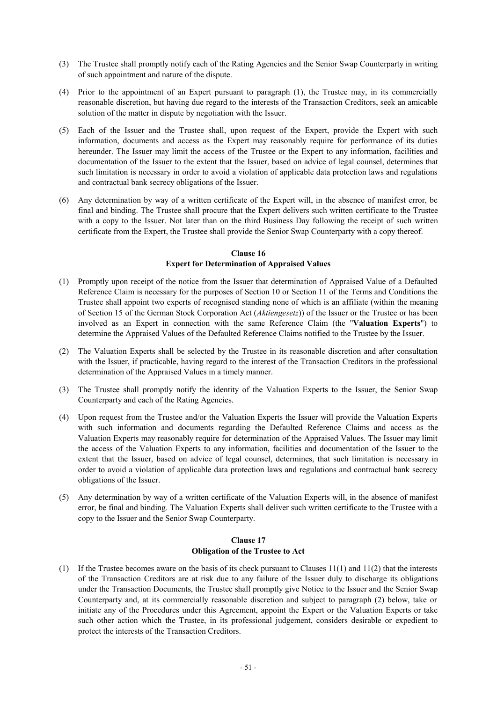- (3) The Trustee shall promptly notify each of the Rating Agencies and the Senior Swap Counterparty in writing of such appointment and nature of the dispute.
- (4) Prior to the appointment of an Expert pursuant to paragraph (1), the Trustee may, in its commercially reasonable discretion, but having due regard to the interests of the Transaction Creditors, seek an amicable solution of the matter in dispute by negotiation with the Issuer.
- (5) Each of the Issuer and the Trustee shall, upon request of the Expert, provide the Expert with such information, documents and access as the Expert may reasonably require for performance of its duties hereunder. The Issuer may limit the access of the Trustee or the Expert to any information, facilities and documentation of the Issuer to the extent that the Issuer, based on advice of legal counsel, determines that such limitation is necessary in order to avoid a violation of applicable data protection laws and regulations and contractual bank secrecy obligations of the Issuer.
- (6) Any determination by way of a written certificate of the Expert will, in the absence of manifest error, be final and binding. The Trustee shall procure that the Expert delivers such written certificate to the Trustee with a copy to the Issuer. Not later than on the third Business Day following the receipt of such written certificate from the Expert, the Trustee shall provide the Senior Swap Counterparty with a copy thereof.

# **Clause 16 Expert for Determination of Appraised Values**

- (1) Promptly upon receipt of the notice from the Issuer that determination of Appraised Value of a Defaulted Reference Claim is necessary for the purposes of Section 10 or Section 11 of the Terms and Conditions the Trustee shall appoint two experts of recognised standing none of which is an affiliate (within the meaning of Section 15 of the German Stock Corporation Act (*Aktiengesetz*)) of the Issuer or the Trustee or has been involved as an Expert in connection with the same Reference Claim (the "**Valuation Experts**") to determine the Appraised Values of the Defaulted Reference Claims notified to the Trustee by the Issuer.
- (2) The Valuation Experts shall be selected by the Trustee in its reasonable discretion and after consultation with the Issuer, if practicable, having regard to the interest of the Transaction Creditors in the professional determination of the Appraised Values in a timely manner.
- (3) The Trustee shall promptly notify the identity of the Valuation Experts to the Issuer, the Senior Swap Counterparty and each of the Rating Agencies.
- (4) Upon request from the Trustee and/or the Valuation Experts the Issuer will provide the Valuation Experts with such information and documents regarding the Defaulted Reference Claims and access as the Valuation Experts may reasonably require for determination of the Appraised Values. The Issuer may limit the access of the Valuation Experts to any information, facilities and documentation of the Issuer to the extent that the Issuer, based on advice of legal counsel, determines, that such limitation is necessary in order to avoid a violation of applicable data protection laws and regulations and contractual bank secrecy obligations of the Issuer.
- (5) Any determination by way of a written certificate of the Valuation Experts will, in the absence of manifest error, be final and binding. The Valuation Experts shall deliver such written certificate to the Trustee with a copy to the Issuer and the Senior Swap Counterparty.

# **Clause 17 Obligation of the Trustee to Act**

(1) If the Trustee becomes aware on the basis of its check pursuant to Clauses 11(1) and 11(2) that the interests of the Transaction Creditors are at risk due to any failure of the Issuer duly to discharge its obligations under the Transaction Documents, the Trustee shall promptly give Notice to the Issuer and the Senior Swap Counterparty and, at its commercially reasonable discretion and subject to paragraph (2) below, take or initiate any of the Procedures under this Agreement, appoint the Expert or the Valuation Experts or take such other action which the Trustee, in its professional judgement, considers desirable or expedient to protect the interests of the Transaction Creditors.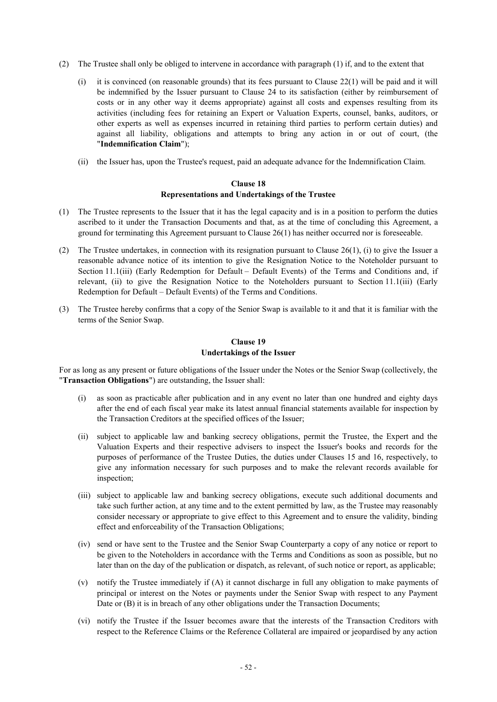- (2) The Trustee shall only be obliged to intervene in accordance with paragraph (1) if, and to the extent that
	- (i) it is convinced (on reasonable grounds) that its fees pursuant to Clause 22(1) will be paid and it will be indemnified by the Issuer pursuant to Clause 24 to its satisfaction (either by reimbursement of costs or in any other way it deems appropriate) against all costs and expenses resulting from its activities (including fees for retaining an Expert or Valuation Experts, counsel, banks, auditors, or other experts as well as expenses incurred in retaining third parties to perform certain duties) and against all liability, obligations and attempts to bring any action in or out of court, (the "**Indemnification Claim**");
	- (ii) the Issuer has, upon the Trustee's request, paid an adequate advance for the Indemnification Claim.

## **Clause 18 Representations and Undertakings of the Trustee**

- (1) The Trustee represents to the Issuer that it has the legal capacity and is in a position to perform the duties ascribed to it under the Transaction Documents and that, as at the time of concluding this Agreement, a ground for terminating this Agreement pursuant to Clause 26(1) has neither occurred nor is foreseeable.
- (2) The Trustee undertakes, in connection with its resignation pursuant to Clause 26(1), (i) to give the Issuer a reasonable advance notice of its intention to give the Resignation Notice to the Noteholder pursuant to Section 11.1(iii) (Early Redemption for Default – Default Events) of the Terms and Conditions and, if relevant, (ii) to give the Resignation Notice to the Noteholders pursuant to Section 11.1(iii) (Early Redemption for Default – Default Events) of the Terms and Conditions.
- (3) The Trustee hereby confirms that a copy of the Senior Swap is available to it and that it is familiar with the terms of the Senior Swap.

## **Clause 19 Undertakings of the Issuer**

For as long as any present or future obligations of the Issuer under the Notes or the Senior Swap (collectively, the "**Transaction Obligations**") are outstanding, the Issuer shall:

- (i) as soon as practicable after publication and in any event no later than one hundred and eighty days after the end of each fiscal year make its latest annual financial statements available for inspection by the Transaction Creditors at the specified offices of the Issuer;
- (ii) subject to applicable law and banking secrecy obligations, permit the Trustee, the Expert and the Valuation Experts and their respective advisers to inspect the Issuer's books and records for the purposes of performance of the Trustee Duties, the duties under Clauses 15 and 16, respectively, to give any information necessary for such purposes and to make the relevant records available for inspection;
- (iii) subject to applicable law and banking secrecy obligations, execute such additional documents and take such further action, at any time and to the extent permitted by law, as the Trustee may reasonably consider necessary or appropriate to give effect to this Agreement and to ensure the validity, binding effect and enforceability of the Transaction Obligations;
- (iv) send or have sent to the Trustee and the Senior Swap Counterparty a copy of any notice or report to be given to the Noteholders in accordance with the Terms and Conditions as soon as possible, but no later than on the day of the publication or dispatch, as relevant, of such notice or report, as applicable;
- (v) notify the Trustee immediately if (A) it cannot discharge in full any obligation to make payments of principal or interest on the Notes or payments under the Senior Swap with respect to any Payment Date or (B) it is in breach of any other obligations under the Transaction Documents;
- (vi) notify the Trustee if the Issuer becomes aware that the interests of the Transaction Creditors with respect to the Reference Claims or the Reference Collateral are impaired or jeopardised by any action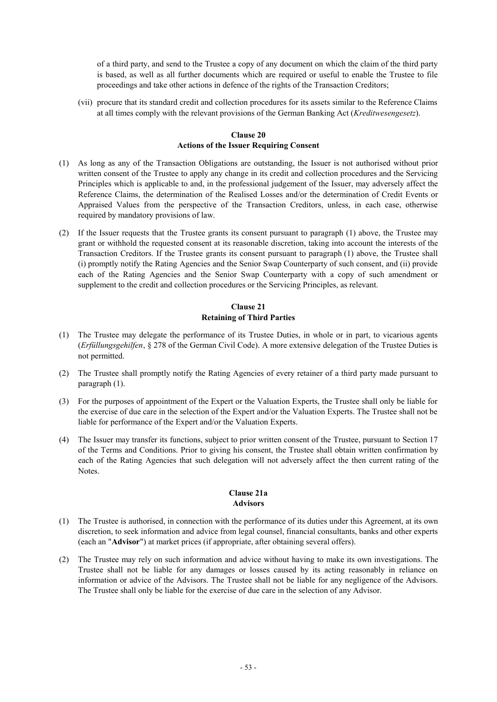of a third party, and send to the Trustee a copy of any document on which the claim of the third party is based, as well as all further documents which are required or useful to enable the Trustee to file proceedings and take other actions in defence of the rights of the Transaction Creditors;

(vii) procure that its standard credit and collection procedures for its assets similar to the Reference Claims at all times comply with the relevant provisions of the German Banking Act (*Kreditwesengesetz*).

### **Clause 20 Actions of the Issuer Requiring Consent**

- (1) As long as any of the Transaction Obligations are outstanding, the Issuer is not authorised without prior written consent of the Trustee to apply any change in its credit and collection procedures and the Servicing Principles which is applicable to and, in the professional judgement of the Issuer, may adversely affect the Reference Claims, the determination of the Realised Losses and/or the determination of Credit Events or Appraised Values from the perspective of the Transaction Creditors, unless, in each case, otherwise required by mandatory provisions of law.
- (2) If the Issuer requests that the Trustee grants its consent pursuant to paragraph (1) above, the Trustee may grant or withhold the requested consent at its reasonable discretion, taking into account the interests of the Transaction Creditors. If the Trustee grants its consent pursuant to paragraph (1) above, the Trustee shall (i) promptly notify the Rating Agencies and the Senior Swap Counterparty of such consent, and (ii) provide each of the Rating Agencies and the Senior Swap Counterparty with a copy of such amendment or supplement to the credit and collection procedures or the Servicing Principles, as relevant.

# **Clause 21 Retaining of Third Parties**

- (1) The Trustee may delegate the performance of its Trustee Duties, in whole or in part, to vicarious agents (*Erfüllungsgehilfen*, § 278 of the German Civil Code). A more extensive delegation of the Trustee Duties is not permitted.
- (2) The Trustee shall promptly notify the Rating Agencies of every retainer of a third party made pursuant to paragraph (1).
- (3) For the purposes of appointment of the Expert or the Valuation Experts, the Trustee shall only be liable for the exercise of due care in the selection of the Expert and/or the Valuation Experts. The Trustee shall not be liable for performance of the Expert and/or the Valuation Experts.
- (4) The Issuer may transfer its functions, subject to prior written consent of the Trustee, pursuant to Section 17 of the Terms and Conditions. Prior to giving his consent, the Trustee shall obtain written confirmation by each of the Rating Agencies that such delegation will not adversely affect the then current rating of the Notes.

## **Clause 21a Advisors**

- (1) The Trustee is authorised, in connection with the performance of its duties under this Agreement, at its own discretion, to seek information and advice from legal counsel, financial consultants, banks and other experts (each an "**Advisor**") at market prices (if appropriate, after obtaining several offers).
- (2) The Trustee may rely on such information and advice without having to make its own investigations. The Trustee shall not be liable for any damages or losses caused by its acting reasonably in reliance on information or advice of the Advisors. The Trustee shall not be liable for any negligence of the Advisors. The Trustee shall only be liable for the exercise of due care in the selection of any Advisor.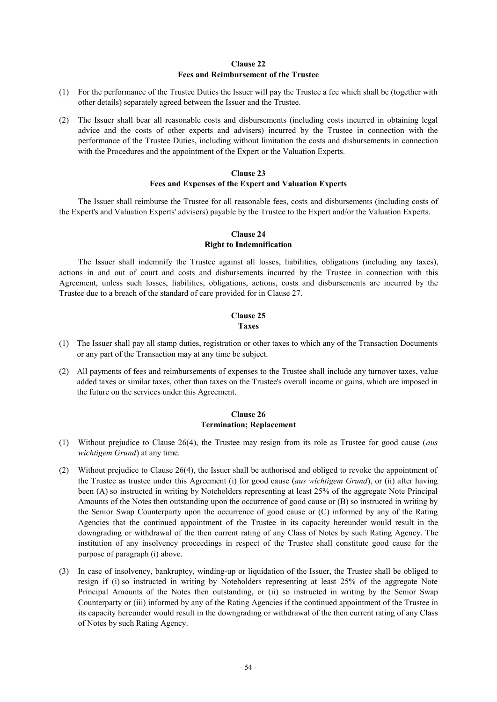### **Clause 22 Fees and Reimbursement of the Trustee**

- (1) For the performance of the Trustee Duties the Issuer will pay the Trustee a fee which shall be (together with other details) separately agreed between the Issuer and the Trustee.
- (2) The Issuer shall bear all reasonable costs and disbursements (including costs incurred in obtaining legal advice and the costs of other experts and advisers) incurred by the Trustee in connection with the performance of the Trustee Duties, including without limitation the costs and disbursements in connection with the Procedures and the appointment of the Expert or the Valuation Experts.

#### **Clause 23 Fees and Expenses of the Expert and Valuation Experts**

The Issuer shall reimburse the Trustee for all reasonable fees, costs and disbursements (including costs of the Expert's and Valuation Experts' advisers) payable by the Trustee to the Expert and/or the Valuation Experts.

# **Clause 24 Right to Indemnification**

The Issuer shall indemnify the Trustee against all losses, liabilities, obligations (including any taxes), actions in and out of court and costs and disbursements incurred by the Trustee in connection with this Agreement, unless such losses, liabilities, obligations, actions, costs and disbursements are incurred by the Trustee due to a breach of the standard of care provided for in Clause 27.

# **Clause 25 Taxes**

- (1) The Issuer shall pay all stamp duties, registration or other taxes to which any of the Transaction Documents or any part of the Transaction may at any time be subject.
- (2) All payments of fees and reimbursements of expenses to the Trustee shall include any turnover taxes, value added taxes or similar taxes, other than taxes on the Trustee's overall income or gains, which are imposed in the future on the services under this Agreement.

### **Clause 26 Termination; Replacement**

- (1) Without prejudice to Clause 26(4), the Trustee may resign from its role as Trustee for good cause (*aus wichtigem Grund*) at any time.
- (2) Without prejudice to Clause 26(4), the Issuer shall be authorised and obliged to revoke the appointment of the Trustee as trustee under this Agreement (i) for good cause (*aus wichtigem Grund*), or (ii) after having been (A) so instructed in writing by Noteholders representing at least 25% of the aggregate Note Principal Amounts of the Notes then outstanding upon the occurrence of good cause or (B) so instructed in writing by the Senior Swap Counterparty upon the occurrence of good cause or (C) informed by any of the Rating Agencies that the continued appointment of the Trustee in its capacity hereunder would result in the downgrading or withdrawal of the then current rating of any Class of Notes by such Rating Agency. The institution of any insolvency proceedings in respect of the Trustee shall constitute good cause for the purpose of paragraph (i) above.
- (3) In case of insolvency, bankruptcy, winding-up or liquidation of the Issuer, the Trustee shall be obliged to resign if (i) so instructed in writing by Noteholders representing at least 25% of the aggregate Note Principal Amounts of the Notes then outstanding, or (ii) so instructed in writing by the Senior Swap Counterparty or (iii) informed by any of the Rating Agencies if the continued appointment of the Trustee in its capacity hereunder would result in the downgrading or withdrawal of the then current rating of any Class of Notes by such Rating Agency.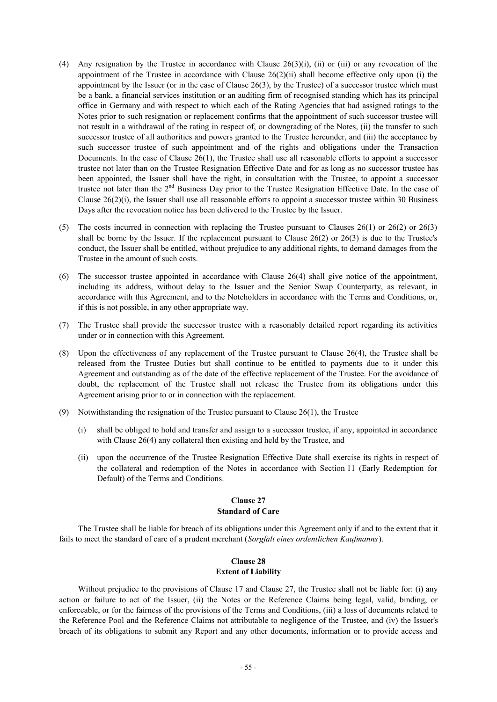- (4) Any resignation by the Trustee in accordance with Clause  $26(3)(i)$ , (ii) or (iii) or any revocation of the appointment of the Trustee in accordance with Clause  $26(2)(ii)$  shall become effective only upon (i) the appointment by the Issuer (or in the case of Clause 26(3), by the Trustee) of a successor trustee which must be a bank, a financial services institution or an auditing firm of recognised standing which has its principal office in Germany and with respect to which each of the Rating Agencies that had assigned ratings to the Notes prior to such resignation or replacement confirms that the appointment of such successor trustee will not result in a withdrawal of the rating in respect of, or downgrading of the Notes, (ii) the transfer to such successor trustee of all authorities and powers granted to the Trustee hereunder, and (iii) the acceptance by such successor trustee of such appointment and of the rights and obligations under the Transaction Documents. In the case of Clause 26(1), the Trustee shall use all reasonable efforts to appoint a successor trustee not later than on the Trustee Resignation Effective Date and for as long as no successor trustee has been appointed, the Issuer shall have the right, in consultation with the Trustee, to appoint a successor trustee not later than the  $2<sup>nd</sup>$  Business Day prior to the Trustee Resignation Effective Date. In the case of Clause  $26(2)(i)$ , the Issuer shall use all reasonable efforts to appoint a successor trustee within 30 Business Days after the revocation notice has been delivered to the Trustee by the Issuer.
- (5) The costs incurred in connection with replacing the Trustee pursuant to Clauses 26(1) or 26(2) or 26(3) shall be borne by the Issuer. If the replacement pursuant to Clause  $26(2)$  or  $26(3)$  is due to the Trustee's conduct, the Issuer shall be entitled, without prejudice to any additional rights, to demand damages from the Trustee in the amount of such costs.
- (6) The successor trustee appointed in accordance with Clause 26(4) shall give notice of the appointment, including its address, without delay to the Issuer and the Senior Swap Counterparty, as relevant, in accordance with this Agreement, and to the Noteholders in accordance with the Terms and Conditions, or, if this is not possible, in any other appropriate way.
- (7) The Trustee shall provide the successor trustee with a reasonably detailed report regarding its activities under or in connection with this Agreement.
- (8) Upon the effectiveness of any replacement of the Trustee pursuant to Clause 26(4), the Trustee shall be released from the Trustee Duties but shall continue to be entitled to payments due to it under this Agreement and outstanding as of the date of the effective replacement of the Trustee. For the avoidance of doubt, the replacement of the Trustee shall not release the Trustee from its obligations under this Agreement arising prior to or in connection with the replacement.
- (9) Notwithstanding the resignation of the Trustee pursuant to Clause 26(1), the Trustee
	- (i) shall be obliged to hold and transfer and assign to a successor trustee, if any, appointed in accordance with Clause 26(4) any collateral then existing and held by the Trustee, and
	- (ii) upon the occurrence of the Trustee Resignation Effective Date shall exercise its rights in respect of the collateral and redemption of the Notes in accordance with Section 11 (Early Redemption for Default) of the Terms and Conditions.

#### **Clause 27 Standard of Care**

The Trustee shall be liable for breach of its obligations under this Agreement only if and to the extent that it fails to meet the standard of care of a prudent merchant (*Sorgfalt eines ordentlichen Kaufmanns*).

# **Clause 28 Extent of Liability**

Without prejudice to the provisions of Clause 17 and Clause 27, the Trustee shall not be liable for: (i) any action or failure to act of the Issuer, (ii) the Notes or the Reference Claims being legal, valid, binding, or enforceable, or for the fairness of the provisions of the Terms and Conditions, (iii) a loss of documents related to the Reference Pool and the Reference Claims not attributable to negligence of the Trustee, and (iv) the Issuer's breach of its obligations to submit any Report and any other documents, information or to provide access and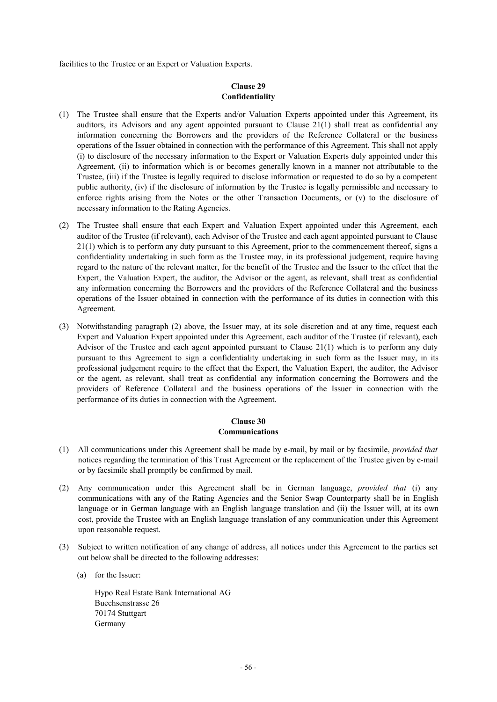facilities to the Trustee or an Expert or Valuation Experts.

## **Clause 29 Confidentiality**

- (1) The Trustee shall ensure that the Experts and/or Valuation Experts appointed under this Agreement, its auditors, its Advisors and any agent appointed pursuant to Clause 21(1) shall treat as confidential any information concerning the Borrowers and the providers of the Reference Collateral or the business operations of the Issuer obtained in connection with the performance of this Agreement. This shall not apply (i) to disclosure of the necessary information to the Expert or Valuation Experts duly appointed under this Agreement, (ii) to information which is or becomes generally known in a manner not attributable to the Trustee, (iii) if the Trustee is legally required to disclose information or requested to do so by a competent public authority, (iv) if the disclosure of information by the Trustee is legally permissible and necessary to enforce rights arising from the Notes or the other Transaction Documents, or (v) to the disclosure of necessary information to the Rating Agencies.
- (2) The Trustee shall ensure that each Expert and Valuation Expert appointed under this Agreement, each auditor of the Trustee (if relevant), each Advisor of the Trustee and each agent appointed pursuant to Clause 21(1) which is to perform any duty pursuant to this Agreement, prior to the commencement thereof, signs a confidentiality undertaking in such form as the Trustee may, in its professional judgement, require having regard to the nature of the relevant matter, for the benefit of the Trustee and the Issuer to the effect that the Expert, the Valuation Expert, the auditor, the Advisor or the agent, as relevant, shall treat as confidential any information concerning the Borrowers and the providers of the Reference Collateral and the business operations of the Issuer obtained in connection with the performance of its duties in connection with this Agreement.
- (3) Notwithstanding paragraph (2) above, the Issuer may, at its sole discretion and at any time, request each Expert and Valuation Expert appointed under this Agreement, each auditor of the Trustee (if relevant), each Advisor of the Trustee and each agent appointed pursuant to Clause 21(1) which is to perform any duty pursuant to this Agreement to sign a confidentiality undertaking in such form as the Issuer may, in its professional judgement require to the effect that the Expert, the Valuation Expert, the auditor, the Advisor or the agent, as relevant, shall treat as confidential any information concerning the Borrowers and the providers of Reference Collateral and the business operations of the Issuer in connection with the performance of its duties in connection with the Agreement.

# **Clause 30 Communications**

- (1) All communications under this Agreement shall be made by e-mail, by mail or by facsimile, *provided that* notices regarding the termination of this Trust Agreement or the replacement of the Trustee given by e-mail or by facsimile shall promptly be confirmed by mail.
- (2) Any communication under this Agreement shall be in German language, *provided that* (i) any communications with any of the Rating Agencies and the Senior Swap Counterparty shall be in English language or in German language with an English language translation and (ii) the Issuer will, at its own cost, provide the Trustee with an English language translation of any communication under this Agreement upon reasonable request.
- (3) Subject to written notification of any change of address, all notices under this Agreement to the parties set out below shall be directed to the following addresses:
	- (a) for the Issuer:

Hypo Real Estate Bank International AG Buechsenstrasse 26 70174 Stuttgart Germany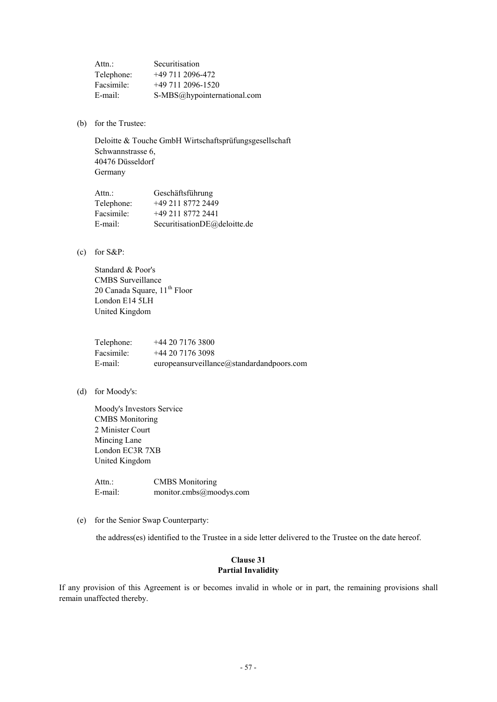| Attn.:     | Securitisation              |
|------------|-----------------------------|
| Telephone: | $+497112096-472$            |
| Facsimile: | +49 711 2096-1520           |
| E-mail:    | S-MBS@hypointernational.com |

(b) for the Trustee:

Deloitte & Touche GmbH Wirtschaftsprüfungsgesellschaft Schwannstrasse 6, 40476 Düsseldorf Germany

| Attn.:     | Geschäftsführung             |
|------------|------------------------------|
| Telephone: | +49 211 8772 2449            |
| Facsimile: | +49 211 8772 2441            |
| E-mail:    | SecuritisationDE@deloitte.de |

(c) for S&P:

Standard & Poor's CMBS Surveillance 20 Canada Square, 11<sup>th</sup> Floor London E14 5LH United Kingdom

| Telephone: | $+442071763800$                               |
|------------|-----------------------------------------------|
| Facsimile: | +44 20 7176 3098                              |
| E-mail:    | europeansurveillance $@$ standardandpoors.com |

(d) for Moody's:

Moody's Investors Service CMBS Monitoring 2 Minister Court Mincing Lane London EC3R 7XB United Kingdom

Attn.: CMBS Monitoring E-mail: monitor.cmbs@moodys.com

(e) for the Senior Swap Counterparty:

the address(es) identified to the Trustee in a side letter delivered to the Trustee on the date hereof.

# **Clause 31 Partial Invalidity**

If any provision of this Agreement is or becomes invalid in whole or in part, the remaining provisions shall remain unaffected thereby.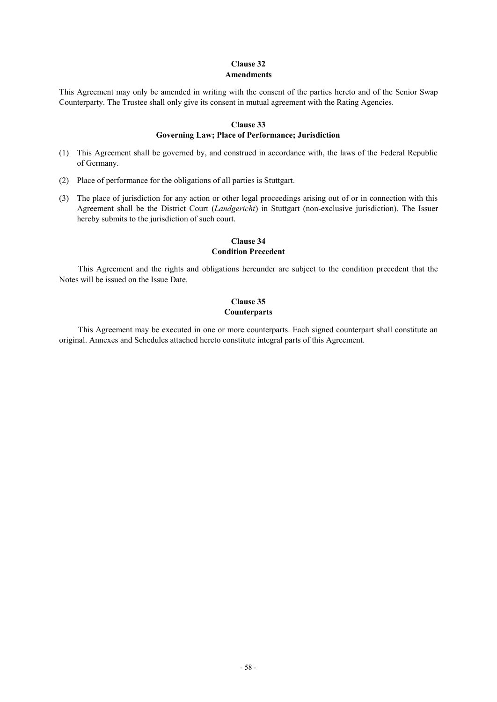### **Clause 32 Amendments**

This Agreement may only be amended in writing with the consent of the parties hereto and of the Senior Swap Counterparty. The Trustee shall only give its consent in mutual agreement with the Rating Agencies.

## **Clause 33 Governing Law; Place of Performance; Jurisdiction**

- (1) This Agreement shall be governed by, and construed in accordance with, the laws of the Federal Republic of Germany.
- (2) Place of performance for the obligations of all parties is Stuttgart.
- (3) The place of jurisdiction for any action or other legal proceedings arising out of or in connection with this Agreement shall be the District Court (*Landgericht*) in Stuttgart (non-exclusive jurisdiction). The Issuer hereby submits to the jurisdiction of such court.

# **Clause 34 Condition Precedent**

This Agreement and the rights and obligations hereunder are subject to the condition precedent that the Notes will be issued on the Issue Date.

# **Clause 35 Counterparts**

This Agreement may be executed in one or more counterparts. Each signed counterpart shall constitute an original. Annexes and Schedules attached hereto constitute integral parts of this Agreement.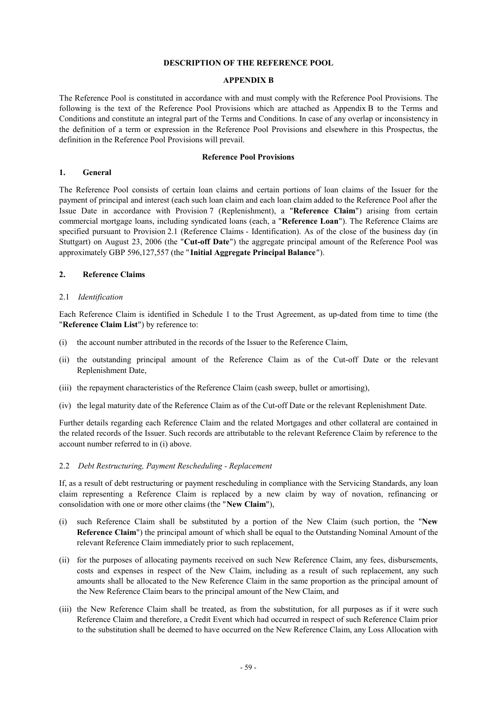#### **DESCRIPTION OF THE REFERENCE POOL**

#### **APPENDIX B**

The Reference Pool is constituted in accordance with and must comply with the Reference Pool Provisions. The following is the text of the Reference Pool Provisions which are attached as Appendix B to the Terms and Conditions and constitute an integral part of the Terms and Conditions. In case of any overlap or inconsistency in the definition of a term or expression in the Reference Pool Provisions and elsewhere in this Prospectus, the definition in the Reference Pool Provisions will prevail.

#### **Reference Pool Provisions**

#### **1. General**

The Reference Pool consists of certain loan claims and certain portions of loan claims of the Issuer for the payment of principal and interest (each such loan claim and each loan claim added to the Reference Pool after the Issue Date in accordance with Provision 7 (Replenishment), a "**Reference Claim**") arising from certain commercial mortgage loans, including syndicated loans (each, a "**Reference Loan**"). The Reference Claims are specified pursuant to Provision 2.1 (Reference Claims - Identification). As of the close of the business day (in Stuttgart) on August 23, 2006 (the "**Cut-off Date**") the aggregate principal amount of the Reference Pool was approximately GBP 596,127,557 (the " **Initial Aggregate Principal Balance**").

### **2. Reference Claims**

#### 2.1 *Identification*

Each Reference Claim is identified in Schedule 1 to the Trust Agreement, as up-dated from time to time (the "**Reference Claim List**") by reference to:

- (i) the account number attributed in the records of the Issuer to the Reference Claim,
- (ii) the outstanding principal amount of the Reference Claim as of the Cut-off Date or the relevant Replenishment Date,
- (iii) the repayment characteristics of the Reference Claim (cash sweep, bullet or amortising),
- (iv) the legal maturity date of the Reference Claim as of the Cut-off Date or the relevant Replenishment Date.

Further details regarding each Reference Claim and the related Mortgages and other collateral are contained in the related records of the Issuer. Such records are attributable to the relevant Reference Claim by reference to the account number referred to in (i) above.

### 2.2 *Debt Restructuring, Payment Rescheduling - Replacement*

If, as a result of debt restructuring or payment rescheduling in compliance with the Servicing Standards, any loan claim representing a Reference Claim is replaced by a new claim by way of novation, refinancing or consolidation with one or more other claims (the "**New Claim**"),

- (i) such Reference Claim shall be substituted by a portion of the New Claim (such portion, the "**New Reference Claim**") the principal amount of which shall be equal to the Outstanding Nominal Amount of the relevant Reference Claim immediately prior to such replacement,
- (ii) for the purposes of allocating payments received on such New Reference Claim, any fees, disbursements, costs and expenses in respect of the New Claim, including as a result of such replacement, any such amounts shall be allocated to the New Reference Claim in the same proportion as the principal amount of the New Reference Claim bears to the principal amount of the New Claim, and
- (iii) the New Reference Claim shall be treated, as from the substitution, for all purposes as if it were such Reference Claim and therefore, a Credit Event which had occurred in respect of such Reference Claim prior to the substitution shall be deemed to have occurred on the New Reference Claim, any Loss Allocation with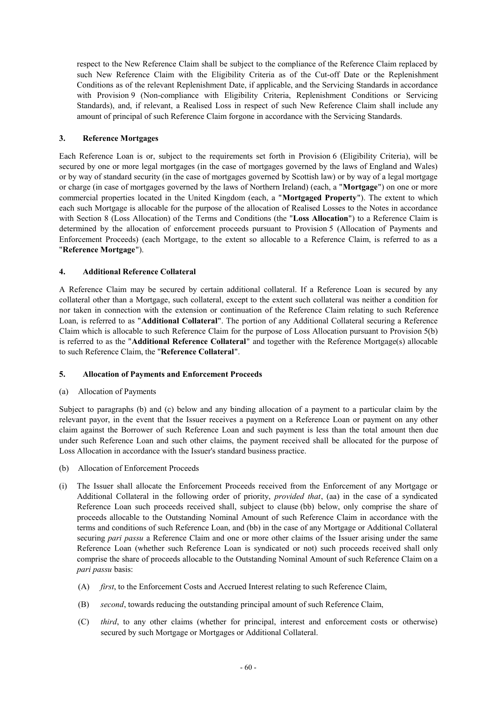respect to the New Reference Claim shall be subject to the compliance of the Reference Claim replaced by such New Reference Claim with the Eligibility Criteria as of the Cut-off Date or the Replenishment Conditions as of the relevant Replenishment Date, if applicable, and the Servicing Standards in accordance with Provision 9 (Non-compliance with Eligibility Criteria, Replenishment Conditions or Servicing Standards), and, if relevant, a Realised Loss in respect of such New Reference Claim shall include any amount of principal of such Reference Claim forgone in accordance with the Servicing Standards.

# **3. Reference Mortgages**

Each Reference Loan is or, subject to the requirements set forth in Provision 6 (Eligibility Criteria), will be secured by one or more legal mortgages (in the case of mortgages governed by the laws of England and Wales) or by way of standard security (in the case of mortgages governed by Scottish law) or by way of a legal mortgage or charge (in case of mortgages governed by the laws of Northern Ireland) (each, a "**Mortgage**") on one or more commercial properties located in the United Kingdom (each, a "**Mortgaged Property**"). The extent to which each such Mortgage is allocable for the purpose of the allocation of Realised Losses to the Notes in accordance with Section 8 (Loss Allocation) of the Terms and Conditions (the "**Loss Allocation**") to a Reference Claim is determined by the allocation of enforcement proceeds pursuant to Provision 5 (Allocation of Payments and Enforcement Proceeds) (each Mortgage, to the extent so allocable to a Reference Claim, is referred to as a "**Reference Mortgage**").

## **4. Additional Reference Collateral**

A Reference Claim may be secured by certain additional collateral. If a Reference Loan is secured by any collateral other than a Mortgage, such collateral, except to the extent such collateral was neither a condition for nor taken in connection with the extension or continuation of the Reference Claim relating to such Reference Loan, is referred to as "**Additional Collateral**". The portion of any Additional Collateral securing a Reference Claim which is allocable to such Reference Claim for the purpose of Loss Allocation pursuant to Provision 5(b) is referred to as the "**Additional Reference Collateral**" and together with the Reference Mortgage(s) allocable to such Reference Claim, the "**Reference Collateral**".

### **5. Allocation of Payments and Enforcement Proceeds**

### (a) Allocation of Payments

Subject to paragraphs (b) and (c) below and any binding allocation of a payment to a particular claim by the relevant payor, in the event that the Issuer receives a payment on a Reference Loan or payment on any other claim against the Borrower of such Reference Loan and such payment is less than the total amount then due under such Reference Loan and such other claims, the payment received shall be allocated for the purpose of Loss Allocation in accordance with the Issuer's standard business practice.

- (b) Allocation of Enforcement Proceeds
- (i) The Issuer shall allocate the Enforcement Proceeds received from the Enforcement of any Mortgage or Additional Collateral in the following order of priority, *provided that*, (aa) in the case of a syndicated Reference Loan such proceeds received shall, subject to clause (bb) below, only comprise the share of proceeds allocable to the Outstanding Nominal Amount of such Reference Claim in accordance with the terms and conditions of such Reference Loan, and (bb) in the case of any Mortgage or Additional Collateral securing *pari passu* a Reference Claim and one or more other claims of the Issuer arising under the same Reference Loan (whether such Reference Loan is syndicated or not) such proceeds received shall only comprise the share of proceeds allocable to the Outstanding Nominal Amount of such Reference Claim on a *pari passu* basis:
	- (A) *first*, to the Enforcement Costs and Accrued Interest relating to such Reference Claim,
	- (B) *second*, towards reducing the outstanding principal amount of such Reference Claim,
	- (C) *third*, to any other claims (whether for principal, interest and enforcement costs or otherwise) secured by such Mortgage or Mortgages or Additional Collateral.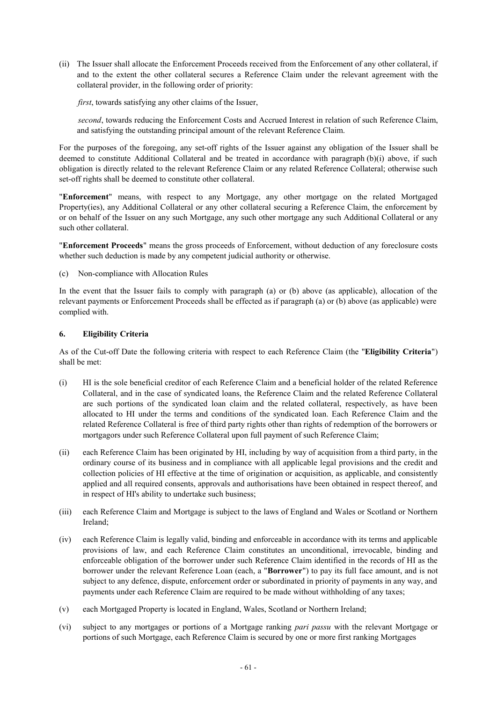(ii) The Issuer shall allocate the Enforcement Proceeds received from the Enforcement of any other collateral, if and to the extent the other collateral secures a Reference Claim under the relevant agreement with the collateral provider, in the following order of priority:

*first*, towards satisfying any other claims of the Issuer,

*second*, towards reducing the Enforcement Costs and Accrued Interest in relation of such Reference Claim, and satisfying the outstanding principal amount of the relevant Reference Claim.

For the purposes of the foregoing, any set-off rights of the Issuer against any obligation of the Issuer shall be deemed to constitute Additional Collateral and be treated in accordance with paragraph (b)(i) above, if such obligation is directly related to the relevant Reference Claim or any related Reference Collateral; otherwise such set-off rights shall be deemed to constitute other collateral.

"**Enforcement**" means, with respect to any Mortgage, any other mortgage on the related Mortgaged Property(ies), any Additional Collateral or any other collateral securing a Reference Claim, the enforcement by or on behalf of the Issuer on any such Mortgage, any such other mortgage any such Additional Collateral or any such other collateral.

"**Enforcement Proceeds**" means the gross proceeds of Enforcement, without deduction of any foreclosure costs whether such deduction is made by any competent judicial authority or otherwise.

(c) Non-compliance with Allocation Rules

In the event that the Issuer fails to comply with paragraph (a) or (b) above (as applicable), allocation of the relevant payments or Enforcement Proceeds shall be effected as if paragraph (a) or (b) above (as applicable) were complied with.

## **6. Eligibility Criteria**

As of the Cut-off Date the following criteria with respect to each Reference Claim (the "**Eligibility Criteria**") shall be met:

- (i) HI is the sole beneficial creditor of each Reference Claim and a beneficial holder of the related Reference Collateral, and in the case of syndicated loans, the Reference Claim and the related Reference Collateral are such portions of the syndicated loan claim and the related collateral, respectively, as have been allocated to HI under the terms and conditions of the syndicated loan. Each Reference Claim and the related Reference Collateral is free of third party rights other than rights of redemption of the borrowers or mortgagors under such Reference Collateral upon full payment of such Reference Claim;
- (ii) each Reference Claim has been originated by HI, including by way of acquisition from a third party, in the ordinary course of its business and in compliance with all applicable legal provisions and the credit and collection policies of HI effective at the time of origination or acquisition, as applicable, and consistently applied and all required consents, approvals and authorisations have been obtained in respect thereof, and in respect of HI's ability to undertake such business;
- (iii) each Reference Claim and Mortgage is subject to the laws of England and Wales or Scotland or Northern Ireland;
- (iv) each Reference Claim is legally valid, binding and enforceable in accordance with its terms and applicable provisions of law, and each Reference Claim constitutes an unconditional, irrevocable, binding and enforceable obligation of the borrower under such Reference Claim identified in the records of HI as the borrower under the relevant Reference Loan (each, a "**Borrower**") to pay its full face amount, and is not subject to any defence, dispute, enforcement order or subordinated in priority of payments in any way, and payments under each Reference Claim are required to be made without withholding of any taxes;
- (v) each Mortgaged Property is located in England, Wales, Scotland or Northern Ireland;
- (vi) subject to any mortgages or portions of a Mortgage ranking *pari passu* with the relevant Mortgage or portions of such Mortgage, each Reference Claim is secured by one or more first ranking Mortgages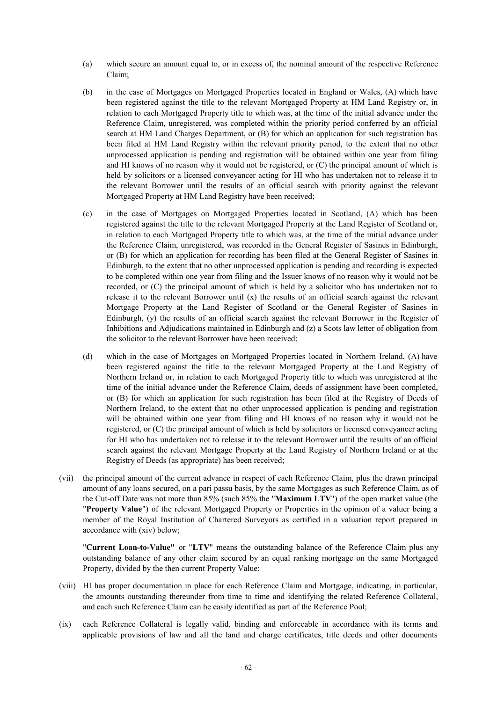- (a) which secure an amount equal to, or in excess of, the nominal amount of the respective Reference Claim;
- (b) in the case of Mortgages on Mortgaged Properties located in England or Wales, (A) which have been registered against the title to the relevant Mortgaged Property at HM Land Registry or, in relation to each Mortgaged Property title to which was, at the time of the initial advance under the Reference Claim, unregistered, was completed within the priority period conferred by an official search at HM Land Charges Department, or (B) for which an application for such registration has been filed at HM Land Registry within the relevant priority period, to the extent that no other unprocessed application is pending and registration will be obtained within one year from filing and HI knows of no reason why it would not be registered, or (C) the principal amount of which is held by solicitors or a licensed conveyancer acting for HI who has undertaken not to release it to the relevant Borrower until the results of an official search with priority against the relevant Mortgaged Property at HM Land Registry have been received;
- (c) in the case of Mortgages on Mortgaged Properties located in Scotland, (A) which has been registered against the title to the relevant Mortgaged Property at the Land Register of Scotland or, in relation to each Mortgaged Property title to which was, at the time of the initial advance under the Reference Claim, unregistered, was recorded in the General Register of Sasines in Edinburgh, or (B) for which an application for recording has been filed at the General Register of Sasines in Edinburgh, to the extent that no other unprocessed application is pending and recording is expected to be completed within one year from filing and the Issuer knows of no reason why it would not be recorded, or (C) the principal amount of which is held by a solicitor who has undertaken not to release it to the relevant Borrower until  $(x)$  the results of an official search against the relevant Mortgage Property at the Land Register of Scotland or the General Register of Sasines in Edinburgh, (y) the results of an official search against the relevant Borrower in the Register of Inhibitions and Adjudications maintained in Edinburgh and (z) a Scots law letter of obligation from the solicitor to the relevant Borrower have been received;
- (d) which in the case of Mortgages on Mortgaged Properties located in Northern Ireland, (A) have been registered against the title to the relevant Mortgaged Property at the Land Registry of Northern Ireland or, in relation to each Mortgaged Property title to which was unregistered at the time of the initial advance under the Reference Claim, deeds of assignment have been completed, or (B) for which an application for such registration has been filed at the Registry of Deeds of Northern Ireland, to the extent that no other unprocessed application is pending and registration will be obtained within one year from filing and HI knows of no reason why it would not be registered, or (C) the principal amount of which is held by solicitors or licensed conveyancer acting for HI who has undertaken not to release it to the relevant Borrower until the results of an official search against the relevant Mortgage Property at the Land Registry of Northern Ireland or at the Registry of Deeds (as appropriate) has been received;
- (vii) the principal amount of the current advance in respect of each Reference Claim, plus the drawn principal amount of any loans secured, on a pari passu basis, by the same Mortgages as such Reference Claim, as of the Cut-off Date was not more than 85% (such 85% the "**Maximum LTV**") of the open market value (the "**Property Value**") of the relevant Mortgaged Property or Properties in the opinion of a valuer being a member of the Royal Institution of Chartered Surveyors as certified in a valuation report prepared in accordance with (xiv) below;

"**Current Loan-to-Value"** or "**LTV**" means the outstanding balance of the Reference Claim plus any outstanding balance of any other claim secured by an equal ranking mortgage on the same Mortgaged Property, divided by the then current Property Value;

- (viii) HI has proper documentation in place for each Reference Claim and Mortgage, indicating, in particular, the amounts outstanding thereunder from time to time and identifying the related Reference Collateral, and each such Reference Claim can be easily identified as part of the Reference Pool;
- (ix) each Reference Collateral is legally valid, binding and enforceable in accordance with its terms and applicable provisions of law and all the land and charge certificates, title deeds and other documents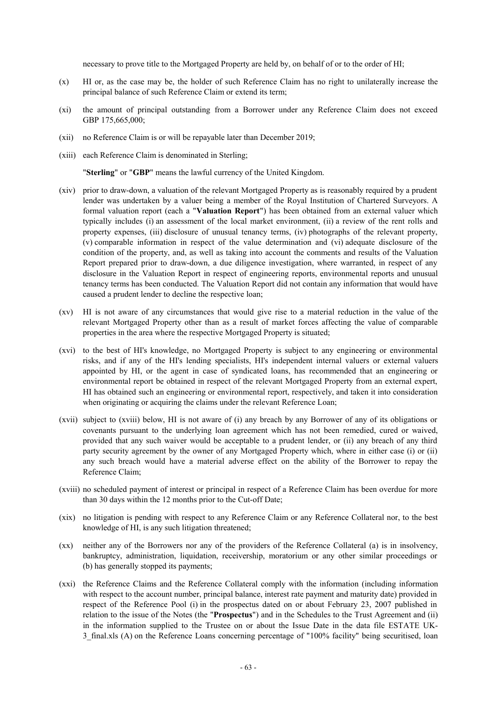necessary to prove title to the Mortgaged Property are held by, on behalf of or to the order of HI;

- (x) HI or, as the case may be, the holder of such Reference Claim has no right to unilaterally increase the principal balance of such Reference Claim or extend its term;
- (xi) the amount of principal outstanding from a Borrower under any Reference Claim does not exceed GBP 175,665,000;
- (xii) no Reference Claim is or will be repayable later than December 2019;
- (xiii) each Reference Claim is denominated in Sterling;

"**Sterling**" or "**GBP**" means the lawful currency of the United Kingdom.

- (xiv) prior to draw-down, a valuation of the relevant Mortgaged Property as is reasonably required by a prudent lender was undertaken by a valuer being a member of the Royal Institution of Chartered Surveyors. A formal valuation report (each a "**Valuation Report**") has been obtained from an external valuer which typically includes (i) an assessment of the local market environment, (ii) a review of the rent rolls and property expenses, (iii) disclosure of unusual tenancy terms, (iv) photographs of the relevant property, (v) comparable information in respect of the value determination and (vi) adequate disclosure of the condition of the property, and, as well as taking into account the comments and results of the Valuation Report prepared prior to draw-down, a due diligence investigation, where warranted, in respect of any disclosure in the Valuation Report in respect of engineering reports, environmental reports and unusual tenancy terms has been conducted. The Valuation Report did not contain any information that would have caused a prudent lender to decline the respective loan;
- (xv) HI is not aware of any circumstances that would give rise to a material reduction in the value of the relevant Mortgaged Property other than as a result of market forces affecting the value of comparable properties in the area where the respective Mortgaged Property is situated;
- (xvi) to the best of HI's knowledge, no Mortgaged Property is subject to any engineering or environmental risks, and if any of the HI's lending specialists, HI's independent internal valuers or external valuers appointed by HI, or the agent in case of syndicated loans, has recommended that an engineering or environmental report be obtained in respect of the relevant Mortgaged Property from an external expert, HI has obtained such an engineering or environmental report, respectively, and taken it into consideration when originating or acquiring the claims under the relevant Reference Loan;
- (xvii) subject to (xviii) below, HI is not aware of (i) any breach by any Borrower of any of its obligations or covenants pursuant to the underlying loan agreement which has not been remedied, cured or waived, provided that any such waiver would be acceptable to a prudent lender, or (ii) any breach of any third party security agreement by the owner of any Mortgaged Property which, where in either case (i) or (ii) any such breach would have a material adverse effect on the ability of the Borrower to repay the Reference Claim;
- (xviii) no scheduled payment of interest or principal in respect of a Reference Claim has been overdue for more than 30 days within the 12 months prior to the Cut-off Date;
- (xix) no litigation is pending with respect to any Reference Claim or any Reference Collateral nor, to the best knowledge of HI, is any such litigation threatened;
- (xx) neither any of the Borrowers nor any of the providers of the Reference Collateral (a) is in insolvency, bankruptcy, administration, liquidation, receivership, moratorium or any other similar proceedings or (b) has generally stopped its payments;
- (xxi) the Reference Claims and the Reference Collateral comply with the information (including information with respect to the account number, principal balance, interest rate payment and maturity date) provided in respect of the Reference Pool (i) in the prospectus dated on or about February 23, 2007 published in relation to the issue of the Notes (the "**Prospectus**") and in the Schedules to the Trust Agreement and (ii) in the information supplied to the Trustee on or about the Issue Date in the data file ESTATE UK-3\_final.xls (A) on the Reference Loans concerning percentage of "100% facility" being securitised, loan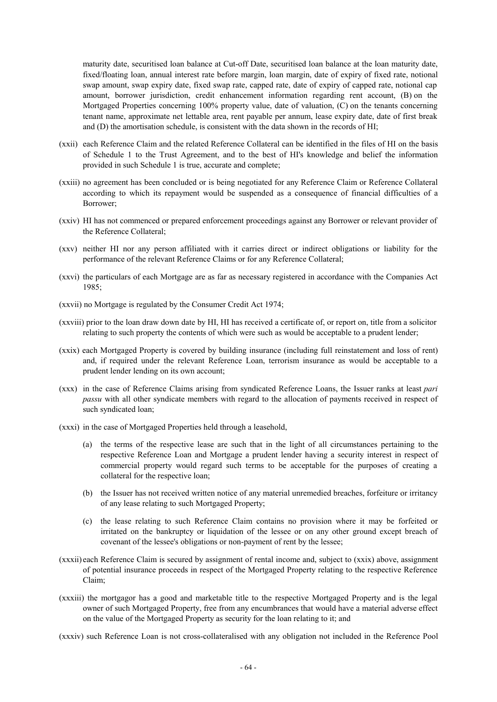maturity date, securitised loan balance at Cut-off Date, securitised loan balance at the loan maturity date, fixed/floating loan, annual interest rate before margin, loan margin, date of expiry of fixed rate, notional swap amount, swap expiry date, fixed swap rate, capped rate, date of expiry of capped rate, notional cap amount, borrower jurisdiction, credit enhancement information regarding rent account, (B) on the Mortgaged Properties concerning 100% property value, date of valuation, (C) on the tenants concerning tenant name, approximate net lettable area, rent payable per annum, lease expiry date, date of first break and (D) the amortisation schedule, is consistent with the data shown in the records of HI;

- (xxii) each Reference Claim and the related Reference Collateral can be identified in the files of HI on the basis of Schedule 1 to the Trust Agreement, and to the best of HI's knowledge and belief the information provided in such Schedule 1 is true, accurate and complete;
- (xxiii) no agreement has been concluded or is being negotiated for any Reference Claim or Reference Collateral according to which its repayment would be suspended as a consequence of financial difficulties of a Borrower;
- (xxiv) HI has not commenced or prepared enforcement proceedings against any Borrower or relevant provider of the Reference Collateral;
- (xxv) neither HI nor any person affiliated with it carries direct or indirect obligations or liability for the performance of the relevant Reference Claims or for any Reference Collateral;
- (xxvi) the particulars of each Mortgage are as far as necessary registered in accordance with the Companies Act 1985;
- (xxvii) no Mortgage is regulated by the Consumer Credit Act 1974;
- (xxviii) prior to the loan draw down date by HI, HI has received a certificate of, or report on, title from a solicitor relating to such property the contents of which were such as would be acceptable to a prudent lender;
- (xxix) each Mortgaged Property is covered by building insurance (including full reinstatement and loss of rent) and, if required under the relevant Reference Loan, terrorism insurance as would be acceptable to a prudent lender lending on its own account;
- (xxx) in the case of Reference Claims arising from syndicated Reference Loans, the Issuer ranks at least *pari passu* with all other syndicate members with regard to the allocation of payments received in respect of such syndicated loan;
- (xxxi) in the case of Mortgaged Properties held through a leasehold,
	- (a) the terms of the respective lease are such that in the light of all circumstances pertaining to the respective Reference Loan and Mortgage a prudent lender having a security interest in respect of commercial property would regard such terms to be acceptable for the purposes of creating a collateral for the respective loan;
	- (b) the Issuer has not received written notice of any material unremedied breaches, forfeiture or irritancy of any lease relating to such Mortgaged Property;
	- (c) the lease relating to such Reference Claim contains no provision where it may be forfeited or irritated on the bankruptcy or liquidation of the lessee or on any other ground except breach of covenant of the lessee's obligations or non-payment of rent by the lessee;
- (xxxii) each Reference Claim is secured by assignment of rental income and, subject to (xxix) above, assignment of potential insurance proceeds in respect of the Mortgaged Property relating to the respective Reference Claim;
- (xxxiii) the mortgagor has a good and marketable title to the respective Mortgaged Property and is the legal owner of such Mortgaged Property, free from any encumbrances that would have a material adverse effect on the value of the Mortgaged Property as security for the loan relating to it; and

(xxxiv) such Reference Loan is not cross-collateralised with any obligation not included in the Reference Pool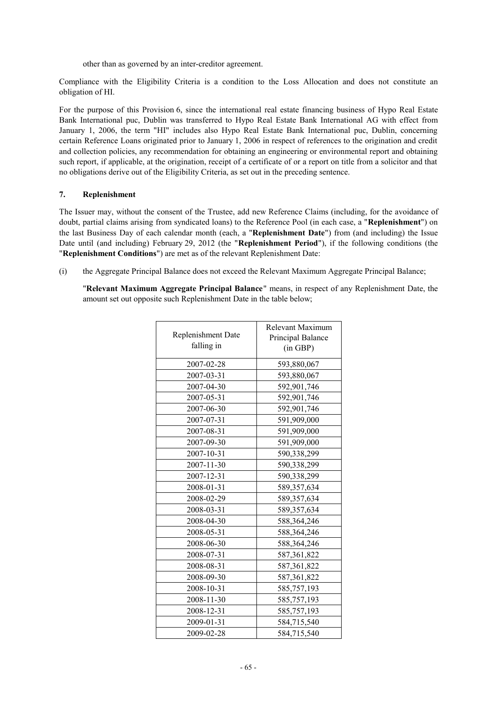other than as governed by an inter-creditor agreement.

Compliance with the Eligibility Criteria is a condition to the Loss Allocation and does not constitute an obligation of HI.

For the purpose of this Provision 6, since the international real estate financing business of Hypo Real Estate Bank International puc, Dublin was transferred to Hypo Real Estate Bank International AG with effect from January 1, 2006, the term "HI" includes also Hypo Real Estate Bank International puc, Dublin, concerning certain Reference Loans originated prior to January 1, 2006 in respect of references to the origination and credit and collection policies, any recommendation for obtaining an engineering or environmental report and obtaining such report, if applicable, at the origination, receipt of a certificate of or a report on title from a solicitor and that no obligations derive out of the Eligibility Criteria, as set out in the preceding sentence.

### **7. Replenishment**

The Issuer may, without the consent of the Trustee, add new Reference Claims (including, for the avoidance of doubt, partial claims arising from syndicated loans) to the Reference Pool (in each case, a "**Replenishment**") on the last Business Day of each calendar month (each, a "**Replenishment Date**") from (and including) the Issue Date until (and including) February 29, 2012 (the "**Replenishment Period**"), if the following conditions (the "**Replenishment Conditions**") are met as of the relevant Replenishment Date:

(i) the Aggregate Principal Balance does not exceed the Relevant Maximum Aggregate Principal Balance;

"**Relevant Maximum Aggregate Principal Balance**" means, in respect of any Replenishment Date, the amount set out opposite such Replenishment Date in the table below;

|                    | Relevant Maximum  |
|--------------------|-------------------|
| Replenishment Date | Principal Balance |
| falling in         | (in GBP)          |
| 2007-02-28         | 593,880,067       |
| 2007-03-31         | 593,880,067       |
| 2007-04-30         | 592,901,746       |
| 2007-05-31         | 592,901,746       |
| 2007-06-30         | 592,901,746       |
| 2007-07-31         | 591,909,000       |
| 2007-08-31         | 591,909,000       |
| 2007-09-30         | 591,909,000       |
| 2007-10-31         | 590,338,299       |
| 2007-11-30         | 590,338,299       |
| 2007-12-31         | 590,338,299       |
| 2008-01-31         | 589,357,634       |
| 2008-02-29         | 589, 357, 634     |
| 2008-03-31         | 589,357,634       |
| 2008-04-30         | 588,364,246       |
| 2008-05-31         | 588, 364, 246     |
| 2008-06-30         | 588,364,246       |
| 2008-07-31         | 587, 361, 822     |
| 2008-08-31         | 587,361,822       |
| 2008-09-30         | 587,361,822       |
| 2008-10-31         | 585,757,193       |
| 2008-11-30         | 585,757,193       |
| 2008-12-31         | 585,757,193       |
| 2009-01-31         | 584,715,540       |
| 2009-02-28         | 584,715,540       |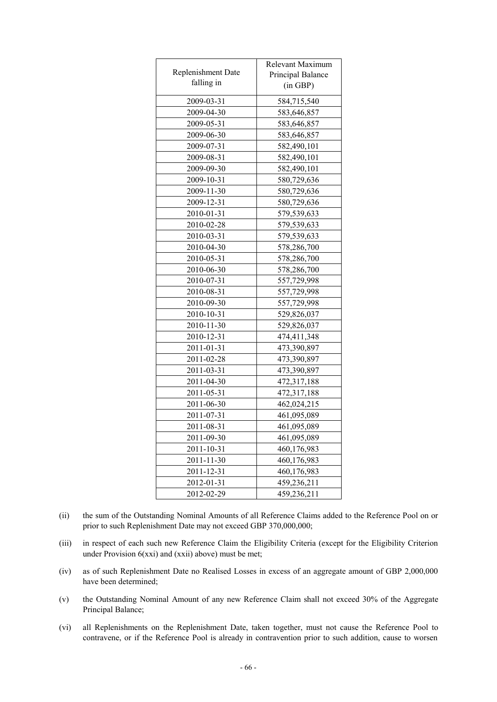|                    | Relevant Maximum  |
|--------------------|-------------------|
| Replenishment Date | Principal Balance |
| falling in         | (in GBP)          |
| 2009-03-31         | 584,715,540       |
| 2009-04-30         | 583,646,857       |
| 2009-05-31         | 583,646,857       |
| 2009-06-30         | 583,646,857       |
| 2009-07-31         | 582,490,101       |
| 2009-08-31         | 582,490,101       |
| 2009-09-30         | 582,490,101       |
| 2009-10-31         | 580,729,636       |
| 2009-11-30         | 580,729,636       |
| 2009-12-31         | 580,729,636       |
| 2010-01-31         | 579,539,633       |
| 2010-02-28         | 579,539,633       |
| 2010-03-31         | 579,539,633       |
| 2010-04-30         | 578,286,700       |
| 2010-05-31         | 578,286,700       |
| 2010-06-30         | 578,286,700       |
| 2010-07-31         | 557,729,998       |
| 2010-08-31         | 557,729,998       |
| 2010-09-30         | 557,729,998       |
| 2010-10-31         | 529,826,037       |
| 2010-11-30         | 529,826,037       |
| 2010-12-31         | 474,411,348       |
| 2011-01-31         | 473,390,897       |
| 2011-02-28         | 473,390,897       |
| 2011-03-31         | 473,390,897       |
| 2011-04-30         | 472,317,188       |
| 2011-05-31         | 472,317,188       |
| 2011-06-30         | 462,024,215       |
| 2011-07-31         | 461,095,089       |
| 2011-08-31         | 461,095,089       |
| 2011-09-30         | 461,095,089       |
| 2011-10-31         | 460,176,983       |
| 2011-11-30         | 460,176,983       |
| 2011-12-31         | 460,176,983       |
| 2012-01-31         | 459,236,211       |
| 2012-02-29         | 459,236,211       |

- (ii) the sum of the Outstanding Nominal Amounts of all Reference Claims added to the Reference Pool on or prior to such Replenishment Date may not exceed GBP 370,000,000;
- (iii) in respect of each such new Reference Claim the Eligibility Criteria (except for the Eligibility Criterion under Provision 6(xxi) and (xxii) above) must be met;
- (iv) as of such Replenishment Date no Realised Losses in excess of an aggregate amount of GBP 2,000,000 have been determined;
- (v) the Outstanding Nominal Amount of any new Reference Claim shall not exceed 30% of the Aggregate Principal Balance;
- (vi) all Replenishments on the Replenishment Date, taken together, must not cause the Reference Pool to contravene, or if the Reference Pool is already in contravention prior to such addition, cause to worsen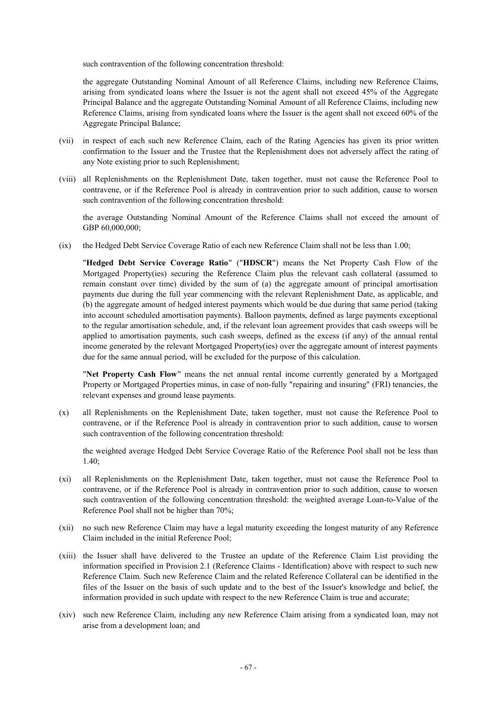such contravention of the following concentration threshold:

the aggregate Outstanding Nominal Amount of all Reference Claims, including new Reference Claims, arising from syndicated loans where the Issuer is not the agent shall not exceed 45% of the Aggregate Principal Balance and the aggregate Outstanding Nominal Amount of all Reference Claims, including new Reference Claims, arising from syndicated loans where the Issuer is the agent shall not exceed 60% of the Aggregate Principal Balance;

- (vii) in respect of each such new Reference Claim, each of the Rating Agencies has given its prior written confirmation to the Issuer and the Trustee that the Replenishment does not adversely affect the rating of any Note existing prior to such Replenishment;
- (viii) all Replenishments on the Replenishment Date, taken together, must not cause the Reference Pool to contravene, or if the Reference Pool is already in contravention prior to such addition, cause to worsen such contravention of the following concentration threshold:

the average Outstanding Nominal Amount of the Reference Claims shall not exceed the amount of GBP 60,000,000;

(ix) the Hedged Debt Service Coverage Ratio of each new Reference Claim shall not be less than 1.00;

"**Hedged Debt Service Coverage Ratio**" ("**HDSCR**") means the Net Property Cash Flow of the Mortgaged Property(ies) securing the Reference Claim plus the relevant cash collateral (assumed to remain constant over time) divided by the sum of (a) the aggregate amount of principal amortisation payments due during the full year commencing with the relevant Replenishment Date, as applicable, and (b) the aggregate amount of hedged interest payments which would be due during that same period (taking into account scheduled amortisation payments). Balloon payments, defined as large payments exceptional to the regular amortisation schedule, and, if the relevant loan agreement provides that cash sweeps will be applied to amortisation payments, such cash sweeps, defined as the excess (if any) of the annual rental income generated by the relevant Mortgaged Property(ies) over the aggregate amount of interest payments due for the same annual period, will be excluded for the purpose of this calculation.

"**Net Property Cash Flow**" means the net annual rental income currently generated by a Mortgaged Property or Mortgaged Properties minus, in case of non-fully "repairing and insuring" (FRI) tenancies, the relevant expenses and ground lease payments.

(x) all Replenishments on the Replenishment Date, taken together, must not cause the Reference Pool to contravene, or if the Reference Pool is already in contravention prior to such addition, cause to worsen such contravention of the following concentration threshold:

the weighted average Hedged Debt Service Coverage Ratio of the Reference Pool shall not be less than 1.40;

- (xi) all Replenishments on the Replenishment Date, taken together, must not cause the Reference Pool to contravene, or if the Reference Pool is already in contravention prior to such addition, cause to worsen such contravention of the following concentration threshold: the weighted average Loan-to-Value of the Reference Pool shall not be higher than 70%;
- (xii) no such new Reference Claim may have a legal maturity exceeding the longest maturity of any Reference Claim included in the initial Reference Pool;
- (xiii) the Issuer shall have delivered to the Trustee an update of the Reference Claim List providing the information specified in Provision 2.1 (Reference Claims - Identification) above with respect to such new Reference Claim. Such new Reference Claim and the related Reference Collateral can be identified in the files of the Issuer on the basis of such update and to the best of the Issuer's knowledge and belief, the information provided in such update with respect to the new Reference Claim is true and accurate;
- (xiv) such new Reference Claim, including any new Reference Claim arising from a syndicated loan, may not arise from a development loan; and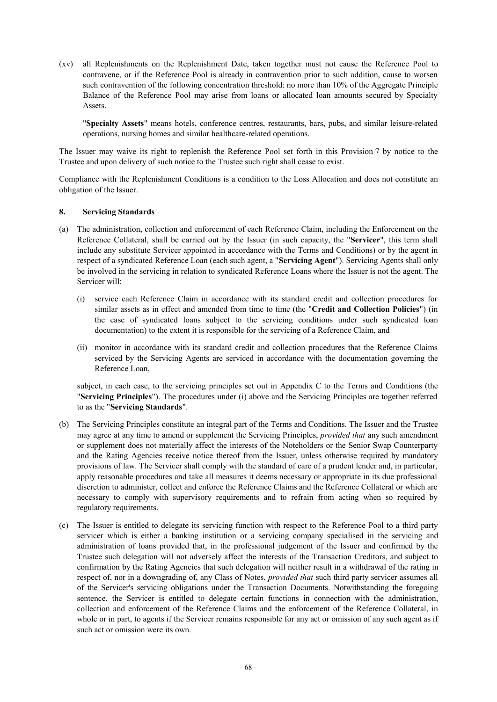(xv) all Replenishments on the Replenishment Date, taken together must not cause the Reference Pool to contravene, or if the Reference Pool is already in contravention prior to such addition, cause to worsen such contravention of the following concentration threshold: no more than 10% of the Aggregate Principle Balance of the Reference Pool may arise from loans or allocated loan amounts secured by Specialty **Assets**.

"**Specialty Assets**" means hotels, conference centres, restaurants, bars, pubs, and similar leisure-related operations, nursing homes and similar healthcare-related operations.

The Issuer may waive its right to replenish the Reference Pool set forth in this Provision 7 by notice to the Trustee and upon delivery of such notice to the Trustee such right shall cease to exist.

Compliance with the Replenishment Conditions is a condition to the Loss Allocation and does not constitute an obligation of the Issuer.

### **8. Servicing Standards**

- (a) The administration, collection and enforcement of each Reference Claim, including the Enforcement on the Reference Collateral, shall be carried out by the Issuer (in such capacity, the "**Servicer**", this term shall include any substitute Servicer appointed in accordance with the Terms and Conditions) or by the agent in respect of a syndicated Reference Loan (each such agent, a "**Servicing Agent**"). Servicing Agents shall only be involved in the servicing in relation to syndicated Reference Loans where the Issuer is not the agent. The Servicer will:
	- (i) service each Reference Claim in accordance with its standard credit and collection procedures for similar assets as in effect and amended from time to time (the "**Credit and Collection Policies**") (in the case of syndicated loans subject to the servicing conditions under such syndicated loan documentation) to the extent it is responsible for the servicing of a Reference Claim, and
	- (ii) monitor in accordance with its standard credit and collection procedures that the Reference Claims serviced by the Servicing Agents are serviced in accordance with the documentation governing the Reference Loan,

subject, in each case, to the servicing principles set out in Appendix C to the Terms and Conditions (the "**Servicing Principles**"). The procedures under (i) above and the Servicing Principles are together referred to as the "**Servicing Standards**".

- (b) The Servicing Principles constitute an integral part of the Terms and Conditions. The Issuer and the Trustee may agree at any time to amend or supplement the Servicing Principles, *provided that* any such amendment or supplement does not materially affect the interests of the Noteholders or the Senior Swap Counterparty and the Rating Agencies receive notice thereof from the Issuer, unless otherwise required by mandatory provisions of law. The Servicer shall comply with the standard of care of a prudent lender and, in particular, apply reasonable procedures and take all measures it deems necessary or appropriate in its due professional discretion to administer, collect and enforce the Reference Claims and the Reference Collateral or which are necessary to comply with supervisory requirements and to refrain from acting when so required by regulatory requirements.
- (c) The Issuer is entitled to delegate its servicing function with respect to the Reference Pool to a third party servicer which is either a banking institution or a servicing company specialised in the servicing and administration of loans provided that, in the professional judgement of the Issuer and confirmed by the Trustee such delegation will not adversely affect the interests of the Transaction Creditors, and subject to confirmation by the Rating Agencies that such delegation will neither result in a withdrawal of the rating in respect of, nor in a downgrading of, any Class of Notes, *provided that* such third party servicer assumes all of the Servicer's servicing obligations under the Transaction Documents. Notwithstanding the foregoing sentence, the Servicer is entitled to delegate certain functions in connection with the administration, collection and enforcement of the Reference Claims and the enforcement of the Reference Collateral, in whole or in part, to agents if the Servicer remains responsible for any act or omission of any such agent as if such act or omission were its own.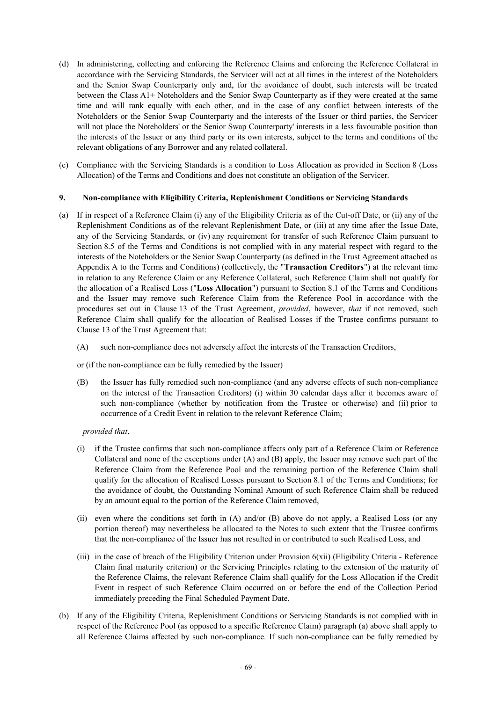- (d) In administering, collecting and enforcing the Reference Claims and enforcing the Reference Collateral in accordance with the Servicing Standards, the Servicer will act at all times in the interest of the Noteholders and the Senior Swap Counterparty only and, for the avoidance of doubt, such interests will be treated between the Class A1+ Noteholders and the Senior Swap Counterparty as if they were created at the same time and will rank equally with each other, and in the case of any conflict between interests of the Noteholders or the Senior Swap Counterparty and the interests of the Issuer or third parties, the Servicer will not place the Noteholders' or the Senior Swap Counterparty' interests in a less favourable position than the interests of the Issuer or any third party or its own interests, subject to the terms and conditions of the relevant obligations of any Borrower and any related collateral.
- (e) Compliance with the Servicing Standards is a condition to Loss Allocation as provided in Section 8 (Loss Allocation) of the Terms and Conditions and does not constitute an obligation of the Servicer.

### **9. Non-compliance with Eligibility Criteria, Replenishment Conditions or Servicing Standards**

- (a) If in respect of a Reference Claim (i) any of the Eligibility Criteria as of the Cut-off Date, or (ii) any of the Replenishment Conditions as of the relevant Replenishment Date, or (iii) at any time after the Issue Date, any of the Servicing Standards, or (iv) any requirement for transfer of such Reference Claim pursuant to Section 8.5 of the Terms and Conditions is not complied with in any material respect with regard to the interests of the Noteholders or the Senior Swap Counterparty (as defined in the Trust Agreement attached as Appendix A to the Terms and Conditions) (collectively, the "**Transaction Creditors**") at the relevant time in relation to any Reference Claim or any Reference Collateral, such Reference Claim shall not qualify for the allocation of a Realised Loss ("**Loss Allocation**") pursuant to Section 8.1 of the Terms and Conditions and the Issuer may remove such Reference Claim from the Reference Pool in accordance with the procedures set out in Clause 13 of the Trust Agreement, *provided*, however, *that* if not removed, such Reference Claim shall qualify for the allocation of Realised Losses if the Trustee confirms pursuant to Clause 13 of the Trust Agreement that:
	- (A) such non-compliance does not adversely affect the interests of the Transaction Creditors,

or (if the non-compliance can be fully remedied by the Issuer)

(B) the Issuer has fully remedied such non-compliance (and any adverse effects of such non-compliance on the interest of the Transaction Creditors) (i) within 30 calendar days after it becomes aware of such non-compliance (whether by notification from the Trustee or otherwise) and (ii) prior to occurrence of a Credit Event in relation to the relevant Reference Claim;

*provided that*,

- (i) if the Trustee confirms that such non-compliance affects only part of a Reference Claim or Reference Collateral and none of the exceptions under (A) and (B) apply, the Issuer may remove such part of the Reference Claim from the Reference Pool and the remaining portion of the Reference Claim shall qualify for the allocation of Realised Losses pursuant to Section 8.1 of the Terms and Conditions; for the avoidance of doubt, the Outstanding Nominal Amount of such Reference Claim shall be reduced by an amount equal to the portion of the Reference Claim removed,
- (ii) even where the conditions set forth in (A) and/or (B) above do not apply, a Realised Loss (or any portion thereof) may nevertheless be allocated to the Notes to such extent that the Trustee confirms that the non-compliance of the Issuer has not resulted in or contributed to such Realised Loss, and
- (iii) in the case of breach of the Eligibility Criterion under Provision 6(xii) (Eligibility Criteria Reference Claim final maturity criterion) or the Servicing Principles relating to the extension of the maturity of the Reference Claims, the relevant Reference Claim shall qualify for the Loss Allocation if the Credit Event in respect of such Reference Claim occurred on or before the end of the Collection Period immediately preceding the Final Scheduled Payment Date.
- (b) If any of the Eligibility Criteria, Replenishment Conditions or Servicing Standards is not complied with in respect of the Reference Pool (as opposed to a specific Reference Claim) paragraph (a) above shall apply to all Reference Claims affected by such non-compliance. If such non-compliance can be fully remedied by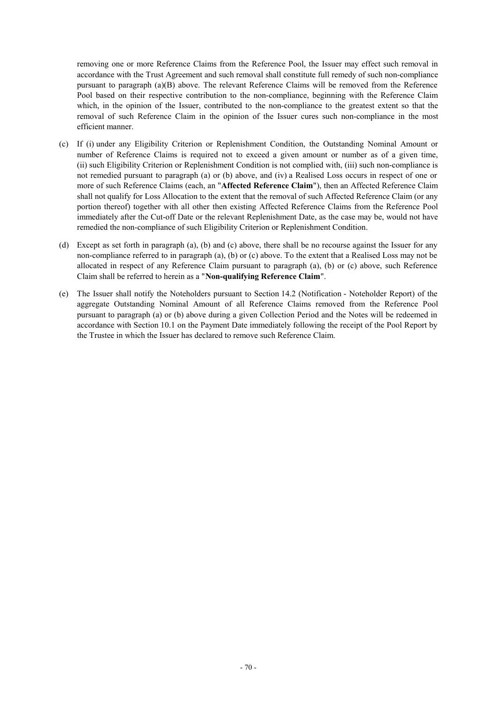removing one or more Reference Claims from the Reference Pool, the Issuer may effect such removal in accordance with the Trust Agreement and such removal shall constitute full remedy of such non-compliance pursuant to paragraph (a)(B) above. The relevant Reference Claims will be removed from the Reference Pool based on their respective contribution to the non-compliance, beginning with the Reference Claim which, in the opinion of the Issuer, contributed to the non-compliance to the greatest extent so that the removal of such Reference Claim in the opinion of the Issuer cures such non-compliance in the most efficient manner.

- (c) If (i) under any Eligibility Criterion or Replenishment Condition, the Outstanding Nominal Amount or number of Reference Claims is required not to exceed a given amount or number as of a given time, (ii) such Eligibility Criterion or Replenishment Condition is not complied with, (iii) such non-compliance is not remedied pursuant to paragraph (a) or (b) above, and (iv) a Realised Loss occurs in respect of one or more of such Reference Claims (each, an "**Affected Reference Claim**"), then an Affected Reference Claim shall not qualify for Loss Allocation to the extent that the removal of such Affected Reference Claim (or any portion thereof) together with all other then existing Affected Reference Claims from the Reference Pool immediately after the Cut-off Date or the relevant Replenishment Date, as the case may be, would not have remedied the non-compliance of such Eligibility Criterion or Replenishment Condition.
- (d) Except as set forth in paragraph (a), (b) and (c) above, there shall be no recourse against the Issuer for any non-compliance referred to in paragraph (a), (b) or (c) above. To the extent that a Realised Loss may not be allocated in respect of any Reference Claim pursuant to paragraph (a), (b) or (c) above, such Reference Claim shall be referred to herein as a "**Non-qualifying Reference Claim**".
- (e) The Issuer shall notify the Noteholders pursuant to Section 14.2 (Notification Noteholder Report) of the aggregate Outstanding Nominal Amount of all Reference Claims removed from the Reference Pool pursuant to paragraph (a) or (b) above during a given Collection Period and the Notes will be redeemed in accordance with Section 10.1 on the Payment Date immediately following the receipt of the Pool Report by the Trustee in which the Issuer has declared to remove such Reference Claim.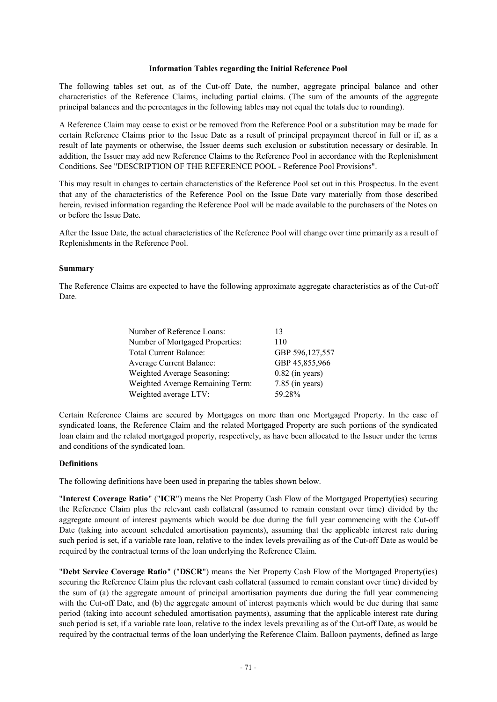#### **Information Tables regarding the Initial Reference Pool**

The following tables set out, as of the Cut-off Date, the number, aggregate principal balance and other characteristics of the Reference Claims, including partial claims. (The sum of the amounts of the aggregate principal balances and the percentages in the following tables may not equal the totals due to rounding).

A Reference Claim may cease to exist or be removed from the Reference Pool or a substitution may be made for certain Reference Claims prior to the Issue Date as a result of principal prepayment thereof in full or if, as a result of late payments or otherwise, the Issuer deems such exclusion or substitution necessary or desirable. In addition, the Issuer may add new Reference Claims to the Reference Pool in accordance with the Replenishment Conditions. See "DESCRIPTION OF THE REFERENCE POOL - Reference Pool Provisions".

This may result in changes to certain characteristics of the Reference Pool set out in this Prospectus. In the event that any of the characteristics of the Reference Pool on the Issue Date vary materially from those described herein, revised information regarding the Reference Pool will be made available to the purchasers of the Notes on or before the Issue Date.

After the Issue Date, the actual characteristics of the Reference Pool will change over time primarily as a result of Replenishments in the Reference Pool.

### **Summary**

The Reference Claims are expected to have the following approximate aggregate characteristics as of the Cut-off Date.

| 13                |
|-------------------|
| 110               |
| GBP 596,127,557   |
| GBP 45,855,966    |
| $0.82$ (in years) |
| $7.85$ (in years) |
| 59.28%            |
|                   |

Certain Reference Claims are secured by Mortgages on more than one Mortgaged Property. In the case of syndicated loans, the Reference Claim and the related Mortgaged Property are such portions of the syndicated loan claim and the related mortgaged property, respectively, as have been allocated to the Issuer under the terms and conditions of the syndicated loan.

### **Definitions**

The following definitions have been used in preparing the tables shown below.

"**Interest Coverage Ratio**" ("**ICR**") means the Net Property Cash Flow of the Mortgaged Property(ies) securing the Reference Claim plus the relevant cash collateral (assumed to remain constant over time) divided by the aggregate amount of interest payments which would be due during the full year commencing with the Cut-off Date (taking into account scheduled amortisation payments), assuming that the applicable interest rate during such period is set, if a variable rate loan, relative to the index levels prevailing as of the Cut-off Date as would be required by the contractual terms of the loan underlying the Reference Claim.

"**Debt Service Coverage Ratio**" ("**DSCR**") means the Net Property Cash Flow of the Mortgaged Property(ies) securing the Reference Claim plus the relevant cash collateral (assumed to remain constant over time) divided by the sum of (a) the aggregate amount of principal amortisation payments due during the full year commencing with the Cut-off Date, and (b) the aggregate amount of interest payments which would be due during that same period (taking into account scheduled amortisation payments), assuming that the applicable interest rate during such period is set, if a variable rate loan, relative to the index levels prevailing as of the Cut-off Date, as would be required by the contractual terms of the loan underlying the Reference Claim. Balloon payments, defined as large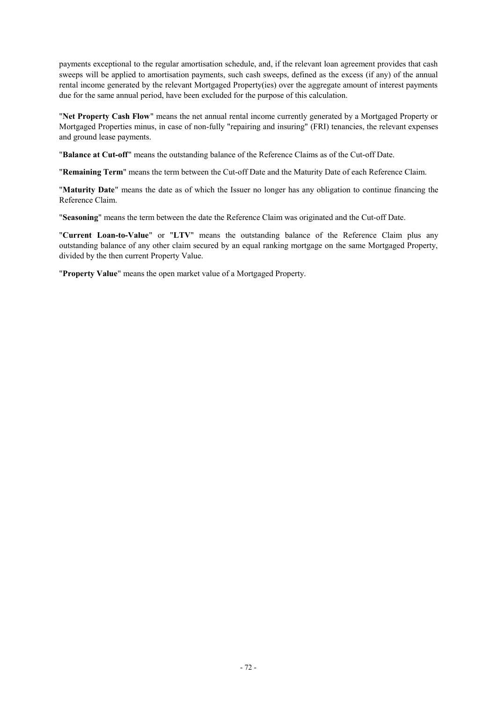payments exceptional to the regular amortisation schedule, and, if the relevant loan agreement provides that cash sweeps will be applied to amortisation payments, such cash sweeps, defined as the excess (if any) of the annual rental income generated by the relevant Mortgaged Property(ies) over the aggregate amount of interest payments due for the same annual period, have been excluded for the purpose of this calculation.

"**Net Property Cash Flow**" means the net annual rental income currently generated by a Mortgaged Property or Mortgaged Properties minus, in case of non-fully "repairing and insuring" (FRI) tenancies, the relevant expenses and ground lease payments.

"**Balance at Cut-off**" means the outstanding balance of the Reference Claims as of the Cut-off Date.

"**Remaining Term**" means the term between the Cut-off Date and the Maturity Date of each Reference Claim.

"**Maturity Date**" means the date as of which the Issuer no longer has any obligation to continue financing the Reference Claim.

"**Seasoning**" means the term between the date the Reference Claim was originated and the Cut-off Date.

"**Current Loan-to-Value**" or "**LTV**" means the outstanding balance of the Reference Claim plus any outstanding balance of any other claim secured by an equal ranking mortgage on the same Mortgaged Property, divided by the then current Property Value.

"**Property Value**" means the open market value of a Mortgaged Property.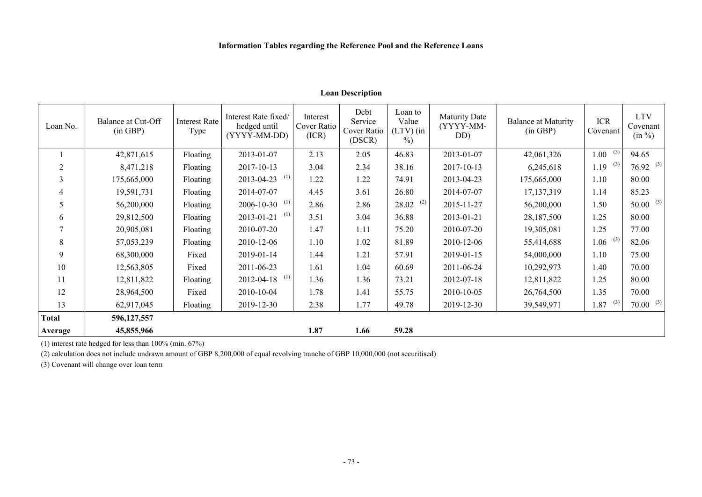# **Loan Description**

| Loan No.       | Balance at Cut-Off<br>(in GBP) | <b>Interest Rate</b><br>Type | Interest Rate fixed/<br>hedged until<br>(YYYY-MM-DD) | Interest<br>Cover Ratio<br>(ICR) | Debt<br>Service<br>Cover Ratio<br>(DSCR) | Loan to<br>Value<br>$(LTV)$ (in<br>$\%$ | <b>Maturity Date</b><br>(YYYY-MM-<br>DD) | <b>Balance at Maturity</b><br>(in GBP) | <b>ICR</b><br>Covenant | <b>LTV</b><br>Covenant<br>(in %) |
|----------------|--------------------------------|------------------------------|------------------------------------------------------|----------------------------------|------------------------------------------|-----------------------------------------|------------------------------------------|----------------------------------------|------------------------|----------------------------------|
|                | 42,871,615                     | Floating                     | 2013-01-07                                           | 2.13                             | 2.05                                     | 46.83                                   | 2013-01-07                               | 42,061,326                             | (3)<br>1.00            | 94.65                            |
| $\overline{2}$ | 8,471,218                      | Floating                     | 2017-10-13                                           | 3.04                             | 2.34                                     | 38.16                                   | 2017-10-13                               | 6,245,618                              | (3)<br>1.19            | $76.92^{(3)}$                    |
| 3              | 175,665,000                    | Floating                     | (1)<br>2013-04-23                                    | 1.22                             | 1.22                                     | 74.91                                   | 2013-04-23                               | 175,665,000                            | 1.10                   | 80.00                            |
| $\overline{4}$ | 19,591,731                     | Floating                     | 2014-07-07                                           | 4.45                             | 3.61                                     | 26.80                                   | 2014-07-07                               | 17, 137, 319                           | 1.14                   | 85.23                            |
| 5              | 56,200,000                     | Floating                     | (1)<br>2006-10-30                                    | 2.86                             | 2.86                                     | (2)<br>28.02                            | 2015-11-27                               | 56,200,000                             | 1.50                   | $50.00$ <sup>(3)</sup>           |
| 6              | 29,812,500                     | Floating                     | (1)<br>2013-01-21                                    | 3.51                             | 3.04                                     | 36.88                                   | 2013-01-21                               | 28,187,500                             | 1.25                   | 80.00                            |
| $\tau$         | 20,905,081                     | Floating                     | 2010-07-20                                           | 1.47                             | 1.11                                     | 75.20                                   | 2010-07-20                               | 19,305,081                             | 1.25                   | 77.00                            |
| 8              | 57,053,239                     | Floating                     | 2010-12-06                                           | 1.10                             | 1.02                                     | 81.89                                   | 2010-12-06                               | 55,414,688                             | (3)<br>1.06            | 82.06                            |
| 9              | 68,300,000                     | Fixed                        | 2019-01-14                                           | 1.44                             | 1.21                                     | 57.91                                   | 2019-01-15                               | 54,000,000                             | 1.10                   | 75.00                            |
| 10             | 12,563,805                     | Fixed                        | 2011-06-23                                           | 1.61                             | 1.04                                     | 60.69                                   | 2011-06-24                               | 10,292,973                             | 1.40                   | 70.00                            |
| 11             | 12,811,822                     | <b>Floating</b>              | (1)<br>2012-04-18                                    | 1.36                             | 1.36                                     | 73.21                                   | 2012-07-18                               | 12,811,822                             | 1.25                   | 80.00                            |
| 12             | 28,964,500                     | Fixed                        | 2010-10-04                                           | 1.78                             | 1.41                                     | 55.75                                   | 2010-10-05                               | 26,764,500                             | 1.35                   | 70.00                            |
| 13             | 62,917,045                     | <b>Floating</b>              | 2019-12-30                                           | 2.38                             | 1.77                                     | 49.78                                   | 2019-12-30                               | 39,549,971                             | (3)<br>1.87            | $70.00$ <sup>(3)</sup>           |
| <b>Total</b>   | 596, 127, 557                  |                              |                                                      |                                  |                                          |                                         |                                          |                                        |                        |                                  |
| Average        | 45,855,966                     |                              |                                                      | 1.87                             | 1.66                                     | 59.28                                   |                                          |                                        |                        |                                  |

(1) interest rate hedged for less than 100% (min. 67%)

(2) calculation does not include undrawn amount of GBP 8,200,000 of equal revolving tranche of GBP 10,000,000 (not securitised)

(3) Covenant will change over loan term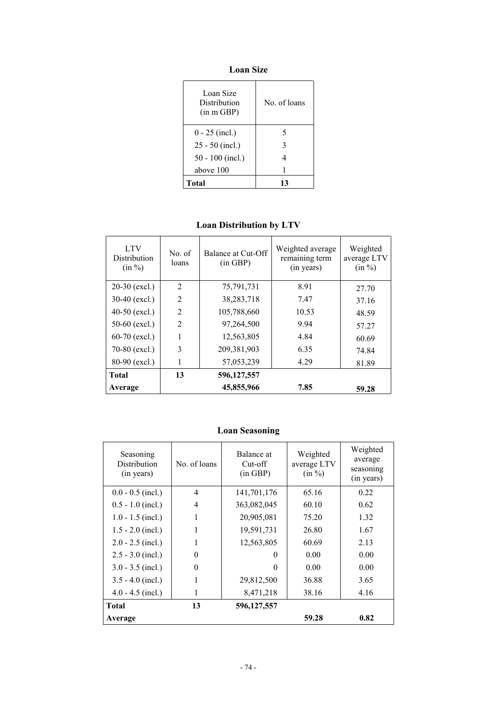**Loan Size** 

| Loan Size<br>Distribution<br>(in m GBP) | No. of loans |
|-----------------------------------------|--------------|
| $0 - 25$ (incl.)                        | 5            |
| $25 - 50$ (incl.)                       | 3            |
| $50 - 100$ (incl.)                      | 4            |
| above 100                               |              |
| Total                                   | 13           |

# **Loan Distribution by LTV**

| <b>LTV</b><br><b>Distribution</b><br>(in %) | No. of<br>loans | Balance at Cut-Off<br>(in GBP) | Weighted average<br>remaining term<br>(in years) | Weighted<br>average LTV<br>(in %) |
|---------------------------------------------|-----------------|--------------------------------|--------------------------------------------------|-----------------------------------|
| $20-30$ (excl.)                             | $\overline{2}$  | 75,791,731                     | 8.91                                             | 27.70                             |
| $30-40$ (excl.)                             | $\mathfrak{D}$  | 38,283,718                     | 7.47                                             | 37.16                             |
| $40-50$ (excl.)                             | $\overline{2}$  | 105,788,660                    | 10.53                                            | 48.59                             |
| 50-60 $(excl.)$                             | $\mathfrak{D}$  | 97,264,500                     | 9.94                                             | 57.27                             |
| $60-70$ (excl.)                             |                 | 12,563,805                     | 4.84                                             | 60.69                             |
| 70-80 (excl.)                               | 3               | 209,381,903                    | 6.35                                             | 74.84                             |
| 80-90 (excl.)                               | 1               | 57,053,239                     | 4.29                                             | 81.89                             |
| <b>Total</b>                                | 13              | 596,127,557                    |                                                  |                                   |
| Average                                     |                 | 45,855,966                     | 7.85                                             | 59.28                             |

# **Loan Seasoning**

| Seasoning<br>Distribution<br>(in years) | No. of loans   | Balance at<br>Cut-off<br>(in GBP) | Weighted<br>average LTV<br>(in %) | Weighted<br>average<br>seasoning<br>(in years) |
|-----------------------------------------|----------------|-----------------------------------|-----------------------------------|------------------------------------------------|
| $0.0 - 0.5$ (incl.)                     | $\overline{4}$ | 141,701,176                       | 65.16                             | 0.22                                           |
| $0.5 - 1.0$ (incl.)                     | 4              | 363,082,045                       | 60.10                             | 0.62                                           |
| $1.0 - 1.5$ (incl.)                     | 1              | 20,905,081                        | 75.20                             | 1.32                                           |
| $1.5 - 2.0$ (incl.)                     | 1              | 19,591,731                        | 26.80                             | 1.67                                           |
| $2.0 - 2.5$ (incl.)                     | 1              | 12,563,805                        | 60.69                             | 2.13                                           |
| $2.5 - 3.0$ (incl.)                     | $\Omega$       | $\Omega$                          | 0.00                              | 0.00                                           |
| $3.0 - 3.5$ (incl.)                     | $\theta$       | 0                                 | 0.00                              | 0.00                                           |
| $3.5 - 4.0$ (incl.)                     | 1              | 29,812,500                        | 36.88                             | 3.65                                           |
| $4.0 - 4.5$ (incl.)                     | 1              | 8,471,218                         | 38.16                             | 4.16                                           |
| <b>Total</b>                            | 13             | 596,127,557                       |                                   |                                                |
| Average                                 |                |                                   | 59.28                             | 0.82                                           |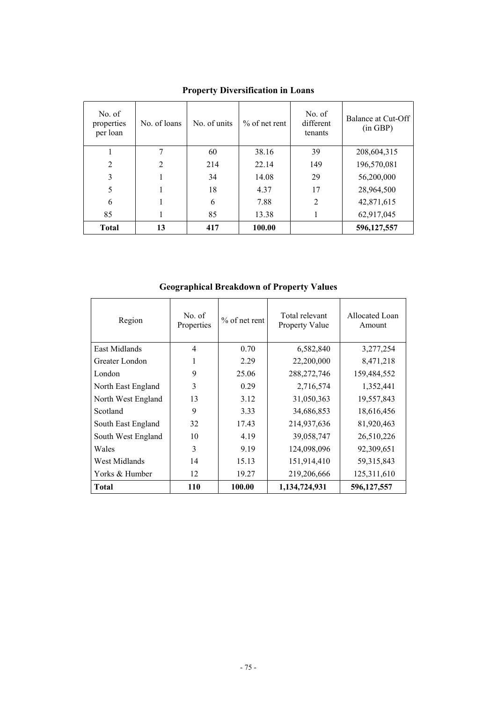| No. of<br>properties<br>per loan | No. of loans   | No. of units | $\%$ of net rent | No. of<br>different<br>tenants | Balance at Cut-Off<br>(in GBP) |
|----------------------------------|----------------|--------------|------------------|--------------------------------|--------------------------------|
|                                  |                | 60           | 38.16            | 39                             | 208,604,315                    |
| 2                                | $\overline{2}$ | 214          | 22.14            | 149                            | 196,570,081                    |
| 3                                |                | 34           | 14.08            | 29                             | 56,200,000                     |
| 5                                |                | 18           | 4.37             | 17                             | 28,964,500                     |
| 6                                |                | 6            | 7.88             | $\overline{2}$                 | 42,871,615                     |
| 85                               |                | 85           | 13.38            |                                | 62,917,045                     |
| <b>Total</b>                     | 13             | 417          | 100.00           |                                | 596,127,557                    |

**Property Diversification in Loans** 

**Geographical Breakdown of Property Values** 

| Region             | No. of<br>Properties | $%$ of net rent | Total relevant<br>Property Value | Allocated Loan<br>Amount |
|--------------------|----------------------|-----------------|----------------------------------|--------------------------|
| East Midlands      | $\overline{4}$       | 0.70            | 6,582,840                        | 3,277,254                |
| Greater London     | 1                    | 2.29            | 22,200,000                       | 8,471,218                |
| London             | 9                    | 25.06           | 288, 272, 746                    | 159,484,552              |
| North East England | 3                    | 0.29            | 2,716,574                        | 1,352,441                |
| North West England | 13                   | 3.12            | 31,050,363                       | 19,557,843               |
| Scotland           | 9                    | 3.33            | 34,686,853                       | 18,616,456               |
| South East England | 32                   | 17.43           | 214,937,636                      | 81,920,463               |
| South West England | 10                   | 4.19            | 39,058,747                       | 26,510,226               |
| Wales              | 3                    | 9.19            | 124,098,096                      | 92,309,651               |
| West Midlands      | 14                   | 15.13           | 151,914,410                      | 59, 315, 843             |
| Yorks & Humber     | 12                   | 19.27           | 219,206,666                      | 125,311,610              |
| <b>Total</b>       | 110                  | 100.00          | 1,134,724,931                    | 596,127,557              |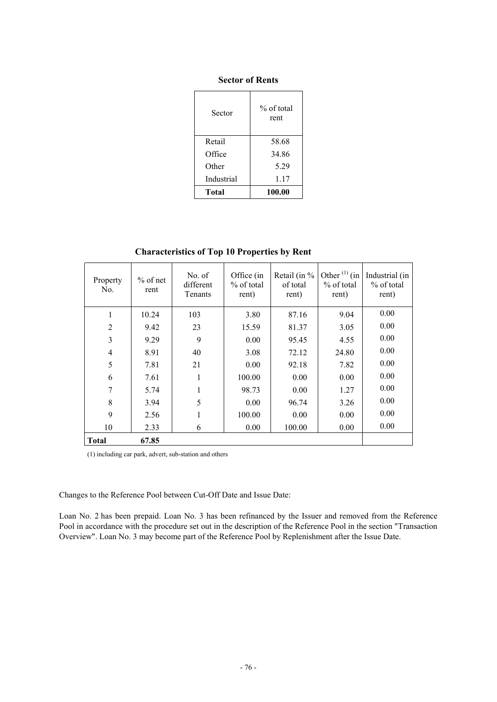# **Sector of Rents**

| Sector     | % of total<br>rent |
|------------|--------------------|
| Retail     | 58.68              |
| Office     | 34.86              |
| Other      | 5.29               |
| Industrial | 1.17               |
| Total      | 100.00             |

**Characteristics of Top 10 Properties by Rent** 

| Property<br>No. | $%$ of net<br>rent | No. of<br>different<br>Tenants | Office (in<br>% of total<br>rent) | Retail (in $\%$<br>of total<br>rent) | Other $^{(1)}$ (in<br>% of total<br>rent) | Industrial (in<br>% of total<br>rent) |
|-----------------|--------------------|--------------------------------|-----------------------------------|--------------------------------------|-------------------------------------------|---------------------------------------|
| 1               | 10.24              | 103                            | 3.80                              | 87.16                                | 9.04                                      | 0.00                                  |
| $\overline{2}$  | 9.42               | 23                             | 15.59                             | 81.37                                | 3.05                                      | 0.00                                  |
| 3               | 9.29               | 9                              | 0.00                              | 95.45                                | 4.55                                      | 0.00                                  |
| $\overline{4}$  | 8.91               | 40                             | 3.08                              | 72.12                                | 24.80                                     | 0.00                                  |
| 5               | 7.81               | 21                             | 0.00                              | 92.18                                | 7.82                                      | 0.00                                  |
| 6               | 7.61               | 1                              | 100.00                            | 0.00                                 | 0.00                                      | 0.00                                  |
| 7               | 5.74               | 1                              | 98.73                             | 0.00                                 | 1.27                                      | 0.00                                  |
| 8               | 3.94               | 5                              | 0.00                              | 96.74                                | 3.26                                      | 0.00                                  |
| 9               | 2.56               | 1                              | 100.00                            | 0.00                                 | 0.00                                      | 0.00                                  |
| 10              | 2.33               | 6                              | 0.00                              | 100.00                               | 0.00                                      | 0.00                                  |
| <b>Total</b>    | 67.85              |                                |                                   |                                      |                                           |                                       |

(1) including car park, advert, sub-station and others

Changes to the Reference Pool between Cut-Off Date and Issue Date:

Loan No. 2 has been prepaid. Loan No. 3 has been refinanced by the Issuer and removed from the Reference Pool in accordance with the procedure set out in the description of the Reference Pool in the section "Transaction Overview". Loan No. 3 may become part of the Reference Pool by Replenishment after the Issue Date.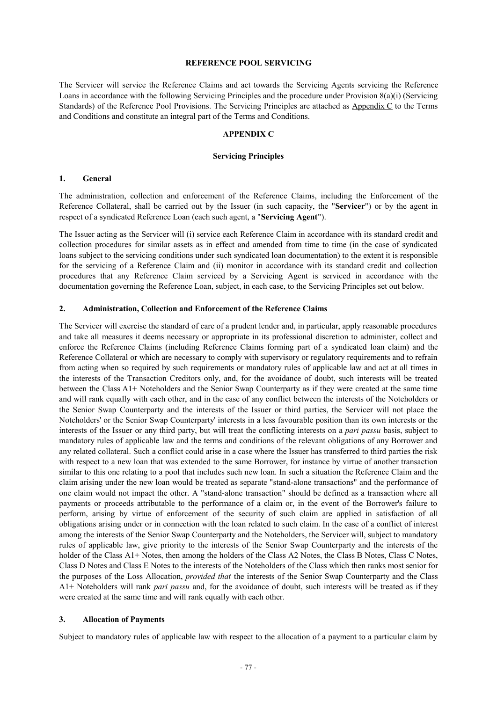#### **REFERENCE POOL SERVICING**

The Servicer will service the Reference Claims and act towards the Servicing Agents servicing the Reference Loans in accordance with the following Servicing Principles and the procedure under Provision 8(a)(i) (Servicing Standards) of the Reference Pool Provisions. The Servicing Principles are attached as Appendix C to the Terms and Conditions and constitute an integral part of the Terms and Conditions.

# **APPENDIX C**

#### **Servicing Principles**

### **1. General**

The administration, collection and enforcement of the Reference Claims, including the Enforcement of the Reference Collateral, shall be carried out by the Issuer (in such capacity, the "**Servicer**") or by the agent in respect of a syndicated Reference Loan (each such agent, a "**Servicing Agent**").

The Issuer acting as the Servicer will (i) service each Reference Claim in accordance with its standard credit and collection procedures for similar assets as in effect and amended from time to time (in the case of syndicated loans subject to the servicing conditions under such syndicated loan documentation) to the extent it is responsible for the servicing of a Reference Claim and (ii) monitor in accordance with its standard credit and collection procedures that any Reference Claim serviced by a Servicing Agent is serviced in accordance with the documentation governing the Reference Loan, subject, in each case, to the Servicing Principles set out below.

#### **2. Administration, Collection and Enforcement of the Reference Claims**

The Servicer will exercise the standard of care of a prudent lender and, in particular, apply reasonable procedures and take all measures it deems necessary or appropriate in its professional discretion to administer, collect and enforce the Reference Claims (including Reference Claims forming part of a syndicated loan claim) and the Reference Collateral or which are necessary to comply with supervisory or regulatory requirements and to refrain from acting when so required by such requirements or mandatory rules of applicable law and act at all times in the interests of the Transaction Creditors only, and, for the avoidance of doubt, such interests will be treated between the Class A1+ Noteholders and the Senior Swap Counterparty as if they were created at the same time and will rank equally with each other, and in the case of any conflict between the interests of the Noteholders or the Senior Swap Counterparty and the interests of the Issuer or third parties, the Servicer will not place the Noteholders' or the Senior Swap Counterparty' interests in a less favourable position than its own interests or the interests of the Issuer or any third party, but will treat the conflicting interests on a *pari passu* basis, subject to mandatory rules of applicable law and the terms and conditions of the relevant obligations of any Borrower and any related collateral. Such a conflict could arise in a case where the Issuer has transferred to third parties the risk with respect to a new loan that was extended to the same Borrower, for instance by virtue of another transaction similar to this one relating to a pool that includes such new loan. In such a situation the Reference Claim and the claim arising under the new loan would be treated as separate "stand-alone transactions" and the performance of one claim would not impact the other. A "stand-alone transaction" should be defined as a transaction where all payments or proceeds attributable to the performance of a claim or, in the event of the Borrower's failure to perform, arising by virtue of enforcement of the security of such claim are applied in satisfaction of all obligations arising under or in connection with the loan related to such claim. In the case of a conflict of interest among the interests of the Senior Swap Counterparty and the Noteholders, the Servicer will, subject to mandatory rules of applicable law, give priority to the interests of the Senior Swap Counterparty and the interests of the holder of the Class A1+ Notes, then among the holders of the Class A2 Notes, the Class B Notes, Class C Notes, Class D Notes and Class E Notes to the interests of the Noteholders of the Class which then ranks most senior for the purposes of the Loss Allocation, *provided that* the interests of the Senior Swap Counterparty and the Class A1+ Noteholders will rank *pari passu* and, for the avoidance of doubt, such interests will be treated as if they were created at the same time and will rank equally with each other*.* 

#### **3. Allocation of Payments**

Subject to mandatory rules of applicable law with respect to the allocation of a payment to a particular claim by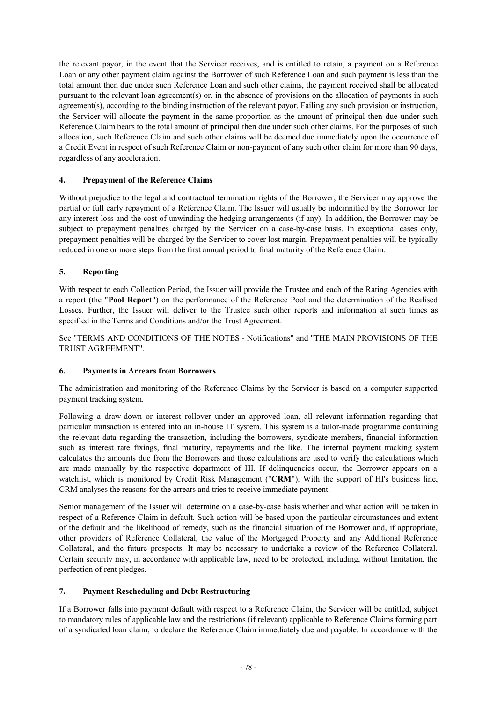the relevant payor, in the event that the Servicer receives, and is entitled to retain, a payment on a Reference Loan or any other payment claim against the Borrower of such Reference Loan and such payment is less than the total amount then due under such Reference Loan and such other claims, the payment received shall be allocated pursuant to the relevant loan agreement(s) or, in the absence of provisions on the allocation of payments in such agreement(s), according to the binding instruction of the relevant payor. Failing any such provision or instruction, the Servicer will allocate the payment in the same proportion as the amount of principal then due under such Reference Claim bears to the total amount of principal then due under such other claims. For the purposes of such allocation, such Reference Claim and such other claims will be deemed due immediately upon the occurrence of a Credit Event in respect of such Reference Claim or non-payment of any such other claim for more than 90 days, regardless of any acceleration.

# **4. Prepayment of the Reference Claims**

Without prejudice to the legal and contractual termination rights of the Borrower, the Servicer may approve the partial or full early repayment of a Reference Claim. The Issuer will usually be indemnified by the Borrower for any interest loss and the cost of unwinding the hedging arrangements (if any). In addition, the Borrower may be subject to prepayment penalties charged by the Servicer on a case-by-case basis. In exceptional cases only, prepayment penalties will be charged by the Servicer to cover lost margin. Prepayment penalties will be typically reduced in one or more steps from the first annual period to final maturity of the Reference Claim.

# **5. Reporting**

With respect to each Collection Period, the Issuer will provide the Trustee and each of the Rating Agencies with a report (the "**Pool Report**") on the performance of the Reference Pool and the determination of the Realised Losses. Further, the Issuer will deliver to the Trustee such other reports and information at such times as specified in the Terms and Conditions and/or the Trust Agreement.

See "TERMS AND CONDITIONS OF THE NOTES - Notifications" and "THE MAIN PROVISIONS OF THE TRUST AGREEMENT".

# **6. Payments in Arrears from Borrowers**

The administration and monitoring of the Reference Claims by the Servicer is based on a computer supported payment tracking system.

Following a draw-down or interest rollover under an approved loan, all relevant information regarding that particular transaction is entered into an in-house IT system. This system is a tailor-made programme containing the relevant data regarding the transaction, including the borrowers, syndicate members, financial information such as interest rate fixings, final maturity, repayments and the like. The internal payment tracking system calculates the amounts due from the Borrowers and those calculations are used to verify the calculations which are made manually by the respective department of HI. If delinquencies occur, the Borrower appears on a watchlist, which is monitored by Credit Risk Management ("**CRM**"). With the support of HI's business line, CRM analyses the reasons for the arrears and tries to receive immediate payment.

Senior management of the Issuer will determine on a case-by-case basis whether and what action will be taken in respect of a Reference Claim in default. Such action will be based upon the particular circumstances and extent of the default and the likelihood of remedy, such as the financial situation of the Borrower and, if appropriate, other providers of Reference Collateral, the value of the Mortgaged Property and any Additional Reference Collateral, and the future prospects. It may be necessary to undertake a review of the Reference Collateral. Certain security may, in accordance with applicable law, need to be protected, including, without limitation, the perfection of rent pledges.

### **7. Payment Rescheduling and Debt Restructuring**

If a Borrower falls into payment default with respect to a Reference Claim, the Servicer will be entitled, subject to mandatory rules of applicable law and the restrictions (if relevant) applicable to Reference Claims forming part of a syndicated loan claim, to declare the Reference Claim immediately due and payable. In accordance with the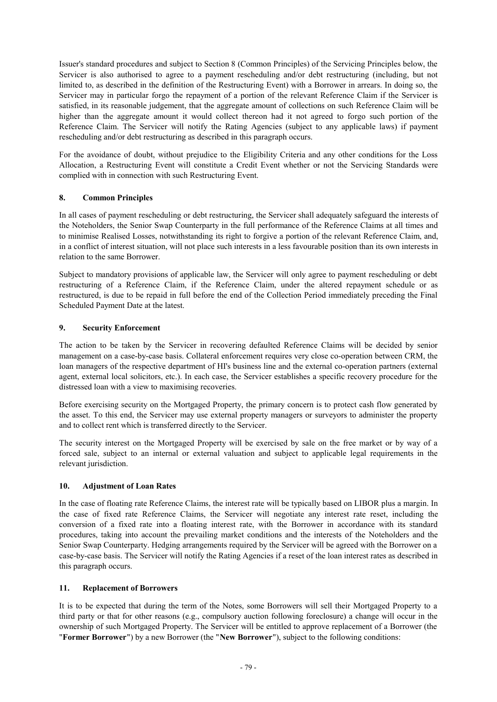Issuer's standard procedures and subject to Section 8 (Common Principles) of the Servicing Principles below, the Servicer is also authorised to agree to a payment rescheduling and/or debt restructuring (including, but not limited to, as described in the definition of the Restructuring Event) with a Borrower in arrears. In doing so, the Servicer may in particular forgo the repayment of a portion of the relevant Reference Claim if the Servicer is satisfied, in its reasonable judgement, that the aggregate amount of collections on such Reference Claim will be higher than the aggregate amount it would collect thereon had it not agreed to forgo such portion of the Reference Claim. The Servicer will notify the Rating Agencies (subject to any applicable laws) if payment rescheduling and/or debt restructuring as described in this paragraph occurs.

For the avoidance of doubt, without prejudice to the Eligibility Criteria and any other conditions for the Loss Allocation, a Restructuring Event will constitute a Credit Event whether or not the Servicing Standards were complied with in connection with such Restructuring Event.

# **8. Common Principles**

In all cases of payment rescheduling or debt restructuring, the Servicer shall adequately safeguard the interests of the Noteholders, the Senior Swap Counterparty in the full performance of the Reference Claims at all times and to minimise Realised Losses, notwithstanding its right to forgive a portion of the relevant Reference Claim, and, in a conflict of interest situation, will not place such interests in a less favourable position than its own interests in relation to the same Borrower.

Subject to mandatory provisions of applicable law, the Servicer will only agree to payment rescheduling or debt restructuring of a Reference Claim, if the Reference Claim, under the altered repayment schedule or as restructured, is due to be repaid in full before the end of the Collection Period immediately preceding the Final Scheduled Payment Date at the latest.

# **9. Security Enforcement**

The action to be taken by the Servicer in recovering defaulted Reference Claims will be decided by senior management on a case-by-case basis. Collateral enforcement requires very close co-operation between CRM, the loan managers of the respective department of HI's business line and the external co-operation partners (external agent, external local solicitors, etc.). In each case, the Servicer establishes a specific recovery procedure for the distressed loan with a view to maximising recoveries.

Before exercising security on the Mortgaged Property, the primary concern is to protect cash flow generated by the asset. To this end, the Servicer may use external property managers or surveyors to administer the property and to collect rent which is transferred directly to the Servicer.

The security interest on the Mortgaged Property will be exercised by sale on the free market or by way of a forced sale, subject to an internal or external valuation and subject to applicable legal requirements in the relevant jurisdiction.

# **10. Adjustment of Loan Rates**

In the case of floating rate Reference Claims, the interest rate will be typically based on LIBOR plus a margin. In the case of fixed rate Reference Claims, the Servicer will negotiate any interest rate reset, including the conversion of a fixed rate into a floating interest rate, with the Borrower in accordance with its standard procedures, taking into account the prevailing market conditions and the interests of the Noteholders and the Senior Swap Counterparty. Hedging arrangements required by the Servicer will be agreed with the Borrower on a case-by-case basis. The Servicer will notify the Rating Agencies if a reset of the loan interest rates as described in this paragraph occurs.

# **11. Replacement of Borrowers**

It is to be expected that during the term of the Notes, some Borrowers will sell their Mortgaged Property to a third party or that for other reasons (e.g., compulsory auction following foreclosure) a change will occur in the ownership of such Mortgaged Property. The Servicer will be entitled to approve replacement of a Borrower (the "**Former Borrower**") by a new Borrower (the "**New Borrower**"), subject to the following conditions: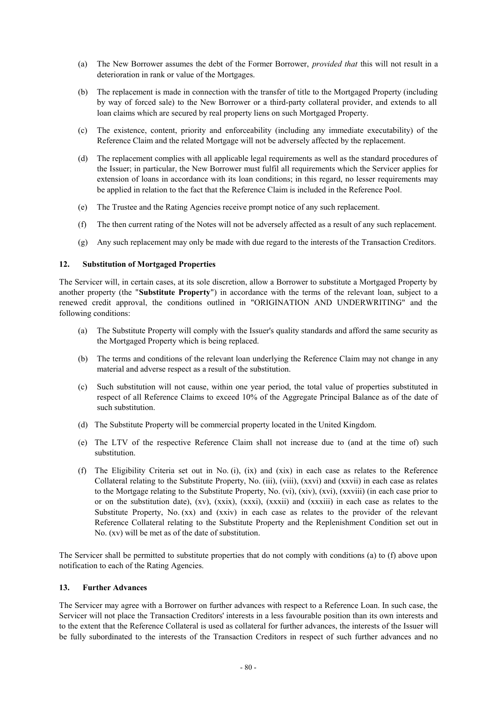- (a) The New Borrower assumes the debt of the Former Borrower, *provided that* this will not result in a deterioration in rank or value of the Mortgages.
- (b) The replacement is made in connection with the transfer of title to the Mortgaged Property (including by way of forced sale) to the New Borrower or a third-party collateral provider, and extends to all loan claims which are secured by real property liens on such Mortgaged Property.
- (c) The existence, content, priority and enforceability (including any immediate executability) of the Reference Claim and the related Mortgage will not be adversely affected by the replacement.
- (d) The replacement complies with all applicable legal requirements as well as the standard procedures of the Issuer; in particular, the New Borrower must fulfil all requirements which the Servicer applies for extension of loans in accordance with its loan conditions; in this regard, no lesser requirements may be applied in relation to the fact that the Reference Claim is included in the Reference Pool.
- (e) The Trustee and the Rating Agencies receive prompt notice of any such replacement.
- (f) The then current rating of the Notes will not be adversely affected as a result of any such replacement.
- (g) Any such replacement may only be made with due regard to the interests of the Transaction Creditors.

# **12. Substitution of Mortgaged Properties**

The Servicer will, in certain cases, at its sole discretion, allow a Borrower to substitute a Mortgaged Property by another property (the "**Substitute Property**") in accordance with the terms of the relevant loan, subject to a renewed credit approval, the conditions outlined in "ORIGINATION AND UNDERWRITING" and the following conditions:

- (a) The Substitute Property will comply with the Issuer's quality standards and afford the same security as the Mortgaged Property which is being replaced.
- (b) The terms and conditions of the relevant loan underlying the Reference Claim may not change in any material and adverse respect as a result of the substitution.
- (c) Such substitution will not cause, within one year period, the total value of properties substituted in respect of all Reference Claims to exceed 10% of the Aggregate Principal Balance as of the date of such substitution.
- (d) The Substitute Property will be commercial property located in the United Kingdom.
- (e) The LTV of the respective Reference Claim shall not increase due to (and at the time of) such substitution.
- (f) The Eligibility Criteria set out in No. (i), (ix) and (xix) in each case as relates to the Reference Collateral relating to the Substitute Property, No. (iii), (viii), (xxvi) and (xxvii) in each case as relates to the Mortgage relating to the Substitute Property, No. (vi), (xiv), (xvi), (xxviii) (in each case prior to or on the substitution date), (xv), (xxix), (xxxi), (xxxii) and (xxxiii) in each case as relates to the Substitute Property, No. (xx) and (xxiv) in each case as relates to the provider of the relevant Reference Collateral relating to the Substitute Property and the Replenishment Condition set out in No. (xv) will be met as of the date of substitution.

The Servicer shall be permitted to substitute properties that do not comply with conditions (a) to (f) above upon notification to each of the Rating Agencies.

### **13. Further Advances**

The Servicer may agree with a Borrower on further advances with respect to a Reference Loan. In such case, the Servicer will not place the Transaction Creditors' interests in a less favourable position than its own interests and to the extent that the Reference Collateral is used as collateral for further advances, the interests of the Issuer will be fully subordinated to the interests of the Transaction Creditors in respect of such further advances and no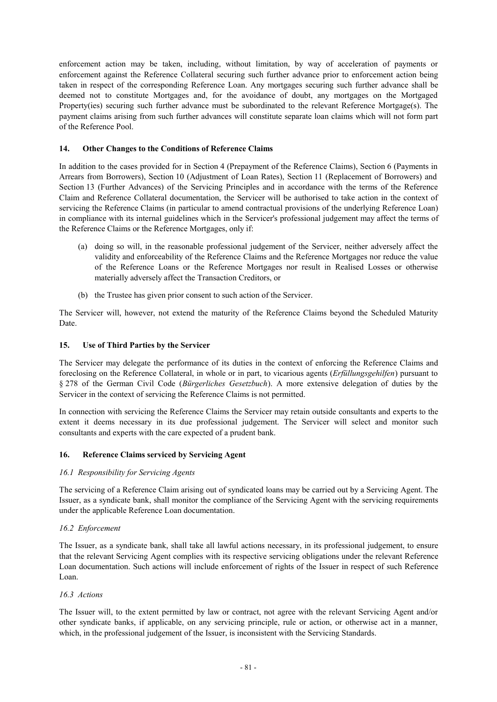enforcement action may be taken, including, without limitation, by way of acceleration of payments or enforcement against the Reference Collateral securing such further advance prior to enforcement action being taken in respect of the corresponding Reference Loan. Any mortgages securing such further advance shall be deemed not to constitute Mortgages and, for the avoidance of doubt, any mortgages on the Mortgaged Property(ies) securing such further advance must be subordinated to the relevant Reference Mortgage(s). The payment claims arising from such further advances will constitute separate loan claims which will not form part of the Reference Pool.

# **14. Other Changes to the Conditions of Reference Claims**

In addition to the cases provided for in Section 4 (Prepayment of the Reference Claims), Section 6 (Payments in Arrears from Borrowers), Section 10 (Adjustment of Loan Rates), Section 11 (Replacement of Borrowers) and Section 13 (Further Advances) of the Servicing Principles and in accordance with the terms of the Reference Claim and Reference Collateral documentation, the Servicer will be authorised to take action in the context of servicing the Reference Claims (in particular to amend contractual provisions of the underlying Reference Loan) in compliance with its internal guidelines which in the Servicer's professional judgement may affect the terms of the Reference Claims or the Reference Mortgages, only if:

- (a) doing so will, in the reasonable professional judgement of the Servicer, neither adversely affect the validity and enforceability of the Reference Claims and the Reference Mortgages nor reduce the value of the Reference Loans or the Reference Mortgages nor result in Realised Losses or otherwise materially adversely affect the Transaction Creditors, or
- (b) the Trustee has given prior consent to such action of the Servicer.

The Servicer will, however, not extend the maturity of the Reference Claims beyond the Scheduled Maturity Date.

# **15. Use of Third Parties by the Servicer**

The Servicer may delegate the performance of its duties in the context of enforcing the Reference Claims and foreclosing on the Reference Collateral, in whole or in part, to vicarious agents (*Erfüllungsgehilfen*) pursuant to § 278 of the German Civil Code (*Bürgerliches Gesetzbuch*). A more extensive delegation of duties by the Servicer in the context of servicing the Reference Claims is not permitted.

In connection with servicing the Reference Claims the Servicer may retain outside consultants and experts to the extent it deems necessary in its due professional judgement. The Servicer will select and monitor such consultants and experts with the care expected of a prudent bank.

### **16. Reference Claims serviced by Servicing Agent**

### *16.1 Responsibility for Servicing Agents*

The servicing of a Reference Claim arising out of syndicated loans may be carried out by a Servicing Agent. The Issuer, as a syndicate bank, shall monitor the compliance of the Servicing Agent with the servicing requirements under the applicable Reference Loan documentation.

### *16.2 Enforcement*

The Issuer, as a syndicate bank, shall take all lawful actions necessary, in its professional judgement, to ensure that the relevant Servicing Agent complies with its respective servicing obligations under the relevant Reference Loan documentation. Such actions will include enforcement of rights of the Issuer in respect of such Reference Loan.

### *16.3 Actions*

The Issuer will, to the extent permitted by law or contract, not agree with the relevant Servicing Agent and/or other syndicate banks, if applicable, on any servicing principle, rule or action, or otherwise act in a manner, which, in the professional judgement of the Issuer, is inconsistent with the Servicing Standards.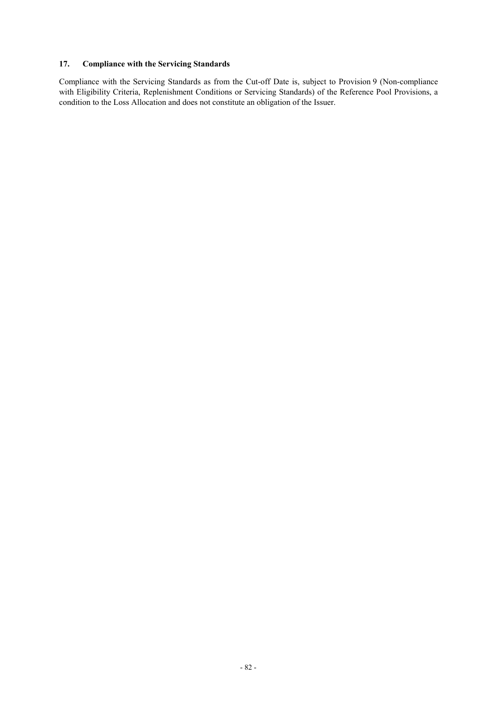# **17. Compliance with the Servicing Standards**

Compliance with the Servicing Standards as from the Cut-off Date is, subject to Provision 9 (Non-compliance with Eligibility Criteria, Replenishment Conditions or Servicing Standards) of the Reference Pool Provisions, a condition to the Loss Allocation and does not constitute an obligation of the Issuer.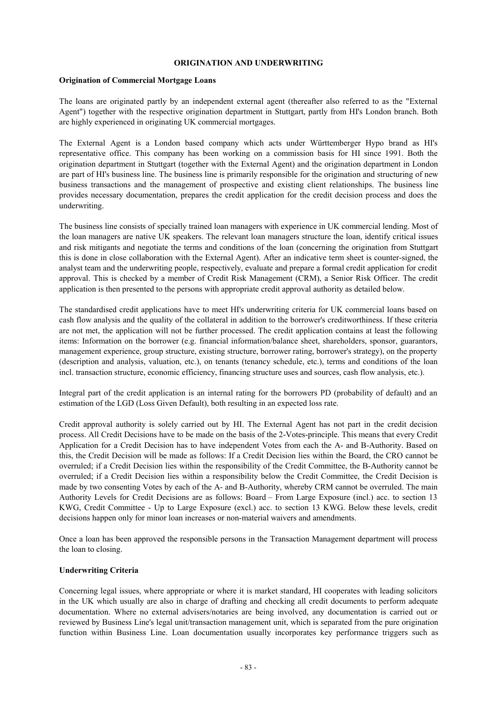#### **ORIGINATION AND UNDERWRITING**

#### **Origination of Commercial Mortgage Loans**

The loans are originated partly by an independent external agent (thereafter also referred to as the "External Agent") together with the respective origination department in Stuttgart, partly from HI's London branch. Both are highly experienced in originating UK commercial mortgages.

The External Agent is a London based company which acts under Württemberger Hypo brand as HI's representative office. This company has been working on a commission basis for HI since 1991. Both the origination department in Stuttgart (together with the External Agent) and the origination department in London are part of HI's business line. The business line is primarily responsible for the origination and structuring of new business transactions and the management of prospective and existing client relationships. The business line provides necessary documentation, prepares the credit application for the credit decision process and does the underwriting.

The business line consists of specially trained loan managers with experience in UK commercial lending. Most of the loan managers are native UK speakers. The relevant loan managers structure the loan, identify critical issues and risk mitigants and negotiate the terms and conditions of the loan (concerning the origination from Stuttgart this is done in close collaboration with the External Agent). After an indicative term sheet is counter-signed, the analyst team and the underwriting people, respectively, evaluate and prepare a formal credit application for credit approval. This is checked by a member of Credit Risk Management (CRM), a Senior Risk Officer. The credit application is then presented to the persons with appropriate credit approval authority as detailed below.

The standardised credit applications have to meet HI's underwriting criteria for UK commercial loans based on cash flow analysis and the quality of the collateral in addition to the borrower's creditworthiness. If these criteria are not met, the application will not be further processed. The credit application contains at least the following items: Information on the borrower (e.g. financial information/balance sheet, shareholders, sponsor, guarantors, management experience, group structure, existing structure, borrower rating, borrower's strategy), on the property (description and analysis, valuation, etc.), on tenants (tenancy schedule, etc.), terms and conditions of the loan incl. transaction structure, economic efficiency, financing structure uses and sources, cash flow analysis, etc.).

Integral part of the credit application is an internal rating for the borrowers PD (probability of default) and an estimation of the LGD (Loss Given Default), both resulting in an expected loss rate.

Credit approval authority is solely carried out by HI. The External Agent has not part in the credit decision process. All Credit Decisions have to be made on the basis of the 2-Votes-principle. This means that every Credit Application for a Credit Decision has to have independent Votes from each the A- and B-Authority. Based on this, the Credit Decision will be made as follows: If a Credit Decision lies within the Board, the CRO cannot be overruled; if a Credit Decision lies within the responsibility of the Credit Committee, the B-Authority cannot be overruled; if a Credit Decision lies within a responsibility below the Credit Committee, the Credit Decision is made by two consenting Votes by each of the A- and B-Authority, whereby CRM cannot be overruled. The main Authority Levels for Credit Decisions are as follows: Board – From Large Exposure (incl.) acc. to section 13 KWG, Credit Committee - Up to Large Exposure (excl.) acc. to section 13 KWG. Below these levels, credit decisions happen only for minor loan increases or non-material waivers and amendments.

Once a loan has been approved the responsible persons in the Transaction Management department will process the loan to closing.

### **Underwriting Criteria**

Concerning legal issues, where appropriate or where it is market standard, HI cooperates with leading solicitors in the UK which usually are also in charge of drafting and checking all credit documents to perform adequate documentation. Where no external advisers/notaries are being involved, any documentation is carried out or reviewed by Business Line's legal unit/transaction management unit, which is separated from the pure origination function within Business Line. Loan documentation usually incorporates key performance triggers such as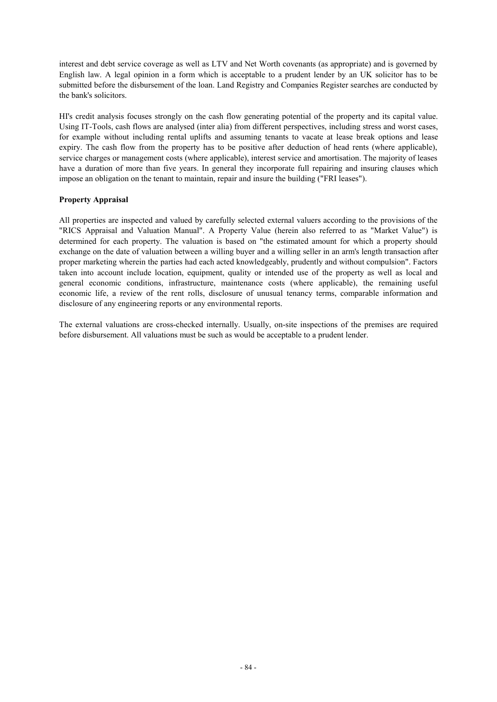interest and debt service coverage as well as LTV and Net Worth covenants (as appropriate) and is governed by English law. A legal opinion in a form which is acceptable to a prudent lender by an UK solicitor has to be submitted before the disbursement of the loan. Land Registry and Companies Register searches are conducted by the bank's solicitors.

HI's credit analysis focuses strongly on the cash flow generating potential of the property and its capital value. Using IT-Tools, cash flows are analysed (inter alia) from different perspectives, including stress and worst cases, for example without including rental uplifts and assuming tenants to vacate at lease break options and lease expiry. The cash flow from the property has to be positive after deduction of head rents (where applicable), service charges or management costs (where applicable), interest service and amortisation. The majority of leases have a duration of more than five years. In general they incorporate full repairing and insuring clauses which impose an obligation on the tenant to maintain, repair and insure the building ("FRI leases").

# **Property Appraisal**

All properties are inspected and valued by carefully selected external valuers according to the provisions of the "RICS Appraisal and Valuation Manual". A Property Value (herein also referred to as "Market Value") is determined for each property. The valuation is based on "the estimated amount for which a property should exchange on the date of valuation between a willing buyer and a willing seller in an arm's length transaction after proper marketing wherein the parties had each acted knowledgeably, prudently and without compulsion". Factors taken into account include location, equipment, quality or intended use of the property as well as local and general economic conditions, infrastructure, maintenance costs (where applicable), the remaining useful economic life, a review of the rent rolls, disclosure of unusual tenancy terms, comparable information and disclosure of any engineering reports or any environmental reports.

The external valuations are cross-checked internally. Usually, on-site inspections of the premises are required before disbursement. All valuations must be such as would be acceptable to a prudent lender.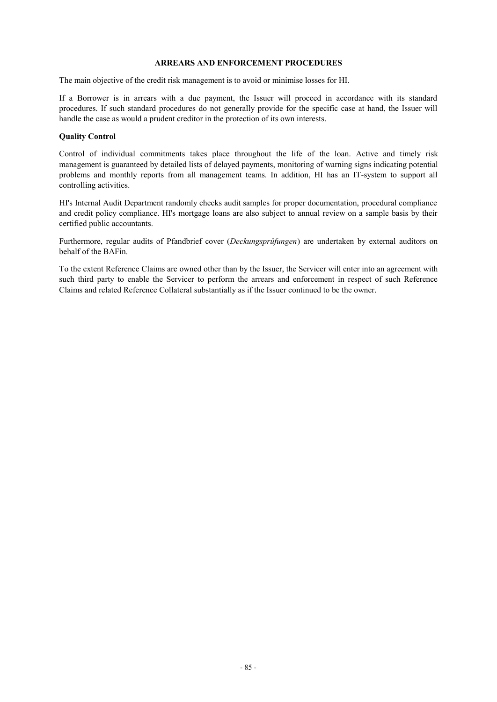#### **ARREARS AND ENFORCEMENT PROCEDURES**

The main objective of the credit risk management is to avoid or minimise losses for HI.

If a Borrower is in arrears with a due payment, the Issuer will proceed in accordance with its standard procedures. If such standard procedures do not generally provide for the specific case at hand, the Issuer will handle the case as would a prudent creditor in the protection of its own interests.

### **Quality Control**

Control of individual commitments takes place throughout the life of the loan. Active and timely risk management is guaranteed by detailed lists of delayed payments, monitoring of warning signs indicating potential problems and monthly reports from all management teams. In addition, HI has an IT-system to support all controlling activities.

HI's Internal Audit Department randomly checks audit samples for proper documentation, procedural compliance and credit policy compliance. HI's mortgage loans are also subject to annual review on a sample basis by their certified public accountants.

Furthermore, regular audits of Pfandbrief cover (*Deckungsprüfungen*) are undertaken by external auditors on behalf of the BAFin.

To the extent Reference Claims are owned other than by the Issuer, the Servicer will enter into an agreement with such third party to enable the Servicer to perform the arrears and enforcement in respect of such Reference Claims and related Reference Collateral substantially as if the Issuer continued to be the owner.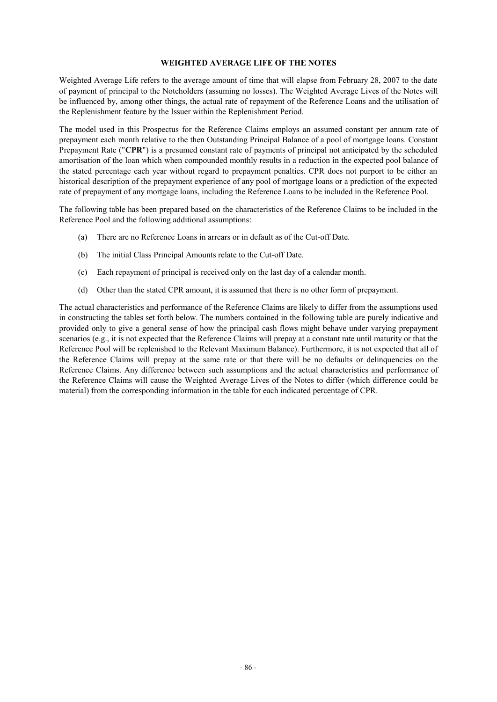#### **WEIGHTED AVERAGE LIFE OF THE NOTES**

Weighted Average Life refers to the average amount of time that will elapse from February 28, 2007 to the date of payment of principal to the Noteholders (assuming no losses). The Weighted Average Lives of the Notes will be influenced by, among other things, the actual rate of repayment of the Reference Loans and the utilisation of the Replenishment feature by the Issuer within the Replenishment Period.

The model used in this Prospectus for the Reference Claims employs an assumed constant per annum rate of prepayment each month relative to the then Outstanding Principal Balance of a pool of mortgage loans. Constant Prepayment Rate ("**CPR**") is a presumed constant rate of payments of principal not anticipated by the scheduled amortisation of the loan which when compounded monthly results in a reduction in the expected pool balance of the stated percentage each year without regard to prepayment penalties. CPR does not purport to be either an historical description of the prepayment experience of any pool of mortgage loans or a prediction of the expected rate of prepayment of any mortgage loans, including the Reference Loans to be included in the Reference Pool.

The following table has been prepared based on the characteristics of the Reference Claims to be included in the Reference Pool and the following additional assumptions:

- (a) There are no Reference Loans in arrears or in default as of the Cut-off Date.
- (b) The initial Class Principal Amounts relate to the Cut-off Date.
- (c) Each repayment of principal is received only on the last day of a calendar month.
- (d) Other than the stated CPR amount, it is assumed that there is no other form of prepayment.

The actual characteristics and performance of the Reference Claims are likely to differ from the assumptions used in constructing the tables set forth below. The numbers contained in the following table are purely indicative and provided only to give a general sense of how the principal cash flows might behave under varying prepayment scenarios (e.g., it is not expected that the Reference Claims will prepay at a constant rate until maturity or that the Reference Pool will be replenished to the Relevant Maximum Balance). Furthermore, it is not expected that all of the Reference Claims will prepay at the same rate or that there will be no defaults or delinquencies on the Reference Claims. Any difference between such assumptions and the actual characteristics and performance of the Reference Claims will cause the Weighted Average Lives of the Notes to differ (which difference could be material) from the corresponding information in the table for each indicated percentage of CPR.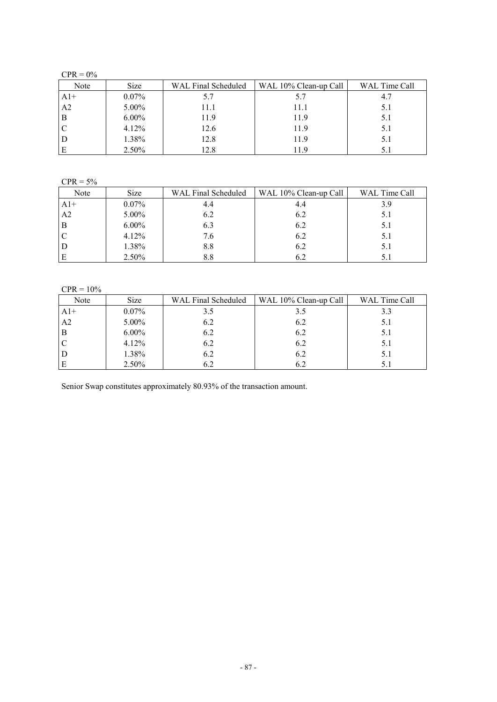$CPR = 0%$ 

| Note  | <b>Size</b> | WAL Final Scheduled | WAL 10% Clean-up Call | WAL Time Call |
|-------|-------------|---------------------|-----------------------|---------------|
| $A1+$ | $0.07\%$    | 5.7                 | 5.7                   | 4.7           |
| A2    | 5.00%       | 11.1                | 11.1                  | 5.1           |
| B     | $6.00\%$    | 11.9                | 11.9                  | 5.1           |
|       | 4.12%       | 12.6                | 11.9                  | 5.1           |
|       | 1.38%       | 12.8                | 11.9                  | 5.1           |
|       | 2.50%       | 12.8                | 119                   | 5.1           |

 $CPR = 5%$ 

| Note           | <b>Size</b> | WAL Final Scheduled | WAL 10% Clean-up Call | WAL Time Call |
|----------------|-------------|---------------------|-----------------------|---------------|
| $A1+$          | $0.07\%$    | 4.4                 | 4.4                   | 3.9           |
| A <sub>2</sub> | $5.00\%$    | 6.2                 | 6.2                   | 5.1           |
| B              | $6.00\%$    | 6.3                 | 6.2                   | 5.1           |
|                | $4.12\%$    | 7.6                 | 6.2                   | 5.1           |
|                | 1.38%       | 8.8                 | 6.2                   | 5.1           |
| E              | 2.50%       | 8.8                 |                       | 5.1           |

# $CPR = 10%$

| Note           | <b>Size</b> | WAL Final Scheduled | WAL 10% Clean-up Call | WAL Time Call |
|----------------|-------------|---------------------|-----------------------|---------------|
| $A1+$          | $0.07\%$    | 3.5                 | 3.5                   | 3.3           |
| A <sub>2</sub> | 5.00%       | 6.2                 | 6.2                   | 5.1           |
| B              | $6.00\%$    | 6.2                 | 6.2                   | 5.1           |
| C              | 4.12%       | 6.2                 | 6.2                   | 5.1           |
| D              | 1.38%       | 6.2                 | 6.2                   | 5.1           |
| E              | 2.50%       | 6.2                 | 6.2                   | 5.1           |

Senior Swap constitutes approximately 80.93% of the transaction amount.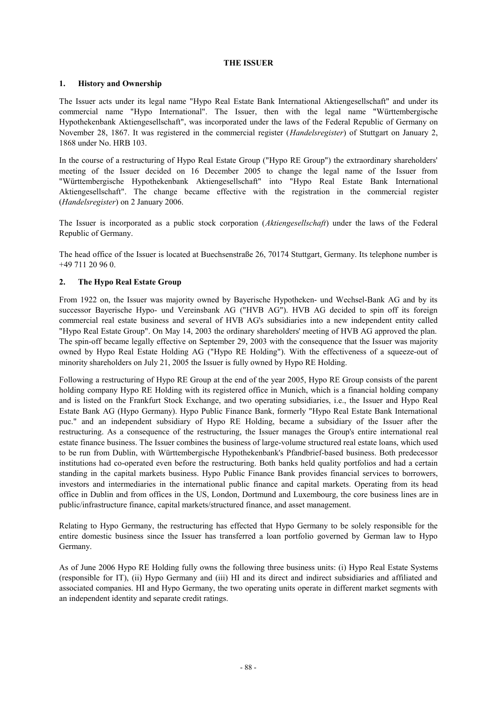### **THE ISSUER**

# **1. History and Ownership**

The Issuer acts under its legal name "Hypo Real Estate Bank International Aktiengesellschaft" and under its commercial name "Hypo International". The Issuer, then with the legal name "Württembergische Hypothekenbank Aktiengesellschaft", was incorporated under the laws of the Federal Republic of Germany on November 28, 1867. It was registered in the commercial register (*Handelsregister*) of Stuttgart on January 2, 1868 under No. HRB 103.

In the course of a restructuring of Hypo Real Estate Group ("Hypo RE Group") the extraordinary shareholders' meeting of the Issuer decided on 16 December 2005 to change the legal name of the Issuer from "Württembergische Hypothekenbank Aktiengesellschaft" into "Hypo Real Estate Bank International Aktiengesellschaft". The change became effective with the registration in the commercial register (*Handelsregister*) on 2 January 2006.

The Issuer is incorporated as a public stock corporation (*Aktiengesellschaft*) under the laws of the Federal Republic of Germany.

The head office of the Issuer is located at Buechsenstraße 26, 70174 Stuttgart, Germany. Its telephone number is +49 711 20 96 0.

# **2. The Hypo Real Estate Group**

From 1922 on, the Issuer was majority owned by Bayerische Hypotheken- und Wechsel-Bank AG and by its successor Bayerische Hypo- und Vereinsbank AG ("HVB AG"). HVB AG decided to spin off its foreign commercial real estate business and several of HVB AG's subsidiaries into a new independent entity called "Hypo Real Estate Group". On May 14, 2003 the ordinary shareholders' meeting of HVB AG approved the plan. The spin-off became legally effective on September 29, 2003 with the consequence that the Issuer was majority owned by Hypo Real Estate Holding AG ("Hypo RE Holding"). With the effectiveness of a squeeze-out of minority shareholders on July 21, 2005 the Issuer is fully owned by Hypo RE Holding.

Following a restructuring of Hypo RE Group at the end of the year 2005, Hypo RE Group consists of the parent holding company Hypo RE Holding with its registered office in Munich, which is a financial holding company and is listed on the Frankfurt Stock Exchange, and two operating subsidiaries, i.e., the Issuer and Hypo Real Estate Bank AG (Hypo Germany). Hypo Public Finance Bank, formerly "Hypo Real Estate Bank International puc." and an independent subsidiary of Hypo RE Holding, became a subsidiary of the Issuer after the restructuring. As a consequence of the restructuring, the Issuer manages the Group's entire international real estate finance business. The Issuer combines the business of large-volume structured real estate loans, which used to be run from Dublin, with Württembergische Hypothekenbank's Pfandbrief-based business. Both predecessor institutions had co-operated even before the restructuring. Both banks held quality portfolios and had a certain standing in the capital markets business. Hypo Public Finance Bank provides financial services to borrowers, investors and intermediaries in the international public finance and capital markets. Operating from its head office in Dublin and from offices in the US, London, Dortmund and Luxembourg, the core business lines are in public/infrastructure finance, capital markets/structured finance, and asset management.

Relating to Hypo Germany, the restructuring has effected that Hypo Germany to be solely responsible for the entire domestic business since the Issuer has transferred a loan portfolio governed by German law to Hypo Germany.

As of June 2006 Hypo RE Holding fully owns the following three business units: (i) Hypo Real Estate Systems (responsible for IT), (ii) Hypo Germany and (iii) HI and its direct and indirect subsidiaries and affiliated and associated companies. HI and Hypo Germany, the two operating units operate in different market segments with an independent identity and separate credit ratings.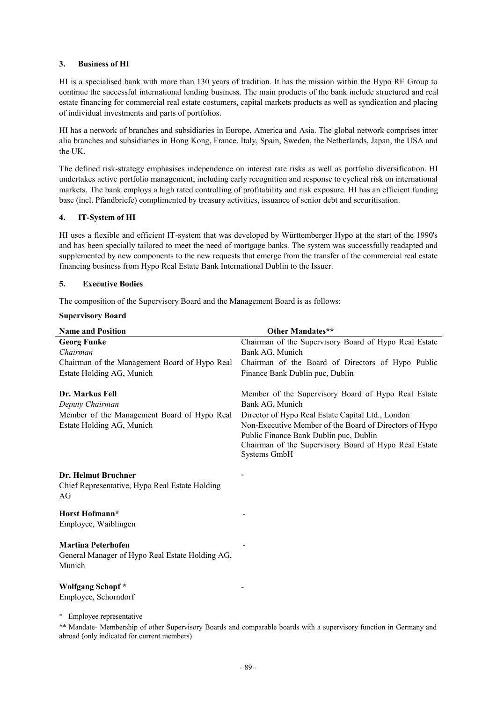# **3. Business of HI**

HI is a specialised bank with more than 130 years of tradition. It has the mission within the Hypo RE Group to continue the successful international lending business. The main products of the bank include structured and real estate financing for commercial real estate costumers, capital markets products as well as syndication and placing of individual investments and parts of portfolios.

HI has a network of branches and subsidiaries in Europe, America and Asia. The global network comprises inter alia branches and subsidiaries in Hong Kong, France, Italy, Spain, Sweden, the Netherlands, Japan, the USA and the UK.

The defined risk-strategy emphasises independence on interest rate risks as well as portfolio diversification. HI undertakes active portfolio management, including early recognition and response to cyclical risk on international markets. The bank employs a high rated controlling of profitability and risk exposure. HI has an efficient funding base (incl. Pfandbriefe) complimented by treasury activities, issuance of senior debt and securitisation.

# **4. IT-System of HI**

HI uses a flexible and efficient IT-system that was developed by Württemberger Hypo at the start of the 1990's and has been specially tailored to meet the need of mortgage banks. The system was successfully readapted and supplemented by new components to the new requests that emerge from the transfer of the commercial real estate financing business from Hypo Real Estate Bank International Dublin to the Issuer.

# **5. Executive Bodies**

The composition of the Supervisory Board and the Management Board is as follows:

### **Supervisory Board**

| <b>Name and Position</b>                             | <b>Other Mandates**</b>                                |
|------------------------------------------------------|--------------------------------------------------------|
| <b>Georg Funke</b>                                   | Chairman of the Supervisory Board of Hypo Real Estate  |
| Chairman                                             | Bank AG, Munich                                        |
| Chairman of the Management Board of Hypo Real        | Chairman of the Board of Directors of Hypo Public      |
| Estate Holding AG, Munich                            | Finance Bank Dublin puc, Dublin                        |
| Dr. Markus Fell                                      | Member of the Supervisory Board of Hypo Real Estate    |
| Deputy Chairman                                      | Bank AG, Munich                                        |
| Member of the Management Board of Hypo Real          | Director of Hypo Real Estate Capital Ltd., London      |
| Estate Holding AG, Munich                            | Non-Executive Member of the Board of Directors of Hypo |
|                                                      | Public Finance Bank Dublin puc, Dublin                 |
|                                                      | Chairman of the Supervisory Board of Hypo Real Estate  |
|                                                      | Systems GmbH                                           |
|                                                      |                                                        |
| Dr. Helmut Bruchner                                  |                                                        |
| Chief Representative, Hypo Real Estate Holding<br>AG |                                                        |
|                                                      |                                                        |
| Horst Hofmann*                                       |                                                        |
| Employee, Waiblingen                                 |                                                        |
|                                                      |                                                        |
| <b>Martina Peterhofen</b>                            |                                                        |
| General Manager of Hypo Real Estate Holding AG,      |                                                        |
| Munich                                               |                                                        |
| Wolfgang Schopf*                                     |                                                        |
| Employee, Schorndorf                                 |                                                        |
|                                                      |                                                        |
| * Employee representative                            |                                                        |

\*\* Mandate- Membership of other Supervisory Boards and comparable boards with a supervisory function in Germany and abroad (only indicated for current members)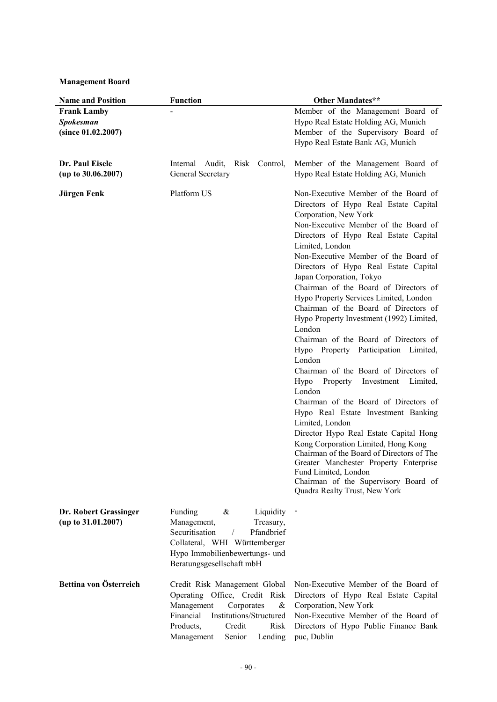**Management Board**

| <b>Name and Position</b>                                     | <b>Function</b>                                                                                                                                                                                           | <b>Other Mandates**</b>                                                                                                                                                                                                                                                                                                                                                                                                                                                                                                                                                                                                                                                                                                                                                                                                                                                                                                                                                                                                                                                           |
|--------------------------------------------------------------|-----------------------------------------------------------------------------------------------------------------------------------------------------------------------------------------------------------|-----------------------------------------------------------------------------------------------------------------------------------------------------------------------------------------------------------------------------------------------------------------------------------------------------------------------------------------------------------------------------------------------------------------------------------------------------------------------------------------------------------------------------------------------------------------------------------------------------------------------------------------------------------------------------------------------------------------------------------------------------------------------------------------------------------------------------------------------------------------------------------------------------------------------------------------------------------------------------------------------------------------------------------------------------------------------------------|
| <b>Frank Lamby</b><br><b>Spokesman</b><br>(since 01.02.2007) |                                                                                                                                                                                                           | Member of the Management Board of<br>Hypo Real Estate Holding AG, Munich<br>Member of the Supervisory Board of<br>Hypo Real Estate Bank AG, Munich                                                                                                                                                                                                                                                                                                                                                                                                                                                                                                                                                                                                                                                                                                                                                                                                                                                                                                                                |
| Dr. Paul Eisele<br>(up to 30.06.2007)                        | Internal Audit,<br>Risk<br>Control,<br>General Secretary                                                                                                                                                  | Member of the Management Board of<br>Hypo Real Estate Holding AG, Munich                                                                                                                                                                                                                                                                                                                                                                                                                                                                                                                                                                                                                                                                                                                                                                                                                                                                                                                                                                                                          |
| Jürgen Fenk                                                  | Platform US                                                                                                                                                                                               | Non-Executive Member of the Board of<br>Directors of Hypo Real Estate Capital<br>Corporation, New York<br>Non-Executive Member of the Board of<br>Directors of Hypo Real Estate Capital<br>Limited, London<br>Non-Executive Member of the Board of<br>Directors of Hypo Real Estate Capital<br>Japan Corporation, Tokyo<br>Chairman of the Board of Directors of<br>Hypo Property Services Limited, London<br>Chairman of the Board of Directors of<br>Hypo Property Investment (1992) Limited,<br>London<br>Chairman of the Board of Directors of<br>Hypo Property Participation Limited,<br>London<br>Chairman of the Board of Directors of<br>Hypo<br>Investment<br>Property<br>Limited,<br>London<br>Chairman of the Board of Directors of<br>Hypo Real Estate Investment Banking<br>Limited, London<br>Director Hypo Real Estate Capital Hong<br>Kong Corporation Limited, Hong Kong<br>Chairman of the Board of Directors of The<br>Greater Manchester Property Enterprise<br>Fund Limited, London<br>Chairman of the Supervisory Board of<br>Quadra Realty Trust, New York |
| Dr. Robert Grassinger<br>(up to 31.01.2007)                  | Funding<br>Liquidity<br>&<br>Management,<br>Treasury,<br>Securitisation<br>Pfandbrief<br>$\sqrt{2}$<br>Collateral, WHI Württemberger<br>Hypo Immobilienbewertungs- und<br>Beratungsgesellschaft mbH       |                                                                                                                                                                                                                                                                                                                                                                                                                                                                                                                                                                                                                                                                                                                                                                                                                                                                                                                                                                                                                                                                                   |
| Bettina von Österreich                                       | Credit Risk Management Global<br>Operating Office, Credit Risk<br>Management<br>Corporates<br>&<br>Financial<br>Institutions/Structured<br>Products,<br>Credit<br>Risk<br>Management<br>Lending<br>Senior | Non-Executive Member of the Board of<br>Directors of Hypo Real Estate Capital<br>Corporation, New York<br>Non-Executive Member of the Board of<br>Directors of Hypo Public Finance Bank<br>puc, Dublin                                                                                                                                                                                                                                                                                                                                                                                                                                                                                                                                                                                                                                                                                                                                                                                                                                                                            |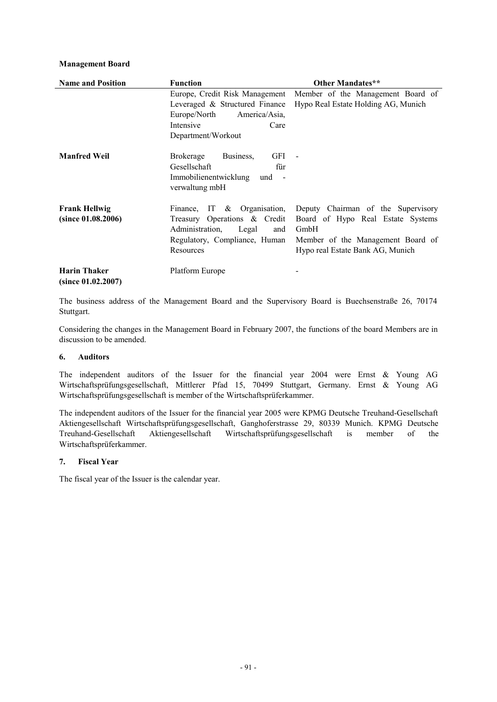# **Management Board**

| <b>Name and Position</b>                   | <b>Function</b>                                                                                                                                 | <b>Other Mandates**</b>                                                                                                                                  |
|--------------------------------------------|-------------------------------------------------------------------------------------------------------------------------------------------------|----------------------------------------------------------------------------------------------------------------------------------------------------------|
|                                            | Europe, Credit Risk Management<br>Leveraged & Structured Finance<br>Europe/North<br>America/Asia.<br>Intensive<br>Care<br>Department/Workout    | Member of the Management Board of<br>Hypo Real Estate Holding AG, Munich                                                                                 |
| <b>Manfred Weil</b>                        | Business,<br>GFI -<br><b>Brokerage</b><br>Gesellschaft<br>für<br>Immobilienentwicklung und -<br>verwaltung mbH                                  |                                                                                                                                                          |
| <b>Frank Hellwig</b><br>(since 01.08.2006) | Finance, IT $\&$ Organisation,<br>Treasury Operations & Credit<br>Administration,<br>Legal<br>and<br>Regulatory, Compliance, Human<br>Resources | Deputy Chairman of the Supervisory<br>Board of Hypo Real Estate Systems<br>GmbH<br>Member of the Management Board of<br>Hypo real Estate Bank AG, Munich |
| <b>Harin Thaker</b><br>(since 01.02.2007)  | Platform Europe                                                                                                                                 |                                                                                                                                                          |

The business address of the Management Board and the Supervisory Board is Buechsenstraße 26, 70174 Stuttgart.

Considering the changes in the Management Board in February 2007, the functions of the board Members are in discussion to be amended.

### **6. Auditors**

The independent auditors of the Issuer for the financial year 2004 were Ernst & Young AG Wirtschaftsprüfungsgesellschaft, Mittlerer Pfad 15, 70499 Stuttgart, Germany. Ernst & Young AG Wirtschaftsprüfungsgesellschaft is member of the Wirtschaftsprüferkammer.

The independent auditors of the Issuer for the financial year 2005 were KPMG Deutsche Treuhand-Gesellschaft Aktiengesellschaft Wirtschaftsprüfungsgesellschaft, Ganghoferstrasse 29, 80339 Munich. KPMG Deutsche Treuhand-Gesellschaft Aktiengesellschaft Wirtschaftsprüfungsgesellschaft is member of the Wirtschaftsprüferkammer.

# **7. Fiscal Year**

The fiscal year of the Issuer is the calendar year.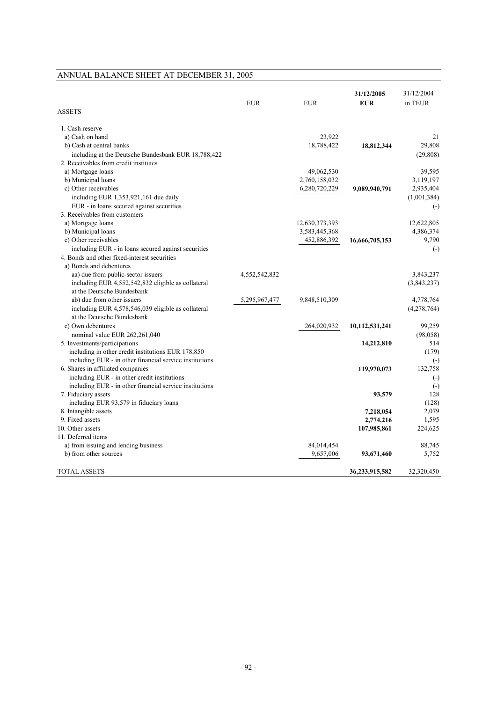|                                                                                | <b>EUR</b>    | <b>EUR</b>     | 31/12/2005<br><b>EUR</b> | 31/12/2004<br>in TEUR    |
|--------------------------------------------------------------------------------|---------------|----------------|--------------------------|--------------------------|
| <b>ASSETS</b>                                                                  |               |                |                          |                          |
| 1. Cash reserve                                                                |               |                |                          |                          |
| a) Cash on hand                                                                |               | 23,922         |                          | 21                       |
| b) Cash at central banks                                                       |               | 18,788,422     | 18,812,344               | 29,808                   |
| including at the Deutsche Bundesbank EUR 18,788,422                            |               |                |                          | (29, 808)                |
| 2. Receivables from credit institutes                                          |               |                |                          |                          |
| a) Mortgage loans                                                              |               | 49,062,530     |                          | 39,595                   |
| b) Municipal loans                                                             |               | 2,760,158,032  |                          | 3,119,197                |
| c) Other receivables                                                           |               | 6,280,720,229  | 9,089,940,791            | 2,935,404                |
| including EUR 1,353,921,161 due daily                                          |               |                |                          | (1,001,384)              |
| EUR - in loans secured against securities                                      |               |                |                          | $\left( -\right)$        |
| 3. Receivables from customers                                                  |               |                |                          |                          |
| a) Mortgage loans                                                              |               | 12,630,373,393 |                          | 12,622,805               |
| b) Municipal loans                                                             |               | 3,583,445,368  |                          | 4,386,374                |
| c) Other receivables                                                           |               | 452,886,392    | 16,666,705,153           | 9,790                    |
| including EUR - in loans secured against securities                            |               |                |                          | $\left( -\right)$        |
| 4. Bonds and other fixed-interest securities                                   |               |                |                          |                          |
| a) Bonds and debentures                                                        |               |                |                          |                          |
| aa) due from public-sector issuers                                             | 4,552,542,832 |                |                          | 3,843,237                |
| including EUR 4,552,542,832 eligible as collateral                             |               |                |                          | (3,843,237)              |
| at the Deutsche Bundesbank                                                     |               |                |                          |                          |
| ab) due from other issuers                                                     | 5,295,967,477 | 9,848,510,309  |                          | 4,778,764                |
| including EUR 4,578,546,039 eligible as collateral                             |               |                |                          | (4,278,764)              |
| at the Deutsche Bundesbank                                                     |               |                |                          |                          |
| c) Own debentures                                                              |               | 264,020,932    | 10,112,531,241           | 99,259                   |
| nominal value EUR 262,261,040                                                  |               |                |                          | (98, 058)                |
| 5. Investments/participations                                                  |               |                | 14,212,810               | 514                      |
| including in other credit institutions EUR 178,850                             |               |                |                          | (179)                    |
| including EUR - in other financial service institutions                        |               |                |                          | $\left( \cdot \right)$   |
| 6. Shares in affiliated companies                                              |               |                | 119,970,073              | 132,758                  |
| including EUR - in other credit institutions                                   |               |                |                          | $\left( -\right)$        |
| including EUR - in other financial service institutions<br>7. Fiduciary assets |               |                | 93,579                   | $\left( -\right)$<br>128 |
| including EUR 93,579 in fiduciary loans                                        |               |                |                          | (128)                    |
| 8. Intangible assets                                                           |               |                | 7,218,054                | 2,079                    |
| 9. Fixed assets                                                                |               |                | 2,774,216                | 1,595                    |
| 10. Other assets                                                               |               |                | 107,985,861              | 224,625                  |
| 11. Deferred items                                                             |               |                |                          |                          |
| a) from issuing and lending business                                           |               | 84,014,454     |                          | 88,745                   |
| b) from other sources                                                          |               | 9,657,006      | 93,671,460               | 5,752                    |
|                                                                                |               |                |                          |                          |
| <b>TOTAL ASSETS</b>                                                            |               |                | 36,233,915,582           | 32,320,450               |

# ANNUAL BALANCE SHEET AT DECEMBER 31, 2005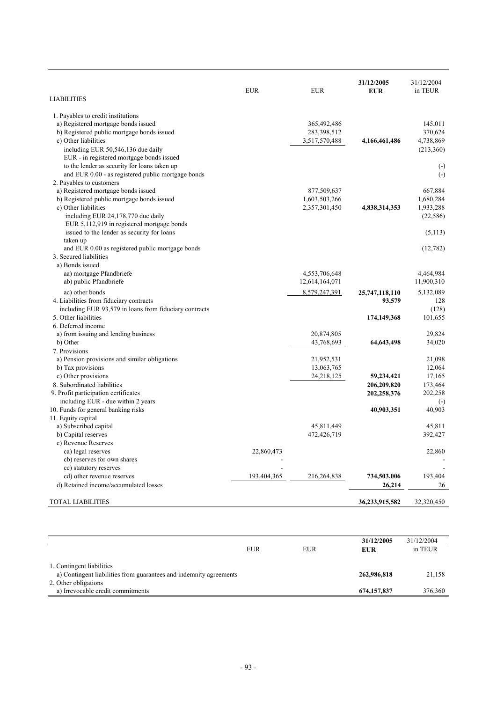| <b>LIABILITIES</b>                                     | <b>EUR</b>  | <b>EUR</b>     | 31/12/2005<br><b>EUR</b> | 31/12/2004<br>in TEUR  |
|--------------------------------------------------------|-------------|----------------|--------------------------|------------------------|
| 1. Payables to credit institutions                     |             |                |                          |                        |
| a) Registered mortgage bonds issued                    |             | 365,492,486    |                          | 145,011                |
| b) Registered public mortgage bonds issued             |             | 283,398,512    |                          | 370,624                |
| c) Other liabilities                                   |             | 3,517,570,488  | 4,166,461,486            | 4,738,869              |
| including EUR 50,546,136 due daily                     |             |                |                          | (213,360)              |
| EUR - in registered mortgage bonds issued              |             |                |                          |                        |
| to the lender as security for loans taken up           |             |                |                          | $\left( \cdot \right)$ |
| and EUR 0.00 - as registered public mortgage bonds     |             |                |                          | $(-)$                  |
| 2. Payables to customers                               |             |                |                          |                        |
| a) Registered mortgage bonds issued                    |             | 877,509,637    |                          | 667,884                |
| b) Registered public mortgage bonds issued             |             | 1,603,503,266  |                          | 1,680,284              |
| c) Other liabilities                                   |             | 2,357,301,450  | 4,838,314,353            | 1,933,288              |
| including EUR 24,178,770 due daily                     |             |                |                          | (22, 586)              |
| EUR 5,112,919 in registered mortgage bonds             |             |                |                          |                        |
| issued to the lender as security for loans             |             |                |                          | (5,113)                |
| taken up                                               |             |                |                          |                        |
| and EUR 0.00 as registered public mortgage bonds       |             |                |                          | (12,782)               |
| 3. Secured liabilities                                 |             |                |                          |                        |
| a) Bonds issued                                        |             |                |                          |                        |
| aa) mortgage Pfandbriefe                               |             | 4,553,706,648  |                          | 4,464,984              |
| ab) public Pfandbriefe                                 |             | 12,614,164,071 |                          | 11,900,310             |
| ac) other bonds                                        |             | 8,579,247,391  | 25,747,118,110           | 5,132,089              |
| 4. Liabilities from fiduciary contracts                |             |                | 93,579                   | 128                    |
| including EUR 93,579 in loans from fiduciary contracts |             |                |                          | (128)                  |
| 5. Other liabilities                                   |             |                | 174,149,368              | 101,655                |
| 6. Deferred income                                     |             |                |                          |                        |
| a) from issuing and lending business                   |             | 20,874,805     |                          | 29,824                 |
| b) Other                                               |             | 43,768,693     | 64,643,498               | 34,020                 |
| 7. Provisions                                          |             |                |                          |                        |
| a) Pension provisions and similar obligations          |             | 21,952,531     |                          | 21.098                 |
| b) Tax provisions                                      |             | 13,063,765     |                          | 12,064                 |
| c) Other provisions                                    |             | 24,218,125     | 59,234,421               | 17,165                 |
| 8. Subordinated liabilities                            |             |                | 206,209,820              | 173,464                |
| 9. Profit participation certificates                   |             |                | 202,258,376              | 202,258                |
| including EUR - due within 2 years                     |             |                |                          | $(-)$                  |
| 10. Funds for general banking risks                    |             |                | 40,903,351               | 40,903                 |
| 11. Equity capital                                     |             |                |                          |                        |
| a) Subscribed capital                                  |             | 45,811,449     |                          | 45,811                 |
| b) Capital reserves                                    |             | 472,426,719    |                          | 392,427                |
| c) Revenue Reserves                                    |             |                |                          |                        |
| ca) legal reserves                                     | 22,860,473  |                |                          | 22,860                 |
| cb) reserves for own shares                            |             |                |                          |                        |
| cc) statutory reserves                                 |             |                |                          |                        |
| cd) other revenue reserves                             | 193,404,365 | 216,264,838    | 734,503,006              | 193,404                |
| d) Retained income/accumulated losses                  |             |                | 26,214                   | 26                     |
|                                                        |             |                |                          |                        |
| TOTAL LIABILITIES                                      |             |                | 36,233,915,582           | 32,320,450             |

|                                                                                                                         |            |            | 31/12/2005    | 31/12/2004 |
|-------------------------------------------------------------------------------------------------------------------------|------------|------------|---------------|------------|
|                                                                                                                         | <b>EUR</b> | <b>EUR</b> | EUR           | in TEUR    |
| 1. Contingent liabilities<br>a) Contingent liabilities from guarantees and indemnity agreements<br>2. Other obligations |            |            | 262,986,818   | 21,158     |
| a) Irrevocable credit commitments                                                                                       |            |            | 674, 157, 837 | 376,360    |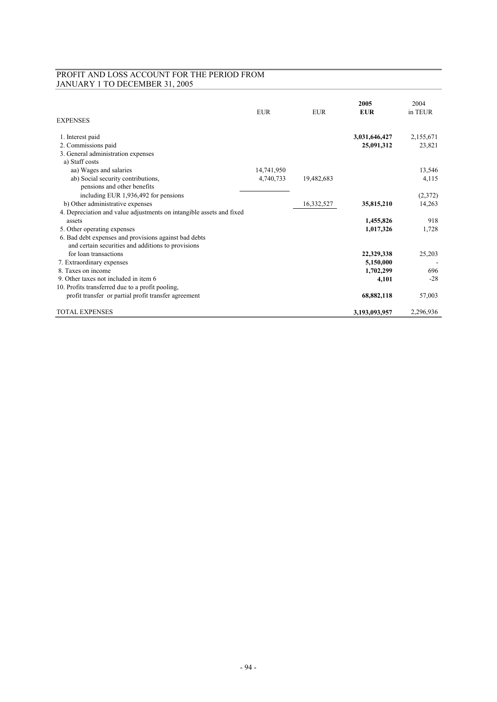# PROFIT AND LOSS ACCOUNT FOR THE PERIOD FROM JANUARY 1 TO DECEMBER 31, 2005

| <b>EXPENSES</b>                                                      | <b>EUR</b> | <b>EUR</b> | 2005<br><b>EUR</b> | 2004<br>in TEUR |
|----------------------------------------------------------------------|------------|------------|--------------------|-----------------|
| 1. Interest paid                                                     |            |            | 3,031,646,427      | 2,155,671       |
| 2. Commissions paid                                                  |            |            | 25,091,312         | 23,821          |
| 3. General administration expenses                                   |            |            |                    |                 |
| a) Staff costs                                                       |            |            |                    |                 |
| aa) Wages and salaries                                               | 14,741,950 |            |                    | 13,546          |
| ab) Social security contributions,<br>pensions and other benefits    | 4,740,733  | 19,482,683 |                    | 4,115           |
| including EUR 1,936,492 for pensions                                 |            |            |                    | (2,372)         |
| b) Other administrative expenses                                     |            | 16,332,527 | 35,815,210         | 14,263          |
| 4. Depreciation and value adjustments on intangible assets and fixed |            |            |                    |                 |
| assets                                                               |            |            | 1,455,826          | 918             |
| 5. Other operating expenses                                          |            |            | 1,017,326          | 1,728           |
| 6. Bad debt expenses and provisions against bad debts                |            |            |                    |                 |
| and certain securities and additions to provisions                   |            |            |                    |                 |
| for loan transactions                                                |            |            | 22,329,338         | 25,203          |
| 7. Extraordinary expenses                                            |            |            | 5,150,000          |                 |
| 8. Taxes on income                                                   |            |            | 1,702,299          | 696             |
| 9. Other taxes not included in item 6                                |            |            | 4,101              | $-28$           |
| 10. Profits transferred due to a profit pooling,                     |            |            |                    |                 |
| profit transfer or partial profit transfer agreement                 |            |            | 68,882,118         | 57,003          |
|                                                                      |            |            |                    |                 |
| <b>TOTAL EXPENSES</b>                                                |            |            | 3,193,093,957      | 2,296,936       |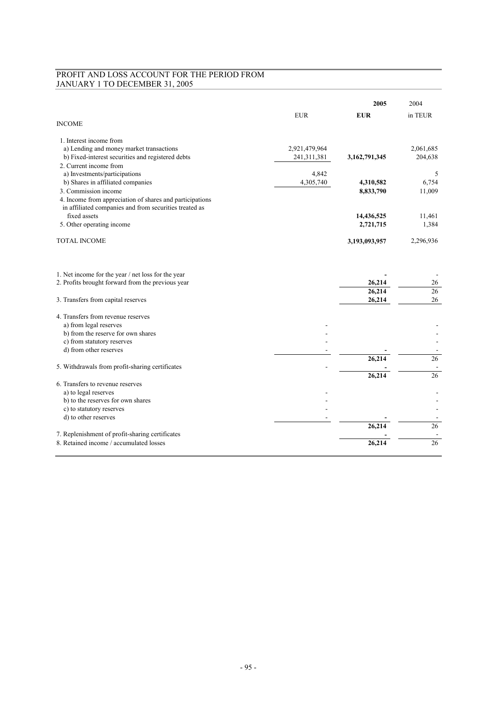# PROFIT AND LOSS ACCOUNT FOR THE PERIOD FROM JANUARY 1 TO DECEMBER 31, 2005

|                                                           |               | 2005                   | 2004            |
|-----------------------------------------------------------|---------------|------------------------|-----------------|
|                                                           | <b>EUR</b>    | <b>EUR</b>             | in TEUR         |
| <b>INCOME</b>                                             |               |                        |                 |
| 1. Interest income from                                   |               |                        |                 |
| a) Lending and money market transactions                  | 2,921,479,964 |                        | 2,061,685       |
| b) Fixed-interest securities and registered debts         | 241,311,381   | 3,162,791,345          | 204,638         |
| 2. Current income from                                    |               |                        |                 |
| a) Investments/participations                             | 4,842         |                        | 5<br>6,754      |
| b) Shares in affiliated companies<br>3. Commission income | 4,305,740     | 4,310,582<br>8,833,790 | 11,009          |
| 4. Income from appreciation of shares and participations  |               |                        |                 |
| in affiliated companies and from securities treated as    |               |                        |                 |
| fixed assets                                              |               | 14,436,525             | 11,461          |
| 5. Other operating income                                 |               | 2,721,715              | 1,384           |
|                                                           |               |                        |                 |
| <b>TOTAL INCOME</b>                                       |               | 3,193,093,957          | 2,296,936       |
|                                                           |               |                        |                 |
| 1. Net income for the year / net loss for the year        |               |                        |                 |
| 2. Profits brought forward from the previous year         |               | 26,214                 | 26              |
|                                                           |               | 26,214                 | 26              |
| 3. Transfers from capital reserves                        |               | 26,214                 | 26              |
| 4. Transfers from revenue reserves                        |               |                        |                 |
| a) from legal reserves                                    |               |                        |                 |
| b) from the reserve for own shares                        |               |                        |                 |
| c) from statutory reserves                                |               |                        |                 |
| d) from other reserves                                    |               |                        |                 |
|                                                           |               | 26,214                 | 26              |
| 5. Withdrawals from profit-sharing certificates           |               | 26,214                 | 26              |
| 6. Transfers to revenue reserves                          |               |                        |                 |
| a) to legal reserves                                      |               |                        |                 |
| b) to the reserves for own shares                         |               |                        |                 |
| c) to statutory reserves                                  |               |                        |                 |
| d) to other reserves                                      |               |                        |                 |
|                                                           |               | 26,214                 | $\overline{26}$ |
| 7. Replenishment of profit-sharing certificates           |               |                        |                 |
| 8. Retained income / accumulated losses                   |               | 26,214                 | 26              |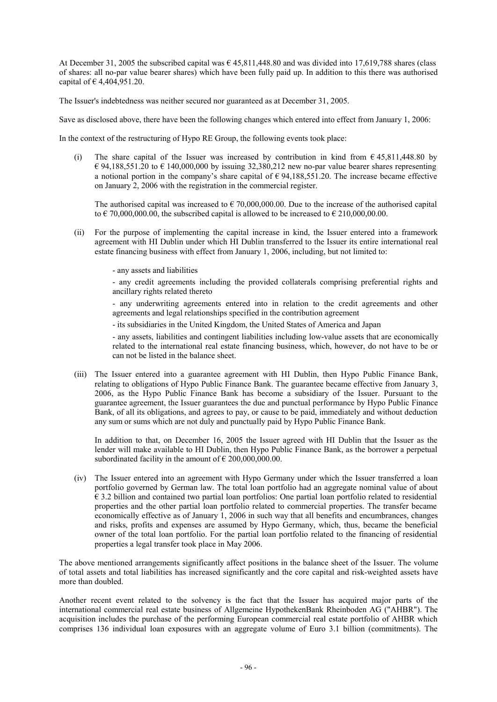At December 31, 2005 the subscribed capital was  $\epsilon$  45,811,448.80 and was divided into 17,619,788 shares (class of shares: all no-par value bearer shares) which have been fully paid up. In addition to this there was authorised capital of  $\in$  4,404,951.20.

The Issuer's indebtedness was neither secured nor guaranteed as at December 31, 2005.

Save as disclosed above, there have been the following changes which entered into effect from January 1, 2006:

In the context of the restructuring of Hypo RE Group, the following events took place:

(i) The share capital of the Issuer was increased by contribution in kind from  $\epsilon$  45,811,448.80 by € 94,188,551.20 to € 140,000,000 by issuing 32,380,212 new no-par value bearer shares representing a notional portion in the company's share capital of  $\epsilon$  94,188,551.20. The increase became effective on January 2, 2006 with the registration in the commercial register.

The authorised capital was increased to  $\epsilon$  70,000,000,00. Due to the increase of the authorised capital to  $\epsilon$  70,000,000,00, the subscribed capital is allowed to be increased to  $\epsilon$  210,000,00,00.

- (ii) For the purpose of implementing the capital increase in kind, the Issuer entered into a framework agreement with HI Dublin under which HI Dublin transferred to the Issuer its entire international real estate financing business with effect from January 1, 2006, including, but not limited to:
	- any assets and liabilities

- any credit agreements including the provided collaterals comprising preferential rights and ancillary rights related thereto

- any underwriting agreements entered into in relation to the credit agreements and other agreements and legal relationships specified in the contribution agreement

- its subsidiaries in the United Kingdom, the United States of America and Japan

- any assets, liabilities and contingent liabilities including low-value assets that are economically related to the international real estate financing business, which, however, do not have to be or can not be listed in the balance sheet.

(iii) The Issuer entered into a guarantee agreement with HI Dublin, then Hypo Public Finance Bank, relating to obligations of Hypo Public Finance Bank. The guarantee became effective from January 3, 2006, as the Hypo Public Finance Bank has become a subsidiary of the Issuer. Pursuant to the guarantee agreement, the Issuer guarantees the due and punctual performance by Hypo Public Finance Bank, of all its obligations, and agrees to pay, or cause to be paid, immediately and without deduction any sum or sums which are not duly and punctually paid by Hypo Public Finance Bank.

In addition to that, on December 16, 2005 the Issuer agreed with HI Dublin that the Issuer as the lender will make available to HI Dublin, then Hypo Public Finance Bank, as the borrower a perpetual subordinated facility in the amount of  $\epsilon$  200,000,000.00.

(iv) The Issuer entered into an agreement with Hypo Germany under which the Issuer transferred a loan portfolio governed by German law. The total loan portfolio had an aggregate nominal value of about  $\epsilon$  3.2 billion and contained two partial loan portfolios: One partial loan portfolio related to residential properties and the other partial loan portfolio related to commercial properties. The transfer became economically effective as of January 1, 2006 in such way that all benefits and encumbrances, changes and risks, profits and expenses are assumed by Hypo Germany, which, thus, became the beneficial owner of the total loan portfolio. For the partial loan portfolio related to the financing of residential properties a legal transfer took place in May 2006.

The above mentioned arrangements significantly affect positions in the balance sheet of the Issuer. The volume of total assets and total liabilities has increased significantly and the core capital and risk-weighted assets have more than doubled.

Another recent event related to the solvency is the fact that the Issuer has acquired major parts of the international commercial real estate business of Allgemeine HypothekenBank Rheinboden AG ("AHBR"). The acquisition includes the purchase of the performing European commercial real estate portfolio of AHBR which comprises 136 individual loan exposures with an aggregate volume of Euro 3.1 billion (commitments). The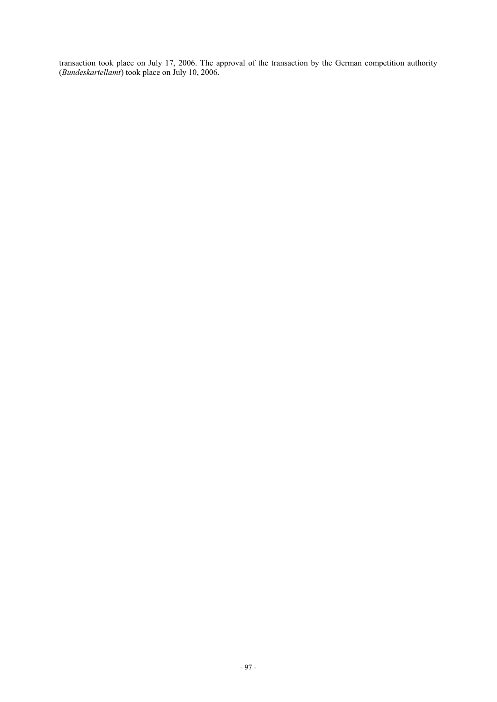transaction took place on July 17, 2006. The approval of the transaction by the German competition authority (*Bundeskartellamt*) took place on July 10, 2006.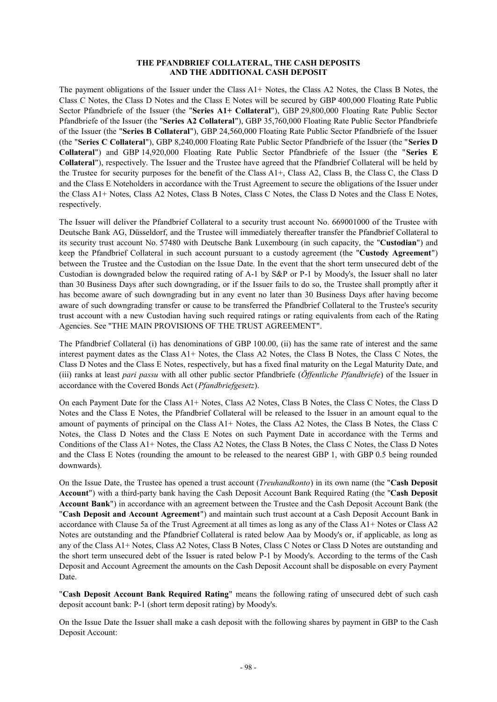#### **THE PFANDBRIEF COLLATERAL, THE CASH DEPOSITS AND THE ADDITIONAL CASH DEPOSIT**

The payment obligations of the Issuer under the Class A1+ Notes, the Class A2 Notes, the Class B Notes, the Class C Notes, the Class D Notes and the Class E Notes will be secured by GBP 400,000 Floating Rate Public Sector Pfandbriefe of the Issuer (the "**Series A1+ Collateral**"), GBP 29,800,000 Floating Rate Public Sector Pfandbriefe of the Issuer (the "**Series A2 Collateral**"), GBP 35,760,000 Floating Rate Public Sector Pfandbriefe of the Issuer (the "**Series B Collateral**"), GBP 24,560,000 Floating Rate Public Sector Pfandbriefe of the Issuer (the "**Series C Collateral**"), GBP 8,240,000 Floating Rate Public Sector Pfandbriefe of the Issuer (the "**Series D Collateral**") and GBP 14,920,000 Floating Rate Public Sector Pfandbriefe of the Issuer (the "**Series E Collateral**"), respectively. The Issuer and the Trustee have agreed that the Pfandbrief Collateral will be held by the Trustee for security purposes for the benefit of the Class A1+, Class A2, Class B, the Class C, the Class D and the Class E Noteholders in accordance with the Trust Agreement to secure the obligations of the Issuer under the Class A1+ Notes, Class A2 Notes, Class B Notes, Class C Notes, the Class D Notes and the Class E Notes, respectively.

The Issuer will deliver the Pfandbrief Collateral to a security trust account No. 669001000 of the Trustee with Deutsche Bank AG, Düsseldorf, and the Trustee will immediately thereafter transfer the Pfandbrief Collateral to its security trust account No. 57480 with Deutsche Bank Luxembourg (in such capacity, the "**Custodian**") and keep the Pfandbrief Collateral in such account pursuant to a custody agreement (the "**Custody Agreement**") between the Trustee and the Custodian on the Issue Date. In the event that the short term unsecured debt of the Custodian is downgraded below the required rating of A-1 by S&P or P-1 by Moody's, the Issuer shall no later than 30 Business Days after such downgrading, or if the Issuer fails to do so, the Trustee shall promptly after it has become aware of such downgrading but in any event no later than 30 Business Days after having become aware of such downgrading transfer or cause to be transferred the Pfandbrief Collateral to the Trustee's security trust account with a new Custodian having such required ratings or rating equivalents from each of the Rating Agencies. See "THE MAIN PROVISIONS OF THE TRUST AGREEMENT".

The Pfandbrief Collateral (i) has denominations of GBP 100.00, (ii) has the same rate of interest and the same interest payment dates as the Class A1+ Notes, the Class A2 Notes, the Class B Notes, the Class C Notes, the Class D Notes and the Class E Notes, respectively, but has a fixed final maturity on the Legal Maturity Date, and (iii) ranks at least *pari passu* with all other public sector Pfandbriefe (*Öffentliche Pfandbriefe*) of the Issuer in accordance with the Covered Bonds Act (*Pfandbriefgesetz*).

On each Payment Date for the Class A1+ Notes, Class A2 Notes, Class B Notes, the Class C Notes, the Class D Notes and the Class E Notes, the Pfandbrief Collateral will be released to the Issuer in an amount equal to the amount of payments of principal on the Class A1+ Notes, the Class A2 Notes, the Class B Notes, the Class C Notes, the Class D Notes and the Class E Notes on such Payment Date in accordance with the Terms and Conditions of the Class A1+ Notes, the Class A2 Notes, the Class B Notes, the Class C Notes, the Class D Notes and the Class E Notes (rounding the amount to be released to the nearest GBP 1, with GBP 0.5 being rounded downwards).

On the Issue Date, the Trustee has opened a trust account (*Treuhandkonto*) in its own name (the "**Cash Deposit Account**") with a third-party bank having the Cash Deposit Account Bank Required Rating (the "**Cash Deposit Account Bank**") in accordance with an agreement between the Trustee and the Cash Deposit Account Bank (the "**Cash Deposit and Account Agreement**") and maintain such trust account at a Cash Deposit Account Bank in accordance with Clause 5a of the Trust Agreement at all times as long as any of the Class A1+ Notes or Class A2 Notes are outstanding and the Pfandbrief Collateral is rated below Aaa by Moody's or, if applicable, as long as any of the Class A1+ Notes, Class A2 Notes, Class B Notes, Class C Notes or Class D Notes are outstanding and the short term unsecured debt of the Issuer is rated below P-1 by Moody's. According to the terms of the Cash Deposit and Account Agreement the amounts on the Cash Deposit Account shall be disposable on every Payment Date.

"**Cash Deposit Account Bank Required Rating**" means the following rating of unsecured debt of such cash deposit account bank: P-1 (short term deposit rating) by Moody's.

On the Issue Date the Issuer shall make a cash deposit with the following shares by payment in GBP to the Cash Deposit Account: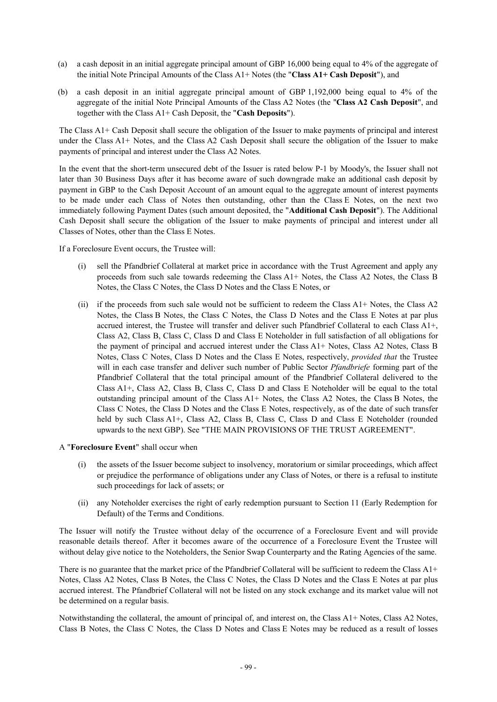- (a) a cash deposit in an initial aggregate principal amount of GBP 16,000 being equal to 4% of the aggregate of the initial Note Principal Amounts of the Class A1+ Notes (the "**Class A1+ Cash Deposit**"), and
- (b) a cash deposit in an initial aggregate principal amount of GBP 1,192,000 being equal to 4% of the aggregate of the initial Note Principal Amounts of the Class A2 Notes (the "**Class A2 Cash Deposit**", and together with the Class A1+ Cash Deposit, the "**Cash Deposits**").

The Class A1+ Cash Deposit shall secure the obligation of the Issuer to make payments of principal and interest under the Class A1+ Notes, and the Class A2 Cash Deposit shall secure the obligation of the Issuer to make payments of principal and interest under the Class A2 Notes.

In the event that the short-term unsecured debt of the Issuer is rated below P-1 by Moody's, the Issuer shall not later than 30 Business Days after it has become aware of such downgrade make an additional cash deposit by payment in GBP to the Cash Deposit Account of an amount equal to the aggregate amount of interest payments to be made under each Class of Notes then outstanding, other than the Class E Notes, on the next two immediately following Payment Dates (such amount deposited, the "**Additional Cash Deposit**"). The Additional Cash Deposit shall secure the obligation of the Issuer to make payments of principal and interest under all Classes of Notes, other than the Class E Notes.

If a Foreclosure Event occurs, the Trustee will:

- (i) sell the Pfandbrief Collateral at market price in accordance with the Trust Agreement and apply any proceeds from such sale towards redeeming the Class A1+ Notes, the Class A2 Notes, the Class B Notes, the Class C Notes, the Class D Notes and the Class E Notes, or
- (ii) if the proceeds from such sale would not be sufficient to redeem the Class A1+ Notes, the Class A2 Notes, the Class B Notes, the Class C Notes, the Class D Notes and the Class E Notes at par plus accrued interest, the Trustee will transfer and deliver such Pfandbrief Collateral to each Class A1+, Class A2, Class B, Class C, Class D and Class E Noteholder in full satisfaction of all obligations for the payment of principal and accrued interest under the Class A1+ Notes, Class A2 Notes, Class B Notes, Class C Notes, Class D Notes and the Class E Notes, respectively, *provided that* the Trustee will in each case transfer and deliver such number of Public Sector *Pfandbriefe* forming part of the Pfandbrief Collateral that the total principal amount of the Pfandbrief Collateral delivered to the Class A1+, Class A2, Class B, Class C, Class D and Class E Noteholder will be equal to the total outstanding principal amount of the Class A1+ Notes, the Class A2 Notes, the Class B Notes, the Class C Notes, the Class D Notes and the Class E Notes, respectively, as of the date of such transfer held by such Class A1+, Class A2, Class B, Class C, Class D and Class E Noteholder (rounded upwards to the next GBP). See "THE MAIN PROVISIONS OF THE TRUST AGREEMENT".

### A "**Foreclosure Event**" shall occur when

- (i) the assets of the Issuer become subject to insolvency, moratorium or similar proceedings, which affect or prejudice the performance of obligations under any Class of Notes, or there is a refusal to institute such proceedings for lack of assets; or
- (ii) any Noteholder exercises the right of early redemption pursuant to Section 11 (Early Redemption for Default) of the Terms and Conditions.

The Issuer will notify the Trustee without delay of the occurrence of a Foreclosure Event and will provide reasonable details thereof. After it becomes aware of the occurrence of a Foreclosure Event the Trustee will without delay give notice to the Noteholders, the Senior Swap Counterparty and the Rating Agencies of the same.

There is no guarantee that the market price of the Pfandbrief Collateral will be sufficient to redeem the Class A1+ Notes, Class A2 Notes, Class B Notes, the Class C Notes, the Class D Notes and the Class E Notes at par plus accrued interest. The Pfandbrief Collateral will not be listed on any stock exchange and its market value will not be determined on a regular basis.

Notwithstanding the collateral, the amount of principal of, and interest on, the Class A1+ Notes, Class A2 Notes, Class B Notes, the Class C Notes, the Class D Notes and Class E Notes may be reduced as a result of losses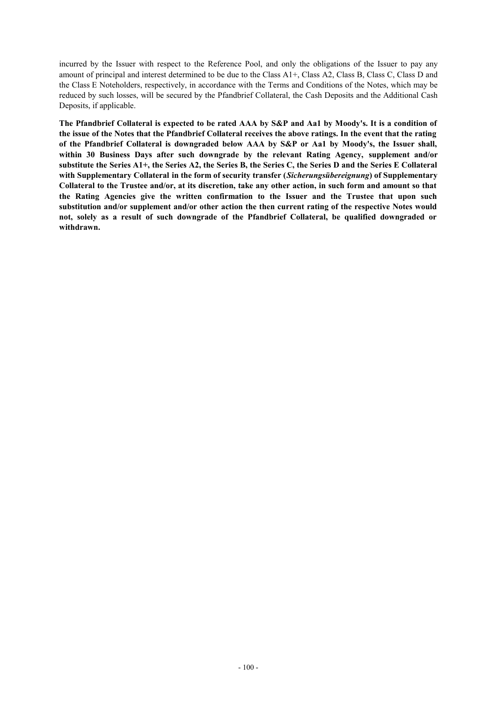incurred by the Issuer with respect to the Reference Pool, and only the obligations of the Issuer to pay any amount of principal and interest determined to be due to the Class A1+, Class A2, Class B, Class C, Class D and the Class E Noteholders, respectively, in accordance with the Terms and Conditions of the Notes, which may be reduced by such losses, will be secured by the Pfandbrief Collateral, the Cash Deposits and the Additional Cash Deposits, if applicable.

The Pfandbrief Collateral is expected to be rated AAA by S&P and Aa1 by Moody's. It is a condition of the issue of the Notes that the Pfandbrief Collateral receives the above ratings. In the event that the rating **of the Pfandbrief Collateral is downgraded below AAA by S&P or Aa1 by Moody's, the Issuer shall, within 30 Business Days after such downgrade by the relevant Rating Agency, supplement and/or**  substitute the Series A1+, the Series A2, the Series B, the Series C, the Series D and the Series E Collateral **with Supplementary Collateral in the form of security transfer (***Sicherungsübereignung***) of Supplementary**  Collateral to the Trustee and/or, at its discretion, take any other action, in such form and amount so that **the Rating Agencies give the written confirmation to the Issuer and the Trustee that upon such substitution and/or supplement and/or other action the then current rating of the respective Notes would not, solely as a result of such downgrade of the Pfandbrief Collateral, be qualified downgraded or withdrawn.**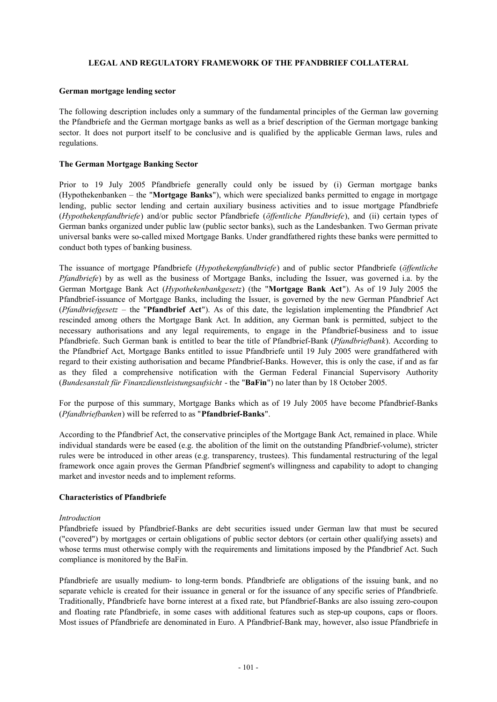### **LEGAL AND REGULATORY FRAMEWORK OF THE PFANDBRIEF COLLATERAL**

#### **German mortgage lending sector**

The following description includes only a summary of the fundamental principles of the German law governing the Pfandbriefe and the German mortgage banks as well as a brief description of the German mortgage banking sector. It does not purport itself to be conclusive and is qualified by the applicable German laws, rules and regulations.

#### **The German Mortgage Banking Sector**

Prior to 19 July 2005 Pfandbriefe generally could only be issued by (i) German mortgage banks (Hypothekenbanken – the "**Mortgage Banks**"), which were specialized banks permitted to engage in mortgage lending, public sector lending and certain auxiliary business activities and to issue mortgage Pfandbriefe (*Hypothekenpfandbriefe*) and/or public sector Pfandbriefe (*öffentliche Pfandbriefe*), and (ii) certain types of German banks organized under public law (public sector banks), such as the Landesbanken. Two German private universal banks were so-called mixed Mortgage Banks. Under grandfathered rights these banks were permitted to conduct both types of banking business.

The issuance of mortgage Pfandbriefe (*Hypothekenpfandbriefe*) and of public sector Pfandbriefe (*öffentliche Pfandbriefe*) by as well as the business of Mortgage Banks, including the Issuer, was governed i.a. by the German Mortgage Bank Act (*Hypothekenbankgesetz*) (the "**Mortgage Bank Act**"). As of 19 July 2005 the Pfandbrief-issuance of Mortgage Banks, including the Issuer, is governed by the new German Pfandbrief Act (*Pfandbriefgesetz* – the "**Pfandbrief Act**"). As of this date, the legislation implementing the Pfandbrief Act rescinded among others the Mortgage Bank Act. In addition, any German bank is permitted, subject to the necessary authorisations and any legal requirements, to engage in the Pfandbrief-business and to issue Pfandbriefe. Such German bank is entitled to bear the title of Pfandbrief-Bank (*Pfandbriefbank*). According to the Pfandbrief Act, Mortgage Banks entitled to issue Pfandbriefe until 19 July 2005 were grandfathered with regard to their existing authorisation and became Pfandbrief-Banks. However, this is only the case, if and as far as they filed a comprehensive notification with the German Federal Financial Supervisory Authority (*Bundesanstalt für Finanzdienstleistungsaufsicht* - the "**BaFin**") no later than by 18 October 2005.

For the purpose of this summary, Mortgage Banks which as of 19 July 2005 have become Pfandbrief-Banks (*Pfandbriefbanken*) will be referred to as "**Pfandbrief-Banks**".

According to the Pfandbrief Act, the conservative principles of the Mortgage Bank Act, remained in place. While individual standards were be eased (e.g. the abolition of the limit on the outstanding Pfandbrief-volume), stricter rules were be introduced in other areas (e.g. transparency, trustees). This fundamental restructuring of the legal framework once again proves the German Pfandbrief segment's willingness and capability to adopt to changing market and investor needs and to implement reforms.

### **Characteristics of Pfandbriefe**

#### *Introduction*

Pfandbriefe issued by Pfandbrief-Banks are debt securities issued under German law that must be secured ("covered") by mortgages or certain obligations of public sector debtors (or certain other qualifying assets) and whose terms must otherwise comply with the requirements and limitations imposed by the Pfandbrief Act. Such compliance is monitored by the BaFin.

Pfandbriefe are usually medium- to long-term bonds. Pfandbriefe are obligations of the issuing bank, and no separate vehicle is created for their issuance in general or for the issuance of any specific series of Pfandbriefe. Traditionally, Pfandbriefe have borne interest at a fixed rate, but Pfandbrief-Banks are also issuing zero-coupon and floating rate Pfandbriefe, in some cases with additional features such as step-up coupons, caps or floors. Most issues of Pfandbriefe are denominated in Euro. A Pfandbrief-Bank may, however, also issue Pfandbriefe in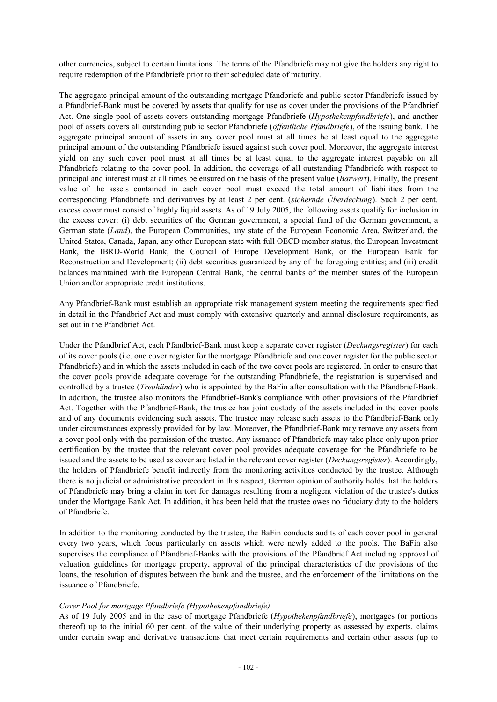other currencies, subject to certain limitations. The terms of the Pfandbriefe may not give the holders any right to require redemption of the Pfandbriefe prior to their scheduled date of maturity.

The aggregate principal amount of the outstanding mortgage Pfandbriefe and public sector Pfandbriefe issued by a Pfandbrief-Bank must be covered by assets that qualify for use as cover under the provisions of the Pfandbrief Act. One single pool of assets covers outstanding mortgage Pfandbriefe (*Hypothekenpfandbriefe*), and another pool of assets covers all outstanding public sector Pfandbriefe (*öffentliche Pfandbriefe*), of the issuing bank. The aggregate principal amount of assets in any cover pool must at all times be at least equal to the aggregate principal amount of the outstanding Pfandbriefe issued against such cover pool. Moreover, the aggregate interest yield on any such cover pool must at all times be at least equal to the aggregate interest payable on all Pfandbriefe relating to the cover pool. In addition, the coverage of all outstanding Pfandbriefe with respect to principal and interest must at all times be ensured on the basis of the present value (*Barwert*). Finally, the present value of the assets contained in each cover pool must exceed the total amount of liabilities from the corresponding Pfandbriefe and derivatives by at least 2 per cent. (*sichernde Überdeckung*). Such 2 per cent. excess cover must consist of highly liquid assets. As of 19 July 2005, the following assets qualify for inclusion in the excess cover: (i) debt securities of the German government, a special fund of the German government, a German state (*Land*), the European Communities, any state of the European Economic Area, Switzerland, the United States, Canada, Japan, any other European state with full OECD member status, the European Investment Bank, the IBRD-World Bank, the Council of Europe Development Bank, or the European Bank for Reconstruction and Development; (ii) debt securities guaranteed by any of the foregoing entities; and (iii) credit balances maintained with the European Central Bank, the central banks of the member states of the European Union and/or appropriate credit institutions.

Any Pfandbrief-Bank must establish an appropriate risk management system meeting the requirements specified in detail in the Pfandbrief Act and must comply with extensive quarterly and annual disclosure requirements, as set out in the Pfandbrief Act.

Under the Pfandbrief Act, each Pfandbrief-Bank must keep a separate cover register (*Deckungsregister*) for each of its cover pools (i.e. one cover register for the mortgage Pfandbriefe and one cover register for the public sector Pfandbriefe) and in which the assets included in each of the two cover pools are registered. In order to ensure that the cover pools provide adequate coverage for the outstanding Pfandbriefe, the registration is supervised and controlled by a trustee (*Treuhänder*) who is appointed by the BaFin after consultation with the Pfandbrief-Bank. In addition, the trustee also monitors the Pfandbrief-Bank's compliance with other provisions of the Pfandbrief Act. Together with the Pfandbrief-Bank, the trustee has joint custody of the assets included in the cover pools and of any documents evidencing such assets. The trustee may release such assets to the Pfandbrief-Bank only under circumstances expressly provided for by law. Moreover, the Pfandbrief-Bank may remove any assets from a cover pool only with the permission of the trustee. Any issuance of Pfandbriefe may take place only upon prior certification by the trustee that the relevant cover pool provides adequate coverage for the Pfandbriefe to be issued and the assets to be used as cover are listed in the relevant cover register (*Deckungsregister*). Accordingly, the holders of Pfandbriefe benefit indirectly from the monitoring activities conducted by the trustee. Although there is no judicial or administrative precedent in this respect, German opinion of authority holds that the holders of Pfandbriefe may bring a claim in tort for damages resulting from a negligent violation of the trustee's duties under the Mortgage Bank Act. In addition, it has been held that the trustee owes no fiduciary duty to the holders of Pfandbriefe.

In addition to the monitoring conducted by the trustee, the BaFin conducts audits of each cover pool in general every two years, which focus particularly on assets which were newly added to the pools. The BaFin also supervises the compliance of Pfandbrief-Banks with the provisions of the Pfandbrief Act including approval of valuation guidelines for mortgage property, approval of the principal characteristics of the provisions of the loans, the resolution of disputes between the bank and the trustee, and the enforcement of the limitations on the issuance of Pfandbriefe.

### *Cover Pool for mortgage Pfandbriefe (Hypothekenpfandbriefe)*

As of 19 July 2005 and in the case of mortgage Pfandbriefe (*Hypothekenpfandbriefe*), mortgages (or portions thereof) up to the initial 60 per cent. of the value of their underlying property as assessed by experts, claims under certain swap and derivative transactions that meet certain requirements and certain other assets (up to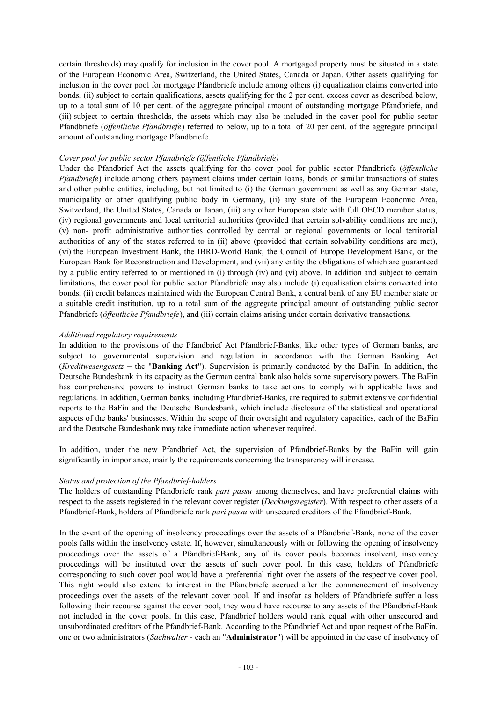certain thresholds) may qualify for inclusion in the cover pool. A mortgaged property must be situated in a state of the European Economic Area, Switzerland, the United States, Canada or Japan. Other assets qualifying for inclusion in the cover pool for mortgage Pfandbriefe include among others (i) equalization claims converted into bonds, (ii) subject to certain qualifications, assets qualifying for the 2 per cent. excess cover as described below, up to a total sum of 10 per cent. of the aggregate principal amount of outstanding mortgage Pfandbriefe, and (iii) subject to certain thresholds, the assets which may also be included in the cover pool for public sector Pfandbriefe (*öffentliche Pfandbriefe*) referred to below, up to a total of 20 per cent. of the aggregate principal amount of outstanding mortgage Pfandbriefe.

### *Cover pool for public sector Pfandbriefe (öffentliche Pfandbriefe)*

Under the Pfandbrief Act the assets qualifying for the cover pool for public sector Pfandbriefe (*öffentliche Pfandbriefe*) include among others payment claims under certain loans, bonds or similar transactions of states and other public entities, including, but not limited to (i) the German government as well as any German state, municipality or other qualifying public body in Germany, (ii) any state of the European Economic Area, Switzerland, the United States, Canada or Japan, (iii) any other European state with full OECD member status, (iv) regional governments and local territorial authorities (provided that certain solvability conditions are met), (v) non- profit administrative authorities controlled by central or regional governments or local territorial authorities of any of the states referred to in (ii) above (provided that certain solvability conditions are met), (vi) the European Investment Bank, the IBRD-World Bank, the Council of Europe Development Bank, or the European Bank for Reconstruction and Development, and (vii) any entity the obligations of which are guaranteed by a public entity referred to or mentioned in (i) through (iv) and (vi) above. In addition and subject to certain limitations, the cover pool for public sector Pfandbriefe may also include (i) equalisation claims converted into bonds, (ii) credit balances maintained with the European Central Bank, a central bank of any EU member state or a suitable credit institution, up to a total sum of the aggregate principal amount of outstanding public sector Pfandbriefe (*öffentliche Pfandbriefe*), and (iii) certain claims arising under certain derivative transactions.

# *Additional regulatory requirements*

In addition to the provisions of the Pfandbrief Act Pfandbrief-Banks, like other types of German banks, are subject to governmental supervision and regulation in accordance with the German Banking Act (*Kreditwesengesetz* – the "**Banking Act**"). Supervision is primarily conducted by the BaFin. In addition, the Deutsche Bundesbank in its capacity as the German central bank also holds some supervisory powers. The BaFin has comprehensive powers to instruct German banks to take actions to comply with applicable laws and regulations. In addition, German banks, including Pfandbrief-Banks, are required to submit extensive confidential reports to the BaFin and the Deutsche Bundesbank, which include disclosure of the statistical and operational aspects of the banks' businesses. Within the scope of their oversight and regulatory capacities, each of the BaFin and the Deutsche Bundesbank may take immediate action whenever required.

In addition, under the new Pfandbrief Act, the supervision of Pfandbrief-Banks by the BaFin will gain significantly in importance, mainly the requirements concerning the transparency will increase.

### *Status and protection of the Pfandbrief-holders*

The holders of outstanding Pfandbriefe rank *pari passu* among themselves, and have preferential claims with respect to the assets registered in the relevant cover register (*Deckungsregister*). With respect to other assets of a Pfandbrief-Bank, holders of Pfandbriefe rank *pari passu* with unsecured creditors of the Pfandbrief-Bank.

In the event of the opening of insolvency proceedings over the assets of a Pfandbrief-Bank, none of the cover pools falls within the insolvency estate. If, however, simultaneously with or following the opening of insolvency proceedings over the assets of a Pfandbrief-Bank, any of its cover pools becomes insolvent, insolvency proceedings will be instituted over the assets of such cover pool. In this case, holders of Pfandbriefe corresponding to such cover pool would have a preferential right over the assets of the respective cover pool. This right would also extend to interest in the Pfandbriefe accrued after the commencement of insolvency proceedings over the assets of the relevant cover pool. If and insofar as holders of Pfandbriefe suffer a loss following their recourse against the cover pool, they would have recourse to any assets of the Pfandbrief-Bank not included in the cover pools. In this case, Pfandbrief holders would rank equal with other unsecured and unsubordinated creditors of the Pfandbrief-Bank. According to the Pfandbrief Act and upon request of the BaFin, one or two administrators (*Sachwalter* - each an "**Administrator**") will be appointed in the case of insolvency of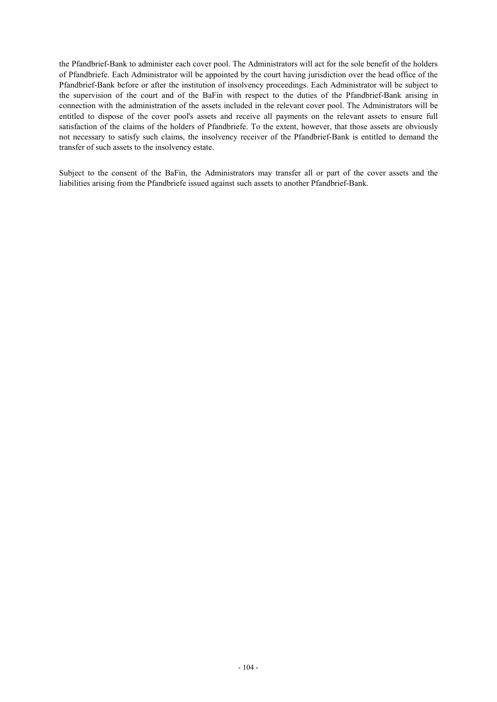the Pfandbrief-Bank to administer each cover pool. The Administrators will act for the sole benefit of the holders of Pfandbriefe. Each Administrator will be appointed by the court having jurisdiction over the head office of the Pfandbrief-Bank before or after the institution of insolvency proceedings. Each Administrator will be subject to the supervision of the court and of the BaFin with respect to the duties of the Pfandbrief-Bank arising in connection with the administration of the assets included in the relevant cover pool. The Administrators will be entitled to dispose of the cover pool's assets and receive all payments on the relevant assets to ensure full satisfaction of the claims of the holders of Pfandbriefe. To the extent, however, that those assets are obviously not necessary to satisfy such claims, the insolvency receiver of the Pfandbrief-Bank is entitled to demand the transfer of such assets to the insolvency estate.

Subject to the consent of the BaFin, the Administrators may transfer all or part of the cover assets and the liabilities arising from the Pfandbriefe issued against such assets to another Pfandbrief-Bank.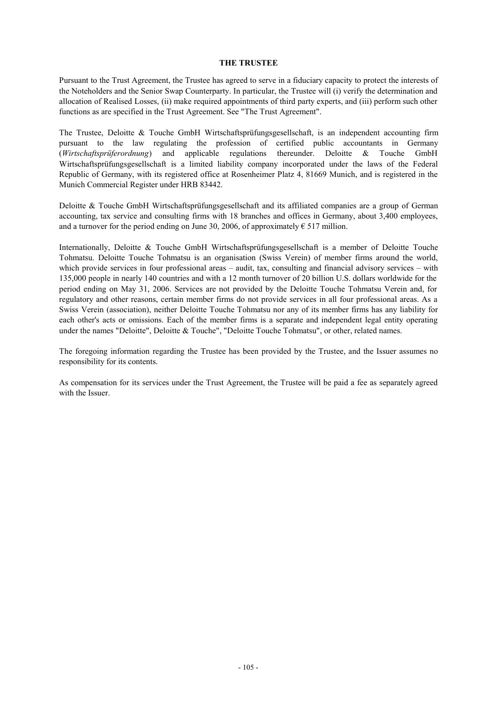#### **THE TRUSTEE**

Pursuant to the Trust Agreement, the Trustee has agreed to serve in a fiduciary capacity to protect the interests of the Noteholders and the Senior Swap Counterparty. In particular, the Trustee will (i) verify the determination and allocation of Realised Losses, (ii) make required appointments of third party experts, and (iii) perform such other functions as are specified in the Trust Agreement. See "The Trust Agreement".

The Trustee, Deloitte & Touche GmbH Wirtschaftsprüfungsgesellschaft, is an independent accounting firm pursuant to the law regulating the profession of certified public accountants in Germany (*Wirtschaftsprüferordnung*) and applicable regulations thereunder. Deloitte & Touche GmbH Wirtschaftsprüfungsgesellschaft is a limited liability company incorporated under the laws of the Federal Republic of Germany, with its registered office at Rosenheimer Platz 4, 81669 Munich, and is registered in the Munich Commercial Register under HRB 83442.

Deloitte & Touche GmbH Wirtschaftsprüfungsgesellschaft and its affiliated companies are a group of German accounting, tax service and consulting firms with 18 branches and offices in Germany, about 3,400 employees, and a turnover for the period ending on June 30, 2006, of approximately  $\epsilon$  517 million.

Internationally, Deloitte & Touche GmbH Wirtschaftsprüfungsgesellschaft is a member of Deloitte Touche Tohmatsu. Deloitte Touche Tohmatsu is an organisation (Swiss Verein) of member firms around the world, which provide services in four professional areas – audit, tax, consulting and financial advisory services – with 135,000 people in nearly 140 countries and with a 12 month turnover of 20 billion U.S. dollars worldwide for the period ending on May 31, 2006. Services are not provided by the Deloitte Touche Tohmatsu Verein and, for regulatory and other reasons, certain member firms do not provide services in all four professional areas. As a Swiss Verein (association), neither Deloitte Touche Tohmatsu nor any of its member firms has any liability for each other's acts or omissions. Each of the member firms is a separate and independent legal entity operating under the names "Deloitte", Deloitte & Touche", "Deloitte Touche Tohmatsu", or other, related names.

The foregoing information regarding the Trustee has been provided by the Trustee, and the Issuer assumes no responsibility for its contents.

As compensation for its services under the Trust Agreement, the Trustee will be paid a fee as separately agreed with the Issuer.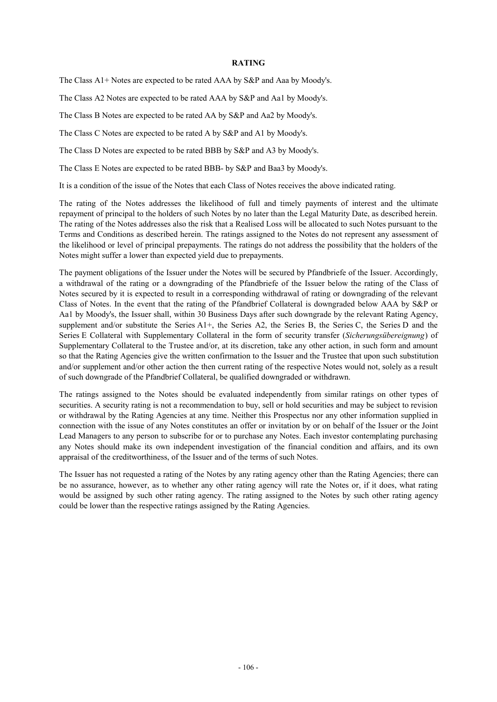#### **RATING**

The Class A1+ Notes are expected to be rated AAA by S&P and Aaa by Moody's.

The Class A2 Notes are expected to be rated AAA by S&P and Aa1 by Moody's.

The Class B Notes are expected to be rated AA by S&P and Aa2 by Moody's.

The Class C Notes are expected to be rated A by S&P and A1 by Moody's.

The Class D Notes are expected to be rated BBB by S&P and A3 by Moody's.

The Class E Notes are expected to be rated BBB- by S&P and Baa3 by Moody's.

It is a condition of the issue of the Notes that each Class of Notes receives the above indicated rating.

The rating of the Notes addresses the likelihood of full and timely payments of interest and the ultimate repayment of principal to the holders of such Notes by no later than the Legal Maturity Date, as described herein. The rating of the Notes addresses also the risk that a Realised Loss will be allocated to such Notes pursuant to the Terms and Conditions as described herein. The ratings assigned to the Notes do not represent any assessment of the likelihood or level of principal prepayments. The ratings do not address the possibility that the holders of the Notes might suffer a lower than expected yield due to prepayments.

The payment obligations of the Issuer under the Notes will be secured by Pfandbriefe of the Issuer. Accordingly, a withdrawal of the rating or a downgrading of the Pfandbriefe of the Issuer below the rating of the Class of Notes secured by it is expected to result in a corresponding withdrawal of rating or downgrading of the relevant Class of Notes. In the event that the rating of the Pfandbrief Collateral is downgraded below AAA by S&P or Aa1 by Moody's, the Issuer shall, within 30 Business Days after such downgrade by the relevant Rating Agency, supplement and/or substitute the Series A1+, the Series A2, the Series B, the Series C, the Series D and the Series E Collateral with Supplementary Collateral in the form of security transfer (*Sicherungsübereignung*) of Supplementary Collateral to the Trustee and/or, at its discretion, take any other action, in such form and amount so that the Rating Agencies give the written confirmation to the Issuer and the Trustee that upon such substitution and/or supplement and/or other action the then current rating of the respective Notes would not, solely as a result of such downgrade of the Pfandbrief Collateral, be qualified downgraded or withdrawn.

The ratings assigned to the Notes should be evaluated independently from similar ratings on other types of securities. A security rating is not a recommendation to buy, sell or hold securities and may be subject to revision or withdrawal by the Rating Agencies at any time. Neither this Prospectus nor any other information supplied in connection with the issue of any Notes constitutes an offer or invitation by or on behalf of the Issuer or the Joint Lead Managers to any person to subscribe for or to purchase any Notes. Each investor contemplating purchasing any Notes should make its own independent investigation of the financial condition and affairs, and its own appraisal of the creditworthiness, of the Issuer and of the terms of such Notes.

The Issuer has not requested a rating of the Notes by any rating agency other than the Rating Agencies; there can be no assurance, however, as to whether any other rating agency will rate the Notes or, if it does, what rating would be assigned by such other rating agency. The rating assigned to the Notes by such other rating agency could be lower than the respective ratings assigned by the Rating Agencies.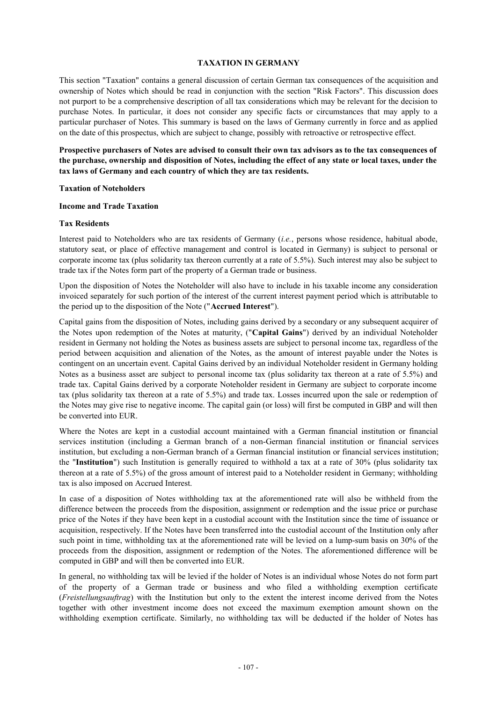#### **TAXATION IN GERMANY**

This section "Taxation" contains a general discussion of certain German tax consequences of the acquisition and ownership of Notes which should be read in conjunction with the section "Risk Factors". This discussion does not purport to be a comprehensive description of all tax considerations which may be relevant for the decision to purchase Notes. In particular, it does not consider any specific facts or circumstances that may apply to a particular purchaser of Notes. This summary is based on the laws of Germany currently in force and as applied on the date of this prospectus, which are subject to change, possibly with retroactive or retrospective effect.

**Prospective purchasers of Notes are advised to consult their own tax advisors as to the tax consequences of**  the purchase, ownership and disposition of Notes, including the effect of any state or local taxes, under the **tax laws of Germany and each country of which they are tax residents.** 

#### **Taxation of Noteholders**

#### **Income and Trade Taxation**

#### **Tax Residents**

Interest paid to Noteholders who are tax residents of Germany (*i.e.*, persons whose residence, habitual abode, statutory seat, or place of effective management and control is located in Germany) is subject to personal or corporate income tax (plus solidarity tax thereon currently at a rate of 5.5%). Such interest may also be subject to trade tax if the Notes form part of the property of a German trade or business.

Upon the disposition of Notes the Noteholder will also have to include in his taxable income any consideration invoiced separately for such portion of the interest of the current interest payment period which is attributable to the period up to the disposition of the Note ("**Accrued Interest**").

Capital gains from the disposition of Notes, including gains derived by a secondary or any subsequent acquirer of the Notes upon redemption of the Notes at maturity, ("**Capital Gains**") derived by an individual Noteholder resident in Germany not holding the Notes as business assets are subject to personal income tax, regardless of the period between acquisition and alienation of the Notes, as the amount of interest payable under the Notes is contingent on an uncertain event. Capital Gains derived by an individual Noteholder resident in Germany holding Notes as a business asset are subject to personal income tax (plus solidarity tax thereon at a rate of 5.5%) and trade tax. Capital Gains derived by a corporate Noteholder resident in Germany are subject to corporate income tax (plus solidarity tax thereon at a rate of 5.5%) and trade tax. Losses incurred upon the sale or redemption of the Notes may give rise to negative income. The capital gain (or loss) will first be computed in GBP and will then be converted into EUR.

Where the Notes are kept in a custodial account maintained with a German financial institution or financial services institution (including a German branch of a non-German financial institution or financial services institution, but excluding a non-German branch of a German financial institution or financial services institution; the "**Institution**") such Institution is generally required to withhold a tax at a rate of 30% (plus solidarity tax thereon at a rate of 5.5%) of the gross amount of interest paid to a Noteholder resident in Germany; withholding tax is also imposed on Accrued Interest.

In case of a disposition of Notes withholding tax at the aforementioned rate will also be withheld from the difference between the proceeds from the disposition, assignment or redemption and the issue price or purchase price of the Notes if they have been kept in a custodial account with the Institution since the time of issuance or acquisition, respectively. If the Notes have been transferred into the custodial account of the Institution only after such point in time, withholding tax at the aforementioned rate will be levied on a lump-sum basis on 30% of the proceeds from the disposition, assignment or redemption of the Notes. The aforementioned difference will be computed in GBP and will then be converted into EUR.

In general, no withholding tax will be levied if the holder of Notes is an individual whose Notes do not form part of the property of a German trade or business and who filed a withholding exemption certificate (*Freistellungsauftrag*) with the Institution but only to the extent the interest income derived from the Notes together with other investment income does not exceed the maximum exemption amount shown on the withholding exemption certificate. Similarly, no withholding tax will be deducted if the holder of Notes has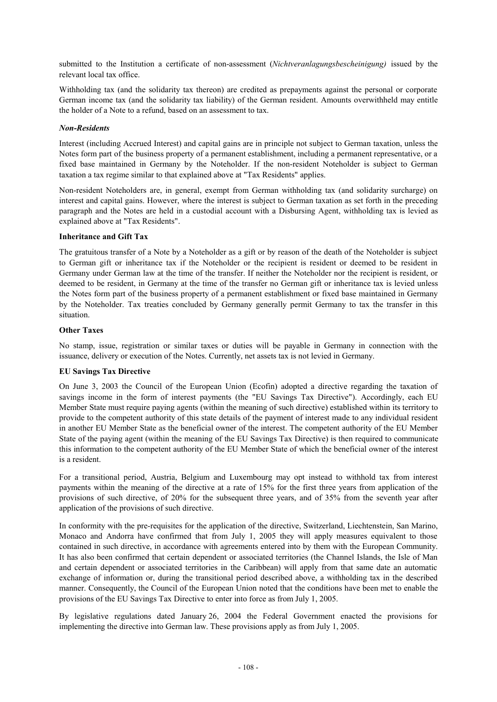submitted to the Institution a certificate of non-assessment (*Nichtveranlagungsbescheinigung)* issued by the relevant local tax office.

Withholding tax (and the solidarity tax thereon) are credited as prepayments against the personal or corporate German income tax (and the solidarity tax liability) of the German resident. Amounts overwithheld may entitle the holder of a Note to a refund, based on an assessment to tax.

### *Non-Residents*

Interest (including Accrued Interest) and capital gains are in principle not subject to German taxation, unless the Notes form part of the business property of a permanent establishment, including a permanent representative, or a fixed base maintained in Germany by the Noteholder. If the non-resident Noteholder is subject to German taxation a tax regime similar to that explained above at "Tax Residents" applies.

Non-resident Noteholders are, in general, exempt from German withholding tax (and solidarity surcharge) on interest and capital gains. However, where the interest is subject to German taxation as set forth in the preceding paragraph and the Notes are held in a custodial account with a Disbursing Agent, withholding tax is levied as explained above at "Tax Residents".

# **Inheritance and Gift Tax**

The gratuitous transfer of a Note by a Noteholder as a gift or by reason of the death of the Noteholder is subject to German gift or inheritance tax if the Noteholder or the recipient is resident or deemed to be resident in Germany under German law at the time of the transfer. If neither the Noteholder nor the recipient is resident, or deemed to be resident, in Germany at the time of the transfer no German gift or inheritance tax is levied unless the Notes form part of the business property of a permanent establishment or fixed base maintained in Germany by the Noteholder. Tax treaties concluded by Germany generally permit Germany to tax the transfer in this situation.

# **Other Taxes**

No stamp, issue, registration or similar taxes or duties will be payable in Germany in connection with the issuance, delivery or execution of the Notes. Currently, net assets tax is not levied in Germany.

### **EU Savings Tax Directive**

On June 3, 2003 the Council of the European Union (Ecofin) adopted a directive regarding the taxation of savings income in the form of interest payments (the "EU Savings Tax Directive"). Accordingly, each EU Member State must require paying agents (within the meaning of such directive) established within its territory to provide to the competent authority of this state details of the payment of interest made to any individual resident in another EU Member State as the beneficial owner of the interest. The competent authority of the EU Member State of the paying agent (within the meaning of the EU Savings Tax Directive) is then required to communicate this information to the competent authority of the EU Member State of which the beneficial owner of the interest is a resident.

For a transitional period, Austria, Belgium and Luxembourg may opt instead to withhold tax from interest payments within the meaning of the directive at a rate of 15% for the first three years from application of the provisions of such directive, of 20% for the subsequent three years, and of 35% from the seventh year after application of the provisions of such directive.

In conformity with the pre-requisites for the application of the directive, Switzerland, Liechtenstein, San Marino, Monaco and Andorra have confirmed that from July 1, 2005 they will apply measures equivalent to those contained in such directive, in accordance with agreements entered into by them with the European Community. It has also been confirmed that certain dependent or associated territories (the Channel Islands, the Isle of Man and certain dependent or associated territories in the Caribbean) will apply from that same date an automatic exchange of information or, during the transitional period described above, a withholding tax in the described manner. Consequently, the Council of the European Union noted that the conditions have been met to enable the provisions of the EU Savings Tax Directive to enter into force as from July 1, 2005.

By legislative regulations dated January 26, 2004 the Federal Government enacted the provisions for implementing the directive into German law. These provisions apply as from July 1, 2005.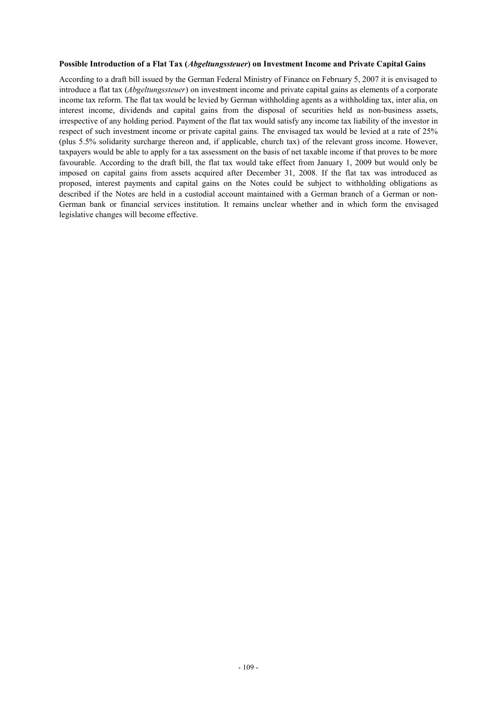#### **Possible Introduction of a Flat Tax (***Abgeltungssteuer***) on Investment Income and Private Capital Gains**

According to a draft bill issued by the German Federal Ministry of Finance on February 5, 2007 it is envisaged to introduce a flat tax (*Abgeltungssteuer*) on investment income and private capital gains as elements of a corporate income tax reform. The flat tax would be levied by German withholding agents as a withholding tax, inter alia, on interest income, dividends and capital gains from the disposal of securities held as non-business assets, irrespective of any holding period. Payment of the flat tax would satisfy any income tax liability of the investor in respect of such investment income or private capital gains. The envisaged tax would be levied at a rate of 25% (plus 5.5% solidarity surcharge thereon and, if applicable, church tax) of the relevant gross income. However, taxpayers would be able to apply for a tax assessment on the basis of net taxable income if that proves to be more favourable. According to the draft bill, the flat tax would take effect from January 1, 2009 but would only be imposed on capital gains from assets acquired after December 31, 2008. If the flat tax was introduced as proposed, interest payments and capital gains on the Notes could be subject to withholding obligations as described if the Notes are held in a custodial account maintained with a German branch of a German or non-German bank or financial services institution. It remains unclear whether and in which form the envisaged legislative changes will become effective.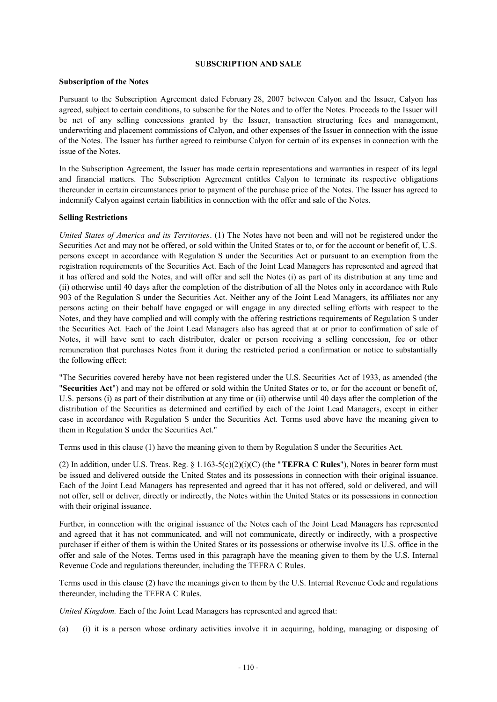#### **SUBSCRIPTION AND SALE**

### **Subscription of the Notes**

Pursuant to the Subscription Agreement dated February 28, 2007 between Calyon and the Issuer, Calyon has agreed, subject to certain conditions, to subscribe for the Notes and to offer the Notes. Proceeds to the Issuer will be net of any selling concessions granted by the Issuer, transaction structuring fees and management, underwriting and placement commissions of Calyon, and other expenses of the Issuer in connection with the issue of the Notes. The Issuer has further agreed to reimburse Calyon for certain of its expenses in connection with the issue of the Notes.

In the Subscription Agreement, the Issuer has made certain representations and warranties in respect of its legal and financial matters. The Subscription Agreement entitles Calyon to terminate its respective obligations thereunder in certain circumstances prior to payment of the purchase price of the Notes. The Issuer has agreed to indemnify Calyon against certain liabilities in connection with the offer and sale of the Notes.

#### **Selling Restrictions**

*United States of America and its Territories*. (1) The Notes have not been and will not be registered under the Securities Act and may not be offered, or sold within the United States or to, or for the account or benefit of, U.S. persons except in accordance with Regulation S under the Securities Act or pursuant to an exemption from the registration requirements of the Securities Act. Each of the Joint Lead Managers has represented and agreed that it has offered and sold the Notes, and will offer and sell the Notes (i) as part of its distribution at any time and (ii) otherwise until 40 days after the completion of the distribution of all the Notes only in accordance with Rule 903 of the Regulation S under the Securities Act. Neither any of the Joint Lead Managers, its affiliates nor any persons acting on their behalf have engaged or will engage in any directed selling efforts with respect to the Notes, and they have complied and will comply with the offering restrictions requirements of Regulation S under the Securities Act. Each of the Joint Lead Managers also has agreed that at or prior to confirmation of sale of Notes, it will have sent to each distributor, dealer or person receiving a selling concession, fee or other remuneration that purchases Notes from it during the restricted period a confirmation or notice to substantially the following effect:

"The Securities covered hereby have not been registered under the U.S. Securities Act of 1933, as amended (the "**Securities Act**") and may not be offered or sold within the United States or to, or for the account or benefit of, U.S. persons (i) as part of their distribution at any time or (ii) otherwise until 40 days after the completion of the distribution of the Securities as determined and certified by each of the Joint Lead Managers, except in either case in accordance with Regulation S under the Securities Act. Terms used above have the meaning given to them in Regulation S under the Securities Act."

Terms used in this clause (1) have the meaning given to them by Regulation S under the Securities Act.

(2) In addition, under U.S. Treas. Reg. § 1.163-5(c)(2)(i)(C) (the "**TEFRA C Rules**"), Notes in bearer form must be issued and delivered outside the United States and its possessions in connection with their original issuance. Each of the Joint Lead Managers has represented and agreed that it has not offered, sold or delivered, and will not offer, sell or deliver, directly or indirectly, the Notes within the United States or its possessions in connection with their original issuance.

Further, in connection with the original issuance of the Notes each of the Joint Lead Managers has represented and agreed that it has not communicated, and will not communicate, directly or indirectly, with a prospective purchaser if either of them is within the United States or its possessions or otherwise involve its U.S. office in the offer and sale of the Notes. Terms used in this paragraph have the meaning given to them by the U.S. Internal Revenue Code and regulations thereunder, including the TEFRA C Rules.

Terms used in this clause (2) have the meanings given to them by the U.S. Internal Revenue Code and regulations thereunder, including the TEFRA C Rules.

*United Kingdom.* Each of the Joint Lead Managers has represented and agreed that:

(a) (i) it is a person whose ordinary activities involve it in acquiring, holding, managing or disposing of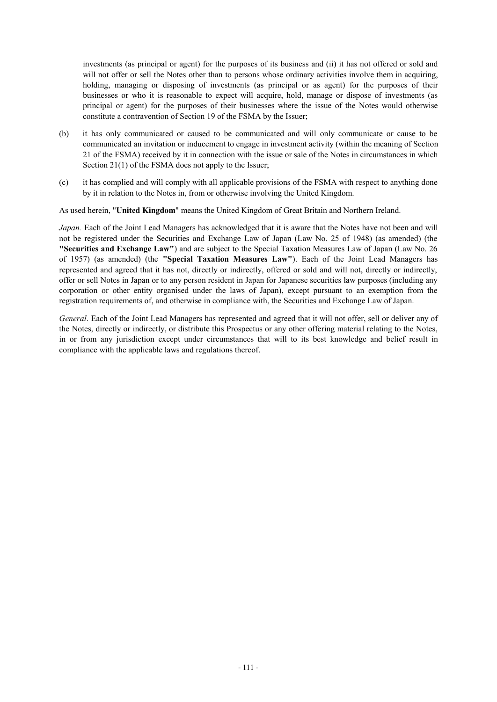investments (as principal or agent) for the purposes of its business and (ii) it has not offered or sold and will not offer or sell the Notes other than to persons whose ordinary activities involve them in acquiring, holding, managing or disposing of investments (as principal or as agent) for the purposes of their businesses or who it is reasonable to expect will acquire, hold, manage or dispose of investments (as principal or agent) for the purposes of their businesses where the issue of the Notes would otherwise constitute a contravention of Section 19 of the FSMA by the Issuer;

- (b) it has only communicated or caused to be communicated and will only communicate or cause to be communicated an invitation or inducement to engage in investment activity (within the meaning of Section 21 of the FSMA) received by it in connection with the issue or sale of the Notes in circumstances in which Section 21(1) of the FSMA does not apply to the Issuer;
- (c) it has complied and will comply with all applicable provisions of the FSMA with respect to anything done by it in relation to the Notes in, from or otherwise involving the United Kingdom.

As used herein, "**United Kingdom**" means the United Kingdom of Great Britain and Northern Ireland.

*Japan.* Each of the Joint Lead Managers has acknowledged that it is aware that the Notes have not been and will not be registered under the Securities and Exchange Law of Japan (Law No. 25 of 1948) (as amended) (the **"Securities and Exchange Law"**) and are subject to the Special Taxation Measures Law of Japan (Law No. 26 of 1957) (as amended) (the **"Special Taxation Measures Law"**). Each of the Joint Lead Managers has represented and agreed that it has not, directly or indirectly, offered or sold and will not, directly or indirectly, offer or sell Notes in Japan or to any person resident in Japan for Japanese securities law purposes (including any corporation or other entity organised under the laws of Japan), except pursuant to an exemption from the registration requirements of, and otherwise in compliance with, the Securities and Exchange Law of Japan.

*General*. Each of the Joint Lead Managers has represented and agreed that it will not offer, sell or deliver any of the Notes, directly or indirectly, or distribute this Prospectus or any other offering material relating to the Notes, in or from any jurisdiction except under circumstances that will to its best knowledge and belief result in compliance with the applicable laws and regulations thereof.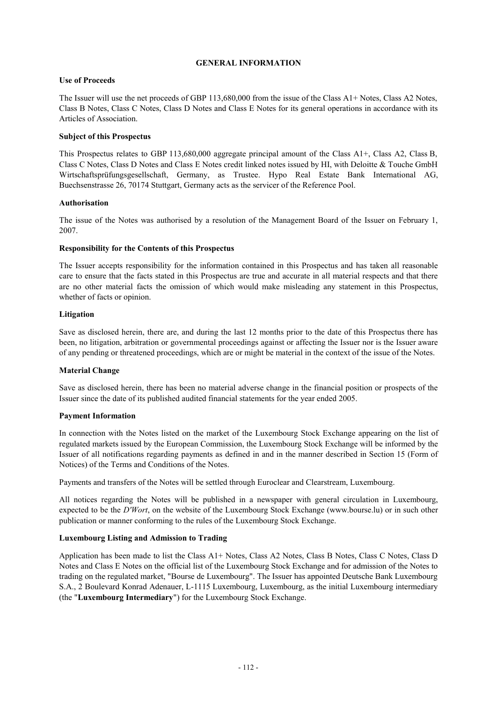### **GENERAL INFORMATION**

### **Use of Proceeds**

The Issuer will use the net proceeds of GBP 113,680,000 from the issue of the Class A1+ Notes, Class A2 Notes, Class B Notes, Class C Notes, Class D Notes and Class E Notes for its general operations in accordance with its Articles of Association.

### **Subject of this Prospectus**

This Prospectus relates to GBP 113,680,000 aggregate principal amount of the Class A1+, Class A2, Class B, Class C Notes, Class D Notes and Class E Notes credit linked notes issued by HI, with Deloitte & Touche GmbH Wirtschaftsprüfungsgesellschaft, Germany, as Trustee. Hypo Real Estate Bank International AG, Buechsenstrasse 26, 70174 Stuttgart, Germany acts as the servicer of the Reference Pool.

### **Authorisation**

The issue of the Notes was authorised by a resolution of the Management Board of the Issuer on February 1, 2007.

### **Responsibility for the Contents of this Prospectus**

The Issuer accepts responsibility for the information contained in this Prospectus and has taken all reasonable care to ensure that the facts stated in this Prospectus are true and accurate in all material respects and that there are no other material facts the omission of which would make misleading any statement in this Prospectus, whether of facts or opinion.

### **Litigation**

Save as disclosed herein, there are, and during the last 12 months prior to the date of this Prospectus there has been, no litigation, arbitration or governmental proceedings against or affecting the Issuer nor is the Issuer aware of any pending or threatened proceedings, which are or might be material in the context of the issue of the Notes.

### **Material Change**

Save as disclosed herein, there has been no material adverse change in the financial position or prospects of the Issuer since the date of its published audited financial statements for the year ended 2005.

### **Payment Information**

In connection with the Notes listed on the market of the Luxembourg Stock Exchange appearing on the list of regulated markets issued by the European Commission, the Luxembourg Stock Exchange will be informed by the Issuer of all notifications regarding payments as defined in and in the manner described in Section 15 (Form of Notices) of the Terms and Conditions of the Notes.

Payments and transfers of the Notes will be settled through Euroclear and Clearstream, Luxembourg.

All notices regarding the Notes will be published in a newspaper with general circulation in Luxembourg, expected to be the *D'Wort*, on the website of the Luxembourg Stock Exchange (www.bourse.lu) or in such other publication or manner conforming to the rules of the Luxembourg Stock Exchange.

### **Luxembourg Listing and Admission to Trading**

Application has been made to list the Class A1+ Notes, Class A2 Notes, Class B Notes, Class C Notes, Class D Notes and Class E Notes on the official list of the Luxembourg Stock Exchange and for admission of the Notes to trading on the regulated market, "Bourse de Luxembourg". The Issuer has appointed Deutsche Bank Luxembourg S.A., 2 Boulevard Konrad Adenauer, L-1115 Luxembourg, Luxembourg, as the initial Luxembourg intermediary (the "**Luxembourg Intermediary**") for the Luxembourg Stock Exchange.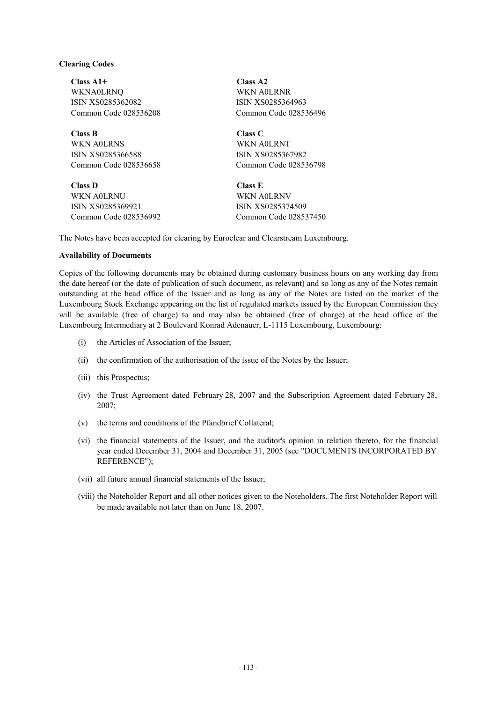#### **Clearing Codes**

**Class A1+ Class A2**  WKNA0LRNQ WKN A0LRNR ISIN XS0285362082 ISIN XS0285364963

**Class B Class C** WKN A0LRNS WKN A0LRNT ISIN XS0285366588 ISIN XS0285367982 Common Code 028536658 Common Code 028536798

**Class D Class E**  WKN A0LRNU WKN A0LRNV ISIN XS0285369921 ISIN XS0285374509 Common Code 028536992 Common Code 028537450

Common Code 028536208 Common Code 028536496

The Notes have been accepted for clearing by Euroclear and Clearstream Luxembourg.

#### **Availability of Documents**

Copies of the following documents may be obtained during customary business hours on any working day from the date hereof (or the date of publication of such document, as relevant) and so long as any of the Notes remain outstanding at the head office of the Issuer and as long as any of the Notes are listed on the market of the Luxembourg Stock Exchange appearing on the list of regulated markets issued by the European Commission they will be available (free of charge) to and may also be obtained (free of charge) at the head office of the Luxembourg Intermediary at 2 Boulevard Konrad Adenauer, L-1115 Luxembourg, Luxembourg:

- (i) the Articles of Association of the Issuer;
- (ii) the confirmation of the authorisation of the issue of the Notes by the Issuer;
- (iii) this Prospectus;
- (iv) the Trust Agreement dated February 28, 2007 and the Subscription Agreement dated February 28, 2007;
- (v) the terms and conditions of the Pfandbrief Collateral;
- (vi) the financial statements of the Issuer, and the auditor's opinion in relation thereto, for the financial year ended December 31, 2004 and December 31, 2005 (see "DOCUMENTS INCORPORATED BY REFERENCE");
- (vii) all future annual financial statements of the Issuer;
- (viii) the Noteholder Report and all other notices given to the Noteholders. The first Noteholder Report will be made available not later than on June 18, 2007.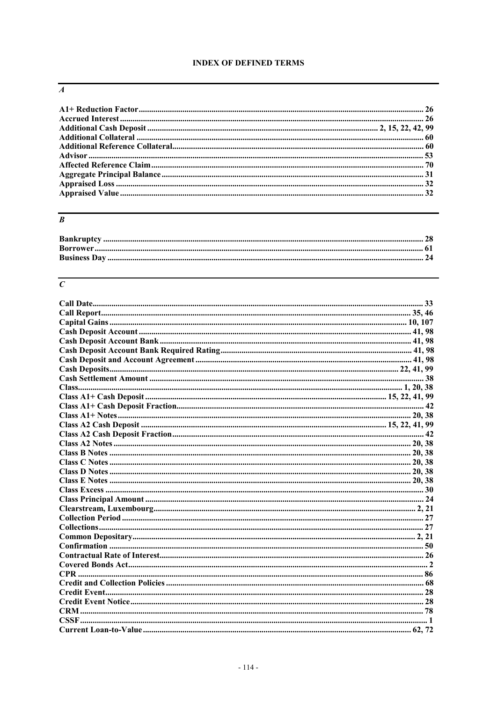## **INDEX OF DEFINED TERMS**

### $\overline{A}$

## $\overline{B}$

## $\overline{c}$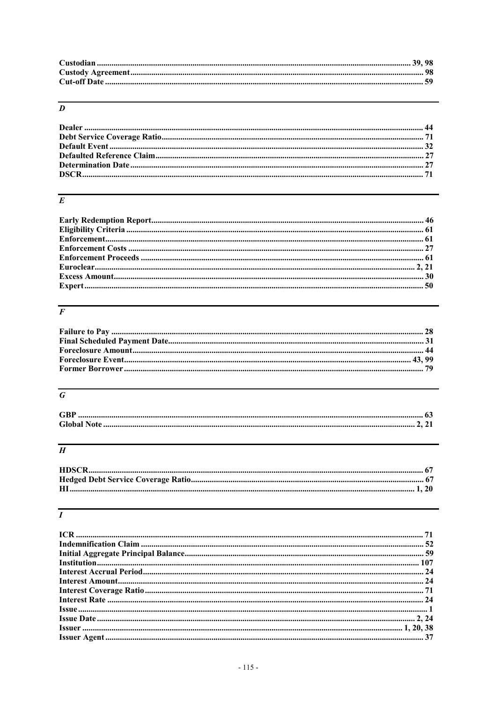# $\overline{D}$

# $\overline{E}$

## $\overline{F}$

# $\overline{G}$

| <b>GBP</b> |  |
|------------|--|
|            |  |

# $\overline{H}$

# $\overline{I}$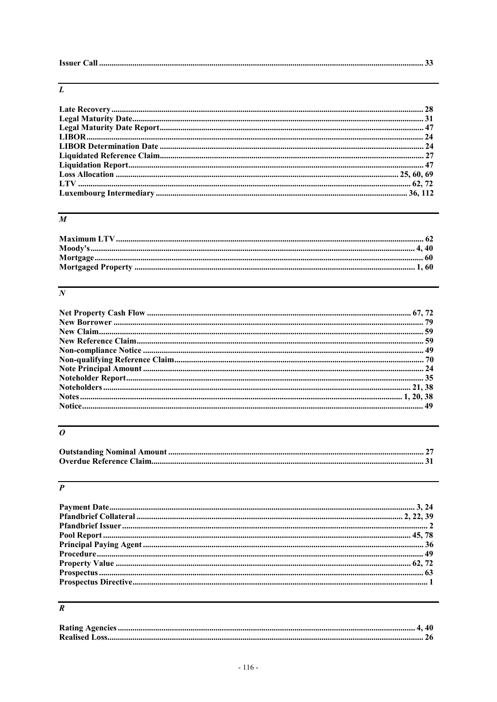|--|--|--|

# $\overline{L}$

# $\overline{M}$

## $\overline{N}$

# $\overline{\overline{o}}$

# $\overline{P}$

| ${\bf Prospecies \: Directive.} \label{prop:2}$ |  |
|-------------------------------------------------|--|
|                                                 |  |

# $\overline{R}$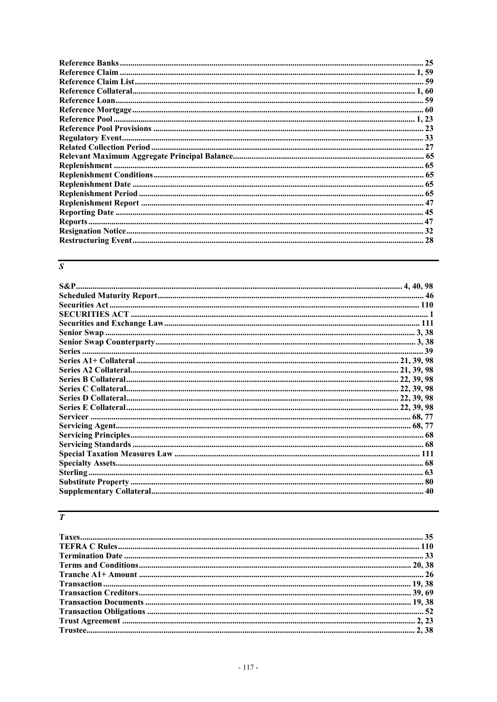# $\overline{s}$

## $\overline{T}$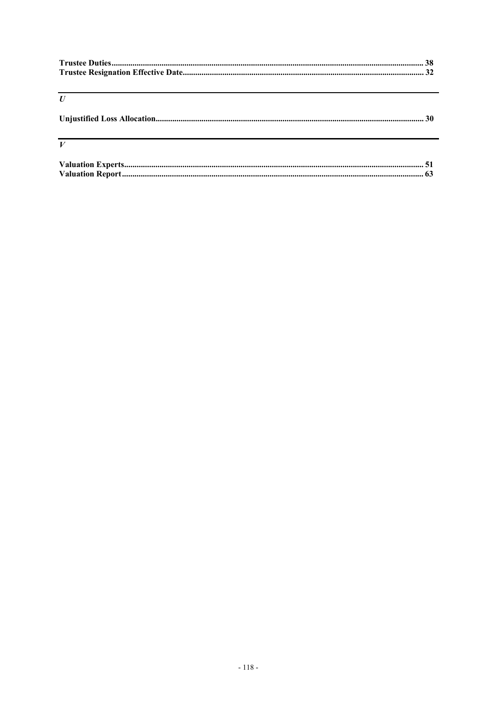| $\boldsymbol{U}$                                            |  |
|-------------------------------------------------------------|--|
|                                                             |  |
|                                                             |  |
| <u> 1999 - Johann Stoff, amerikansk politiker (d. 1989)</u> |  |
| $\boldsymbol{V}$                                            |  |
|                                                             |  |
|                                                             |  |
|                                                             |  |